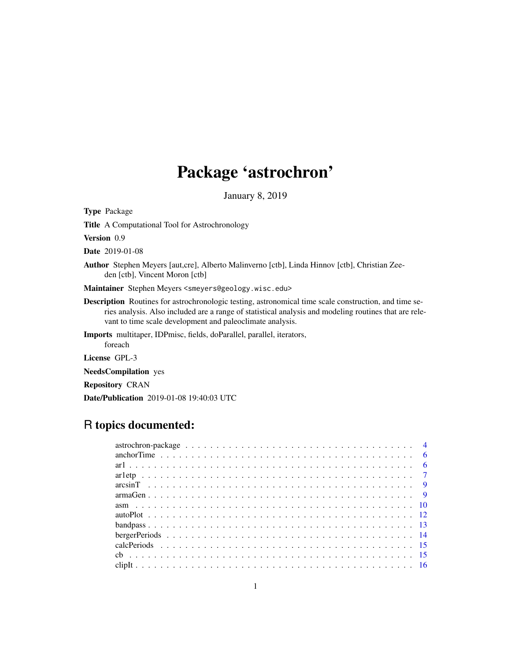# Package 'astrochron'

January 8, 2019

<span id="page-0-0"></span>Type Package Title A Computational Tool for Astrochronology Version 0.9 Date 2019-01-08 Author Stephen Meyers [aut,cre], Alberto Malinverno [ctb], Linda Hinnov [ctb], Christian Zeeden [ctb], Vincent Moron [ctb] Maintainer Stephen Meyers <smeyers@geology.wisc.edu> Description Routines for astrochronologic testing, astronomical time scale construction, and time series analysis. Also included are a range of statistical analysis and modeling routines that are relevant to time scale development and paleoclimate analysis. Imports multitaper, IDPmisc, fields, doParallel, parallel, iterators, foreach License GPL-3 NeedsCompilation yes Repository CRAN

Date/Publication 2019-01-08 19:40:03 UTC

## R topics documented: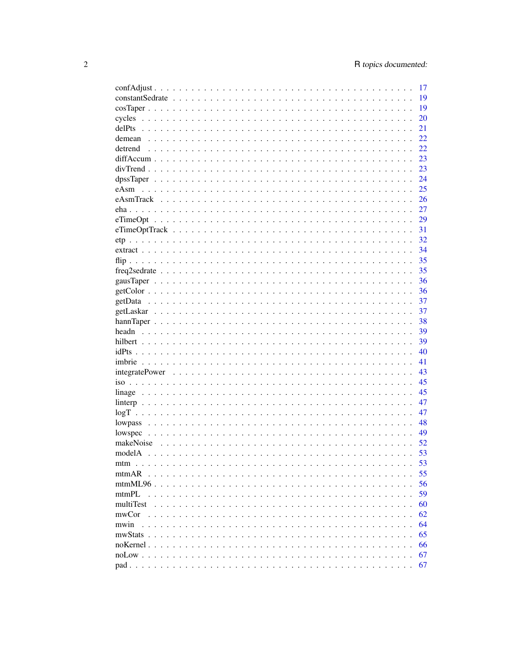|           | 17 |
|-----------|----|
|           | 19 |
|           | 19 |
|           | 20 |
|           | 21 |
|           | 22 |
|           | 22 |
|           | 23 |
|           | 23 |
|           | 24 |
|           | 25 |
|           | 26 |
|           | 27 |
|           | 29 |
|           |    |
|           |    |
|           | 34 |
|           | 35 |
|           | 35 |
|           | 36 |
|           | 36 |
|           | 37 |
|           |    |
|           | 37 |
|           | 38 |
|           | 39 |
|           | 39 |
|           | 40 |
|           | 41 |
|           | 43 |
|           | 45 |
|           | 45 |
|           | 47 |
| logT      | 47 |
|           | 48 |
|           | 49 |
|           | 52 |
|           | 53 |
|           | 53 |
| mtmAR     | 55 |
|           | 56 |
| mtmPL     | 59 |
| multiTest | 60 |
| mwCor     | 62 |
| mwin      | 64 |
|           | 65 |
|           | 66 |
|           | 67 |
|           | 67 |
|           |    |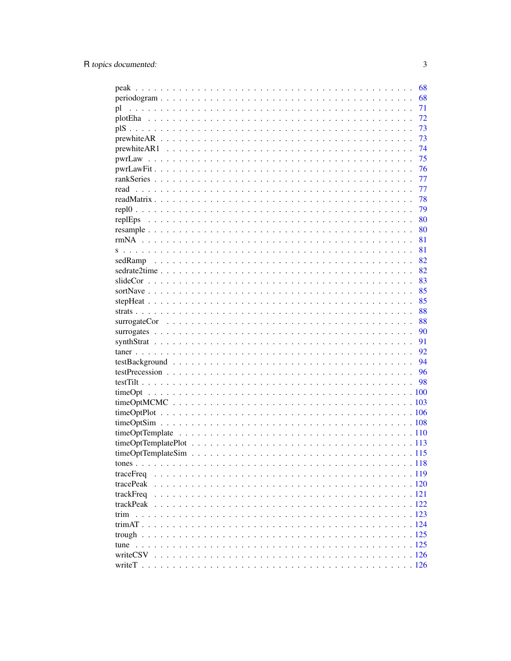|                                                                                                                     | 68 |
|---------------------------------------------------------------------------------------------------------------------|----|
| $periodogram \dots \dots \dots \dots \dots \dots \dots \dots \dots \dots \dots \dots \dots \dots \dots \dots \dots$ | 68 |
| pl                                                                                                                  | 71 |
|                                                                                                                     | 72 |
|                                                                                                                     | 73 |
|                                                                                                                     | 73 |
|                                                                                                                     | 74 |
|                                                                                                                     | 75 |
|                                                                                                                     | 76 |
|                                                                                                                     | 77 |
|                                                                                                                     | 77 |
|                                                                                                                     | 78 |
|                                                                                                                     | 79 |
|                                                                                                                     | 80 |
|                                                                                                                     | 80 |
|                                                                                                                     | 81 |
|                                                                                                                     | 81 |
|                                                                                                                     | 82 |
|                                                                                                                     | 82 |
|                                                                                                                     | 83 |
|                                                                                                                     | 85 |
|                                                                                                                     | 85 |
|                                                                                                                     | 88 |
|                                                                                                                     |    |
|                                                                                                                     | 88 |
|                                                                                                                     | 90 |
|                                                                                                                     | 91 |
|                                                                                                                     | 92 |
|                                                                                                                     | 94 |
|                                                                                                                     |    |
|                                                                                                                     |    |
|                                                                                                                     |    |
|                                                                                                                     |    |
|                                                                                                                     |    |
|                                                                                                                     |    |
|                                                                                                                     |    |
|                                                                                                                     |    |
|                                                                                                                     |    |
|                                                                                                                     |    |
|                                                                                                                     |    |
| tracePeak                                                                                                           |    |
|                                                                                                                     |    |
|                                                                                                                     |    |
|                                                                                                                     |    |
|                                                                                                                     |    |
|                                                                                                                     |    |
|                                                                                                                     |    |
|                                                                                                                     |    |
|                                                                                                                     |    |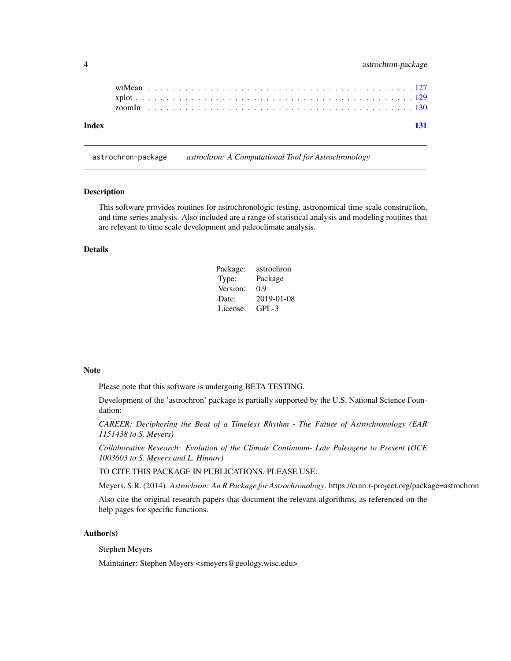<span id="page-3-0"></span>

|  | astrochron-package |
|--|--------------------|
|--|--------------------|

| Index |  |  |  |  |  |  |  |  |  |  |  |  |  |  |  |  |  |  |  |  |  |  | 131 |
|-------|--|--|--|--|--|--|--|--|--|--|--|--|--|--|--|--|--|--|--|--|--|--|-----|

astrochron-package *astrochron: A Computational Tool for Astrochronology*

### Description

This software provides routines for astrochronologic testing, astronomical time scale construction, and time series analysis. Also included are a range of statistical analysis and modeling routines that are relevant to time scale development and paleoclimate analysis.

## Details

| Package: | astrochron |
|----------|------------|
| Type:    | Package    |
| Version: | 0.9        |
| Date:    | 2019-01-08 |
| License: | $GPI - 3$  |

#### Note

Please note that this software is undergoing BETA TESTING.

Development of the 'astrochron' package is partially supported by the U.S. National Science Foundation:

*CAREER: Deciphering the Beat of a Timeless Rhythm - The Future of Astrochronology (EAR 1151438 to S. Meyers)*

*Collaborative Research: Evolution of the Climate Continuum- Late Paleogene to Present (OCE 1003603 to S. Meyers and L. Hinnov)*

TO CITE THIS PACKAGE IN PUBLICATIONS, PLEASE USE:

Meyers, S.R. (2014). *Astrochron: An R Package for Astrochronology*. https://cran.r-project.org/package=astrochron

Also cite the original research papers that document the relevant algorithms, as referenced on the help pages for specific functions.

#### Author(s)

Stephen Meyers

Maintainer: Stephen Meyers <smeyers@geology.wisc.edu>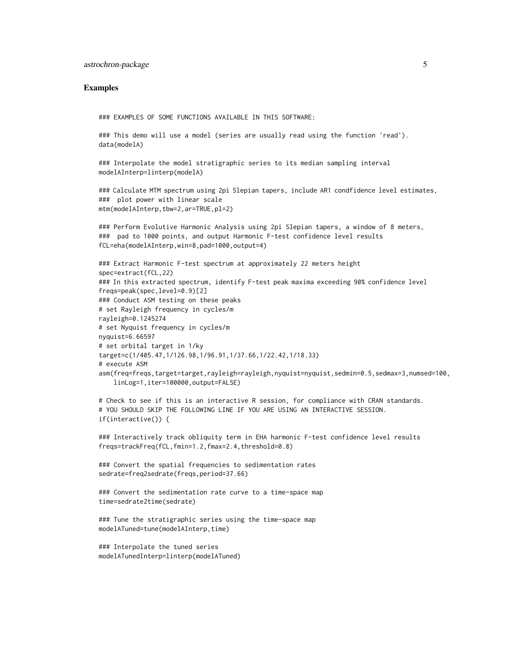#### Examples

```
### EXAMPLES OF SOME FUNCTIONS AVAILABLE IN THIS SOFTWARE:
```

```
### This demo will use a model (series are usually read using the function 'read').
data(modelA)
```

```
### Interpolate the model stratigraphic series to its median sampling interval
modelAInterp=linterp(modelA)
```

```
### Calculate MTM spectrum using 2pi Slepian tapers, include AR1 condfidence level estimates,
### plot power with linear scale
mtm(modelAInterp,tbw=2,ar=TRUE,pl=2)
```

```
### Perform Evolutive Harmonic Analysis using 2pi Slepian tapers, a window of 8 meters,
### pad to 1000 points, and output Harmonic F-test confidence level results
fCL=eha(modelAInterp,win=8,pad=1000,output=4)
```

```
### Extract Harmonic F-test spectrum at approximately 22 meters height
spec=extract(fCL,22)
### In this extracted spectrum, identify F-test peak maxima exceeding 90% confidence level
freqs=peak(spec,level=0.9)[2]
### Conduct ASM testing on these peaks
# set Rayleigh frequency in cycles/m
rayleigh=0.1245274
# set Nyquist frequency in cycles/m
nyquist=6.66597
# set orbital target in 1/ky
target=c(1/405.47,1/126.98,1/96.91,1/37.66,1/22.42,1/18.33)
# execute ASM
asm(freq=freqs,target=target,rayleigh=rayleigh,nyquist=nyquist,sedmin=0.5,sedmax=3,numsed=100,
    linLog=1,iter=100000,output=FALSE)
```

```
# Check to see if this is an interactive R session, for compliance with CRAN standards.
# YOU SHOULD SKIP THE FOLLOWING LINE IF YOU ARE USING AN INTERACTIVE SESSION.
if(interactive()) {
```

```
### Interactively track obliquity term in EHA harmonic F-test confidence level results
freqs=trackFreq(fCL,fmin=1.2,fmax=2.4,threshold=0.8)
```

```
### Convert the spatial frequencies to sedimentation rates
sedrate=freq2sedrate(freqs,period=37.66)
```

```
### Convert the sedimentation rate curve to a time-space map
time=sedrate2time(sedrate)
```

```
### Tune the stratigraphic series using the time-space map
modelATuned=tune(modelAInterp,time)
```

```
### Interpolate the tuned series
modelATunedInterp=linterp(modelATuned)
```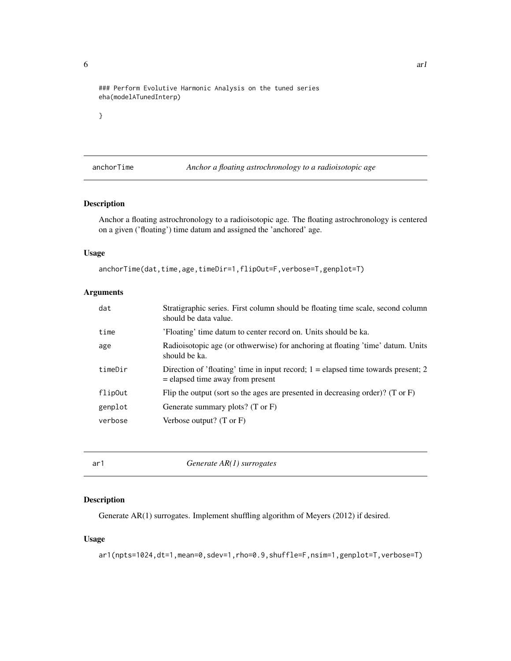<span id="page-5-0"></span>### Perform Evolutive Harmonic Analysis on the tuned series eha(modelATunedInterp)

}

anchorTime *Anchor a floating astrochronology to a radioisotopic age*

#### Description

Anchor a floating astrochronology to a radioisotopic age. The floating astrochronology is centered on a given ('floating') time datum and assigned the 'anchored' age.

#### Usage

```
anchorTime(dat,time,age,timeDir=1,flipOut=F,verbose=T,genplot=T)
```
## Arguments

| dat     | Stratigraphic series. First column should be floating time scale, second column<br>should be data value.                  |
|---------|---------------------------------------------------------------------------------------------------------------------------|
| time    | 'Floating' time datum to center record on. Units should be ka.                                                            |
| age     | Radioisotopic age (or othwerwise) for anchoring at floating 'time' datum. Units<br>should be ka.                          |
| timeDir | Direction of 'floating' time in input record; $1 =$ elapsed time towards present; 2<br>$=$ elapsed time away from present |
| flip0ut | Flip the output (sort so the ages are presented in decreasing order)? (T or $F$ )                                         |
| genplot | Generate summary plots? (T or F)                                                                                          |
| verbose | Verbose output? $(T \text{ or } F)$                                                                                       |
|         |                                                                                                                           |

ar1 *Generate AR(1) surrogates*

## Description

Generate AR(1) surrogates. Implement shuffling algorithm of Meyers (2012) if desired.

#### Usage

ar1(npts=1024,dt=1,mean=0,sdev=1,rho=0.9,shuffle=F,nsim=1,genplot=T,verbose=T)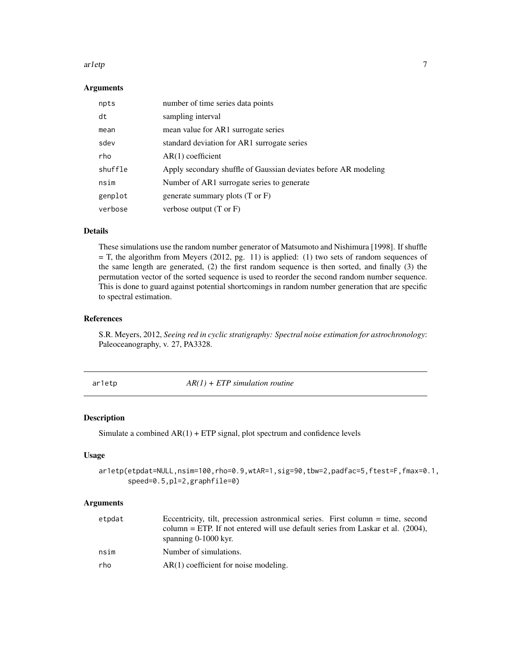#### <span id="page-6-0"></span>ar1etp 7 and 7 and 7 and 7 and 7 and 7 and 7 and 7 and 7 and 7 and 7 and 7 and 7 and 7 and 7 and 7 and 7 and 7

## Arguments

| npts    | number of time series data points                               |
|---------|-----------------------------------------------------------------|
| dt      | sampling interval                                               |
| mean    | mean value for AR1 surrogate series                             |
| sdev    | standard deviation for AR1 surrogate series                     |
| rho     | $AR(1)$ coefficient                                             |
| shuffle | Apply secondary shuffle of Gaussian deviates before AR modeling |
| nsim    | Number of AR1 surrogate series to generate                      |
| genplot | generate summary plots $(T \text{ or } F)$                      |
| verbose | verbose output $(T \text{ or } F)$                              |

#### Details

These simulations use the random number generator of Matsumoto and Nishimura [1998]. If shuffle = T, the algorithm from Meyers (2012, pg. 11) is applied: (1) two sets of random sequences of the same length are generated, (2) the first random sequence is then sorted, and finally (3) the permutation vector of the sorted sequence is used to reorder the second random number sequence. This is done to guard against potential shortcomings in random number generation that are specific to spectral estimation.

#### References

S.R. Meyers, 2012, *Seeing red in cyclic stratigraphy: Spectral noise estimation for astrochronology*: Paleoceanography, v. 27, PA3328.

ar1etp *AR(1) + ETP simulation routine*

## Description

Simulate a combined  $AR(1) + ETP$  signal, plot spectrum and confidence levels

#### Usage

```
ar1etp(etpdat=NULL,nsim=100,rho=0.9,wtAR=1,sig=90,tbw=2,padfac=5,ftest=F,fmax=0.1,
       speed=0.5,pl=2,graphfile=0)
```

| etpdat | Eccentricity, tilt, precession astronomical series. First column = time, second    |
|--------|------------------------------------------------------------------------------------|
|        | column = ETP. If not entered will use default series from Laskar et al. $(2004)$ , |
|        | spanning $0-1000$ kyr.                                                             |
| nsim   | Number of simulations.                                                             |
| rho    | $AR(1)$ coefficient for noise modeling.                                            |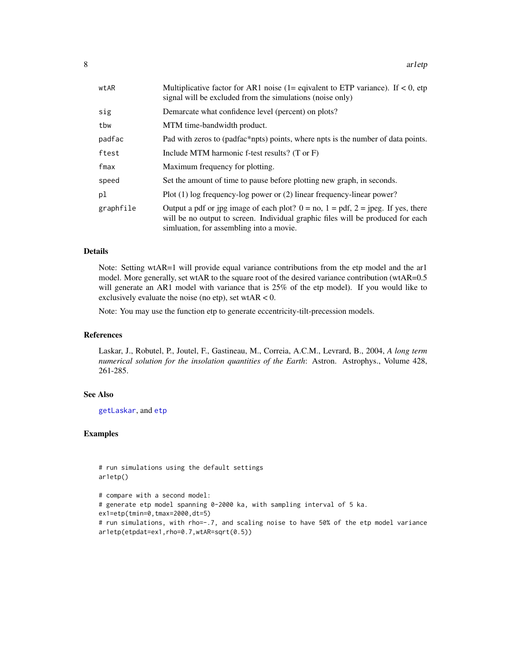| wtAR      | Multiplicative factor for AR1 noise (1= eqivalent to ETP variance). If $< 0$ , etp<br>signal will be excluded from the simulations (noise only)                                                                          |
|-----------|--------------------------------------------------------------------------------------------------------------------------------------------------------------------------------------------------------------------------|
| sig       | Demarcate what confidence level (percent) on plots?                                                                                                                                                                      |
| tbw       | MTM time-bandwidth product.                                                                                                                                                                                              |
| padfac    | Pad with zeros to (padfac*npts) points, where npts is the number of data points.                                                                                                                                         |
| ftest     | Include MTM harmonic f-test results? $(T \text{ or } F)$                                                                                                                                                                 |
| fmax      | Maximum frequency for plotting.                                                                                                                                                                                          |
| speed     | Set the amount of time to pause before plotting new graph, in seconds.                                                                                                                                                   |
| pl        | Plot $(1)$ log frequency-log power or $(2)$ linear frequency-linear power?                                                                                                                                               |
| graphfile | Output a pdf or jpg image of each plot? $0 = no$ , $1 = pdf$ , $2 = jpeg$ . If yes, there<br>will be no output to screen. Individual graphic files will be produced for each<br>simulation, for assembling into a movie. |

#### Details

Note: Setting wtAR=1 will provide equal variance contributions from the etp model and the ar1 model. More generally, set wtAR to the square root of the desired variance contribution (wtAR=0.5 will generate an AR1 model with variance that is 25% of the etp model). If you would like to exclusively evaluate the noise (no etp), set wtAR  $< 0$ .

Note: You may use the function etp to generate eccentricity-tilt-precession models.

#### References

Laskar, J., Robutel, P., Joutel, F., Gastineau, M., Correia, A.C.M., Levrard, B., 2004, *A long term numerical solution for the insolation quantities of the Earth*: Astron. Astrophys., Volume 428, 261-285.

#### See Also

[getLaskar](#page-36-1), and [etp](#page-31-1)

#### Examples

# run simulations using the default settings ar1etp()

```
# compare with a second model:
# generate etp model spanning 0-2000 ka, with sampling interval of 5 ka.
ex1=etp(tmin=0,tmax=2000,dt=5)
# run simulations, with rho=-.7, and scaling noise to have 50% of the etp model variance
ar1etp(etpdat=ex1,rho=0.7,wtAR=sqrt(0.5))
```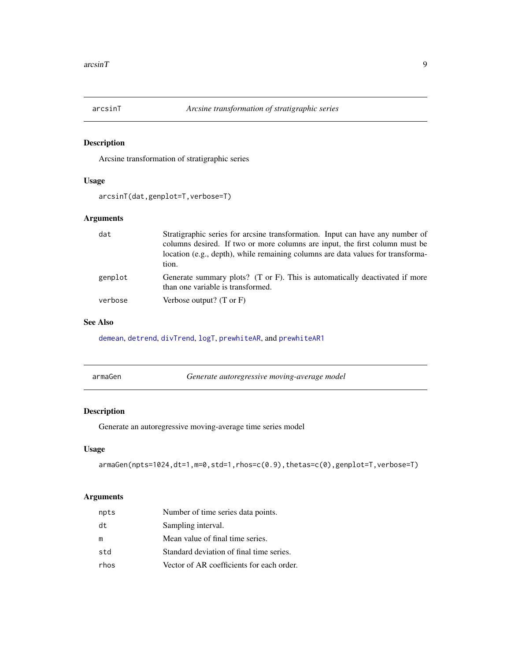<span id="page-8-1"></span><span id="page-8-0"></span>

Arcsine transformation of stratigraphic series

## Usage

```
arcsinT(dat,genplot=T,verbose=T)
```
## Arguments

| dat     | Stratigraphic series for arcsine transformation. Input can have any number of<br>columns desired. If two or more columns are input, the first column must be<br>location (e.g., depth), while remaining columns are data values for transforma-<br>tion. |
|---------|----------------------------------------------------------------------------------------------------------------------------------------------------------------------------------------------------------------------------------------------------------|
| genplot | Generate summary plots? (T or F). This is automatically deactivated if more<br>than one variable is transformed.                                                                                                                                         |
| verbose | Verbose output? $(T \text{ or } F)$                                                                                                                                                                                                                      |

## See Also

[demean](#page-21-1), [detrend](#page-21-2), [divTrend](#page-22-1), [logT](#page-46-1), [prewhiteAR](#page-72-1), and [prewhiteAR1](#page-73-1)

| armaGen | Generate autoregressive moving-average model |
|---------|----------------------------------------------|
|         |                                              |

## Description

Generate an autoregressive moving-average time series model

#### Usage

armaGen(npts=1024,dt=1,m=0,std=1,rhos=c(0.9),thetas=c(0),genplot=T,verbose=T)

| npts | Number of time series data points.        |
|------|-------------------------------------------|
| dt   | Sampling interval.                        |
| m    | Mean value of final time series.          |
| std  | Standard deviation of final time series.  |
| rhos | Vector of AR coefficients for each order. |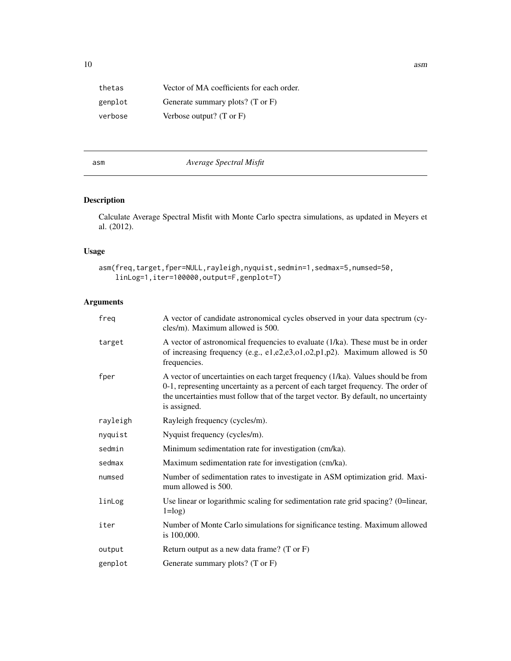| thetas  | Vector of MA coefficients for each order.   |
|---------|---------------------------------------------|
| genplot | Generate summary plots? $(T \text{ or } F)$ |
| verbose | Verbose output? $(T \text{ or } F)$         |

## <span id="page-9-1"></span>asm *Average Spectral Misfit*

## Description

Calculate Average Spectral Misfit with Monte Carlo spectra simulations, as updated in Meyers et al. (2012).

## Usage

```
asm(freq,target,fper=NULL,rayleigh,nyquist,sedmin=1,sedmax=5,numsed=50,
    linLog=1,iter=100000,output=F,genplot=T)
```
## Arguments

| freg     | A vector of candidate astronomical cycles observed in your data spectrum (cy-<br>cles/m). Maximum allowed is 500.                                                                                                                                                            |
|----------|------------------------------------------------------------------------------------------------------------------------------------------------------------------------------------------------------------------------------------------------------------------------------|
| target   | A vector of astronomical frequencies to evaluate (1/ka). These must be in order<br>of increasing frequency (e.g., e1,e2,e3,o1,o2,p1,p2). Maximum allowed is $50$<br>frequencies.                                                                                             |
| fper     | A vector of uncertainties on each target frequency (1/ka). Values should be from<br>0-1, representing uncertainty as a percent of each target frequency. The order of<br>the uncertainties must follow that of the target vector. By default, no uncertainty<br>is assigned. |
| rayleigh | Rayleigh frequency (cycles/m).                                                                                                                                                                                                                                               |
| nyquist  | Nyquist frequency (cycles/m).                                                                                                                                                                                                                                                |
| sedmin   | Minimum sedimentation rate for investigation (cm/ka).                                                                                                                                                                                                                        |
| sedmax   | Maximum sedimentation rate for investigation (cm/ka).                                                                                                                                                                                                                        |
| numsed   | Number of sedimentation rates to investigate in ASM optimization grid. Maxi-<br>mum allowed is 500.                                                                                                                                                                          |
| linLog   | Use linear or logarithmic scaling for sedimentation rate grid spacing? (0=linear,<br>$1 = log$ )                                                                                                                                                                             |
| iter     | Number of Monte Carlo simulations for significance testing. Maximum allowed<br>is 100,000.                                                                                                                                                                                   |
| output   | Return output as a new data frame? $(T \text{ or } F)$                                                                                                                                                                                                                       |
| genplot  | Generate summary plots? (T or F)                                                                                                                                                                                                                                             |

<span id="page-9-0"></span>10 asm and the same state of the state of the state of the state of the state of the state of the state of the state of the state of the state of the state of the state of the state of the state of the state of the state o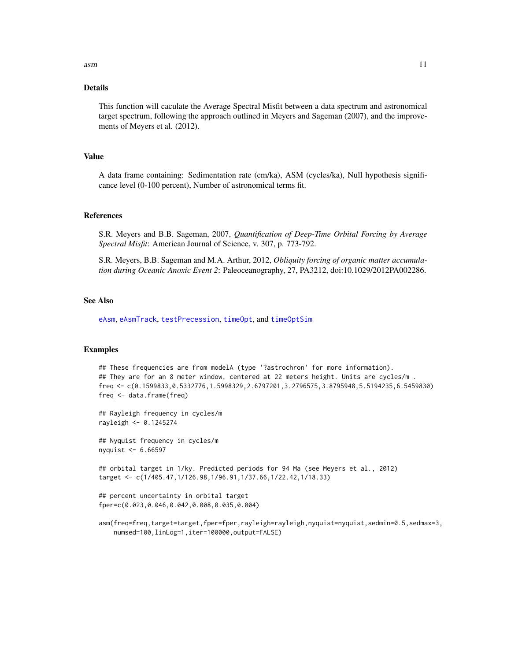$\sum_{i=1}^{n}$  asm  $\sum_{i=1}^{n}$  as  $\sum_{i=1}^{n}$  as  $\sum_{i=1}^{n}$  as  $\sum_{i=1}^{n}$  as  $\sum_{i=1}^{n}$  as  $\sum_{i=1}^{n}$  as  $\sum_{i=1}^{n}$  as  $\sum_{i=1}^{n}$  as  $\sum_{i=1}^{n}$  as  $\sum_{i=1}^{n}$  as  $\sum_{i=1}^{n}$  as  $\sum_{i=1}^{n}$  as  $\sum_{i=1}^{n}$ 

#### Details

This function will caculate the Average Spectral Misfit between a data spectrum and astronomical target spectrum, following the approach outlined in Meyers and Sageman (2007), and the improvements of Meyers et al. (2012).

## Value

A data frame containing: Sedimentation rate (cm/ka), ASM (cycles/ka), Null hypothesis significance level (0-100 percent), Number of astronomical terms fit.

#### References

S.R. Meyers and B.B. Sageman, 2007, *Quantification of Deep-Time Orbital Forcing by Average Spectral Misfit*: American Journal of Science, v. 307, p. 773-792.

S.R. Meyers, B.B. Sageman and M.A. Arthur, 2012, *Obliquity forcing of organic matter accumulation during Oceanic Anoxic Event 2*: Paleoceanography, 27, PA3212, doi:10.1029/2012PA002286.

#### See Also

[eAsm](#page-24-1), [eAsmTrack](#page-25-1), [testPrecession](#page-95-1), [timeOpt](#page-99-1), and [timeOptSim](#page-107-1)

#### Examples

## These frequencies are from modelA (type '?astrochron' for more information). ## They are for an 8 meter window, centered at 22 meters height. Units are cycles/m . freq <- c(0.1599833,0.5332776,1.5998329,2.6797201,3.2796575,3.8795948,5.5194235,6.5459830) freq <- data.frame(freq)

## Rayleigh frequency in cycles/m rayleigh <- 0.1245274

## Nyquist frequency in cycles/m nyquist <- 6.66597

## orbital target in 1/ky. Predicted periods for 94 Ma (see Meyers et al., 2012) target <- c(1/405.47,1/126.98,1/96.91,1/37.66,1/22.42,1/18.33)

```
## percent uncertainty in orbital target
fper=c(0.023,0.046,0.042,0.008,0.035,0.004)
```
asm(freq=freq,target=target,fper=fper,rayleigh=rayleigh,nyquist=nyquist,sedmin=0.5,sedmax=3, numsed=100,linLog=1,iter=100000,output=FALSE)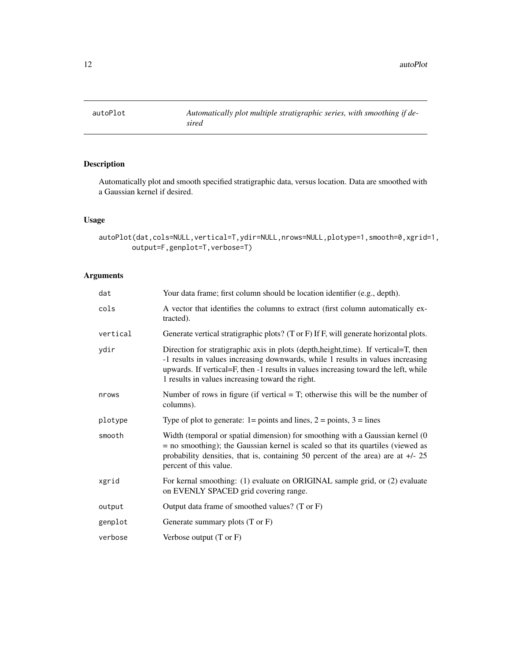<span id="page-11-0"></span>

Automatically plot and smooth specified stratigraphic data, versus location. Data are smoothed with a Gaussian kernel if desired.

## Usage

```
autoPlot(dat,cols=NULL,vertical=T,ydir=NULL,nrows=NULL,plotype=1,smooth=0,xgrid=1,
       output=F,genplot=T,verbose=T)
```

| dat      | Your data frame; first column should be location identifier (e.g., depth).                                                                                                                                                                                                                                         |
|----------|--------------------------------------------------------------------------------------------------------------------------------------------------------------------------------------------------------------------------------------------------------------------------------------------------------------------|
| cols     | A vector that identifies the columns to extract (first column automatically ex-<br>tracted).                                                                                                                                                                                                                       |
| vertical | Generate vertical stratigraphic plots? (T or F) If F, will generate horizontal plots.                                                                                                                                                                                                                              |
| ydir     | Direction for stratigraphic axis in plots (depth, height, time). If vertical=T, then<br>-1 results in values increasing downwards, while 1 results in values increasing<br>upwards. If vertical=F, then -1 results in values increasing toward the left, while<br>1 results in values increasing toward the right. |
| nrows    | Number of rows in figure (if vertical $=$ T; otherwise this will be the number of<br>columns).                                                                                                                                                                                                                     |
| plotype  | Type of plot to generate: $1 = \text{points}$ and lines, $2 = \text{points}$ , $3 = \text{lines}$                                                                                                                                                                                                                  |
| smooth   | Width (temporal or spatial dimension) for smoothing with a Gaussian kernel (0<br>$=$ no smoothing); the Gaussian kernel is scaled so that its quartiles (viewed as<br>probability densities, that is, containing 50 percent of the area) are at $+/- 25$<br>percent of this value.                                 |
| xgrid    | For kernal smoothing: (1) evaluate on ORIGINAL sample grid, or (2) evaluate<br>on EVENLY SPACED grid covering range.                                                                                                                                                                                               |
| output   | Output data frame of smoothed values? (T or F)                                                                                                                                                                                                                                                                     |
| genplot  | Generate summary plots $(T \text{ or } F)$                                                                                                                                                                                                                                                                         |
| verbose  | Verbose output $(T \text{ or } F)$                                                                                                                                                                                                                                                                                 |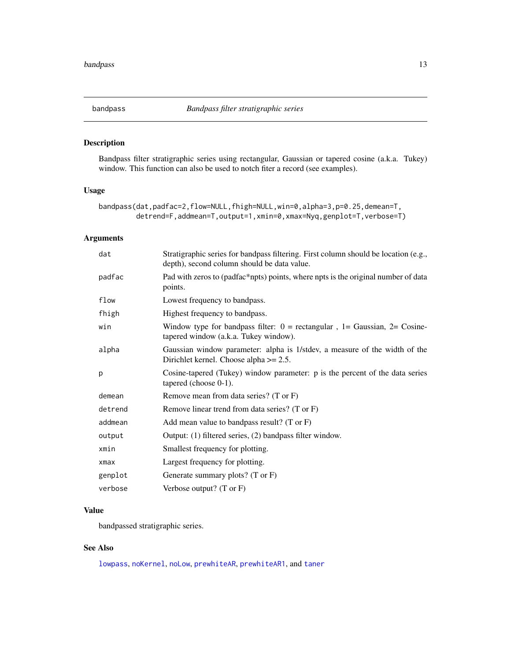<span id="page-12-0"></span>

Bandpass filter stratigraphic series using rectangular, Gaussian or tapered cosine (a.k.a. Tukey) window. This function can also be used to notch fiter a record (see examples).

## Usage

```
bandpass(dat,padfac=2,flow=NULL,fhigh=NULL,win=0,alpha=3,p=0.25,demean=T,
        detrend=F,addmean=T,output=1,xmin=0,xmax=Nyq,genplot=T,verbose=T)
```
## Arguments

| dat     | Stratigraphic series for bandpass filtering. First column should be location (e.g.,<br>depth), second column should be data value. |
|---------|------------------------------------------------------------------------------------------------------------------------------------|
| padfac  | Pad with zeros to (padfac*npts) points, where npts is the original number of data<br>points.                                       |
| flow    | Lowest frequency to bandpass.                                                                                                      |
| fhigh   | Highest frequency to bandpass.                                                                                                     |
| win     | Window type for bandpass filter: $0 =$ rectangular, $1 =$ Gaussian, $2 =$ Cosine-<br>tapered window (a.k.a. Tukey window).         |
| alpha   | Gaussian window parameter: alpha is 1/stdev, a measure of the width of the<br>Dirichlet kernel. Choose alpha $>= 2.5$ .            |
| p       | Cosine-tapered (Tukey) window parameter: p is the percent of the data series<br>tapered (choose $0-1$ ).                           |
| demean  | Remove mean from data series? (T or F)                                                                                             |
| detrend | Remove linear trend from data series? (T or F)                                                                                     |
| addmean | Add mean value to bandpass result? (T or $F$ )                                                                                     |
| output  | Output: (1) filtered series, (2) bandpass filter window.                                                                           |
| xmin    | Smallest frequency for plotting.                                                                                                   |
| xmax    | Largest frequency for plotting.                                                                                                    |
| genplot | Generate summary plots? $(T \text{ or } F)$                                                                                        |
| verbose | Verbose output? $(T \text{ or } F)$                                                                                                |
|         |                                                                                                                                    |

## Value

bandpassed stratigraphic series.

#### See Also

[lowpass](#page-47-1), [noKernel](#page-65-1), [noLow](#page-66-1), [prewhiteAR](#page-72-1), [prewhiteAR1](#page-73-1), and [taner](#page-91-1)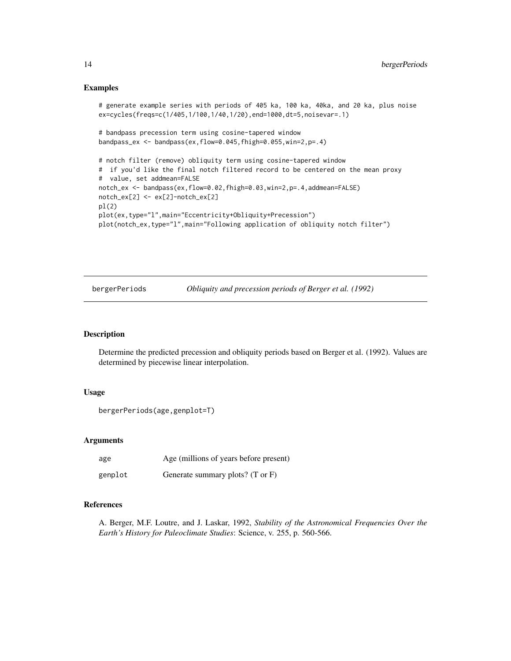#### Examples

```
# generate example series with periods of 405 ka, 100 ka, 40ka, and 20 ka, plus noise
ex=cycles(freqs=c(1/405,1/100,1/40,1/20),end=1000,dt=5,noisevar=.1)
# bandpass precession term using cosine-tapered window
bandpass_ex <- bandpass(ex,flow=0.045,fhigh=0.055,win=2,p=.4)
# notch filter (remove) obliquity term using cosine-tapered window
# if you'd like the final notch filtered record to be centered on the mean proxy
# value, set addmean=FALSE
notch_ex <- bandpass(ex,flow=0.02,fhigh=0.03,win=2,p=.4,addmean=FALSE)
notch_ex[2] <- ex[2]-notch_ex[2]
pl(2)
plot(ex,type="l",main="Eccentricity+Obliquity+Precession")
plot(notch_ex,type="l",main="Following application of obliquity notch filter")
```
bergerPeriods *Obliquity and precession periods of Berger et al. (1992)*

#### Description

Determine the predicted precession and obliquity periods based on Berger et al. (1992). Values are determined by piecewise linear interpolation.

#### Usage

```
bergerPeriods(age,genplot=T)
```
## Arguments

| age     | Age (millions of years before present) |
|---------|----------------------------------------|
| genplot | Generate summary plots? (T or F)       |

## References

A. Berger, M.F. Loutre, and J. Laskar, 1992, *Stability of the Astronomical Frequencies Over the Earth's History for Paleoclimate Studies*: Science, v. 255, p. 560-566.

<span id="page-13-0"></span>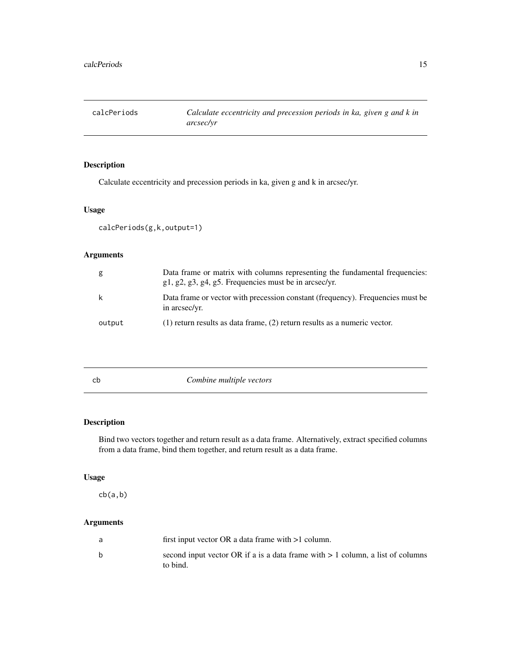<span id="page-14-0"></span>calcPeriods *Calculate eccentricity and precession periods in ka, given g and k in arcsec/yr*

## Description

Calculate eccentricity and precession periods in ka, given g and k in arcsec/yr.

## Usage

calcPeriods(g,k,output=1)

## Arguments

| g      | Data frame or matrix with columns representing the fundamental frequencies:<br>$g1, g2, g3, g4, g5$ . Frequencies must be in arcsec/yr. |
|--------|-----------------------------------------------------------------------------------------------------------------------------------------|
| k      | Data frame or vector with precession constant (frequency). Frequencies must be<br>in arcsec/yr.                                         |
| output | (1) return results as data frame, (2) return results as a numeric vector.                                                               |

cb *Combine multiple vectors*

## Description

Bind two vectors together and return result as a data frame. Alternatively, extract specified columns from a data frame, bind them together, and return result as a data frame.

## Usage

cb(a,b)

| a | first input vector OR a data frame with $>1$ column.                                         |
|---|----------------------------------------------------------------------------------------------|
| b | second input vector OR if a is a data frame with $> 1$ column, a list of columns<br>to bind. |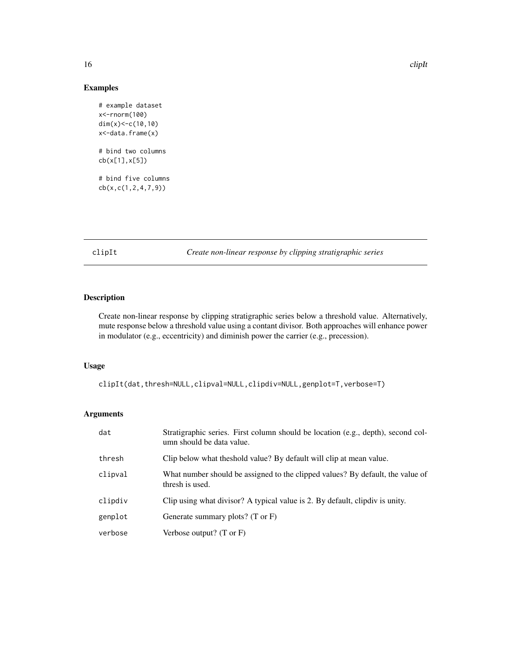## Examples

```
# example dataset
x<-rnorm(100)
dim(x)<-c(10,10)
x<-data.frame(x)
# bind two columns
cb(x[1],x[5])
# bind five columns
cb(x,c(1,2,4,7,9))
```
clipIt *Create non-linear response by clipping stratigraphic series*

## Description

Create non-linear response by clipping stratigraphic series below a threshold value. Alternatively, mute response below a threshold value using a contant divisor. Both approaches will enhance power in modulator (e.g., eccentricity) and diminish power the carrier (e.g., precession).

#### Usage

clipIt(dat,thresh=NULL,clipval=NULL,clipdiv=NULL,genplot=T,verbose=T)

| dat     | Stratigraphic series. First column should be location (e.g., depth), second col-<br>umn should be data value. |
|---------|---------------------------------------------------------------------------------------------------------------|
| thresh  | Clip below what the shold value? By default will clip at mean value.                                          |
| clipval | What number should be assigned to the clipped values? By default, the value of<br>thresh is used.             |
| clipdiv | Clip using what divisor? A typical value is 2. By default, clipdiv is unity.                                  |
| genplot | Generate summary plots? $(T \text{ or } F)$                                                                   |
| verbose | Verbose output? $(T \text{ or } F)$                                                                           |

<span id="page-15-0"></span>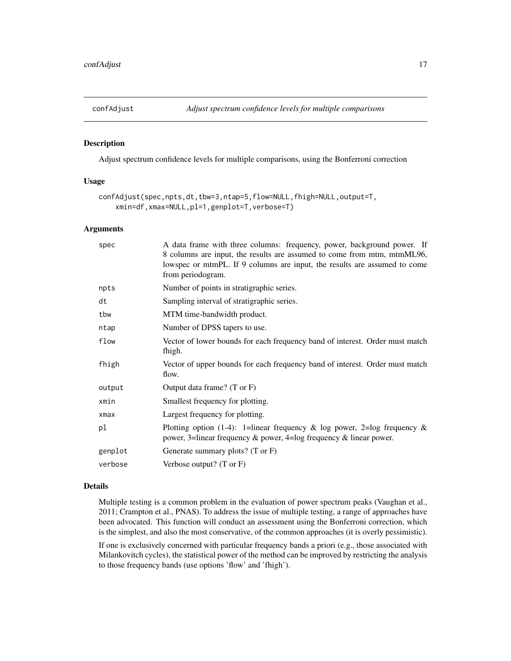<span id="page-16-0"></span>

Adjust spectrum confidence levels for multiple comparisons, using the Bonferroni correction

#### Usage

```
confAdjust(spec,npts,dt,tbw=3,ntap=5,flow=NULL,fhigh=NULL,output=T,
    xmin=df,xmax=NULL,pl=1,genplot=T,verbose=T)
```
## Arguments

| spec       | A data frame with three columns: frequency, power, background power. If<br>8 columns are input, the results are assumed to come from mtm, mtmML96,<br>lowspec or mtmPL. If 9 columns are input, the results are assumed to come<br>from periodogram. |
|------------|------------------------------------------------------------------------------------------------------------------------------------------------------------------------------------------------------------------------------------------------------|
| npts       | Number of points in stratigraphic series.                                                                                                                                                                                                            |
| dt         | Sampling interval of stratigraphic series.                                                                                                                                                                                                           |
| tbw        | MTM time-bandwidth product.                                                                                                                                                                                                                          |
| ntap       | Number of DPSS tapers to use.                                                                                                                                                                                                                        |
| flow       | Vector of lower bounds for each frequency band of interest. Order must match<br>fhigh.                                                                                                                                                               |
| fhigh      | Vector of upper bounds for each frequency band of interest. Order must match<br>flow.                                                                                                                                                                |
| output     | Output data frame? (T or F)                                                                                                                                                                                                                          |
| xmin       | Smallest frequency for plotting.                                                                                                                                                                                                                     |
| $x$ ma $x$ | Largest frequency for plotting.                                                                                                                                                                                                                      |
| pl         | Plotting option (1-4): 1=linear frequency & log power, 2=log frequency &<br>power, 3=linear frequency & power, 4=log frequency & linear power.                                                                                                       |
| genplot    | Generate summary plots? (T or F)                                                                                                                                                                                                                     |
| verbose    | Verbose output? $(T \text{ or } F)$                                                                                                                                                                                                                  |
|            |                                                                                                                                                                                                                                                      |

## Details

Multiple testing is a common problem in the evaluation of power spectrum peaks (Vaughan et al., 2011; Crampton et al., PNAS). To address the issue of multiple testing, a range of approaches have been advocated. This function will conduct an assessment using the Bonferroni correction, which is the simplest, and also the most conservative, of the common approaches (it is overly pessimistic).

If one is exclusively concerned with particular frequency bands a priori (e.g., those associated with Milankovitch cycles), the statistical power of the method can be improved by restricting the analysis to those frequency bands (use options 'flow' and 'fhigh').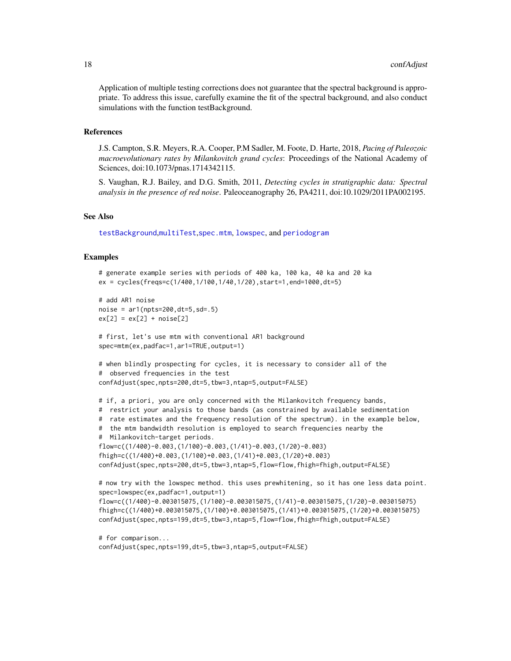Application of multiple testing corrections does not guarantee that the spectral background is appropriate. To address this issue, carefully examine the fit of the spectral background, and also conduct simulations with the function testBackground.

#### References

J.S. Campton, S.R. Meyers, R.A. Cooper, P.M Sadler, M. Foote, D. Harte, 2018, *Pacing of Paleozoic macroevolutionary rates by Milankovitch grand cycles*: Proceedings of the National Academy of Sciences, doi:10.1073/pnas.1714342115.

S. Vaughan, R.J. Bailey, and D.G. Smith, 2011, *Detecting cycles in stratigraphic data: Spectral analysis in the presence of red noise*. Paleoceanography 26, PA4211, doi:10.1029/2011PA002195.

## See Also

[testBackground](#page-93-1),[multiTest](#page-59-1),[spec.mtm](#page-0-0), [lowspec](#page-48-1), and [periodogram](#page-67-1)

#### Examples

```
# generate example series with periods of 400 ka, 100 ka, 40 ka and 20 ka
ex = cycles(freqs=c(1/400,1/100,1/40,1/20),start=1,end=1000,dt=5)
# add AR1 noise
noise = ar1(npts=200,dt=5,sd=.5)
ex[2] = ex[2] + noise[2]# first, let's use mtm with conventional AR1 background
spec=mtm(ex,padfac=1,ar1=TRUE,output=1)
# when blindly prospecting for cycles, it is necessary to consider all of the
# observed frequencies in the test
confAdjust(spec,npts=200,dt=5,tbw=3,ntap=5,output=FALSE)
# if, a priori, you are only concerned with the Milankovitch frequency bands,
# restrict your analysis to those bands (as constrained by available sedimentation
# rate estimates and the frequency resolution of the spectrum). in the example below,
# the mtm bandwidth resolution is employed to search frequencies nearby the
# Milankovitch-target periods.
flow=c((1/400)-0.003,(1/100)-0.003,(1/41)-0.003,(1/20)-0.003)
fhigh=c((1/400)+0.003,(1/100)+0.003,(1/41)+0.003,(1/20)+0.003)
confAdjust(spec,npts=200,dt=5,tbw=3,ntap=5,flow=flow,fhigh=fhigh,output=FALSE)
# now try with the lowspec method. this uses prewhitening, so it has one less data point.
spec=lowspec(ex,padfac=1,output=1)
flow=c((1/400)-0.003015075,(1/100)-0.003015075,(1/41)-0.003015075,(1/20)-0.003015075)
fhigh=c((1/400)+0.003015075,(1/100)+0.003015075,(1/41)+0.003015075,(1/20)+0.003015075)
confAdjust(spec,npts=199,dt=5,tbw=3,ntap=5,flow=flow,fhigh=fhigh,output=FALSE)
```

```
# for comparison...
confAdjust(spec,npts=199,dt=5,tbw=3,ntap=5,output=FALSE)
```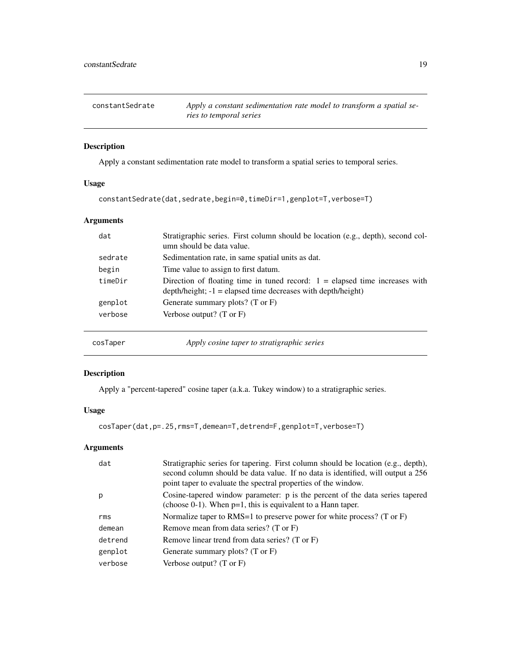<span id="page-18-0"></span>

| constantSedrate | Apply a constant sedimentation rate model to transform a spatial se- |
|-----------------|----------------------------------------------------------------------|
|                 | ries to temporal series                                              |

Apply a constant sedimentation rate model to transform a spatial series to temporal series.

## Usage

```
constantSedrate(dat,sedrate,begin=0,timeDir=1,genplot=T,verbose=T)
```
## Arguments

| dat     | Stratigraphic series. First column should be location (e.g., depth), second col-<br>umn should be data value.                                      |
|---------|----------------------------------------------------------------------------------------------------------------------------------------------------|
| sedrate | Sedimentation rate, in same spatial units as dat.                                                                                                  |
| begin   | Time value to assign to first datum.                                                                                                               |
| timeDir | Direction of floating time in tuned record: $1 =$ elapsed time increases with<br>$depth/height$ ; $-1$ = elapsed time decreases with depth/height) |
| genplot | Generate summary plots? $(T \text{ or } F)$                                                                                                        |
| verbose | Verbose output? $(T \text{ or } F)$                                                                                                                |
|         |                                                                                                                                                    |

<span id="page-18-1"></span>cosTaper *Apply cosine taper to stratigraphic series*

## Description

Apply a "percent-tapered" cosine taper (a.k.a. Tukey window) to a stratigraphic series.

## Usage

```
cosTaper(dat,p=.25,rms=T,demean=T,detrend=F,genplot=T,verbose=T)
```

| dat     | Stratigraphic series for tapering. First column should be location (e.g., depth),<br>second column should be data value. If no data is identified, will output a 256<br>point taper to evaluate the spectral properties of the window. |
|---------|----------------------------------------------------------------------------------------------------------------------------------------------------------------------------------------------------------------------------------------|
| p       | Cosine-tapered window parameter: p is the percent of the data series tapered<br>(choose $0-1$ ). When $p=1$ , this is equivalent to a Hann taper.                                                                                      |
| rms     | Normalize taper to RMS=1 to preserve power for white process? (T or $F$ )                                                                                                                                                              |
| demean  | Remove mean from data series? (T or F)                                                                                                                                                                                                 |
| detrend | Remove linear trend from data series? (T or F)                                                                                                                                                                                         |
| genplot | Generate summary plots? $(T \text{ or } F)$                                                                                                                                                                                            |
| verbose | Verbose output? $(T \text{ or } F)$                                                                                                                                                                                                    |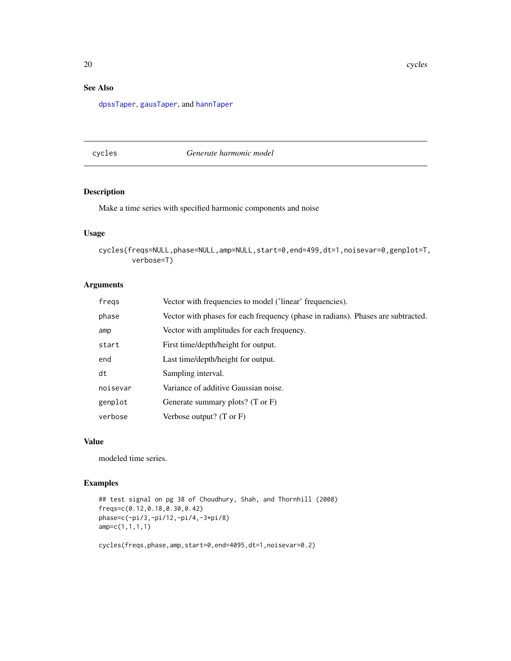## <span id="page-19-0"></span>See Also

[dpssTaper](#page-23-1), [gausTaper](#page-35-1), and [hannTaper](#page-37-1)

cycles *Generate harmonic model*

## Description

Make a time series with specified harmonic components and noise

#### Usage

```
cycles(freqs=NULL,phase=NULL,amp=NULL,start=0,end=499,dt=1,noisevar=0,genplot=T,
       verbose=T)
```
## Arguments

| fregs    | Vector with frequencies to model ('linear' frequencies).                         |
|----------|----------------------------------------------------------------------------------|
| phase    | Vector with phases for each frequency (phase in radians). Phases are subtracted. |
| amp      | Vector with amplitudes for each frequency.                                       |
| start    | First time/depth/height for output.                                              |
| end      | Last time/depth/height for output.                                               |
| dt       | Sampling interval.                                                               |
| noisevar | Variance of additive Gaussian noise.                                             |
| genplot  | Generate summary plots? $(T \text{ or } F)$                                      |
| verbose  | Verbose output? $(T \text{ or } F)$                                              |

## Value

modeled time series.

## Examples

```
## test signal on pg 38 of Choudhury, Shah, and Thornhill (2008)
freqs=c(0.12,0.18,0.30,0.42)
phase=c(-pi/3,-pi/12,-pi/4,-3*pi/8)
amp=c(1,1,1,1)
```
cycles(freqs,phase,amp,start=0,end=4095,dt=1,noisevar=0.2)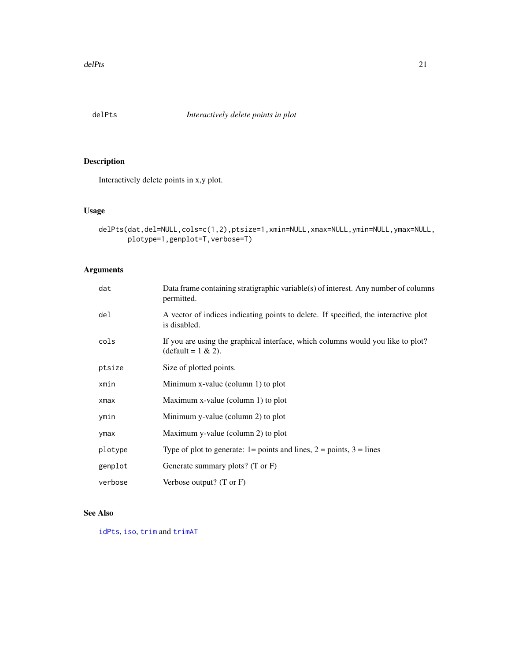<span id="page-20-0"></span>

Interactively delete points in x,y plot.

## Usage

```
delPts(dat,del=NULL,cols=c(1,2),ptsize=1,xmin=NULL,xmax=NULL,ymin=NULL,ymax=NULL,
      plotype=1,genplot=T,verbose=T)
```
## Arguments

| dat     | Data frame containing stratigraphic variable(s) of interest. Any number of columns<br>permitted.                |
|---------|-----------------------------------------------------------------------------------------------------------------|
| de1     | A vector of indices indicating points to delete. If specified, the interactive plot<br>is disabled.             |
| cols    | If you are using the graphical interface, which columns would you like to plot?<br>$(\text{default} = 1 \& 2).$ |
| ptsize  | Size of plotted points.                                                                                         |
| xmin    | Minimum x-value (column 1) to plot                                                                              |
| xmax    | Maximum x-value (column 1) to plot                                                                              |
| ymin    | Minimum y-value (column 2) to plot                                                                              |
| ymax    | Maximum y-value (column 2) to plot                                                                              |
| plotype | Type of plot to generate: $1 = \text{points}$ and lines, $2 = \text{points}$ , $3 = \text{lines}$               |
| genplot | Generate summary plots? (T or F)                                                                                |
| verbose | Verbose output? $(T \text{ or } F)$                                                                             |

## See Also

[idPts](#page-39-1), [iso](#page-44-1), [trim](#page-122-1) and [trimAT](#page-123-1)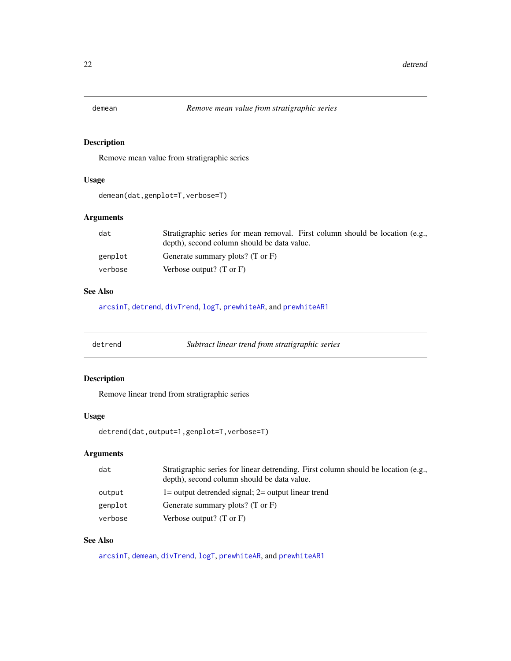<span id="page-21-1"></span><span id="page-21-0"></span>

Remove mean value from stratigraphic series

## Usage

demean(dat,genplot=T,verbose=T)

## Arguments

| dat     | Stratigraphic series for mean removal. First column should be location (e.g., |
|---------|-------------------------------------------------------------------------------|
|         | depth), second column should be data value.                                   |
| genplot | Generate summary plots? $(T \text{ or } F)$                                   |
| verbose | Verbose output? $(T \text{ or } F)$                                           |

#### See Also

[arcsinT](#page-8-1), [detrend](#page-21-2), [divTrend](#page-22-1), [logT](#page-46-1), [prewhiteAR](#page-72-1), and [prewhiteAR1](#page-73-1)

<span id="page-21-2"></span>

| detrend | Subtract linear trend from stratigraphic series |
|---------|-------------------------------------------------|
|---------|-------------------------------------------------|

## Description

Remove linear trend from stratigraphic series

#### Usage

detrend(dat,output=1,genplot=T,verbose=T)

## Arguments

| dat     | Stratigraphic series for linear detrending. First column should be location (e.g.,<br>depth), second column should be data value. |
|---------|-----------------------------------------------------------------------------------------------------------------------------------|
| output  | $1=$ output detrended signal; $2=$ output linear trend                                                                            |
| genplot | Generate summary plots? $(T \text{ or } F)$                                                                                       |
| verbose | Verbose output? $(T \text{ or } F)$                                                                                               |

## See Also

[arcsinT](#page-8-1), [demean](#page-21-1), [divTrend](#page-22-1), [logT](#page-46-1), [prewhiteAR](#page-72-1), and [prewhiteAR1](#page-73-1)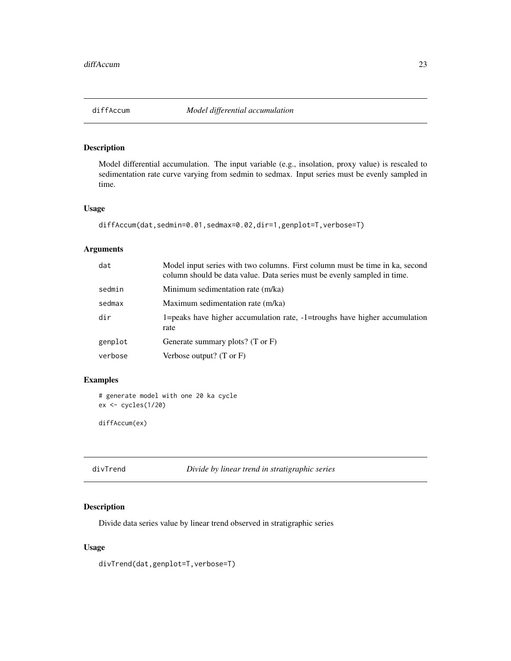<span id="page-22-0"></span>

Model differential accumulation. The input variable (e.g., insolation, proxy value) is rescaled to sedimentation rate curve varying from sedmin to sedmax. Input series must be evenly sampled in time.

#### Usage

```
diffAccum(dat,sedmin=0.01,sedmax=0.02,dir=1,genplot=T,verbose=T)
```
#### Arguments

| dat     | Model input series with two columns. First column must be time in ka, second<br>column should be data value. Data series must be evenly sampled in time. |
|---------|----------------------------------------------------------------------------------------------------------------------------------------------------------|
| sedmin  | Minimum sedimentation rate (m/ka)                                                                                                                        |
| sedmax  | Maximum sedimentation rate (m/ka)                                                                                                                        |
| dir     | 1=peaks have higher accumulation rate, $-1$ =troughs have higher accumulation<br>rate                                                                    |
| genplot | Generate summary plots? $(T \text{ or } F)$                                                                                                              |
| verbose | Verbose output? $(T \text{ or } F)$                                                                                                                      |

## Examples

```
# generate model with one 20 ka cycle
ex <- cycles(1/20)
```
diffAccum(ex)

<span id="page-22-1"></span>divTrend *Divide by linear trend in stratigraphic series*

#### Description

Divide data series value by linear trend observed in stratigraphic series

#### Usage

divTrend(dat,genplot=T,verbose=T)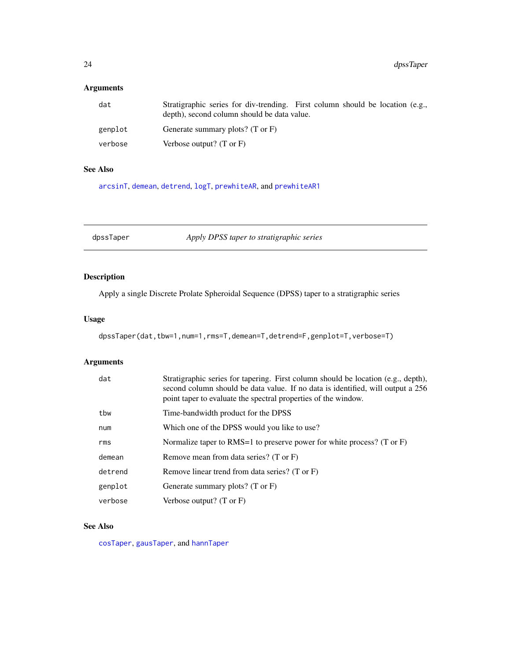## <span id="page-23-0"></span>Arguments

| dat     | Stratigraphic series for div-trending. First column should be location (e.g.,<br>depth), second column should be data value. |
|---------|------------------------------------------------------------------------------------------------------------------------------|
| genplot | Generate summary plots? (T or F)                                                                                             |
| verbose | Verbose output? $(T \text{ or } F)$                                                                                          |

#### See Also

[arcsinT](#page-8-1), [demean](#page-21-1), [detrend](#page-21-2), [logT](#page-46-1), [prewhiteAR](#page-72-1), and [prewhiteAR1](#page-73-1)

<span id="page-23-1"></span>dpssTaper *Apply DPSS taper to stratigraphic series*

## Description

Apply a single Discrete Prolate Spheroidal Sequence (DPSS) taper to a stratigraphic series

## Usage

dpssTaper(dat,tbw=1,num=1,rms=T,demean=T,detrend=F,genplot=T,verbose=T)

## Arguments

| dat     | Stratigraphic series for tapering. First column should be location (e.g., depth),<br>second column should be data value. If no data is identified, will output a 256<br>point taper to evaluate the spectral properties of the window. |
|---------|----------------------------------------------------------------------------------------------------------------------------------------------------------------------------------------------------------------------------------------|
| tbw     | Time-bandwidth product for the DPSS                                                                                                                                                                                                    |
| num     | Which one of the DPSS would you like to use?                                                                                                                                                                                           |
| rms     | Normalize taper to RMS=1 to preserve power for white process? (T or $F$ )                                                                                                                                                              |
| demean  | Remove mean from data series? (T or F)                                                                                                                                                                                                 |
| detrend | Remove linear trend from data series? (T or F)                                                                                                                                                                                         |
| genplot | Generate summary plots? $(T \text{ or } F)$                                                                                                                                                                                            |
| verbose | Verbose output? $(T \text{ or } F)$                                                                                                                                                                                                    |

## See Also

[cosTaper](#page-18-1), [gausTaper](#page-35-1), and [hannTaper](#page-37-1)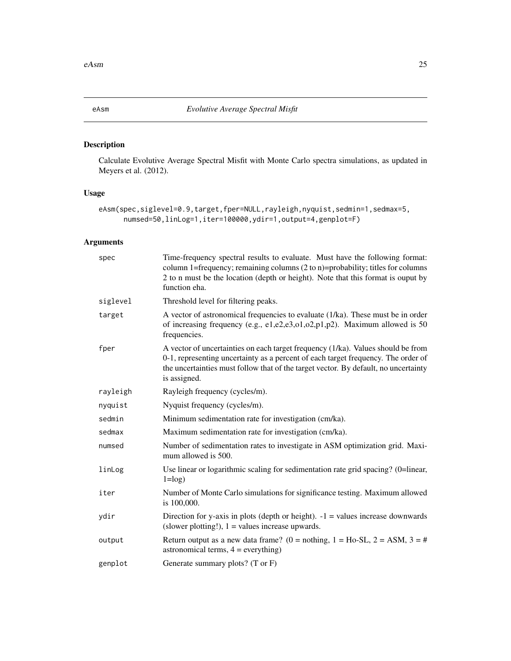<span id="page-24-1"></span><span id="page-24-0"></span>

Calculate Evolutive Average Spectral Misfit with Monte Carlo spectra simulations, as updated in Meyers et al. (2012).

## Usage

```
eAsm(spec,siglevel=0.9,target,fper=NULL,rayleigh,nyquist,sedmin=1,sedmax=5,
     numsed=50,linLog=1,iter=100000,ydir=1,output=4,genplot=F)
```

| spec     | Time-frequency spectral results to evaluate. Must have the following format:<br>column 1=frequency; remaining columns $(2 \text{ to } n)$ =probability; titles for columns<br>2 to n must be the location (depth or height). Note that this format is ouput by<br>function eha. |
|----------|---------------------------------------------------------------------------------------------------------------------------------------------------------------------------------------------------------------------------------------------------------------------------------|
| siglevel | Threshold level for filtering peaks.                                                                                                                                                                                                                                            |
| target   | A vector of astronomical frequencies to evaluate (1/ka). These must be in order<br>of increasing frequency (e.g., e1,e2,e3,o1,o2,p1,p2). Maximum allowed is 50<br>frequencies.                                                                                                  |
| fper     | A vector of uncertainties on each target frequency (1/ka). Values should be from<br>0-1, representing uncertainty as a percent of each target frequency. The order of<br>the uncertainties must follow that of the target vector. By default, no uncertainty<br>is assigned.    |
| rayleigh | Rayleigh frequency (cycles/m).                                                                                                                                                                                                                                                  |
| nyquist  | Nyquist frequency (cycles/m).                                                                                                                                                                                                                                                   |
| sedmin   | Minimum sedimentation rate for investigation (cm/ka).                                                                                                                                                                                                                           |
| sedmax   | Maximum sedimentation rate for investigation (cm/ka).                                                                                                                                                                                                                           |
| numsed   | Number of sedimentation rates to investigate in ASM optimization grid. Maxi-<br>mum allowed is 500.                                                                                                                                                                             |
| linLog   | Use linear or logarithmic scaling for sedimentation rate grid spacing? (0=linear,<br>$1 = log$ )                                                                                                                                                                                |
| iter     | Number of Monte Carlo simulations for significance testing. Maximum allowed<br>is 100,000.                                                                                                                                                                                      |
| ydir     | Direction for y-axis in plots (depth or height). $-1$ = values increase downwards<br>(slower plotting!), $1 =$ values increase upwards.                                                                                                                                         |
| output   | Return output as a new data frame? (0 = nothing, 1 = Ho-SL, 2 = ASM, 3 = #<br>astronomical terms, $4 = \text{everything}$ )                                                                                                                                                     |
| genplot  | Generate summary plots? (T or F)                                                                                                                                                                                                                                                |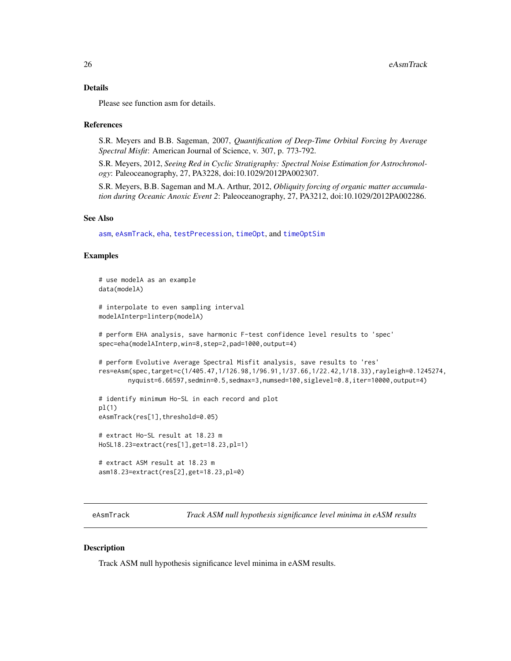#### <span id="page-25-0"></span>Details

Please see function asm for details.

#### References

S.R. Meyers and B.B. Sageman, 2007, *Quantification of Deep-Time Orbital Forcing by Average Spectral Misfit*: American Journal of Science, v. 307, p. 773-792.

S.R. Meyers, 2012, *Seeing Red in Cyclic Stratigraphy: Spectral Noise Estimation for Astrochronology*: Paleoceanography, 27, PA3228, doi:10.1029/2012PA002307.

S.R. Meyers, B.B. Sageman and M.A. Arthur, 2012, *Obliquity forcing of organic matter accumulation during Oceanic Anoxic Event 2*: Paleoceanography, 27, PA3212, doi:10.1029/2012PA002286.

#### See Also

[asm](#page-9-1), [eAsmTrack](#page-25-1), [eha](#page-26-1), [testPrecession](#page-95-1), [timeOpt](#page-99-1), and [timeOptSim](#page-107-1)

#### Examples

```
# use modelA as an example
data(modelA)
# interpolate to even sampling interval
modelAInterp=linterp(modelA)
# perform EHA analysis, save harmonic F-test confidence level results to 'spec'
spec=eha(modelAInterp,win=8,step=2,pad=1000,output=4)
# perform Evolutive Average Spectral Misfit analysis, save results to 'res'
res=eAsm(spec,target=c(1/405.47,1/126.98,1/96.91,1/37.66,1/22.42,1/18.33),rayleigh=0.1245274,
       nyquist=6.66597,sedmin=0.5,sedmax=3,numsed=100,siglevel=0.8,iter=10000,output=4)
# identify minimum Ho-SL in each record and plot
pl(1)
eAsmTrack(res[1],threshold=0.05)
# extract Ho-SL result at 18.23 m
HoSL18.23=extract(res[1],get=18.23,pl=1)
# extract ASM result at 18.23 m
asm18.23=extract(res[2],get=18.23,pl=0)
```
<span id="page-25-1"></span>eAsmTrack *Track ASM null hypothesis significance level minima in eASM results*

#### Description

Track ASM null hypothesis significance level minima in eASM results.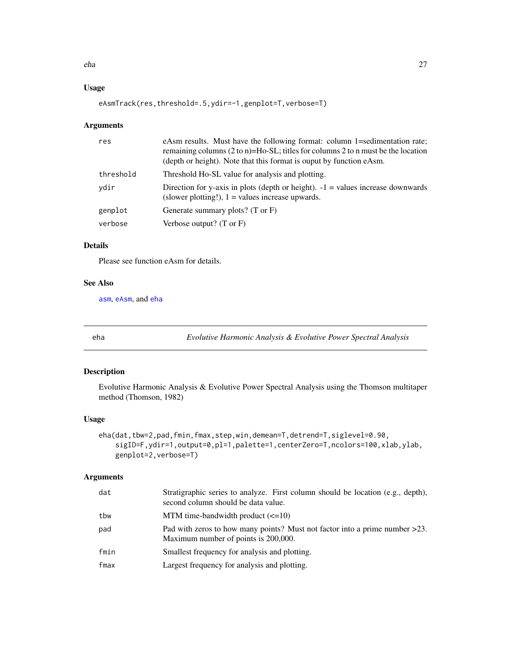<span id="page-26-0"></span>eha 27

## Usage

eAsmTrack(res,threshold=.5,ydir=-1,genplot=T,verbose=T)

## Arguments

| res       | eAsm results. Must have the following format: column 1=sedimentation rate;<br>remaining columns $(2 \text{ to } n)$ =Ho-SL; titles for columns 2 to n must be the location<br>(depth or height). Note that this format is ouput by function eAsm. |
|-----------|---------------------------------------------------------------------------------------------------------------------------------------------------------------------------------------------------------------------------------------------------|
| threshold | Threshold Ho-SL value for analysis and plotting.                                                                                                                                                                                                  |
| ydir      | Direction for y-axis in plots (depth or height). $-1$ = values increase downwards<br>(slower plotting!), $1 =$ values increase upwards.                                                                                                           |
| genplot   | Generate summary plots? (T or F)                                                                                                                                                                                                                  |
| verbose   | Verbose output? $(T \text{ or } F)$                                                                                                                                                                                                               |

#### Details

Please see function eAsm for details.

#### See Also

[asm](#page-9-1), [eAsm](#page-24-1), and [eha](#page-26-1)

<span id="page-26-1"></span>

eha *Evolutive Harmonic Analysis & Evolutive Power Spectral Analysis*

## Description

Evolutive Harmonic Analysis & Evolutive Power Spectral Analysis using the Thomson multitaper method (Thomson, 1982)

### Usage

```
eha(dat,tbw=2,pad,fmin,fmax,step,win,demean=T,detrend=T,siglevel=0.90,
    sigID=F,ydir=1,output=0,pl=1,palette=1,centerZero=T,ncolors=100,xlab,ylab,
   genplot=2,verbose=T)
```

| dat  | Stratigraphic series to analyze. First column should be location (e.g., depth),<br>second column should be data value. |
|------|------------------------------------------------------------------------------------------------------------------------|
| tbw  | MTM time-bandwidth product $(\leq 10)$                                                                                 |
| pad  | Pad with zeros to how many points? Must not factor into a prime number $>23$ .<br>Maximum number of points is 200,000. |
| fmin | Smallest frequency for analysis and plotting.                                                                          |
| fmax | Largest frequency for analysis and plotting.                                                                           |
|      |                                                                                                                        |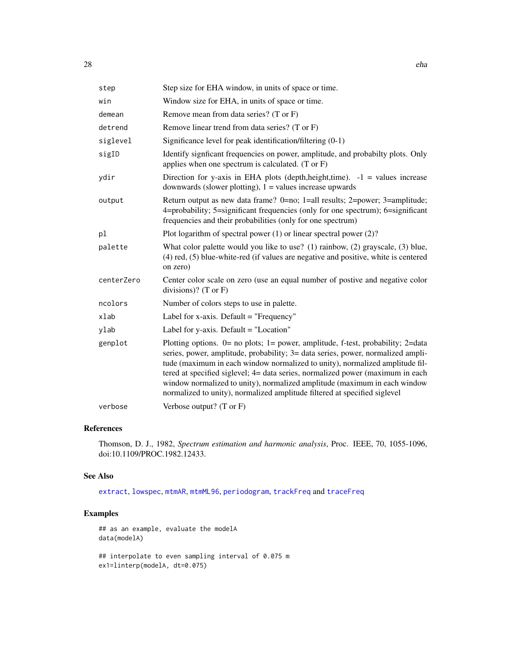| step       | Step size for EHA window, in units of space or time.                                                                                                                                                                                                                                                                                                                                                                                                                                             |
|------------|--------------------------------------------------------------------------------------------------------------------------------------------------------------------------------------------------------------------------------------------------------------------------------------------------------------------------------------------------------------------------------------------------------------------------------------------------------------------------------------------------|
| win        | Window size for EHA, in units of space or time.                                                                                                                                                                                                                                                                                                                                                                                                                                                  |
| demean     | Remove mean from data series? (T or F)                                                                                                                                                                                                                                                                                                                                                                                                                                                           |
| detrend    | Remove linear trend from data series? (T or F)                                                                                                                                                                                                                                                                                                                                                                                                                                                   |
| siglevel   | Significance level for peak identification/filtering (0-1)                                                                                                                                                                                                                                                                                                                                                                                                                                       |
| sigID      | Identify signficant frequencies on power, amplitude, and probabilty plots. Only<br>applies when one spectrum is calculated. $(T \text{ or } F)$                                                                                                                                                                                                                                                                                                                                                  |
| ydir       | Direction for y-axis in EHA plots (depth, height, time). $-1$ = values increase<br>downwards (slower plotting), $1 =$ values increase upwards                                                                                                                                                                                                                                                                                                                                                    |
| output     | Return output as new data frame? 0=no; 1=all results; 2=power; 3=amplitude;<br>4=probability; 5=significant frequencies (only for one spectrum); 6=significant<br>frequencies and their probabilities (only for one spectrum)                                                                                                                                                                                                                                                                    |
| pl         | Plot logarithm of spectral power $(1)$ or linear spectral power $(2)$ ?                                                                                                                                                                                                                                                                                                                                                                                                                          |
| palette    | What color palette would you like to use? $(1)$ rainbow, $(2)$ grayscale, $(3)$ blue,<br>(4) red, (5) blue-white-red (if values are negative and positive, white is centered<br>on zero)                                                                                                                                                                                                                                                                                                         |
| centerZero | Center color scale on zero (use an equal number of postive and negative color<br>divisions)? (T or $F$ )                                                                                                                                                                                                                                                                                                                                                                                         |
| ncolors    | Number of colors steps to use in palette.                                                                                                                                                                                                                                                                                                                                                                                                                                                        |
| xlab       | Label for x-axis. Default $=$ "Frequency"                                                                                                                                                                                                                                                                                                                                                                                                                                                        |
| ylab       | Label for y-axis. Default $=$ "Location"                                                                                                                                                                                                                                                                                                                                                                                                                                                         |
| genplot    | Plotting options. $0=$ no plots; 1= power, amplitude, f-test, probability; 2=data<br>series, power, amplitude, probability; 3= data series, power, normalized ampli-<br>tude (maximum in each window normalized to unity), normalized amplitude fil-<br>tered at specified siglevel; 4= data series, normalized power (maximum in each<br>window normalized to unity), normalized amplitude (maximum in each window<br>normalized to unity), normalized amplitude filtered at specified siglevel |
| verbose    | Verbose output? $(T \text{ or } F)$                                                                                                                                                                                                                                                                                                                                                                                                                                                              |

## References

Thomson, D. J., 1982, *Spectrum estimation and harmonic analysis*, Proc. IEEE, 70, 1055-1096, doi:10.1109/PROC.1982.12433.

#### See Also

[extract](#page-33-1), [lowspec](#page-48-1), [mtmAR](#page-54-1), [mtmML96](#page-55-1), [periodogram](#page-67-1), [trackFreq](#page-120-1) and [traceFreq](#page-118-1)

## Examples

## as an example, evaluate the modelA data(modelA)

## interpolate to even sampling interval of 0.075 m ex1=linterp(modelA, dt=0.075)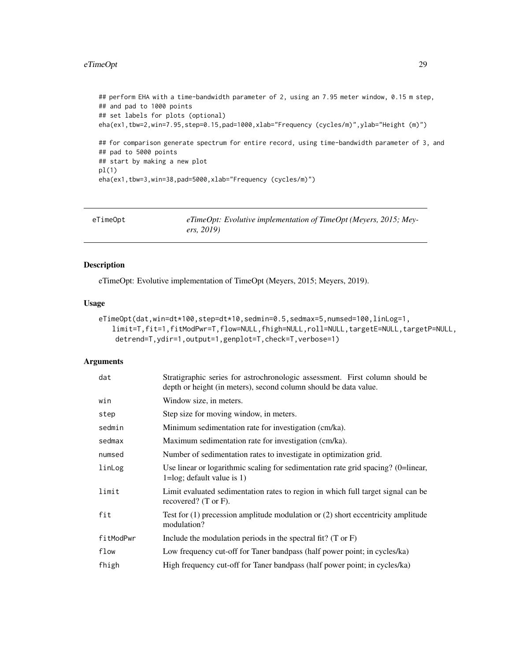#### <span id="page-28-0"></span>eTimeOpt 29

```
## perform EHA with a time-bandwidth parameter of 2, using an 7.95 meter window, 0.15 m step,
## and pad to 1000 points
## set labels for plots (optional)
eha(ex1,tbw=2,win=7.95,step=0.15,pad=1000,xlab="Frequency (cycles/m)",ylab="Height (m)")
## for comparison generate spectrum for entire record, using time-bandwidth parameter of 3, and
## pad to 5000 points
## start by making a new plot
pl(1)
eha(ex1,tbw=3,win=38,pad=5000,xlab="Frequency (cycles/m)")
```
<span id="page-28-1"></span>

| eTimeOpt | $eTimeOpt$ : Evolutive implementation of TimeOpt (Meyers, 2015; Mey- |
|----------|----------------------------------------------------------------------|
|          | ers, 2019)                                                           |

#### Description

eTimeOpt: Evolutive implementation of TimeOpt (Meyers, 2015; Meyers, 2019).

## Usage

```
eTimeOpt(dat,win=dt*100,step=dt*10,sedmin=0.5,sedmax=5,numsed=100,linLog=1,
   limit=T,fit=1,fitModPwr=T,flow=NULL,fhigh=NULL,roll=NULL,targetE=NULL,targetP=NULL,
   detrend=T,ydir=1,output=1,genplot=T,check=T,verbose=1)
```

| dat       | Stratigraphic series for astrochronologic assessment. First column should be<br>depth or height (in meters), second column should be data value. |
|-----------|--------------------------------------------------------------------------------------------------------------------------------------------------|
| win       | Window size, in meters.                                                                                                                          |
| step      | Step size for moving window, in meters.                                                                                                          |
| sedmin    | Minimum sedimentation rate for investigation (cm/ka).                                                                                            |
| sedmax    | Maximum sedimentation rate for investigation (cm/ka).                                                                                            |
| numsed    | Number of sedimentation rates to investigate in optimization grid.                                                                               |
| linLog    | Use linear or logarithmic scaling for sedimentation rate grid spacing? (0=linear,<br>$1 = log$ ; default value is 1)                             |
| limit     | Limit evaluated sedimentation rates to region in which full target signal can be<br>recovered? $(T \text{ or } F)$ .                             |
| fit       | Test for $(1)$ precession amplitude modulation or $(2)$ short eccentricity amplitude<br>modulation?                                              |
| fitModPwr | Include the modulation periods in the spectral fit? $(T \text{ or } F)$                                                                          |
| flow      | Low frequency cut-off for Taner bandpass (half power point; in cycles/ka)                                                                        |
| fhigh     | High frequency cut-off for Taner bandpass (half power point; in cycles/ka)                                                                       |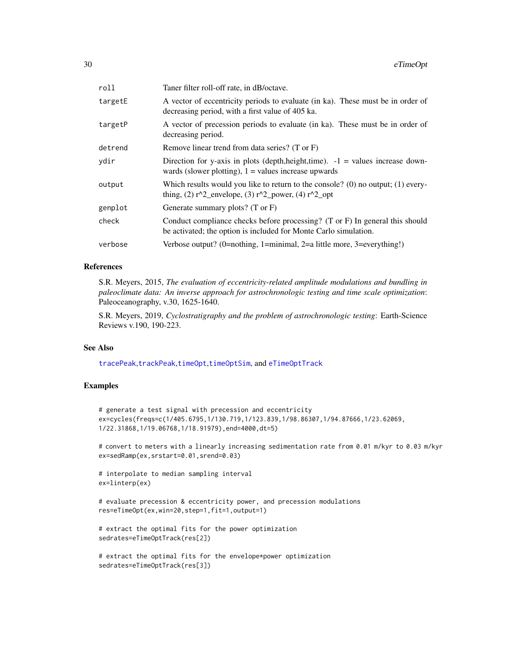| roll    | Taner filter roll-off rate, in dB/octave.                                                                                                                   |
|---------|-------------------------------------------------------------------------------------------------------------------------------------------------------------|
| targetE | A vector of eccentricity periods to evaluate (in ka). These must be in order of<br>decreasing period, with a first value of 405 ka.                         |
| targetP | A vector of precession periods to evaluate (in ka). These must be in order of<br>decreasing period.                                                         |
| detrend | Remove linear trend from data series? (T or F)                                                                                                              |
| vdir    | Direction for y-axis in plots (depth, height, time). $-1$ = values increase down-<br>wards (slower plotting), $1 =$ values increase upwards                 |
| output  | Which results would you like to return to the console? (0) no output; $(1)$ every-<br>thing, (2) $r^2$ envelope, (3) $r^2$ power, (4) $r^2$ opt             |
| genplot | Generate summary plots? $(T \text{ or } F)$                                                                                                                 |
| check   | Conduct compliance checks before processing? $(T \text{ or } F)$ In general this should<br>be activated; the option is included for Monte Carlo simulation. |
| verbose | Verbose output? (0=nothing, 1=minimal, 2=a little more, 3=everything!)                                                                                      |
|         |                                                                                                                                                             |

#### References

S.R. Meyers, 2015, *The evaluation of eccentricity-related amplitude modulations and bundling in paleoclimate data: An inverse approach for astrochronologic testing and time scale optimization*: Paleoceanography, v.30, 1625-1640.

S.R. Meyers, 2019, *Cyclostratigraphy and the problem of astrochronologic testing*: Earth-Science Reviews v.190, 190-223.

#### See Also

[tracePeak](#page-119-1),[trackPeak](#page-121-1),[timeOpt](#page-99-1),[timeOptSim](#page-107-1), and [eTimeOptTrack](#page-30-1)

#### Examples

# generate a test signal with precession and eccentricity ex=cycles(freqs=c(1/405.6795,1/130.719,1/123.839,1/98.86307,1/94.87666,1/23.62069, 1/22.31868,1/19.06768,1/18.91979),end=4000,dt=5)

# convert to meters with a linearly increasing sedimentation rate from 0.01 m/kyr to 0.03 m/kyr ex=sedRamp(ex,srstart=0.01,srend=0.03)

```
# interpolate to median sampling interval
ex=linterp(ex)
```
# evaluate precession & eccentricity power, and precession modulations res=eTimeOpt(ex,win=20,step=1,fit=1,output=1)

```
# extract the optimal fits for the power optimization
sedrates=eTimeOptTrack(res[2])
```

```
# extract the optimal fits for the envelope*power optimization
sedrates=eTimeOptTrack(res[3])
```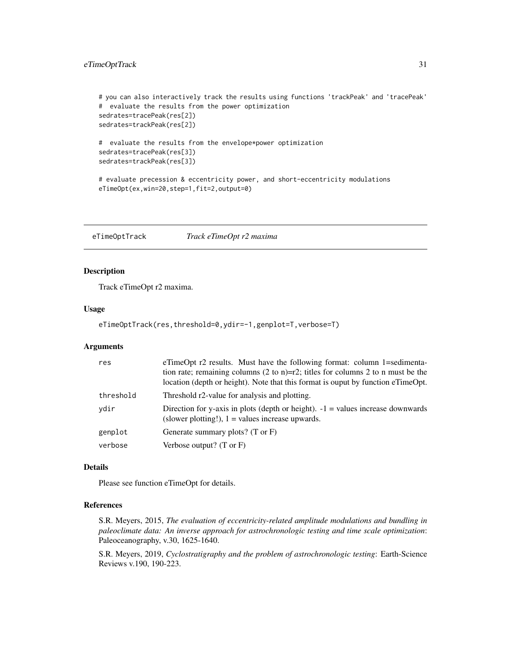## <span id="page-30-0"></span>eTimeOptTrack 31

```
# you can also interactively track the results using functions 'trackPeak' and 'tracePeak'
# evaluate the results from the power optimization
sedrates=tracePeak(res[2])
sedrates=trackPeak(res[2])
# evaluate the results from the envelope*power optimization
sedrates=tracePeak(res[3])
sedrates=trackPeak(res[3])
# evaluate precession & eccentricity power, and short-eccentricity modulations
eTimeOpt(ex,win=20,step=1,fit=2,output=0)
```
<span id="page-30-1"></span>eTimeOptTrack *Track eTimeOpt r2 maxima*

## Description

Track eTimeOpt r2 maxima.

## Usage

```
eTimeOptTrack(res,threshold=0,ydir=-1,genplot=T,verbose=T)
```
#### Arguments

| res       | eTimeOpt r2 results. Must have the following format: column 1=sedimenta-<br>tion rate; remaining columns $(2 \text{ to } n)=r^2$ ; titles for columns 2 to n must be the<br>location (depth or height). Note that this format is ouput by function eTimeOpt. |
|-----------|--------------------------------------------------------------------------------------------------------------------------------------------------------------------------------------------------------------------------------------------------------------|
| threshold | Threshold r2-value for analysis and plotting.                                                                                                                                                                                                                |
| ydir      | Direction for y-axis in plots (depth or height). $-1$ = values increase downwards<br>(slower plotting!), $1 =$ values increase upwards.                                                                                                                      |
| genplot   | Generate summary plots? $(T \text{ or } F)$                                                                                                                                                                                                                  |
| verbose   | Verbose output? $(T \text{ or } F)$                                                                                                                                                                                                                          |

#### Details

Please see function eTimeOpt for details.

## References

S.R. Meyers, 2015, *The evaluation of eccentricity-related amplitude modulations and bundling in paleoclimate data: An inverse approach for astrochronologic testing and time scale optimization*: Paleoceanography, v.30, 1625-1640.

S.R. Meyers, 2019, *Cyclostratigraphy and the problem of astrochronologic testing*: Earth-Science Reviews v.190, 190-223.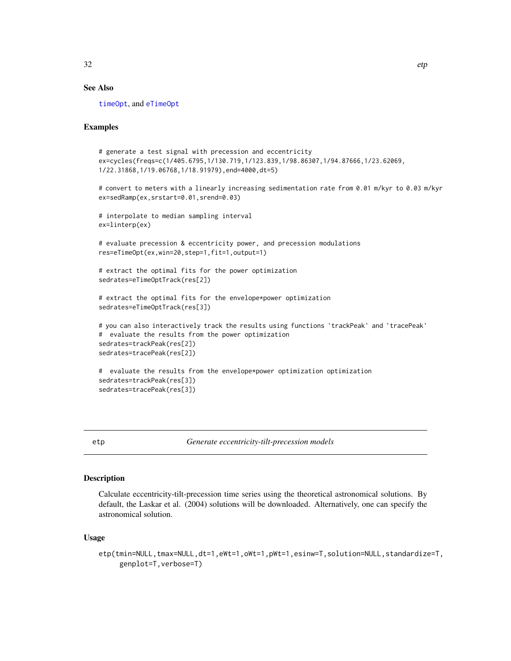### <span id="page-31-0"></span>See Also

[timeOpt](#page-99-1), and [eTimeOpt](#page-28-1)

#### Examples

```
# generate a test signal with precession and eccentricity
ex=cycles(freqs=c(1/405.6795,1/130.719,1/123.839,1/98.86307,1/94.87666,1/23.62069,
1/22.31868,1/19.06768,1/18.91979),end=4000,dt=5)
# convert to meters with a linearly increasing sedimentation rate from 0.01 m/kyr to 0.03 m/kyr
ex=sedRamp(ex,srstart=0.01,srend=0.03)
# interpolate to median sampling interval
ex=linterp(ex)
# evaluate precession & eccentricity power, and precession modulations
res=eTimeOpt(ex,win=20,step=1,fit=1,output=1)
# extract the optimal fits for the power optimization
sedrates=eTimeOptTrack(res[2])
# extract the optimal fits for the envelope*power optimization
sedrates=eTimeOptTrack(res[3])
# you can also interactively track the results using functions 'trackPeak' and 'tracePeak'
# evaluate the results from the power optimization
sedrates=trackPeak(res[2])
sedrates=tracePeak(res[2])
# evaluate the results from the envelope*power optimization optimization
sedrates=trackPeak(res[3])
sedrates=tracePeak(res[3])
```
<span id="page-31-1"></span>etp *Generate eccentricity-tilt-precession models*

#### Description

Calculate eccentricity-tilt-precession time series using the theoretical astronomical solutions. By default, the Laskar et al. (2004) solutions will be downloaded. Alternatively, one can specify the astronomical solution.

#### Usage

```
etp(tmin=NULL,tmax=NULL,dt=1,eWt=1,oWt=1,pWt=1,esinw=T,solution=NULL,standardize=T,
    genplot=T,verbose=T)
```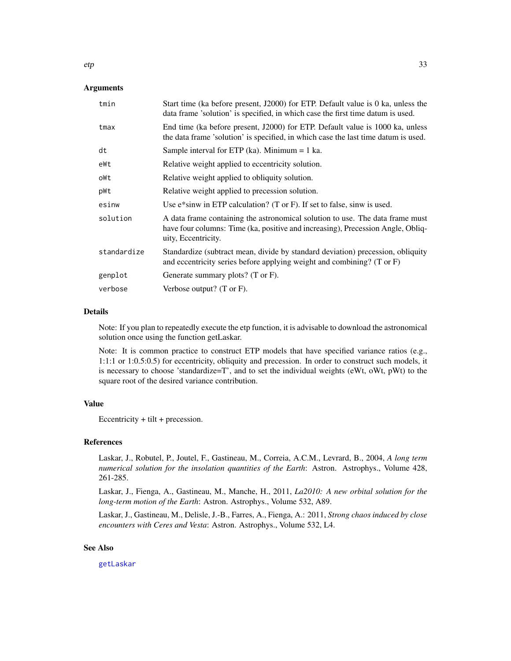### Arguments

| Start time (ka before present, $J2000$ ) for ETP. Default value is 0 ka, unless the<br>data frame 'solution' is specified, in which case the first time datum is used.                  |
|-----------------------------------------------------------------------------------------------------------------------------------------------------------------------------------------|
| End time (ka before present, J2000) for ETP. Default value is 1000 ka, unless<br>the data frame 'solution' is specified, in which case the last time datum is used.                     |
| Sample interval for ETP (ka). Minimum $= 1$ ka.                                                                                                                                         |
| Relative weight applied to eccentricity solution.                                                                                                                                       |
| Relative weight applied to obliquity solution.                                                                                                                                          |
| Relative weight applied to precession solution.                                                                                                                                         |
| Use e*sinw in ETP calculation? (T or F). If set to false, sinw is used.                                                                                                                 |
| A data frame containing the astronomical solution to use. The data frame must<br>have four columns: Time (ka, positive and increasing), Precession Angle, Obliq-<br>uity, Eccentricity. |
| Standardize (subtract mean, divide by standard deviation) precession, obliquity<br>and eccentricity series before applying weight and combining? (T or F)                               |
| Generate summary plots? (T or F).                                                                                                                                                       |
| Verbose output? (T or F).                                                                                                                                                               |
|                                                                                                                                                                                         |

#### Details

Note: If you plan to repeatedly execute the etp function, it is advisable to download the astronomical solution once using the function getLaskar.

Note: It is common practice to construct ETP models that have specified variance ratios (e.g., 1:1:1 or 1:0.5:0.5) for eccentricity, obliquity and precession. In order to construct such models, it is necessary to choose 'standardize=T', and to set the individual weights (eWt, oWt, pWt) to the square root of the desired variance contribution.

## Value

Eccentricity + tilt + precession.

#### References

Laskar, J., Robutel, P., Joutel, F., Gastineau, M., Correia, A.C.M., Levrard, B., 2004, *A long term numerical solution for the insolation quantities of the Earth*: Astron. Astrophys., Volume 428, 261-285.

Laskar, J., Fienga, A., Gastineau, M., Manche, H., 2011, *La2010: A new orbital solution for the long-term motion of the Earth*: Astron. Astrophys., Volume 532, A89.

Laskar, J., Gastineau, M., Delisle, J.-B., Farres, A., Fienga, A.: 2011, *Strong chaos induced by close encounters with Ceres and Vesta*: Astron. Astrophys., Volume 532, L4.

#### See Also

[getLaskar](#page-36-1)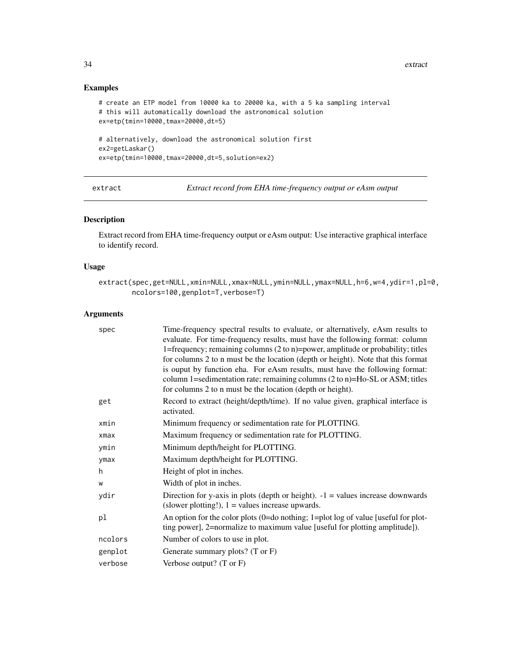## Examples

```
# create an ETP model from 10000 ka to 20000 ka, with a 5 ka sampling interval
# this will automatically download the astronomical solution
ex=etp(tmin=10000,tmax=20000,dt=5)
# alternatively, download the astronomical solution first
ex2=getLaskar()
```
ex=etp(tmin=10000,tmax=20000,dt=5,solution=ex2)

<span id="page-33-1"></span>extract *Extract record from EHA time-frequency output or eAsm output*

## Description

Extract record from EHA time-frequency output or eAsm output: Use interactive graphical interface to identify record.

## Usage

```
extract(spec,get=NULL,xmin=NULL,xmax=NULL,ymin=NULL,ymax=NULL,h=6,w=4,ydir=1,pl=0,
        ncolors=100,genplot=T,verbose=T)
```

| spec    | Time-frequency spectral results to evaluate, or alternatively, eAsm results to<br>evaluate. For time-frequency results, must have the following format: column<br>1=frequency; remaining columns (2 to n)=power, amplitude or probability; titles<br>for columns 2 to n must be the location (depth or height). Note that this format<br>is ouput by function eha. For eAsm results, must have the following format:<br>column 1=sedimentation rate; remaining columns $(2 \text{ to } n)$ =Ho-SL or ASM; titles<br>for columns 2 to n must be the location (depth or height). |
|---------|--------------------------------------------------------------------------------------------------------------------------------------------------------------------------------------------------------------------------------------------------------------------------------------------------------------------------------------------------------------------------------------------------------------------------------------------------------------------------------------------------------------------------------------------------------------------------------|
| get     | Record to extract (height/depth/time). If no value given, graphical interface is<br>activated.                                                                                                                                                                                                                                                                                                                                                                                                                                                                                 |
| xmin    | Minimum frequency or sedimentation rate for PLOTTING.                                                                                                                                                                                                                                                                                                                                                                                                                                                                                                                          |
| xmax    | Maximum frequency or sedimentation rate for PLOTTING.                                                                                                                                                                                                                                                                                                                                                                                                                                                                                                                          |
| ymin    | Minimum depth/height for PLOTTING.                                                                                                                                                                                                                                                                                                                                                                                                                                                                                                                                             |
| ymax    | Maximum depth/height for PLOTTING.                                                                                                                                                                                                                                                                                                                                                                                                                                                                                                                                             |
| h.      | Height of plot in inches.                                                                                                                                                                                                                                                                                                                                                                                                                                                                                                                                                      |
| W       | Width of plot in inches.                                                                                                                                                                                                                                                                                                                                                                                                                                                                                                                                                       |
| ydir    | Direction for y-axis in plots (depth or height). $-1$ = values increase downwards<br>(slower plotting!), $1 =$ values increase upwards.                                                                                                                                                                                                                                                                                                                                                                                                                                        |
| pl      | An option for the color plots (0=do nothing; 1=plot log of value [useful for plot-<br>ting power], 2=normalize to maximum value [useful for plotting amplitude]).                                                                                                                                                                                                                                                                                                                                                                                                              |
| ncolors | Number of colors to use in plot.                                                                                                                                                                                                                                                                                                                                                                                                                                                                                                                                               |
| genplot | Generate summary plots? (T or F)                                                                                                                                                                                                                                                                                                                                                                                                                                                                                                                                               |
| verbose | Verbose output? (T or F)                                                                                                                                                                                                                                                                                                                                                                                                                                                                                                                                                       |

<span id="page-33-0"></span>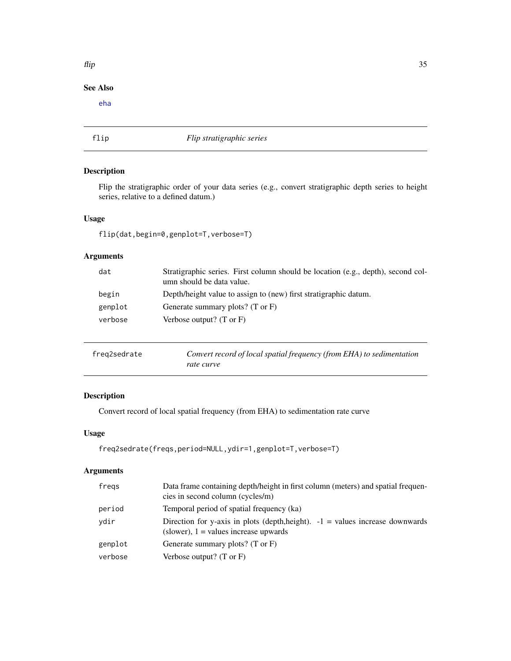## See Also

[eha](#page-26-1)

## flip *Flip stratigraphic series*

## Description

Flip the stratigraphic order of your data series (e.g., convert stratigraphic depth series to height series, relative to a defined datum.)

## Usage

flip(dat,begin=0,genplot=T,verbose=T)

## Arguments

| dat     | Stratigraphic series. First column should be location (e.g., depth), second col-<br>umn should be data value. |
|---------|---------------------------------------------------------------------------------------------------------------|
| begin   | Depth/height value to assign to (new) first stratigraphic datum.                                              |
| genplot | Generate summary plots? (T or F)                                                                              |
| verbose | Verbose output? $(T \text{ or } F)$                                                                           |
|         |                                                                                                               |

| freg2sedrate | Convert record of local spatial frequency (from EHA) to sedimentation |
|--------------|-----------------------------------------------------------------------|
|              | rate curve                                                            |

## Description

Convert record of local spatial frequency (from EHA) to sedimentation rate curve

## Usage

```
freq2sedrate(freqs,period=NULL,ydir=1,genplot=T,verbose=T)
```
## Arguments

| fregs   | Data frame containing depth/height in first column (meters) and spatial frequen-<br>cies in second column (cycles/m)       |
|---------|----------------------------------------------------------------------------------------------------------------------------|
| period  | Temporal period of spatial frequency (ka)                                                                                  |
| ydir    | Direction for y-axis in plots (depth, height). $-1$ = values increase downwards<br>(slower), $1 =$ values increase upwards |
| genplot | Generate summary plots? $(T \text{ or } F)$                                                                                |
| verbose | Verbose output? $(T \text{ or } F)$                                                                                        |

<span id="page-34-0"></span> $f$ lip 35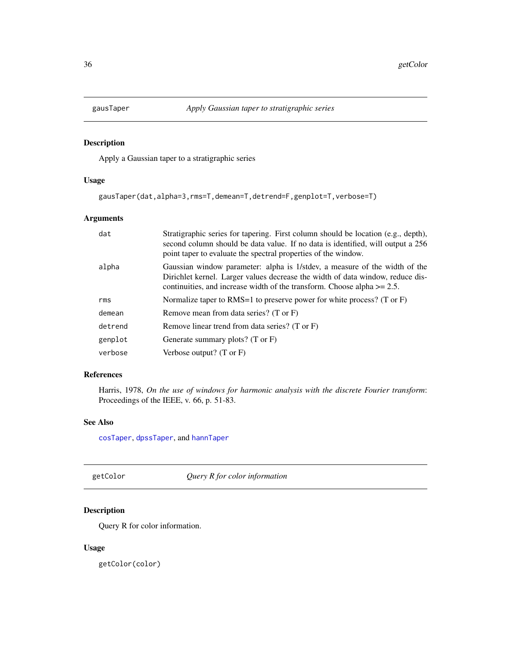<span id="page-35-1"></span><span id="page-35-0"></span>

Apply a Gaussian taper to a stratigraphic series

## Usage

```
gausTaper(dat,alpha=3,rms=T,demean=T,detrend=F,genplot=T,verbose=T)
```
## Arguments

| Stratigraphic series for tapering. First column should be location (e.g., depth),<br>second column should be data value. If no data is identified, will output a 256<br>point taper to evaluate the spectral properties of the window.      |
|---------------------------------------------------------------------------------------------------------------------------------------------------------------------------------------------------------------------------------------------|
| Gaussian window parameter: alpha is 1/stdev, a measure of the width of the<br>Dirichlet kernel. Larger values decrease the width of data window, reduce dis-<br>continuities, and increase width of the transform. Choose alpha $\geq$ 2.5. |
| Normalize taper to RMS=1 to preserve power for white process? (T or $F$ )                                                                                                                                                                   |
| Remove mean from data series? $(T \text{ or } F)$                                                                                                                                                                                           |
| Remove linear trend from data series? (T or F)                                                                                                                                                                                              |
| Generate summary plots? (T or F)                                                                                                                                                                                                            |
| Verbose output? $(T \text{ or } F)$                                                                                                                                                                                                         |
|                                                                                                                                                                                                                                             |

## References

Harris, 1978, *On the use of windows for harmonic analysis with the discrete Fourier transform*: Proceedings of the IEEE, v. 66, p. 51-83.

## See Also

[cosTaper](#page-18-1), [dpssTaper](#page-23-1), and [hannTaper](#page-37-1)

getColor *Query R for color information*

## Description

Query R for color information.

#### Usage

getColor(color)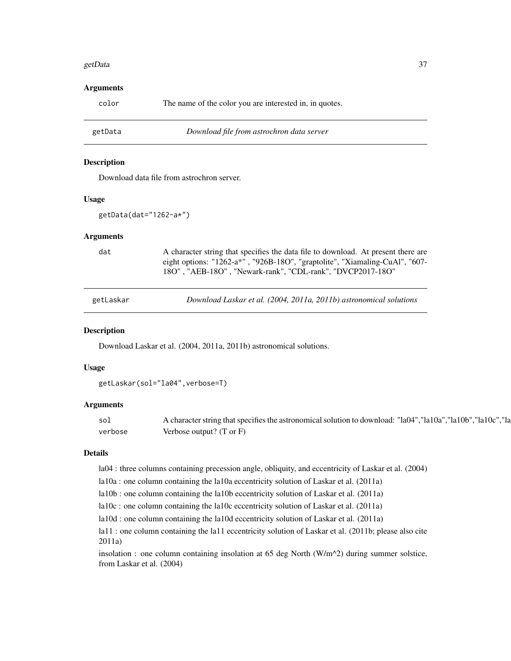#### getData 37

#### Arguments

color The name of the color you are interested in, in quotes.

getData *Download file from astrochron data server*

#### Description

Download data file from astrochron server.

## Usage

getData(dat="1262-a\*")

#### Arguments

dat A character string that specifies the data file to download. At present there are eight options: "1262-a\*" , "926B-18O", "graptolite", "Xiamaling-CuAl", "607- 18O" , "AEB-18O" , "Newark-rank", "CDL-rank", "DVCP2017-18O"

getLaskar *Download Laskar et al. (2004, 2011a, 2011b) astronomical solutions*

#### Description

Download Laskar et al. (2004, 2011a, 2011b) astronomical solutions.

#### Usage

getLaskar(sol="la04",verbose=T)

#### Arguments

sol A character string that specifies the astronomical solution to download: "la04","la10a","la10b","la10c","la verbose Verbose output? (T or F)

#### Details

la04 : three columns containing precession angle, obliquity, and eccentricity of Laskar et al. (2004)

la10a : one column containing the la10a eccentricity solution of Laskar et al. (2011a)

la10b : one column containing the la10b eccentricity solution of Laskar et al. (2011a)

la10c : one column containing the la10c eccentricity solution of Laskar et al. (2011a)

la10d : one column containing the la10d eccentricity solution of Laskar et al. (2011a)

la11 : one column containing the la11 eccentricity solution of Laskar et al. (2011b; please also cite 2011a)

insolation : one column containing insolation at 65 deg North (W/m^2) during summer solstice, from Laskar et al. (2004)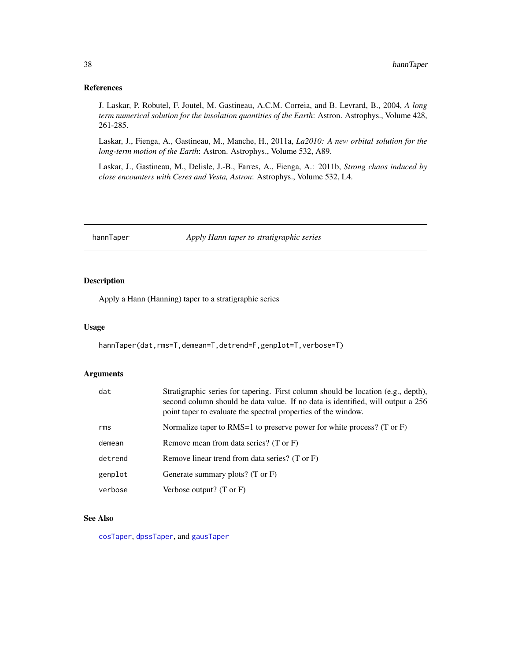## References

J. Laskar, P. Robutel, F. Joutel, M. Gastineau, A.C.M. Correia, and B. Levrard, B., 2004, *A long term numerical solution for the insolation quantities of the Earth*: Astron. Astrophys., Volume 428, 261-285.

Laskar, J., Fienga, A., Gastineau, M., Manche, H., 2011a, *La2010: A new orbital solution for the long-term motion of the Earth*: Astron. Astrophys., Volume 532, A89.

Laskar, J., Gastineau, M., Delisle, J.-B., Farres, A., Fienga, A.: 2011b, *Strong chaos induced by close encounters with Ceres and Vesta, Astron*: Astrophys., Volume 532, L4.

hannTaper *Apply Hann taper to stratigraphic series*

## Description

Apply a Hann (Hanning) taper to a stratigraphic series

#### Usage

hannTaper(dat,rms=T,demean=T,detrend=F,genplot=T,verbose=T)

## Arguments

| dat     | Stratigraphic series for tapering. First column should be location (e.g., depth),<br>second column should be data value. If no data is identified, will output a 256<br>point taper to evaluate the spectral properties of the window. |
|---------|----------------------------------------------------------------------------------------------------------------------------------------------------------------------------------------------------------------------------------------|
| rms     | Normalize taper to RMS=1 to preserve power for white process? (T or $F$ )                                                                                                                                                              |
| demean  | Remove mean from data series? (T or F)                                                                                                                                                                                                 |
| detrend | Remove linear trend from data series? (T or F)                                                                                                                                                                                         |
| genplot | Generate summary plots? $(T \text{ or } F)$                                                                                                                                                                                            |
| verbose | Verbose output? $(T \text{ or } F)$                                                                                                                                                                                                    |

## See Also

[cosTaper](#page-18-0), [dpssTaper](#page-23-0), and [gausTaper](#page-35-0)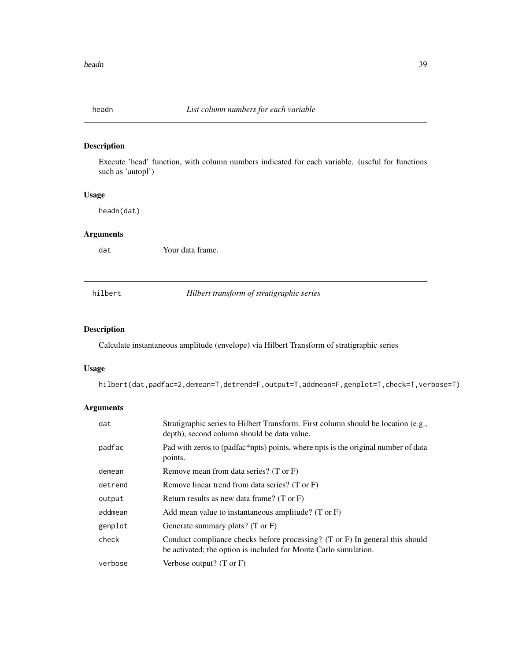Execute 'head' function, with column numbers indicated for each variable. (useful for functions such as 'autopl')

## Usage

headn(dat)

# Arguments

dat Your data frame.

hilbert *Hilbert transform of stratigraphic series*

## Description

Calculate instantaneous amplitude (envelope) via Hilbert Transform of stratigraphic series

### Usage

hilbert(dat,padfac=2,demean=T,detrend=F,output=T,addmean=F,genplot=T,check=T,verbose=T)

| dat     | Stratigraphic series to Hilbert Transform. First column should be location (e.g.,<br>depth), second column should be data value.                            |
|---------|-------------------------------------------------------------------------------------------------------------------------------------------------------------|
| padfac  | Pad with zeros to (padfac*npts) points, where npts is the original number of data<br>points.                                                                |
| demean  | Remove mean from data series? (T or F)                                                                                                                      |
| detrend | Remove linear trend from data series? (T or F)                                                                                                              |
| output  | Return results as new data frame? $(T \text{ or } F)$                                                                                                       |
| addmean | Add mean value to instantaneous amplitude? (T or F)                                                                                                         |
| genplot | Generate summary plots? $(T \text{ or } F)$                                                                                                                 |
| check   | Conduct compliance checks before processing? $(T \text{ or } F)$ In general this should<br>be activated; the option is included for Monte Carlo simulation. |
| verbose | Verbose output? $(T \text{ or } F)$                                                                                                                         |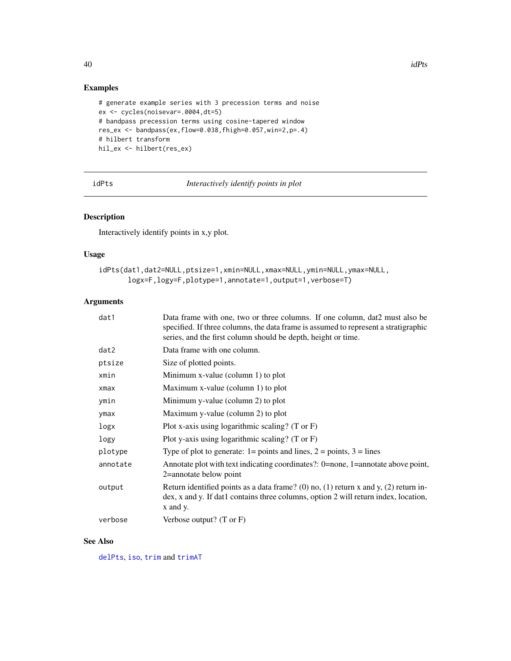## Examples

```
# generate example series with 3 precession terms and noise
ex <- cycles(noisevar=.0004,dt=5)
# bandpass precession terms using cosine-tapered window
res_ex <- bandpass(ex,flow=0.038,fhigh=0.057,win=2,p=.4)
# hilbert transform
hil_ex <- hilbert(res_ex)
```
<span id="page-39-0"></span>idPts *Interactively identify points in plot*

## Description

Interactively identify points in x,y plot.

## Usage

```
idPts(dat1,dat2=NULL,ptsize=1,xmin=NULL,xmax=NULL,ymin=NULL,ymax=NULL,
       logx=F,logy=F,plotype=1,annotate=1,output=1,verbose=T)
```
### Arguments

| dat1     | Data frame with one, two or three columns. If one column, dat2 must also be<br>specified. If three columns, the data frame is assumed to represent a stratigraphic<br>series, and the first column should be depth, height or time. |
|----------|-------------------------------------------------------------------------------------------------------------------------------------------------------------------------------------------------------------------------------------|
| dat2     | Data frame with one column.                                                                                                                                                                                                         |
| ptsize   | Size of plotted points.                                                                                                                                                                                                             |
| xmin     | Minimum x-value (column 1) to plot                                                                                                                                                                                                  |
| xmax     | Maximum x-value (column 1) to plot                                                                                                                                                                                                  |
| ymin     | Minimum y-value (column 2) to plot                                                                                                                                                                                                  |
| ymax     | Maximum y-value (column 2) to plot                                                                                                                                                                                                  |
| logx     | Plot x-axis using logarithmic scaling? $(T \text{ or } F)$                                                                                                                                                                          |
| logy     | Plot y-axis using logarithmic scaling? (T or $F$ )                                                                                                                                                                                  |
| plotype  | Type of plot to generate: $1 = \text{points}$ and lines, $2 = \text{points}$ , $3 = \text{lines}$                                                                                                                                   |
| annotate | Annotate plot with text indicating coordinates?: 0=none, 1=annotate above point,<br>2=annotate below point                                                                                                                          |
| output   | Return identified points as a data frame? (0) no, (1) return x and y, (2) return in-<br>dex, x and y. If dat1 contains three columns, option 2 will return index, location,<br>x and y.                                             |
| verbose  | Verbose output? $(T \text{ or } F)$                                                                                                                                                                                                 |

## See Also

[delPts](#page-20-0), [iso](#page-44-0), [trim](#page-122-0) and [trimAT](#page-123-0)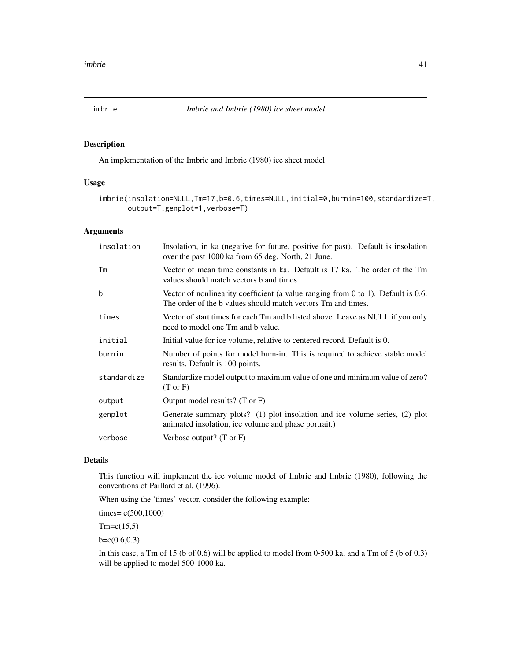An implementation of the Imbrie and Imbrie (1980) ice sheet model

### Usage

```
imbrie(insolation=NULL,Tm=17,b=0.6,times=NULL,initial=0,burnin=100,standardize=T,
       output=T,genplot=1,verbose=T)
```
#### Arguments

| insolation  | Insolation, in ka (negative for future, positive for past). Default is insolation<br>over the past 1000 ka from 65 deg. North, 21 June.             |  |
|-------------|-----------------------------------------------------------------------------------------------------------------------------------------------------|--|
| Тm          | Vector of mean time constants in ka. Default is 17 ka. The order of the Tm<br>values should match vectors b and times.                              |  |
| $\mathbf b$ | Vector of nonlinearity coefficient (a value ranging from $0$ to 1). Default is 0.6.<br>The order of the b values should match vectors Tm and times. |  |
| times       | Vector of start times for each Tm and b listed above. Leave as NULL if you only<br>need to model one Tm and b value.                                |  |
| initial     | Initial value for ice volume, relative to centered record. Default is 0.                                                                            |  |
| burnin      | Number of points for model burn-in. This is required to achieve stable model<br>results. Default is 100 points.                                     |  |
| standardize | Standardize model output to maximum value of one and minimum value of zero?<br>$(T \text{ or } F)$                                                  |  |
| output      | Output model results? (T or F)                                                                                                                      |  |
| genplot     | Generate summary plots? (1) plot insolation and ice volume series, (2) plot<br>animated insolation, ice volume and phase portrait.)                 |  |
| verbose     | Verbose output? $(T \text{ or } F)$                                                                                                                 |  |

## Details

This function will implement the ice volume model of Imbrie and Imbrie (1980), following the conventions of Paillard et al. (1996).

When using the 'times' vector, consider the following example:

times= c(500,1000)

 $Tm = c(15,5)$ 

 $b=c(0.6,0.3)$ 

In this case, a Tm of 15 (b of 0.6) will be applied to model from 0-500 ka, and a Tm of 5 (b of 0.3) will be applied to model 500-1000 ka.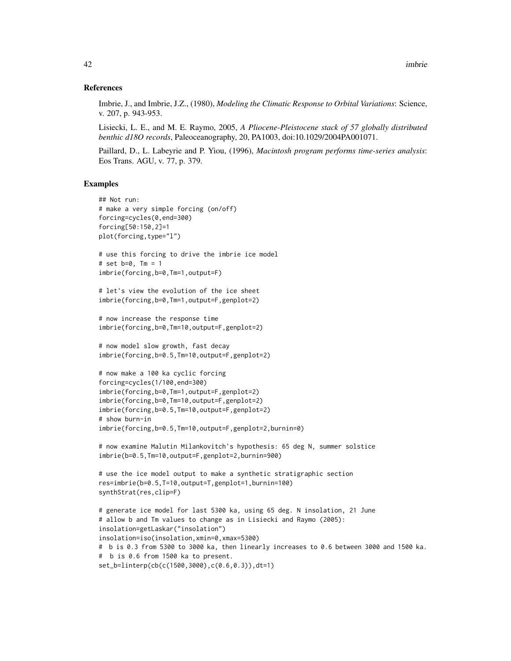#### References

Imbrie, J., and Imbrie, J.Z., (1980), *Modeling the Climatic Response to Orbital Variations*: Science, v. 207, p. 943-953.

Lisiecki, L. E., and M. E. Raymo, 2005, *A Pliocene-Pleistocene stack of 57 globally distributed benthic d18O records*, Paleoceanography, 20, PA1003, doi:10.1029/2004PA001071.

Paillard, D., L. Labeyrie and P. Yiou, (1996), *Macintosh program performs time-series analysis*: Eos Trans. AGU, v. 77, p. 379.

```
## Not run:
# make a very simple forcing (on/off)
forcing=cycles(0,end=300)
forcing[50:150,2]=1
plot(forcing,type="l")
# use this forcing to drive the imbrie ice model
# set b=0, Tm = 1
imbrie(forcing,b=0,Tm=1,output=F)
```

```
# let's view the evolution of the ice sheet
imbrie(forcing,b=0,Tm=1,output=F,genplot=2)
```

```
# now increase the response time
imbrie(forcing,b=0,Tm=10,output=F,genplot=2)
```

```
# now model slow growth, fast decay
imbrie(forcing,b=0.5,Tm=10,output=F,genplot=2)
```

```
# now make a 100 ka cyclic forcing
forcing=cycles(1/100,end=300)
imbrie(forcing,b=0,Tm=1,output=F,genplot=2)
imbrie(forcing,b=0,Tm=10,output=F,genplot=2)
imbrie(forcing,b=0.5,Tm=10,output=F,genplot=2)
# show burn-in
imbrie(forcing,b=0.5,Tm=10,output=F,genplot=2,burnin=0)
```

```
# now examine Malutin Milankovitch's hypothesis: 65 deg N, summer solstice
imbrie(b=0.5,Tm=10,output=F,genplot=2,burnin=900)
```

```
# use the ice model output to make a synthetic stratigraphic section
res=imbrie(b=0.5,T=10,output=T,genplot=1,burnin=100)
synthStrat(res,clip=F)
```

```
# generate ice model for last 5300 ka, using 65 deg. N insolation, 21 June
# allow b and Tm values to change as in Lisiecki and Raymo (2005):
insolation=getLaskar("insolation")
insolation=iso(insolation,xmin=0,xmax=5300)
# b is 0.3 from 5300 to 3000 ka, then linearly increases to 0.6 between 3000 and 1500 ka.
# b is 0.6 from 1500 ka to present.
set_b=linterp(cb(c(1500,3000),c(0.6,0.3)),dt=1)
```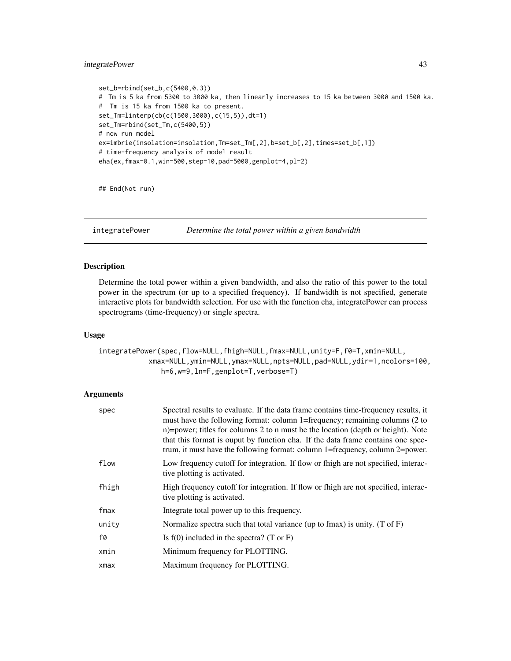## integratePower 43

```
set_b=rbind(set_b,c(5400,0.3))
# Tm is 5 ka from 5300 to 3000 ka, then linearly increases to 15 ka between 3000 and 1500 ka.
# Tm is 15 ka from 1500 ka to present.
set_Tm=linterp(cb(c(1500,3000),c(15,5)),dt=1)
set_Tm=rbind(set_Tm,c(5400,5))
# now run model
ex=imbrie(insolation=insolation,Tm=set_Tm[,2],b=set_b[,2],times=set_b[,1])
# time-frequency analysis of model result
eha(ex,fmax=0.1,win=500,step=10,pad=5000,genplot=4,pl=2)
```
## End(Not run)

integratePower *Determine the total power within a given bandwidth*

### Description

Determine the total power within a given bandwidth, and also the ratio of this power to the total power in the spectrum (or up to a specified frequency). If bandwidth is not specified, generate interactive plots for bandwidth selection. For use with the function eha, integratePower can process spectrograms (time-frequency) or single spectra.

## Usage

```
integratePower(spec,flow=NULL,fhigh=NULL,fmax=NULL,unity=F,f0=T,xmin=NULL,
            xmax=NULL,ymin=NULL,ymax=NULL,npts=NULL,pad=NULL,ydir=1,ncolors=100,
               h=6,w=9,ln=F,genplot=T,verbose=T)
```

| spec  | Spectral results to evaluate. If the data frame contains time-frequency results, it<br>must have the following format: column 1=frequency; remaining columns (2 to<br>n)=power; titles for columns 2 to n must be the location (depth or height). Note<br>that this format is ouput by function eha. If the data frame contains one spec-<br>trum, it must have the following format: column 1=frequency, column 2=power. |
|-------|---------------------------------------------------------------------------------------------------------------------------------------------------------------------------------------------------------------------------------------------------------------------------------------------------------------------------------------------------------------------------------------------------------------------------|
| flow  | Low frequency cutoff for integration. If flow or fhigh are not specified, interac-<br>tive plotting is activated.                                                                                                                                                                                                                                                                                                         |
| fhigh | High frequency cutoff for integration. If flow or fhigh are not specified, interac-<br>tive plotting is activated.                                                                                                                                                                                                                                                                                                        |
| fmax  | Integrate total power up to this frequency.                                                                                                                                                                                                                                                                                                                                                                               |
| unity | Normalize spectra such that total variance (up to fmax) is unity. $(T \text{ of } F)$                                                                                                                                                                                                                                                                                                                                     |
| f0    | Is $f(0)$ included in the spectra? (T or F)                                                                                                                                                                                                                                                                                                                                                                               |
| xmin  | Minimum frequency for PLOTTING.                                                                                                                                                                                                                                                                                                                                                                                           |
| xmax  | Maximum frequency for PLOTTING.                                                                                                                                                                                                                                                                                                                                                                                           |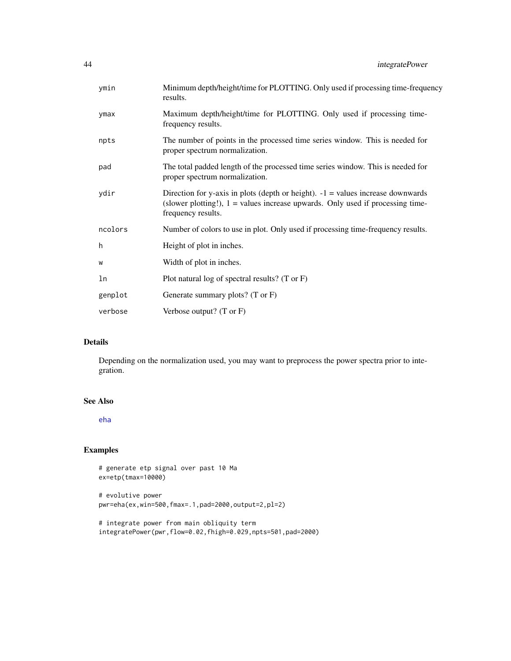| ymin    | Minimum depth/height/time for PLOTTING. Only used if processing time-frequency<br>results.                                                                                                  |
|---------|---------------------------------------------------------------------------------------------------------------------------------------------------------------------------------------------|
| ymax    | Maximum depth/height/time for PLOTTING. Only used if processing time-<br>frequency results.                                                                                                 |
| npts    | The number of points in the processed time series window. This is needed for<br>proper spectrum normalization.                                                                              |
| pad     | The total padded length of the processed time series window. This is needed for<br>proper spectrum normalization.                                                                           |
| ydir    | Direction for y-axis in plots (depth or height). $-1$ = values increase downwards<br>(slower plotting!), $1 =$ values increase upwards. Only used if processing time-<br>frequency results. |
| ncolors | Number of colors to use in plot. Only used if processing time-frequency results.                                                                                                            |
| h       | Height of plot in inches.                                                                                                                                                                   |
| W       | Width of plot in inches.                                                                                                                                                                    |
| ln      | Plot natural log of spectral results? (T or F)                                                                                                                                              |
| genplot | Generate summary plots? (T or F)                                                                                                                                                            |
| verbose | Verbose output? $(T \text{ or } F)$                                                                                                                                                         |

## Details

Depending on the normalization used, you may want to preprocess the power spectra prior to integration.

#### See Also

[eha](#page-26-0)

```
# generate etp signal over past 10 Ma
ex=etp(tmax=10000)
```

```
# evolutive power
pwr=eha(ex,win=500,fmax=.1,pad=2000,output=2,pl=2)
```

```
# integrate power from main obliquity term
integratePower(pwr,flow=0.02,fhigh=0.029,npts=501,pad=2000)
```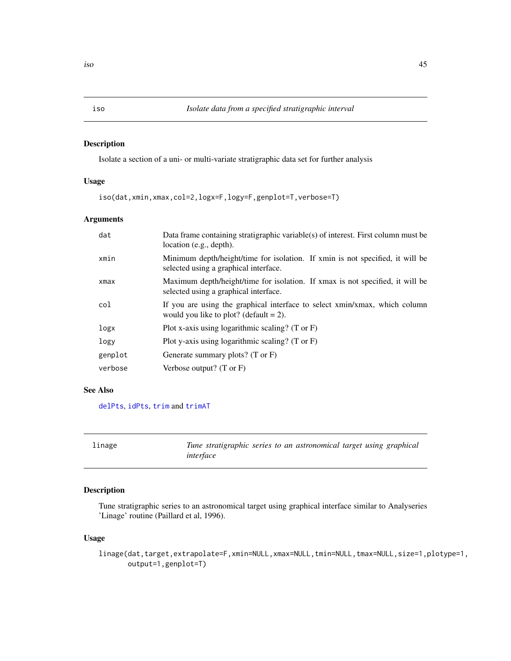<span id="page-44-0"></span>Isolate a section of a uni- or multi-variate stratigraphic data set for further analysis

## Usage

iso(dat,xmin,xmax,col=2,logx=F,logy=F,genplot=T,verbose=T)

## Arguments

| dat     | Data frame containing stratigraphic variable(s) of interest. First column must be<br>location (e.g., depth).            |
|---------|-------------------------------------------------------------------------------------------------------------------------|
| xmin    | Minimum depth/height/time for isolation. If xmin is not specified, it will be<br>selected using a graphical interface.  |
| xmax    | Maximum depth/height/time for isolation. If xmax is not specified, it will be<br>selected using a graphical interface.  |
| col     | If you are using the graphical interface to select xmin/xmax, which column<br>would you like to plot? (default $= 2$ ). |
| logx    | Plot x-axis using logarithmic scaling? (T or F)                                                                         |
| logy    | Plot y-axis using logarithmic scaling? (T or $F$ )                                                                      |
| genplot | Generate summary plots? $(T \text{ or } F)$                                                                             |
| verbose | Verbose output? $(T \text{ or } F)$                                                                                     |

## See Also

[delPts](#page-20-0), [idPts](#page-39-0), [trim](#page-122-0) and [trimAT](#page-123-0)

| linage | Tune stratigraphic series to an astronomical target using graphical |  |  |  |
|--------|---------------------------------------------------------------------|--|--|--|
|        | interface                                                           |  |  |  |

## Description

Tune stratigraphic series to an astronomical target using graphical interface similar to Analyseries 'Linage' routine (Paillard et al, 1996).

## Usage

```
linage(dat,target,extrapolate=F,xmin=NULL,xmax=NULL,tmin=NULL,tmax=NULL,size=1,plotype=1,
      output=1,genplot=T)
```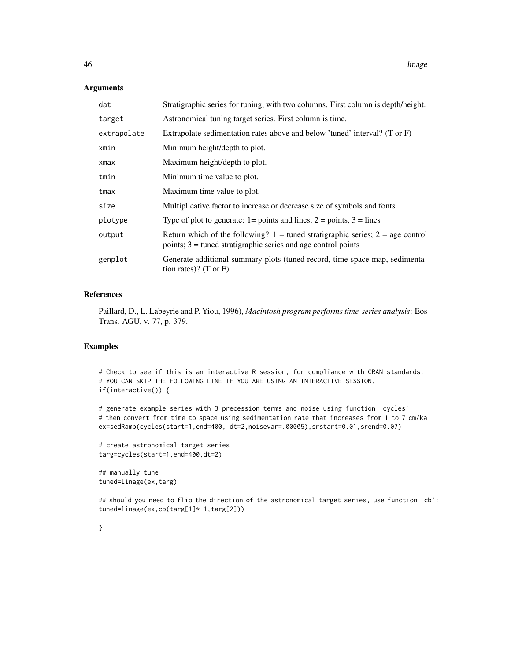#### Arguments

| dat         | Stratigraphic series for tuning, with two columns. First column is depth/height.                                                                      |
|-------------|-------------------------------------------------------------------------------------------------------------------------------------------------------|
| target      | Astronomical tuning target series. First column is time.                                                                                              |
| extrapolate | Extrapolate sedimentation rates above and below 'tuned' interval? (T or F)                                                                            |
| xmin        | Minimum height/depth to plot.                                                                                                                         |
| xmax        | Maximum height/depth to plot.                                                                                                                         |
| tmin        | Minimum time value to plot.                                                                                                                           |
| tmax        | Maximum time value to plot.                                                                                                                           |
| size        | Multiplicative factor to increase or decrease size of symbols and fonts.                                                                              |
| plotype     | Type of plot to generate: $1 = \text{points}$ and lines, $2 = \text{points}$ , $3 = \text{lines}$                                                     |
| output      | Return which of the following? $1 =$ tuned stratigraphic series; $2 =$ age control<br>points; $3 =$ tuned stratigraphic series and age control points |
| genplot     | Generate additional summary plots (tuned record, time-space map, sedimenta-<br>tion rates)? $(T \text{ or } F)$                                       |

#### References

Paillard, D., L. Labeyrie and P. Yiou, 1996), *Macintosh program performs time-series analysis*: Eos Trans. AGU, v. 77, p. 379.

## Examples

# Check to see if this is an interactive R session, for compliance with CRAN standards. # YOU CAN SKIP THE FOLLOWING LINE IF YOU ARE USING AN INTERACTIVE SESSION. if(interactive()) {

# generate example series with 3 precession terms and noise using function 'cycles' # then convert from time to space using sedimentation rate that increases from 1 to 7 cm/ka ex=sedRamp(cycles(start=1,end=400, dt=2,noisevar=.00005),srstart=0.01,srend=0.07)

```
# create astronomical target series
targ=cycles(start=1,end=400,dt=2)
```
## manually tune tuned=linage(ex,targ)

## should you need to flip the direction of the astronomical target series, use function 'cb': tuned=linage(ex,cb(targ[1]\*-1,targ[2]))

}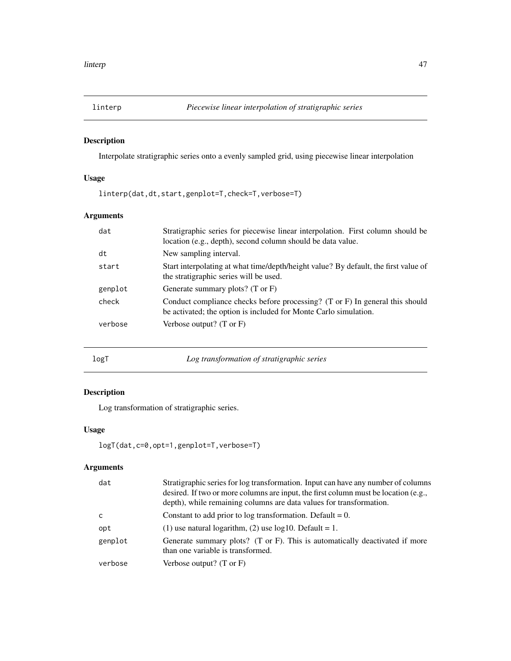Interpolate stratigraphic series onto a evenly sampled grid, using piecewise linear interpolation

## Usage

linterp(dat,dt,start,genplot=T,check=T,verbose=T)

# Arguments

| dat     | Stratigraphic series for piecewise linear interpolation. First column should be<br>location (e.g., depth), second column should be data value.              |
|---------|-------------------------------------------------------------------------------------------------------------------------------------------------------------|
| dt      | New sampling interval.                                                                                                                                      |
| start   | Start interpolating at what time/depth/height value? By default, the first value of<br>the stratigraphic series will be used.                               |
| genplot | Generate summary plots? $(T \text{ or } F)$                                                                                                                 |
| check   | Conduct compliance checks before processing? $(T \text{ or } F)$ In general this should<br>be activated; the option is included for Monte Carlo simulation. |
| verbose | Verbose output? $(T \text{ or } F)$                                                                                                                         |
|         |                                                                                                                                                             |

logT *Log transformation of stratigraphic series*

# Description

Log transformation of stratigraphic series.

## Usage

```
logT(dat,c=0,opt=1,genplot=T,verbose=T)
```

| dat          | Stratigraphic series for log transformation. Input can have any number of columns<br>desired. If two or more columns are input, the first column must be location (e.g.,<br>depth), while remaining columns are data values for transformation. |
|--------------|-------------------------------------------------------------------------------------------------------------------------------------------------------------------------------------------------------------------------------------------------|
| <sub>c</sub> | Constant to add prior to log transformation. Default $= 0$ .                                                                                                                                                                                    |
| opt          | (1) use natural logarithm, (2) use $log10$ . Default = 1.                                                                                                                                                                                       |
| genplot      | Generate summary plots? (T or F). This is automatically deactivated if more<br>than one variable is transformed.                                                                                                                                |
| verbose      | Verbose output? $(T \text{ or } F)$                                                                                                                                                                                                             |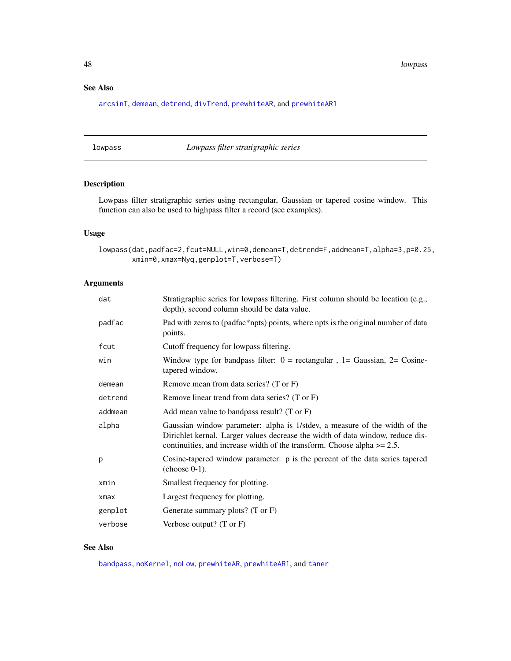48 lowpass

# See Also

[arcsinT](#page-8-0), [demean](#page-21-0), [detrend](#page-21-1), [divTrend](#page-22-0), [prewhiteAR](#page-72-0), and [prewhiteAR1](#page-73-0)

## <span id="page-47-0"></span>lowpass *Lowpass filter stratigraphic series*

# Description

Lowpass filter stratigraphic series using rectangular, Gaussian or tapered cosine window. This function can also be used to highpass filter a record (see examples).

## Usage

lowpass(dat,padfac=2,fcut=NULL,win=0,demean=T,detrend=F,addmean=T,alpha=3,p=0.25, xmin=0,xmax=Nyq,genplot=T,verbose=T)

## Arguments

| dat        | Stratigraphic series for lowpass filtering. First column should be location (e.g.,<br>depth), second column should be data value.                                                                                                          |
|------------|--------------------------------------------------------------------------------------------------------------------------------------------------------------------------------------------------------------------------------------------|
| padfac     | Pad with zeros to (padfac*npts) points, where npts is the original number of data<br>points.                                                                                                                                               |
| fcut       | Cutoff frequency for lowpass filtering.                                                                                                                                                                                                    |
| win        | Window type for bandpass filter: $0 =$ rectangular, $1 =$ Gaussian, $2 =$ Cosine-<br>tapered window.                                                                                                                                       |
| demean     | Remove mean from data series? (T or F)                                                                                                                                                                                                     |
| detrend    | Remove linear trend from data series? (T or F)                                                                                                                                                                                             |
| addmean    | Add mean value to bandpass result? (T or $F$ )                                                                                                                                                                                             |
| alpha      | Gaussian window parameter: alpha is 1/stdev, a measure of the width of the<br>Dirichlet kernal. Larger values decrease the width of data window, reduce dis-<br>continuities, and increase width of the transform. Choose alpha $>= 2.5$ . |
| p          | Cosine-tapered window parameter: p is the percent of the data series tapered<br>$(choose 0-1)$ .                                                                                                                                           |
| xmin       | Smallest frequency for plotting.                                                                                                                                                                                                           |
| $x$ ma $x$ | Largest frequency for plotting.                                                                                                                                                                                                            |
| genplot    | Generate summary plots? $(T \text{ or } F)$                                                                                                                                                                                                |
| verbose    | Verbose output? $(T \text{ or } F)$                                                                                                                                                                                                        |

# See Also

[bandpass](#page-12-0), [noKernel](#page-65-0), [noLow](#page-66-0), [prewhiteAR](#page-72-0), [prewhiteAR1](#page-73-0), and [taner](#page-91-0)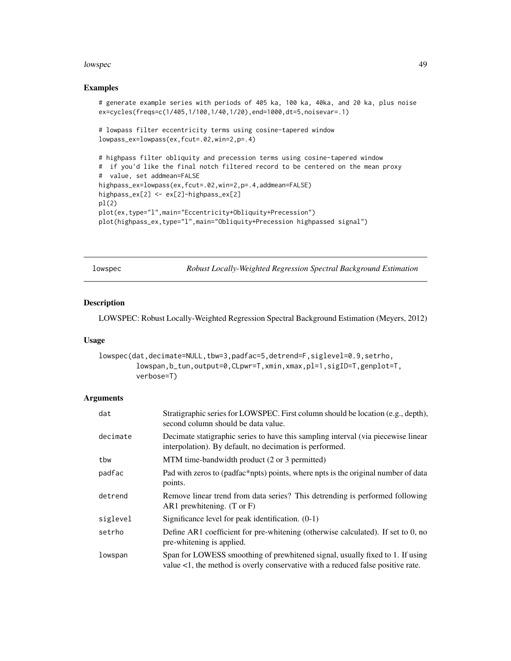#### lowspec and the set of the set of the set of the set of the set of the set of the set of the set of the set of the set of the set of the set of the set of the set of the set of the set of the set of the set of the set of t

#### Examples

```
# generate example series with periods of 405 ka, 100 ka, 40ka, and 20 ka, plus noise
ex=cycles(freqs=c(1/405,1/100,1/40,1/20),end=1000,dt=5,noisevar=.1)
# lowpass filter eccentricity terms using cosine-tapered window
lowpass_ex=lowpass(ex,fcut=.02,win=2,p=.4)
# highpass filter obliquity and precession terms using cosine-tapered window
# if you'd like the final notch filtered record to be centered on the mean proxy
# value, set addmean=FALSE
highpass_ex=lowpass(ex,fcut=.02,win=2,p=.4,addmean=FALSE)
highpass_ex[2] <- ex[2]-highpass_ex[2]
pl(2)
plot(ex,type="l",main="Eccentricity+Obliquity+Precession")
plot(highpass_ex,type="l",main="Obliquity+Precession highpassed signal")
```
<span id="page-48-0"></span>

| lowspec |  |
|---------|--|
|         |  |

Robust Locally-Weighted Regression Spectral Background Estimation

## Description

LOWSPEC: Robust Locally-Weighted Regression Spectral Background Estimation (Meyers, 2012)

## Usage

```
lowspec(dat,decimate=NULL,tbw=3,padfac=5,detrend=F,siglevel=0.9,setrho,
         lowspan,b_tun,output=0,CLpwr=T,xmin,xmax,pl=1,sigID=T,genplot=T,
         verbose=T)
```

| dat      | Stratigraphic series for LOWSPEC. First column should be location (e.g., depth),<br>second column should be data value.                                          |
|----------|------------------------------------------------------------------------------------------------------------------------------------------------------------------|
| decimate | Decimate statigraphic series to have this sampling interval (via piecewise linear<br>interpolation). By default, no decimation is performed.                     |
| tbw      | MTM time-bandwidth product (2 or 3 permitted)                                                                                                                    |
| padfac   | Pad with zeros to (padfac*npts) points, where npts is the original number of data<br>points.                                                                     |
| detrend  | Remove linear trend from data series? This detrending is performed following<br>AR1 prewhitening. $(T \text{ or } F)$                                            |
| siglevel | Significance level for peak identification. $(0-1)$                                                                                                              |
| setrho   | Define AR1 coefficient for pre-whitening (otherwise calculated). If set to 0, no<br>pre-whitening is applied.                                                    |
| lowspan  | Span for LOWESS smoothing of prewhitened signal, usually fixed to 1. If using<br>value <1, the method is overly conservative with a reduced false positive rate. |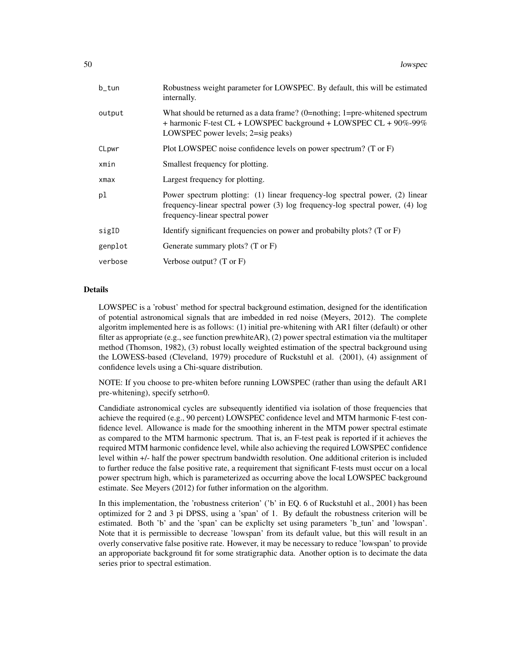| b_tun   | Robustness weight parameter for LOWSPEC. By default, this will be estimated<br>internally.                                                                                                       |
|---------|--------------------------------------------------------------------------------------------------------------------------------------------------------------------------------------------------|
| output  | What should be returned as a data frame? $(0=nothing; 1=pre-whitened spectrum)$<br>+ harmonic F-test CL + LOWSPEC background + LOWSPEC CL + 90%-99%<br>LOWSPEC power levels; 2=sig peaks)        |
| CLpwr   | Plot LOWSPEC noise confidence levels on power spectrum? (T or F)                                                                                                                                 |
| xmin    | Smallest frequency for plotting.                                                                                                                                                                 |
| xmax    | Largest frequency for plotting.                                                                                                                                                                  |
| pl      | Power spectrum plotting: (1) linear frequency-log spectral power, (2) linear<br>frequency-linear spectral power (3) log frequency-log spectral power, (4) log<br>frequency-linear spectral power |
| sigID   | Identify significant frequencies on power and probabilty plots? $(T \text{ or } F)$                                                                                                              |
| genplot | Generate summary plots? $(T \text{ or } F)$                                                                                                                                                      |
| verbose | Verbose output? $(T \text{ or } F)$                                                                                                                                                              |

## Details

LOWSPEC is a 'robust' method for spectral background estimation, designed for the identification of potential astronomical signals that are imbedded in red noise (Meyers, 2012). The complete algoritm implemented here is as follows: (1) initial pre-whitening with AR1 filter (default) or other filter as appropriate (e.g., see function prewhiteAR), (2) power spectral estimation via the multitaper method (Thomson, 1982), (3) robust locally weighted estimation of the spectral background using the LOWESS-based (Cleveland, 1979) procedure of Ruckstuhl et al. (2001), (4) assignment of confidence levels using a Chi-square distribution.

NOTE: If you choose to pre-whiten before running LOWSPEC (rather than using the default AR1 pre-whitening), specify setrho=0.

Candidiate astronomical cycles are subsequently identified via isolation of those frequencies that achieve the required (e.g., 90 percent) LOWSPEC confidence level and MTM harmonic F-test confidence level. Allowance is made for the smoothing inherent in the MTM power spectral estimate as compared to the MTM harmonic spectrum. That is, an F-test peak is reported if it achieves the required MTM harmonic confidence level, while also achieving the required LOWSPEC confidence level within +/- half the power spectrum bandwidth resolution. One additional criterion is included to further reduce the false positive rate, a requirement that significant F-tests must occur on a local power spectrum high, which is parameterized as occurring above the local LOWSPEC background estimate. See Meyers (2012) for futher information on the algorithm.

In this implementation, the 'robustness criterion' ('b' in EQ. 6 of Ruckstuhl et al., 2001) has been optimized for 2 and 3 pi DPSS, using a 'span' of 1. By default the robustness criterion will be estimated. Both 'b' and the 'span' can be expliclty set using parameters 'b\_tun' and 'lowspan'. Note that it is permissible to decrease 'lowspan' from its default value, but this will result in an overly conservative false positive rate. However, it may be necessary to reduce 'lowspan' to provide an approporiate background fit for some stratigraphic data. Another option is to decimate the data series prior to spectral estimation.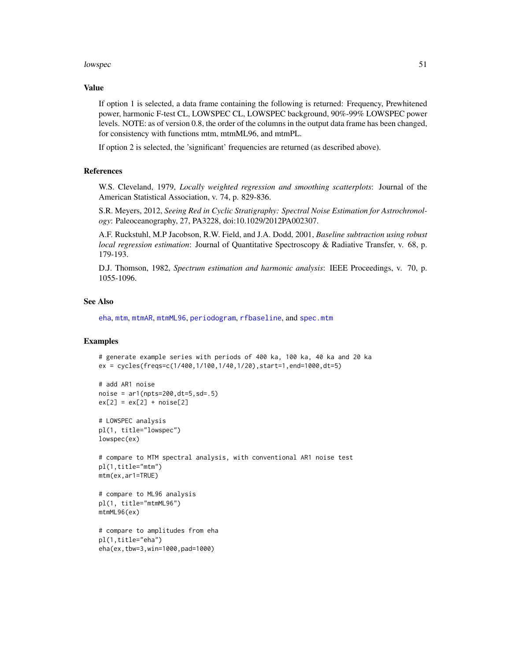#### lowspec 51

## Value

If option 1 is selected, a data frame containing the following is returned: Frequency, Prewhitened power, harmonic F-test CL, LOWSPEC CL, LOWSPEC background, 90%-99% LOWSPEC power levels. NOTE: as of version 0.8, the order of the columns in the output data frame has been changed, for consistency with functions mtm, mtmML96, and mtmPL.

If option 2 is selected, the 'significant' frequencies are returned (as described above).

## References

W.S. Cleveland, 1979, *Locally weighted regression and smoothing scatterplots*: Journal of the American Statistical Association, v. 74, p. 829-836.

S.R. Meyers, 2012, *Seeing Red in Cyclic Stratigraphy: Spectral Noise Estimation for Astrochronology*: Paleoceanography, 27, PA3228, doi:10.1029/2012PA002307.

A.F. Ruckstuhl, M.P Jacobson, R.W. Field, and J.A. Dodd, 2001, *Baseline subtraction using robust local regression estimation*: Journal of Quantitative Spectroscopy & Radiative Transfer, v. 68, p. 179-193.

D.J. Thomson, 1982, *Spectrum estimation and harmonic analysis*: IEEE Proceedings, v. 70, p. 1055-1096.

### See Also

[eha](#page-26-0), [mtm](#page-52-0), [mtmAR](#page-54-0), [mtmML96](#page-55-0), [periodogram](#page-67-0), [rfbaseline](#page-0-0), and [spec.mtm](#page-0-0)

```
# generate example series with periods of 400 ka, 100 ka, 40 ka and 20 ka
ex = cycles(freqs=c(1/400,1/100,1/40,1/20),start=1,end=1000,dt=5)
# add AR1 noise
noise = ar1(npts=200, dt=5, sd=.5)ex[2] = ex[2] + noise[2]# LOWSPEC analysis
pl(1, title="lowspec")
lowspec(ex)
# compare to MTM spectral analysis, with conventional AR1 noise test
pl(1,title="mtm")
mtm(ex,ar1=TRUE)
# compare to ML96 analysis
pl(1, title="mtmML96")
mtmML96(ex)
# compare to amplitudes from eha
pl(1,title="eha")
eha(ex,tbw=3,win=1000,pad=1000)
```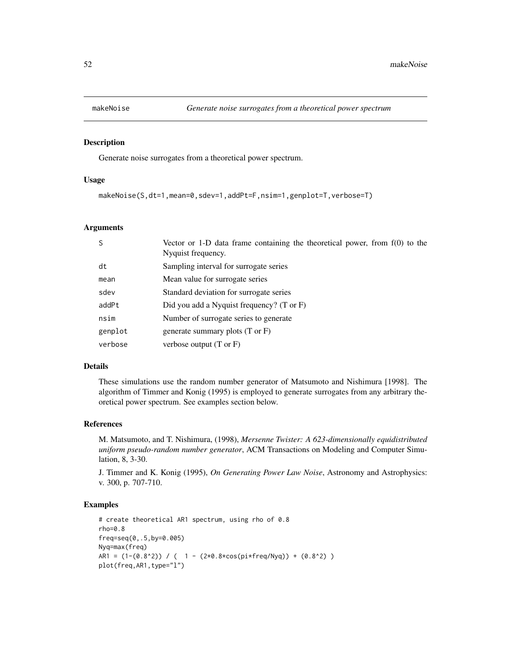Generate noise surrogates from a theoretical power spectrum.

#### Usage

makeNoise(S,dt=1,mean=0,sdev=1,addPt=F,nsim=1,genplot=T,verbose=T)

#### Arguments

| S       | Vector or 1-D data frame containing the theoretical power, from $f(0)$ to the<br>Nyquist frequency. |
|---------|-----------------------------------------------------------------------------------------------------|
| dt      | Sampling interval for surrogate series                                                              |
| mean    | Mean value for surrogate series                                                                     |
| sdev    | Standard deviation for surrogate series                                                             |
| addPt   | Did you add a Nyquist frequency? $(T \text{ or } F)$                                                |
| nsim    | Number of surrogate series to generate                                                              |
| genplot | generate summary plots (T or F)                                                                     |
| verbose | verbose output $(T \text{ or } F)$                                                                  |

#### Details

These simulations use the random number generator of Matsumoto and Nishimura [1998]. The algorithm of Timmer and Konig (1995) is employed to generate surrogates from any arbitrary theoretical power spectrum. See examples section below.

#### References

M. Matsumoto, and T. Nishimura, (1998), *Mersenne Twister: A 623-dimensionally equidistributed uniform pseudo-random number generator*, ACM Transactions on Modeling and Computer Simulation, 8, 3-30.

J. Timmer and K. Konig (1995), *On Generating Power Law Noise*, Astronomy and Astrophysics: v. 300, p. 707-710.

```
# create theoretical AR1 spectrum, using rho of 0.8
rho=0.8
freq=seq(0,.5,by=0.005)
Nyq=max(freq)
AR1 = (1-(0.8^2)) / ( 1 - (2*0.8*cos(p i * freq/Nyq)) + (0.8^2))plot(freq,AR1,type="l")
```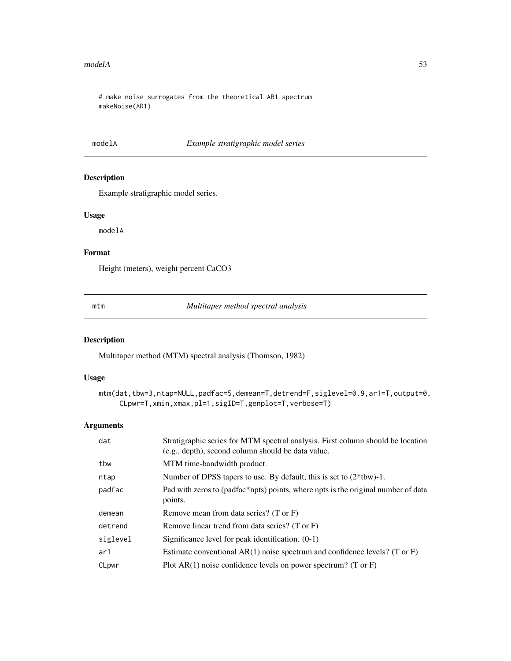#### $\Box$  modelA 53

# make noise surrogates from the theoretical AR1 spectrum makeNoise(AR1)

## modelA *Example stratigraphic model series*

## Description

Example stratigraphic model series.

## Usage

modelA

# Format

Height (meters), weight percent CaCO3

<span id="page-52-0"></span>

mtm *Multitaper method spectral analysis*

## Description

Multitaper method (MTM) spectral analysis (Thomson, 1982)

## Usage

```
mtm(dat,tbw=3,ntap=NULL,padfac=5,demean=T,detrend=F,siglevel=0.9,ar1=T,output=0,
     CLpwr=T,xmin,xmax,pl=1,sigID=T,genplot=T,verbose=T)
```

| dat      | Stratigraphic series for MTM spectral analysis. First column should be location<br>(e.g., depth), second column should be data value. |
|----------|---------------------------------------------------------------------------------------------------------------------------------------|
| tbw      | MTM time-bandwidth product.                                                                                                           |
| ntap     | Number of DPSS tapers to use. By default, this is set to $(2*tbw)$ -1.                                                                |
| padfac   | Pad with zeros to (padfac*npts) points, where npts is the original number of data<br>points.                                          |
| demean   | Remove mean from data series? (T or F)                                                                                                |
| detrend  | Remove linear trend from data series? (T or F)                                                                                        |
| siglevel | Significance level for peak identification. $(0-1)$                                                                                   |
| ar1      | Estimate conventional $AR(1)$ noise spectrum and confidence levels? (T or F)                                                          |
| CLpwr    | Plot $AR(1)$ noise confidence levels on power spectrum? (T or F)                                                                      |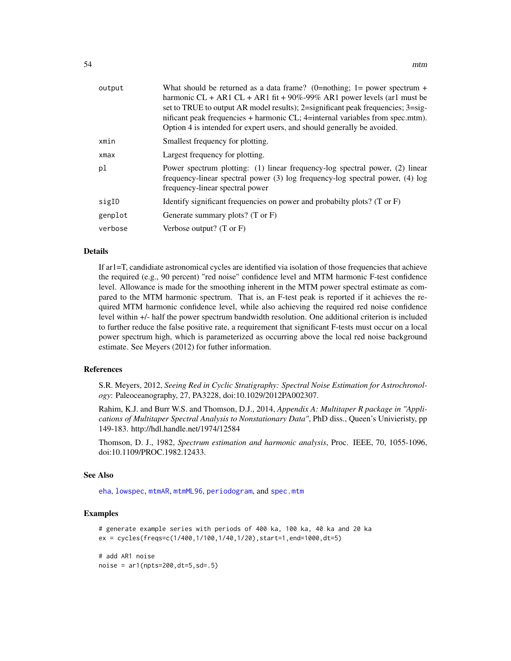| output     | What should be returned as a data frame? (0=nothing; 1= power spectrum +<br>harmonic CL + AR1 CL + AR1 fit + $90\%$ -99% AR1 power levels (ar1 must be<br>set to TRUE to output AR model results); 2=significant peak frequencies; 3=sig-<br>nificant peak frequencies + harmonic CL; 4=internal variables from spec.mtm).<br>Option 4 is intended for expert users, and should generally be avoided. |
|------------|-------------------------------------------------------------------------------------------------------------------------------------------------------------------------------------------------------------------------------------------------------------------------------------------------------------------------------------------------------------------------------------------------------|
| xmin       | Smallest frequency for plotting.                                                                                                                                                                                                                                                                                                                                                                      |
| $x$ ma $x$ | Largest frequency for plotting.                                                                                                                                                                                                                                                                                                                                                                       |
| pl         | Power spectrum plotting: (1) linear frequency-log spectral power, (2) linear<br>frequency-linear spectral power (3) log frequency-log spectral power, (4) log<br>frequency-linear spectral power                                                                                                                                                                                                      |
| sigID      | Identify significant frequencies on power and probabilty plots? $(T \text{ or } F)$                                                                                                                                                                                                                                                                                                                   |
| genplot    | Generate summary plots? $(T \text{ or } F)$                                                                                                                                                                                                                                                                                                                                                           |
| verbose    | Verbose output? $(T \text{ or } F)$                                                                                                                                                                                                                                                                                                                                                                   |
|            |                                                                                                                                                                                                                                                                                                                                                                                                       |

## Details

If ar1=T, candidiate astronomical cycles are identified via isolation of those frequencies that achieve the required (e.g., 90 percent) "red noise" confidence level and MTM harmonic F-test confidence level. Allowance is made for the smoothing inherent in the MTM power spectral estimate as compared to the MTM harmonic spectrum. That is, an F-test peak is reported if it achieves the required MTM harmonic confidence level, while also achieving the required red noise confidence level within +/- half the power spectrum bandwidth resolution. One additional criterion is included to further reduce the false positive rate, a requirement that significant F-tests must occur on a local power spectrum high, which is parameterized as occurring above the local red noise background estimate. See Meyers (2012) for futher information.

#### References

S.R. Meyers, 2012, *Seeing Red in Cyclic Stratigraphy: Spectral Noise Estimation for Astrochronology*: Paleoceanography, 27, PA3228, doi:10.1029/2012PA002307.

Rahim, K.J. and Burr W.S. and Thomson, D.J., 2014, *Appendix A: Multitaper R package in "Applications of Multitaper Spectral Analysis to Nonstationary Data"*, PhD diss., Queen's Univieristy, pp 149-183. http://hdl.handle.net/1974/12584

Thomson, D. J., 1982, *Spectrum estimation and harmonic analysis*, Proc. IEEE, 70, 1055-1096, doi:10.1109/PROC.1982.12433.

#### See Also

[eha](#page-26-0), [lowspec](#page-48-0), [mtmAR](#page-54-0), [mtmML96](#page-55-0), [periodogram](#page-67-0), and [spec.mtm](#page-0-0)

```
# generate example series with periods of 400 ka, 100 ka, 40 ka and 20 ka
ex = cycles(freqs=c(1/400,1/100,1/40,1/20),start=1,end=1000,dt=5)
# add AR1 noise
```

```
noise = ar1(npts=200, dt=5, sd=.5)
```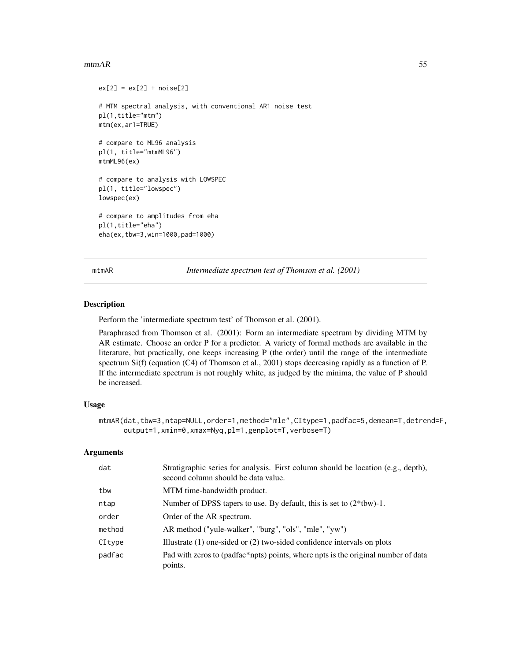#### $\mu_{\rm{max}}$  55

```
ex[2] = ex[2] + noise[2]# MTM spectral analysis, with conventional AR1 noise test
pl(1,title="mtm")
mtm(ex,ar1=TRUE)
# compare to ML96 analysis
pl(1, title="mtmML96")
mtmML96(ex)
# compare to analysis with LOWSPEC
pl(1, title="lowspec")
lowspec(ex)
# compare to amplitudes from eha
pl(1,title="eha")
eha(ex,tbw=3,win=1000,pad=1000)
```
<span id="page-54-0"></span>mtmAR *Intermediate spectrum test of Thomson et al. (2001)*

#### Description

Perform the 'intermediate spectrum test' of Thomson et al. (2001).

Paraphrased from Thomson et al. (2001): Form an intermediate spectrum by dividing MTM by AR estimate. Choose an order P for a predictor. A variety of formal methods are available in the literature, but practically, one keeps increasing P (the order) until the range of the intermediate spectrum Si(f) (equation (C4) of Thomson et al., 2001) stops decreasing rapidly as a function of P. If the intermediate spectrum is not roughly white, as judged by the minima, the value of P should be increased.

## Usage

```
mtmAR(dat,tbw=3,ntap=NULL,order=1,method="mle",CItype=1,padfac=5,demean=T,detrend=F,
     output=1,xmin=0,xmax=Nyq,pl=1,genplot=T,verbose=T)
```

| dat    | Stratigraphic series for analysis. First column should be location (e.g., depth),<br>second column should be data value. |
|--------|--------------------------------------------------------------------------------------------------------------------------|
| tbw    | MTM time-bandwidth product.                                                                                              |
| ntap   | Number of DPSS tapers to use. By default, this is set to $(2*tbw)$ -1.                                                   |
| order  | Order of the AR spectrum.                                                                                                |
| method | AR method ("yule-walker", "burg", "ols", "mle", "yw")                                                                    |
| CItype | Illustrate $(1)$ one-sided or $(2)$ two-sided confidence intervals on plots                                              |
| padfac | Pad with zeros to (padfac*npts) points, where npts is the original number of data<br>points.                             |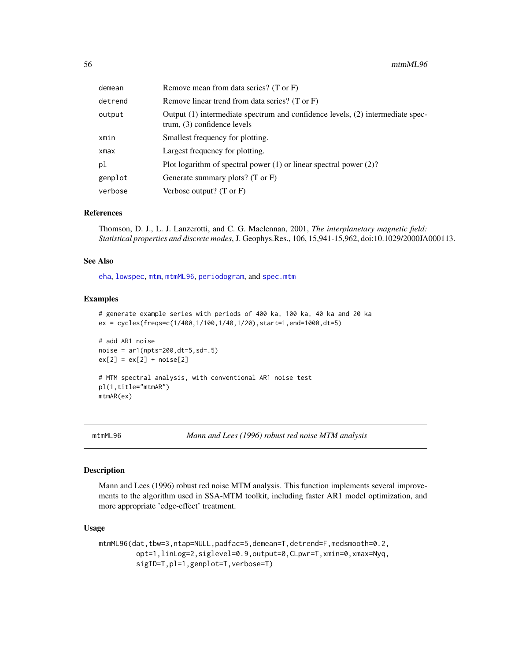| demean  | Remove mean from data series? (T or F)                                                                          |
|---------|-----------------------------------------------------------------------------------------------------------------|
| detrend | Remove linear trend from data series? (T or F)                                                                  |
| output  | Output (1) intermediate spectrum and confidence levels, (2) intermediate spec-<br>trum, $(3)$ confidence levels |
| xmin    | Smallest frequency for plotting.                                                                                |
| xmax    | Largest frequency for plotting.                                                                                 |
| рl      | Plot logarithm of spectral power $(1)$ or linear spectral power $(2)$ ?                                         |
| genplot | Generate summary plots? $(T \text{ or } F)$                                                                     |
| verbose | Verbose output? $(T \text{ or } F)$                                                                             |

#### References

Thomson, D. J., L. J. Lanzerotti, and C. G. Maclennan, 2001, *The interplanetary magnetic field: Statistical properties and discrete modes*, J. Geophys.Res., 106, 15,941-15,962, doi:10.1029/2000JA000113.

### See Also

[eha](#page-26-0), [lowspec](#page-48-0), [mtm](#page-52-0), [mtmML96](#page-55-0), [periodogram](#page-67-0), and [spec.mtm](#page-0-0)

#### Examples

```
# generate example series with periods of 400 ka, 100 ka, 40 ka and 20 ka
ex = cycles(freqs=c(1/400,1/100,1/40,1/20),start=1,end=1000,dt=5)
# add AR1 noise
noise = ar1(npts=200, dt=5, sd=.5)ex[2] = ex[2] + noise[2]# MTM spectral analysis, with conventional AR1 noise test
pl(1,title="mtmAR")
mtmAR(ex)
```
<span id="page-55-0"></span>

mtmML96 *Mann and Lees (1996) robust red noise MTM analysis*

#### Description

Mann and Lees (1996) robust red noise MTM analysis. This function implements several improvements to the algorithm used in SSA-MTM toolkit, including faster AR1 model optimization, and more appropriate 'edge-effect' treatment.

#### Usage

```
mtmML96(dat,tbw=3,ntap=NULL,padfac=5,demean=T,detrend=F,medsmooth=0.2,
         opt=1,linLog=2,siglevel=0.9,output=0,CLpwr=T,xmin=0,xmax=Nyq,
         sigID=T,pl=1,genplot=T,verbose=T)
```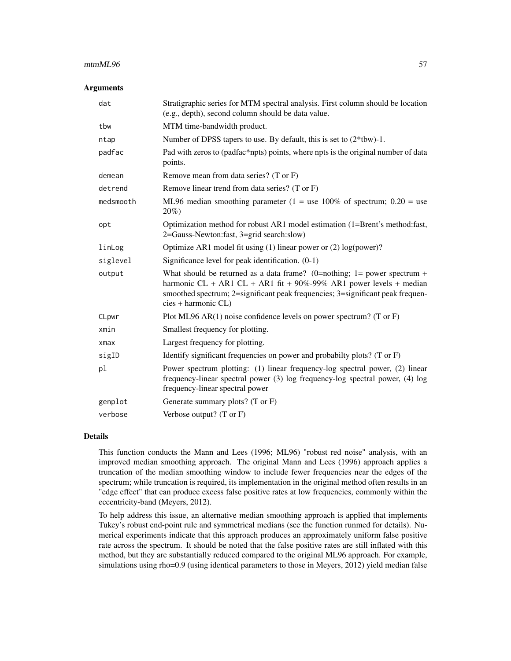#### $\mu$ mtmML96 57

#### **Arguments**

| dat        | Stratigraphic series for MTM spectral analysis. First column should be location<br>(e.g., depth), second column should be data value.                                                                                                                       |
|------------|-------------------------------------------------------------------------------------------------------------------------------------------------------------------------------------------------------------------------------------------------------------|
| tbw        | MTM time-bandwidth product.                                                                                                                                                                                                                                 |
| ntap       | Number of DPSS tapers to use. By default, this is set to $(2*tbw)$ -1.                                                                                                                                                                                      |
| padfac     | Pad with zeros to (padfac*npts) points, where npts is the original number of data<br>points.                                                                                                                                                                |
| demean     | Remove mean from data series? (T or F)                                                                                                                                                                                                                      |
| detrend    | Remove linear trend from data series? (T or F)                                                                                                                                                                                                              |
| medsmooth  | ML96 median smoothing parameter (1 = use 100% of spectrum; $0.20$ = use<br>$20\%)$                                                                                                                                                                          |
| opt        | Optimization method for robust AR1 model estimation (1=Brent's method:fast,<br>2=Gauss-Newton:fast, 3=grid search:slow)                                                                                                                                     |
| linLog     | Optimize AR1 model fit using $(1)$ linear power or $(2)$ log(power)?                                                                                                                                                                                        |
| siglevel   | Significance level for peak identification. $(0-1)$                                                                                                                                                                                                         |
| output     | What should be returned as a data frame? (0=nothing; 1= power spectrum +<br>harmonic CL + AR1 CL + AR1 fit + $90\%$ -99% AR1 power levels + median<br>smoothed spectrum; 2=significant peak frequencies; 3=significant peak frequen-<br>cies + harmonic CL) |
| CLpwr      | Plot ML96 AR(1) noise confidence levels on power spectrum? (T or F)                                                                                                                                                                                         |
| xmin       | Smallest frequency for plotting.                                                                                                                                                                                                                            |
| $x$ ma $x$ | Largest frequency for plotting.                                                                                                                                                                                                                             |
| sigID      | Identify significant frequencies on power and probabilty plots? (T or F)                                                                                                                                                                                    |
| pl         | Power spectrum plotting: (1) linear frequency-log spectral power, (2) linear<br>frequency-linear spectral power (3) log frequency-log spectral power, (4) log<br>frequency-linear spectral power                                                            |
| genplot    | Generate summary plots? $(T \text{ or } F)$                                                                                                                                                                                                                 |
| verbose    | Verbose output? (T or F)                                                                                                                                                                                                                                    |

#### Details

This function conducts the Mann and Lees (1996; ML96) "robust red noise" analysis, with an improved median smoothing approach. The original Mann and Lees (1996) approach applies a truncation of the median smoothing window to include fewer frequencies near the edges of the spectrum; while truncation is required, its implementation in the original method often results in an "edge effect" that can produce excess false positive rates at low frequencies, commonly within the eccentricity-band (Meyers, 2012).

To help address this issue, an alternative median smoothing approach is applied that implements Tukey's robust end-point rule and symmetrical medians (see the function runmed for details). Numerical experiments indicate that this approach produces an approximately uniform false positive rate across the spectrum. It should be noted that the false positive rates are still inflated with this method, but they are substantially reduced compared to the original ML96 approach. For example, simulations using rho=0.9 (using identical parameters to those in Meyers, 2012) yield median false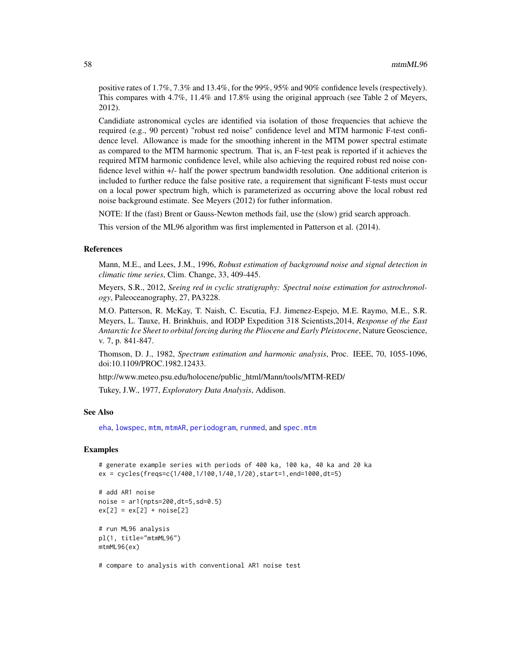positive rates of 1.7%, 7.3% and 13.4%, for the 99%, 95% and 90% confidence levels (respectively). This compares with 4.7%, 11.4% and 17.8% using the original approach (see Table 2 of Meyers, 2012).

Candidiate astronomical cycles are identified via isolation of those frequencies that achieve the required (e.g., 90 percent) "robust red noise" confidence level and MTM harmonic F-test confidence level. Allowance is made for the smoothing inherent in the MTM power spectral estimate as compared to the MTM harmonic spectrum. That is, an F-test peak is reported if it achieves the required MTM harmonic confidence level, while also achieving the required robust red noise confidence level within +/- half the power spectrum bandwidth resolution. One additional criterion is included to further reduce the false positive rate, a requirement that significant F-tests must occur on a local power spectrum high, which is parameterized as occurring above the local robust red noise background estimate. See Meyers (2012) for futher information.

NOTE: If the (fast) Brent or Gauss-Newton methods fail, use the (slow) grid search approach.

This version of the ML96 algorithm was first implemented in Patterson et al. (2014).

#### References

Mann, M.E., and Lees, J.M., 1996, *Robust estimation of background noise and signal detection in climatic time series*, Clim. Change, 33, 409-445.

Meyers, S.R., 2012, *Seeing red in cyclic stratigraphy: Spectral noise estimation for astrochronology*, Paleoceanography, 27, PA3228.

M.O. Patterson, R. McKay, T. Naish, C. Escutia, F.J. Jimenez-Espejo, M.E. Raymo, M.E., S.R. Meyers, L. Tauxe, H. Brinkhuis, and IODP Expedition 318 Scientists,2014, *Response of the East Antarctic Ice Sheet to orbital forcing during the Pliocene and Early Pleistocene*, Nature Geoscience, v. 7, p. 841-847.

Thomson, D. J., 1982, *Spectrum estimation and harmonic analysis*, Proc. IEEE, 70, 1055-1096, doi:10.1109/PROC.1982.12433.

http://www.meteo.psu.edu/holocene/public\_html/Mann/tools/MTM-RED/

Tukey, J.W., 1977, *Exploratory Data Analysis*, Addison.

## See Also

[eha](#page-26-0), [lowspec](#page-48-0), [mtm](#page-52-0), [mtmAR](#page-54-0), [periodogram](#page-67-0), [runmed](#page-0-0), and [spec.mtm](#page-0-0)

#### Examples

```
# generate example series with periods of 400 ka, 100 ka, 40 ka and 20 ka
ex = cycles(freqs=c(1/400,1/100,1/40,1/20),start=1,end=1000,dt=5)
```

```
# add AR1 noise
noise = ar1(npts=200, dt=5, sd=0.5)ex[2] = ex[2] + noise[2]# run ML96 analysis
pl(1, title="mtmML96")
mtmML96(ex)
```
# compare to analysis with conventional AR1 noise test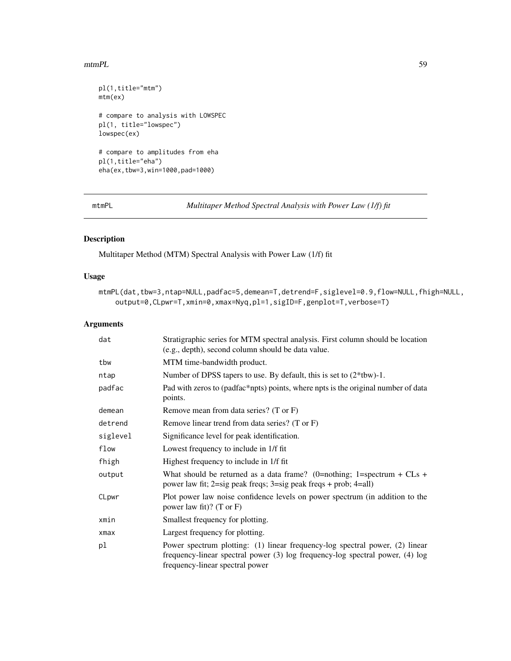#### $mmPL$  59

```
pl(1,title="mtm")
mtm(ex)
# compare to analysis with LOWSPEC
pl(1, title="lowspec")
lowspec(ex)
# compare to amplitudes from eha
pl(1,title="eha")
eha(ex,tbw=3,win=1000,pad=1000)
```
<span id="page-58-0"></span>mtmPL *Multitaper Method Spectral Analysis with Power Law (1/f) fit*

# Description

Multitaper Method (MTM) Spectral Analysis with Power Law (1/f) fit

## Usage

```
mtmPL(dat,tbw=3,ntap=NULL,padfac=5,demean=T,detrend=F,siglevel=0.9,flow=NULL,fhigh=NULL,
    output=0,CLpwr=T,xmin=0,xmax=Nyq,pl=1,sigID=F,genplot=T,verbose=T)
```

| dat        | Stratigraphic series for MTM spectral analysis. First column should be location<br>(e.g., depth), second column should be data value.                                                            |
|------------|--------------------------------------------------------------------------------------------------------------------------------------------------------------------------------------------------|
| tbw        | MTM time-bandwidth product.                                                                                                                                                                      |
| ntap       | Number of DPSS tapers to use. By default, this is set to $(2*tbw)$ -1.                                                                                                                           |
| padfac     | Pad with zeros to (padfac*npts) points, where npts is the original number of data<br>points.                                                                                                     |
| demean     | Remove mean from data series? (T or F)                                                                                                                                                           |
| detrend    | Remove linear trend from data series? (T or F)                                                                                                                                                   |
| siglevel   | Significance level for peak identification.                                                                                                                                                      |
| flow       | Lowest frequency to include in 1/f fit.                                                                                                                                                          |
| fhigh      | Highest frequency to include in 1/f fit                                                                                                                                                          |
| output     | What should be returned as a data frame? (0=nothing; 1=spectrum + CLs +<br>power law fit; 2=sig peak freqs; 3=sig peak freqs + prob; 4=all)                                                      |
| CLpwr      | Plot power law noise confidence levels on power spectrum (in addition to the<br>power law fit)? $(T \text{ or } F)$                                                                              |
| xmin       | Smallest frequency for plotting.                                                                                                                                                                 |
| $x$ ma $x$ | Largest frequency for plotting.                                                                                                                                                                  |
| pl         | Power spectrum plotting: (1) linear frequency-log spectral power, (2) linear<br>frequency-linear spectral power (3) log frequency-log spectral power, (4) log<br>frequency-linear spectral power |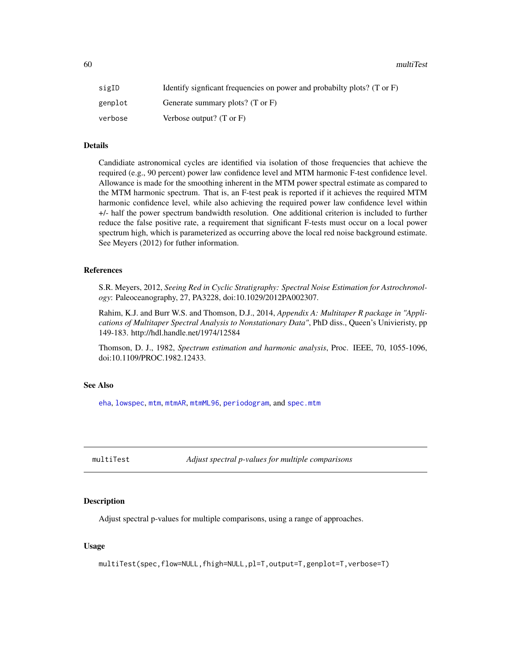60 multiTest

| sigID   | Identify significant frequencies on power and probabilty plots? (T or $F$ ) |
|---------|-----------------------------------------------------------------------------|
| genplot | Generate summary plots? (T or F)                                            |
| verbose | Verbose output? $(T \text{ or } F)$                                         |

## Details

Candidiate astronomical cycles are identified via isolation of those frequencies that achieve the required (e.g., 90 percent) power law confidence level and MTM harmonic F-test confidence level. Allowance is made for the smoothing inherent in the MTM power spectral estimate as compared to the MTM harmonic spectrum. That is, an F-test peak is reported if it achieves the required MTM harmonic confidence level, while also achieving the required power law confidence level within +/- half the power spectrum bandwidth resolution. One additional criterion is included to further reduce the false positive rate, a requirement that significant F-tests must occur on a local power spectrum high, which is parameterized as occurring above the local red noise background estimate. See Meyers (2012) for futher information.

## References

S.R. Meyers, 2012, *Seeing Red in Cyclic Stratigraphy: Spectral Noise Estimation for Astrochronology*: Paleoceanography, 27, PA3228, doi:10.1029/2012PA002307.

Rahim, K.J. and Burr W.S. and Thomson, D.J., 2014, *Appendix A: Multitaper R package in "Applications of Multitaper Spectral Analysis to Nonstationary Data"*, PhD diss., Queen's Univieristy, pp 149-183. http://hdl.handle.net/1974/12584

Thomson, D. J., 1982, *Spectrum estimation and harmonic analysis*, Proc. IEEE, 70, 1055-1096, doi:10.1109/PROC.1982.12433.

#### See Also

[eha](#page-26-0), [lowspec](#page-48-0), [mtm](#page-52-0), [mtmAR](#page-54-0), [mtmML96](#page-55-0), [periodogram](#page-67-0), and [spec.mtm](#page-0-0)

multiTest *Adjust spectral p-values for multiple comparisons*

## Description

Adjust spectral p-values for multiple comparisons, using a range of approaches.

## Usage

multiTest(spec,flow=NULL,fhigh=NULL,pl=T,output=T,genplot=T,verbose=T)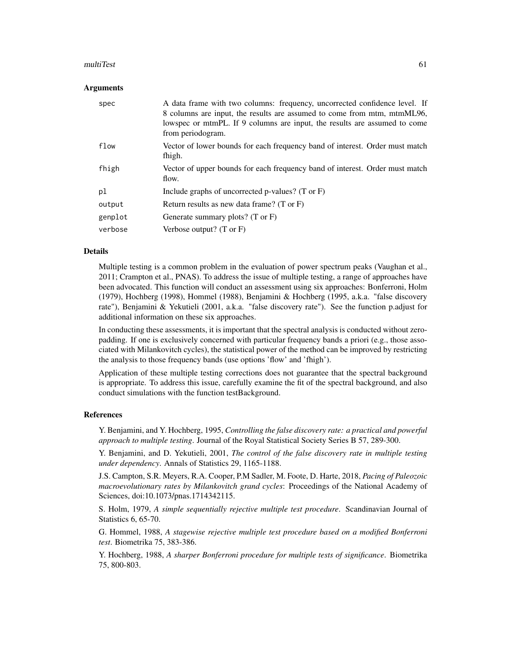#### multiTest 61

#### **Arguments**

| spec    | A data frame with two columns: frequency, uncorrected confidence level. If<br>8 columns are input, the results are assumed to come from mtm, mtmML96,<br>lowspec or mtmPL. If 9 columns are input, the results are assumed to come<br>from periodogram. |
|---------|---------------------------------------------------------------------------------------------------------------------------------------------------------------------------------------------------------------------------------------------------------|
| flow    | Vector of lower bounds for each frequency band of interest. Order must match<br>fhigh.                                                                                                                                                                  |
| fhigh   | Vector of upper bounds for each frequency band of interest. Order must match<br>flow.                                                                                                                                                                   |
| pl      | Include graphs of uncorrected p-values? (T or $F$ )                                                                                                                                                                                                     |
| output  | Return results as new data frame? $(T \text{ or } F)$                                                                                                                                                                                                   |
| genplot | Generate summary plots? $(T \text{ or } F)$                                                                                                                                                                                                             |
| verbose | Verbose output? $(T \text{ or } F)$                                                                                                                                                                                                                     |

#### Details

Multiple testing is a common problem in the evaluation of power spectrum peaks (Vaughan et al., 2011; Crampton et al., PNAS). To address the issue of multiple testing, a range of approaches have been advocated. This function will conduct an assessment using six approaches: Bonferroni, Holm (1979), Hochberg (1998), Hommel (1988), Benjamini & Hochberg (1995, a.k.a. "false discovery rate"), Benjamini & Yekutieli (2001, a.k.a. "false discovery rate"). See the function p.adjust for additional information on these six approaches.

In conducting these assessments, it is important that the spectral analysis is conducted without zeropadding. If one is exclusively concerned with particular frequency bands a priori (e.g., those associated with Milankovitch cycles), the statistical power of the method can be improved by restricting the analysis to those frequency bands (use options 'flow' and 'fhigh').

Application of these multiple testing corrections does not guarantee that the spectral background is appropriate. To address this issue, carefully examine the fit of the spectral background, and also conduct simulations with the function testBackground.

#### References

Y. Benjamini, and Y. Hochberg, 1995, *Controlling the false discovery rate: a practical and powerful approach to multiple testing*. Journal of the Royal Statistical Society Series B 57, 289-300.

Y. Benjamini, and D. Yekutieli, 2001, *The control of the false discovery rate in multiple testing under dependency*. Annals of Statistics 29, 1165-1188.

J.S. Campton, S.R. Meyers, R.A. Cooper, P.M Sadler, M. Foote, D. Harte, 2018, *Pacing of Paleozoic macroevolutionary rates by Milankovitch grand cycles*: Proceedings of the National Academy of Sciences, doi:10.1073/pnas.1714342115.

S. Holm, 1979, *A simple sequentially rejective multiple test procedure*. Scandinavian Journal of Statistics 6, 65-70.

G. Hommel, 1988, *A stagewise rejective multiple test procedure based on a modified Bonferroni test*. Biometrika 75, 383-386.

Y. Hochberg, 1988, *A sharper Bonferroni procedure for multiple tests of significance*. Biometrika 75, 800-803.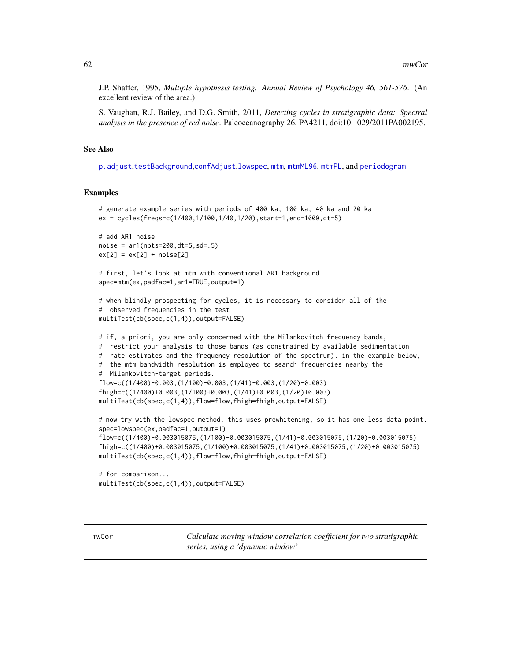J.P. Shaffer, 1995, *Multiple hypothesis testing. Annual Review of Psychology 46, 561-576*. (An excellent review of the area.)

S. Vaughan, R.J. Bailey, and D.G. Smith, 2011, *Detecting cycles in stratigraphic data: Spectral analysis in the presence of red noise*. Paleoceanography 26, PA4211, doi:10.1029/2011PA002195.

## See Also

[p.adjust](#page-0-0),[testBackground](#page-93-0),[confAdjust](#page-16-0),[lowspec](#page-48-0), [mtm](#page-52-0), [mtmML96](#page-55-0), [mtmPL](#page-58-0), and [periodogram](#page-67-0)

#### Examples

```
# generate example series with periods of 400 ka, 100 ka, 40 ka and 20 ka
ex = cycles(freqs=c(1/400,1/100,1/40,1/20),start=1,end=1000,dt=5)
# add AR1 noise
noise = ar1(npts=200, dt=5, sd=.5)ex[2] = ex[2] + noise[2]# first, let's look at mtm with conventional AR1 background
spec=mtm(ex,padfac=1,ar1=TRUE,output=1)
# when blindly prospecting for cycles, it is necessary to consider all of the
# observed frequencies in the test
multiTest(cb(spec,c(1,4)),output=FALSE)
# if, a priori, you are only concerned with the Milankovitch frequency bands,
# restrict your analysis to those bands (as constrained by available sedimentation
# rate estimates and the frequency resolution of the spectrum). in the example below,
# the mtm bandwidth resolution is employed to search frequencies nearby the
# Milankovitch-target periods.
flow=c((1/400)-0.003,(1/100)-0.003,(1/41)-0.003,(1/20)-0.003)
fhigh=c((1/400)+0.003,(1/100)+0.003,(1/41)+0.003,(1/20)+0.003)
multiTest(cb(spec,c(1,4)),flow=flow,fhigh=fhigh,output=FALSE)
# now try with the lowspec method. this uses prewhitening, so it has one less data point.
spec=lowspec(ex,padfac=1,output=1)
flow=c((1/400)-0.003015075,(1/100)-0.003015075,(1/41)-0.003015075,(1/20)-0.003015075)
fhigh=c((1/400)+0.003015075,(1/100)+0.003015075,(1/41)+0.003015075,(1/20)+0.003015075)
multiTest(cb(spec,c(1,4)),flow=flow,fhigh=fhigh,output=FALSE)
```

```
# for comparison...
multiTest(cb(spec,c(1,4)),output=FALSE)
```
mwCor *Calculate moving window correlation coefficient for two stratigraphic series, using a 'dynamic window'*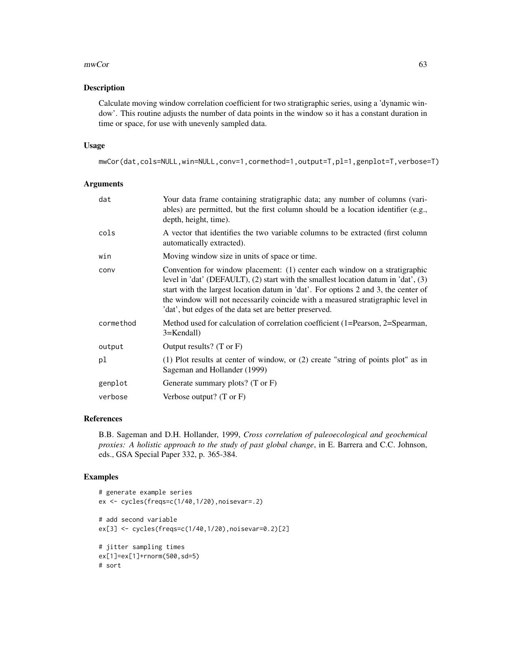#### $mwCor$  63

## Description

Calculate moving window correlation coefficient for two stratigraphic series, using a 'dynamic window'. This routine adjusts the number of data points in the window so it has a constant duration in time or space, for use with unevenly sampled data.

#### Usage

```
mwCor(dat,cols=NULL,win=NULL,conv=1,cormethod=1,output=T,pl=1,genplot=T,verbose=T)
```
## Arguments

| dat       | Your data frame containing stratigraphic data; any number of columns (vari-<br>ables) are permitted, but the first column should be a location identifier (e.g.,<br>depth, height, time).                                                                                                                                                                                                           |
|-----------|-----------------------------------------------------------------------------------------------------------------------------------------------------------------------------------------------------------------------------------------------------------------------------------------------------------------------------------------------------------------------------------------------------|
| cols      | A vector that identifies the two variable columns to be extracted (first column<br>automatically extracted).                                                                                                                                                                                                                                                                                        |
| win       | Moving window size in units of space or time.                                                                                                                                                                                                                                                                                                                                                       |
| conv      | Convention for window placement: (1) center each window on a stratigraphic<br>level in 'dat' (DEFAULT), (2) start with the smallest location datum in 'dat', (3)<br>start with the largest location datum in 'dat'. For options 2 and 3, the center of<br>the window will not necessarily coincide with a measured stratigraphic level in<br>'dat', but edges of the data set are better preserved. |
| cormethod | Method used for calculation of correlation coefficient (1=Pearson, 2=Spearman,<br>3=Kendall)                                                                                                                                                                                                                                                                                                        |
| output    | Output results? $(T \text{ or } F)$                                                                                                                                                                                                                                                                                                                                                                 |
| pl        | (1) Plot results at center of window, or (2) create "string of points plot" as in<br>Sageman and Hollander (1999)                                                                                                                                                                                                                                                                                   |
| genplot   | Generate summary plots? (T or F)                                                                                                                                                                                                                                                                                                                                                                    |
| verbose   | Verbose output? $(T \text{ or } F)$                                                                                                                                                                                                                                                                                                                                                                 |

## References

B.B. Sageman and D.H. Hollander, 1999, *Cross correlation of paleoecological and geochemical proxies: A holistic approach to the study of past global change*, in E. Barrera and C.C. Johnson, eds., GSA Special Paper 332, p. 365-384.

```
# generate example series
ex <- cycles(freqs=c(1/40,1/20),noisevar=.2)
# add second variable
ex[3] <- cycles(freqs=c(1/40,1/20),noisevar=0.2)[2]
# jitter sampling times
ex[1]=ex[1]+rnorm(500,sd=5)
# sort
```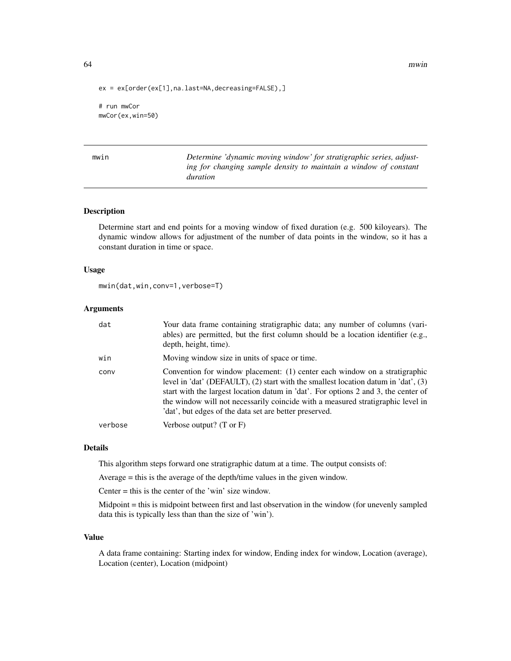```
ex = ex[order(ex[1],na.last=NA,decreasing=FALSE),]
```
# run mwCor mwCor(ex,win=50)

mwin *Determine 'dynamic moving window' for stratigraphic series, adjusting for changing sample density to maintain a window of constant duration*

## Description

Determine start and end points for a moving window of fixed duration (e.g. 500 kiloyears). The dynamic window allows for adjustment of the number of data points in the window, so it has a constant duration in time or space.

#### Usage

```
mwin(dat,win,conv=1,verbose=T)
```
#### **Arguments**

| dat     | Your data frame containing stratigraphic data; any number of columns (vari-<br>ables) are permitted, but the first column should be a location identifier (e.g.,<br>depth, height, time).                                                                                                                                                                                                           |
|---------|-----------------------------------------------------------------------------------------------------------------------------------------------------------------------------------------------------------------------------------------------------------------------------------------------------------------------------------------------------------------------------------------------------|
| win     | Moving window size in units of space or time.                                                                                                                                                                                                                                                                                                                                                       |
| conv    | Convention for window placement: (1) center each window on a stratigraphic<br>level in 'dat' (DEFAULT), (2) start with the smallest location datum in 'dat', (3)<br>start with the largest location datum in 'dat'. For options 2 and 3, the center of<br>the window will not necessarily coincide with a measured stratigraphic level in<br>'dat', but edges of the data set are better preserved. |
| verbose | Verbose output? $(T \text{ or } F)$                                                                                                                                                                                                                                                                                                                                                                 |

## Details

This algorithm steps forward one stratigraphic datum at a time. The output consists of:

Average = this is the average of the depth/time values in the given window.

Center = this is the center of the 'win' size window.

Midpoint = this is midpoint between first and last observation in the window (for unevenly sampled data this is typically less than than the size of 'win').

#### Value

A data frame containing: Starting index for window, Ending index for window, Location (average), Location (center), Location (midpoint)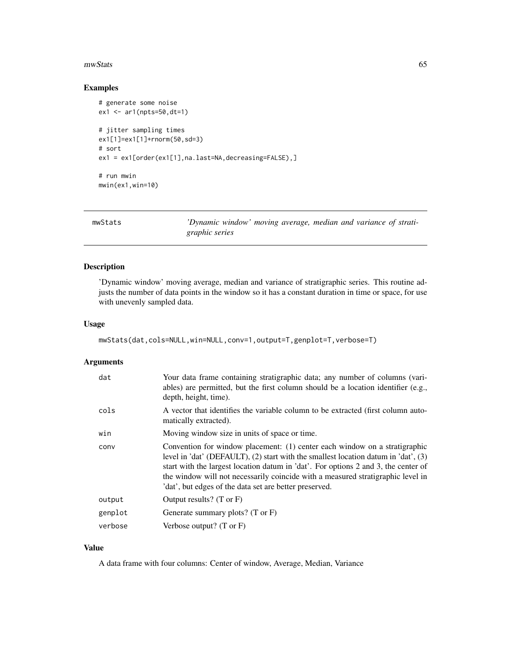#### mwStats 65

## Examples

```
# generate some noise
ex1 <- ar1(npts=50,dt=1)
# jitter sampling times
ex1[1]=ex1[1]+rnorm(50,sd=3)
# sort
ex1 = ex1[order(ex1[1],na.last=NA,decreasing=FALSE),]
# run mwin
mwin(ex1,win=10)
```

| mwStats | 'Dynamic window' moving average, median and variance of strati- |  |
|---------|-----------------------------------------------------------------|--|
|         | graphic series                                                  |  |

## Description

'Dynamic window' moving average, median and variance of stratigraphic series. This routine adjusts the number of data points in the window so it has a constant duration in time or space, for use with unevenly sampled data.

#### Usage

```
mwStats(dat,cols=NULL,win=NULL,conv=1,output=T,genplot=T,verbose=T)
```
### Arguments

| dat     | Your data frame containing stratigraphic data; any number of columns (vari-<br>ables) are permitted, but the first column should be a location identifier (e.g.,<br>depth, height, time).                                                                                                                                                                                                           |
|---------|-----------------------------------------------------------------------------------------------------------------------------------------------------------------------------------------------------------------------------------------------------------------------------------------------------------------------------------------------------------------------------------------------------|
| cols    | A vector that identifies the variable column to be extracted (first column auto-<br>matically extracted).                                                                                                                                                                                                                                                                                           |
| win     | Moving window size in units of space or time.                                                                                                                                                                                                                                                                                                                                                       |
| conv    | Convention for window placement: (1) center each window on a stratigraphic<br>level in 'dat' (DEFAULT), (2) start with the smallest location datum in 'dat', (3)<br>start with the largest location datum in 'dat'. For options 2 and 3, the center of<br>the window will not necessarily coincide with a measured stratigraphic level in<br>'dat', but edges of the data set are better preserved. |
| output  | Output results? $(T \text{ or } F)$                                                                                                                                                                                                                                                                                                                                                                 |
| genplot | Generate summary plots? $(T \text{ or } F)$                                                                                                                                                                                                                                                                                                                                                         |
| verbose | Verbose output? $(T \text{ or } F)$                                                                                                                                                                                                                                                                                                                                                                 |

# Value

A data frame with four columns: Center of window, Average, Median, Variance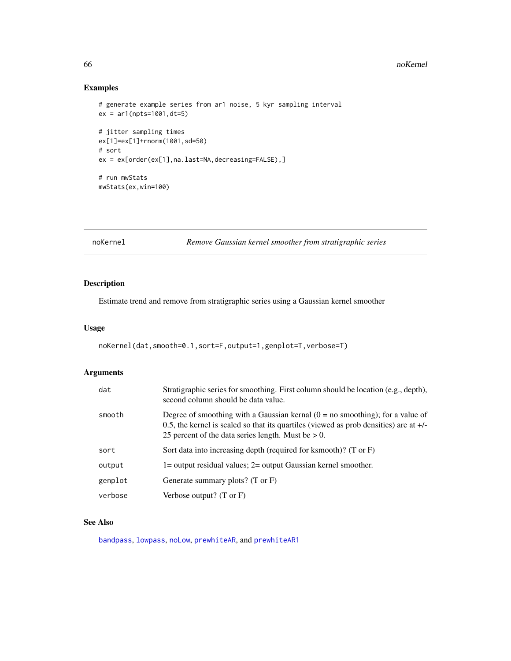## Examples

```
# generate example series from ar1 noise, 5 kyr sampling interval
ex = ar1(npts=1001, dt=5)# jitter sampling times
ex[1]=ex[1]+rnorm(1001,sd=50)
# sort
ex = ex[order(ex[1],na.last=NA,decreasing=FALSE),]
# run mwStats
mwStats(ex,win=100)
```
<span id="page-65-0"></span>noKernel *Remove Gaussian kernel smoother from stratigraphic series*

## Description

Estimate trend and remove from stratigraphic series using a Gaussian kernel smoother

#### Usage

```
noKernel(dat,smooth=0.1,sort=F,output=1,genplot=T,verbose=T)
```
## Arguments

| dat     | Stratigraphic series for smoothing. First column should be location (e.g., depth),<br>second column should be data value.                                                                                                           |
|---------|-------------------------------------------------------------------------------------------------------------------------------------------------------------------------------------------------------------------------------------|
| smooth  | Degree of smoothing with a Gaussian kernal $(0 = no$ smoothing); for a value of<br>0.5, the kernel is scaled so that its quartiles (viewed as prob densities) are at $+/-$<br>25 percent of the data series length. Must be $> 0$ . |
| sort    | Sort data into increasing depth (required for ksmooth)? (T or F)                                                                                                                                                                    |
| output  | $l =$ output residual values; $2 =$ output Gaussian kernel smoother.                                                                                                                                                                |
| genplot | Generate summary plots? $(T \text{ or } F)$                                                                                                                                                                                         |
| verbose | Verbose output? $(T \text{ or } F)$                                                                                                                                                                                                 |

## See Also

[bandpass](#page-12-0), [lowpass](#page-47-0), [noLow](#page-66-0), [prewhiteAR](#page-72-0), and [prewhiteAR1](#page-73-0)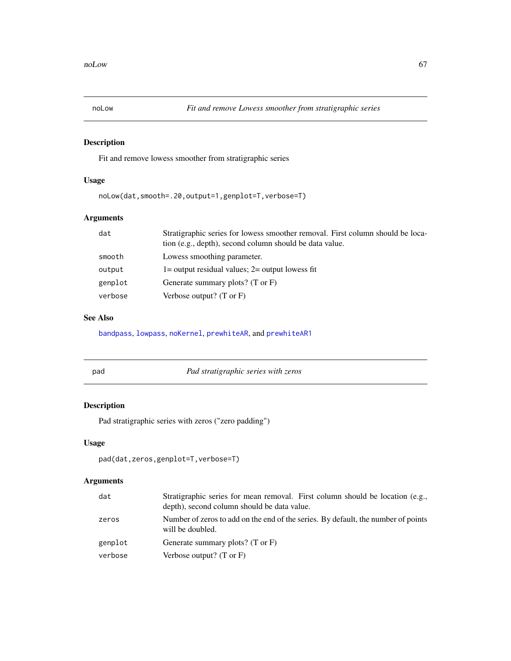<span id="page-66-0"></span>

Fit and remove lowess smoother from stratigraphic series

## Usage

noLow(dat,smooth=.20,output=1,genplot=T,verbose=T)

# Arguments

| dat     | Stratigraphic series for lowess smoother removal. First column should be loca-<br>tion (e.g., depth), second column should be data value. |
|---------|-------------------------------------------------------------------------------------------------------------------------------------------|
| smooth  | Lowess smoothing parameter.                                                                                                               |
| output  | $1 =$ output residual values; $2 =$ output lowess fit                                                                                     |
| genplot | Generate summary plots? $(T \text{ or } F)$                                                                                               |
| verbose | Verbose output? $(T \text{ or } F)$                                                                                                       |

## See Also

[bandpass](#page-12-0), [lowpass](#page-47-0), [noKernel](#page-65-0), [prewhiteAR](#page-72-0), and [prewhiteAR1](#page-73-0)

pad *Pad stratigraphic series with zeros*

## Description

Pad stratigraphic series with zeros ("zero padding")

## Usage

```
pad(dat,zeros,genplot=T,verbose=T)
```

| dat     | Stratigraphic series for mean removal. First column should be location (e.g.,<br>depth), second column should be data value. |
|---------|------------------------------------------------------------------------------------------------------------------------------|
| zeros   | Number of zeros to add on the end of the series. By default, the number of points<br>will be doubled.                        |
| genplot | Generate summary plots? $(T \text{ or } F)$                                                                                  |
| verbose | Verbose output? $(T \text{ or } F)$                                                                                          |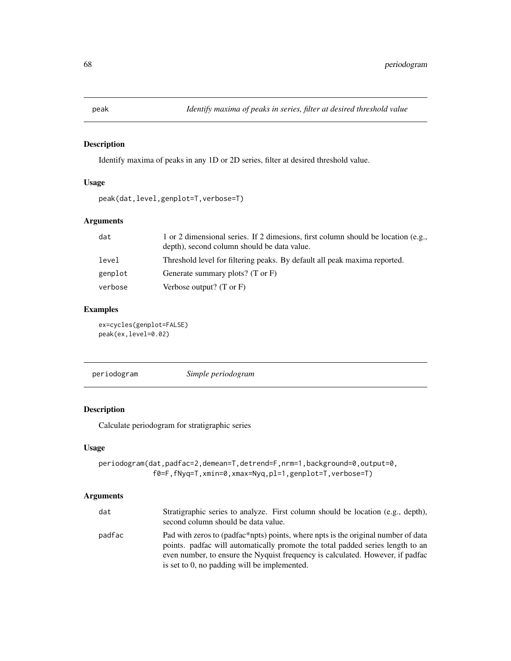Identify maxima of peaks in any 1D or 2D series, filter at desired threshold value.

#### Usage

peak(dat,level,genplot=T,verbose=T)

## Arguments

| dat     | 1 or 2 dimensional series. If 2 dimesions, first column should be location (e.g.,<br>depth), second column should be data value. |
|---------|----------------------------------------------------------------------------------------------------------------------------------|
| level   | Threshold level for filtering peaks. By default all peak maxima reported.                                                        |
| genplot | Generate summary plots? $(T \text{ or } F)$                                                                                      |
| verbose | Verbose output? $(T \text{ or } F)$                                                                                              |

## Examples

ex=cycles(genplot=FALSE) peak(ex,level=0.02)

<span id="page-67-0"></span>periodogram *Simple periodogram*

## Description

Calculate periodogram for stratigraphic series

### Usage

```
periodogram(dat,padfac=2,demean=T,detrend=F,nrm=1,background=0,output=0,
             f0=F,fNyq=T,xmin=0,xmax=Nyq,pl=1,genplot=T,verbose=T)
```

| dat    | Stratigraphic series to analyze. First column should be location (e.g., depth),<br>second column should be data value.                                                                                                                                                                                 |
|--------|--------------------------------------------------------------------------------------------------------------------------------------------------------------------------------------------------------------------------------------------------------------------------------------------------------|
| padfac | Pad with zeros to (padfac*npts) points, where npts is the original number of data<br>points, padfac will automatically promote the total padded series length to an<br>even number, to ensure the Nyquist frequency is calculated. However, if padface<br>is set to 0, no padding will be implemented. |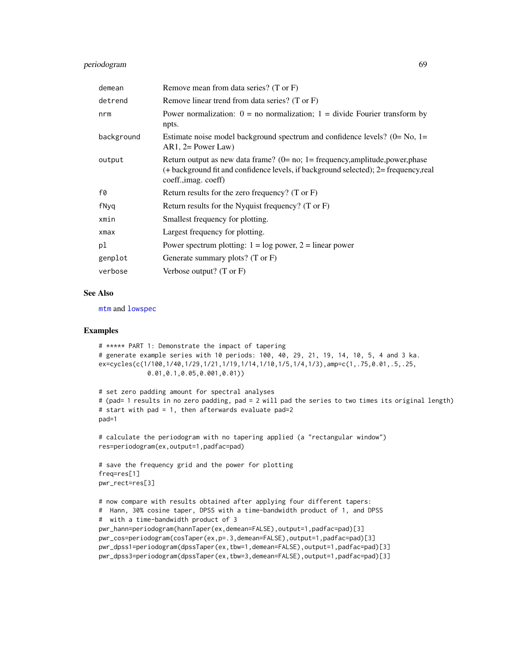## periodogram 69

| demean     | Remove mean from data series? (T or F)                                                                                                                                                            |
|------------|---------------------------------------------------------------------------------------------------------------------------------------------------------------------------------------------------|
| detrend    | Remove linear trend from data series? (T or F)                                                                                                                                                    |
| nrm        | Power normalization: $0 =$ no normalization; $1 =$ divide Fourier transform by<br>npts.                                                                                                           |
| background | Estimate noise model background spectrum and confidence levels? $(0=No, 1=$<br>$AR1, 2 = Power Law$                                                                                               |
| output     | Return output as new data frame? $(0=$ no; 1 = frequency, amplitude, power, phase<br>(+ background fit and confidence levels, if background selected); 2= frequency, real<br>coeff., imag. coeff) |
| f0         | Return results for the zero frequency? (T or $F$ )                                                                                                                                                |
| fNyq       | Return results for the Nyquist frequency? $(T \text{ or } F)$                                                                                                                                     |
| xmin       | Smallest frequency for plotting.                                                                                                                                                                  |
| xmax       | Largest frequency for plotting.                                                                                                                                                                   |
| pl         | Power spectrum plotting: $1 = \log$ power, $2 = \text{linear power}$                                                                                                                              |
| genplot    | Generate summary plots? (T or F)                                                                                                                                                                  |
| verbose    | Verbose output? $(T \text{ or } F)$                                                                                                                                                               |

## See Also

[mtm](#page-52-0) and [lowspec](#page-48-0)

```
# ***** PART 1: Demonstrate the impact of tapering
# generate example series with 10 periods: 100, 40, 29, 21, 19, 14, 10, 5, 4 and 3 ka.
ex=cycles(c(1/100,1/40,1/29,1/21,1/19,1/14,1/10,1/5,1/4,1/3),amp=c(1,.75,0.01,.5,.25,
             0.01,0.1,0.05,0.001,0.01))
# set zero padding amount for spectral analyses
# (pad= 1 results in no zero padding, pad = 2 will pad the series to two times its original length)
# start with pad = 1, then afterwards evaluate pad=2
pad=1
# calculate the periodogram with no tapering applied (a "rectangular window")
res=periodogram(ex,output=1,padfac=pad)
# save the frequency grid and the power for plotting
freq=res[1]
pwr_rect=res[3]
# now compare with results obtained after applying four different tapers:
# Hann, 30% cosine taper, DPSS with a time-bandwidth product of 1, and DPSS
# with a time-bandwidth product of 3
pwr_hann=periodogram(hannTaper(ex,demean=FALSE),output=1,padfac=pad)[3]
pwr_cos=periodogram(cosTaper(ex,p=.3,demean=FALSE),output=1,padfac=pad)[3]
pwr_dpss1=periodogram(dpssTaper(ex,tbw=1,demean=FALSE),output=1,padfac=pad)[3]
pwr_dpss3=periodogram(dpssTaper(ex,tbw=3,demean=FALSE),output=1,padfac=pad)[3]
```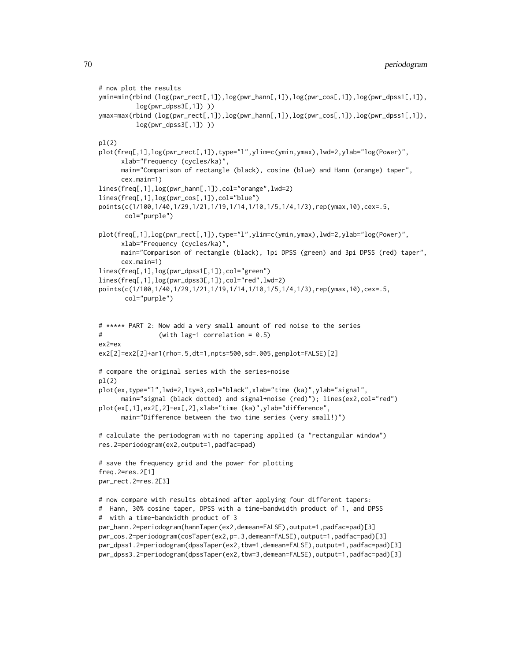```
# now plot the results
ymin=min(rbind (log(pwr_rect[,1]),log(pwr_hann[,1]),log(pwr_cos[,1]),log(pwr_dpss1[,1]),
         log(pwr_dpss3[,1]) ))
ymax=max(rbind (log(pwr_rect[,1]),log(pwr_hann[,1]),log(pwr_cos[,1]),log(pwr_dpss1[,1]),
         log(pwr_dpss3[,1]))
pl(2)
plot(freq[,1],log(pwr_rect[,1]),type="l",ylim=c(ymin,ymax),lwd=2,ylab="log(Power)",
      xlab="Frequency (cycles/ka)",
     main="Comparison of rectangle (black), cosine (blue) and Hann (orange) taper",
      cex.main=1)
lines(freq[,1],log(pwr_hann[,1]),col="orange",lwd=2)
lines(freq[,1],log(pwr_cos[,1]),col="blue")
points(c(1/100,1/40,1/29,1/21,1/19,1/14,1/10,1/5,1/4,1/3),rep(ymax,10),cex=.5,
      col="purple")
plot(freq[,1],log(pwr_rect[,1]),type="l",ylim=c(ymin,ymax),lwd=2,ylab="log(Power)",
      xlab="Frequency (cycles/ka)",
     main="Comparison of rectangle (black), 1pi DPSS (green) and 3pi DPSS (red) taper",
      cex.main=1)
lines(freq[,1],log(pwr_dpss1[,1]),col="green")
lines(freq[,1],log(pwr_dpss3[,1]),col="red",lwd=2)
points(c(1/100,1/40,1/29,1/21,1/19,1/14,1/10,1/5,1/4,1/3),rep(ymax,10),cex=.5,
      col="purple")
# ***** PART 2: Now add a very small amount of red noise to the series
# (with lag-1 correlation = 0.5)
ex2=ex
ex2[2]=ex2[2]+ar1(rho=.5,dt=1,npts=500,sd=.005,genplot=FALSE)[2]
# compare the original series with the series+noise
pl(2)
plot(ex,type="l",lwd=2,lty=3,col="black",xlab="time (ka)",ylab="signal",
     main="signal (black dotted) and signal+noise (red)"); lines(ex2,col="red")
plot(ex[,1],ex2[,2]-ex[,2],xlab="time (ka)",ylab="difference",
     main="Difference between the two time series (very small!)")
# calculate the periodogram with no tapering applied (a "rectangular window")
res.2=periodogram(ex2,output=1,padfac=pad)
# save the frequency grid and the power for plotting
freq.2=res.2[1]
pwr_rect.2=res.2[3]
# now compare with results obtained after applying four different tapers:
# Hann, 30% cosine taper, DPSS with a time-bandwidth product of 1, and DPSS
# with a time-bandwidth product of 3
pwr_hann.2=periodogram(hannTaper(ex2,demean=FALSE),output=1,padfac=pad)[3]
pwr_cos.2=periodogram(cosTaper(ex2,p=.3,demean=FALSE),output=1,padfac=pad)[3]
pwr_dpss1.2=periodogram(dpssTaper(ex2,tbw=1,demean=FALSE),output=1,padfac=pad)[3]
pwr_dpss3.2=periodogram(dpssTaper(ex2,tbw=3,demean=FALSE),output=1,padfac=pad)[3]
```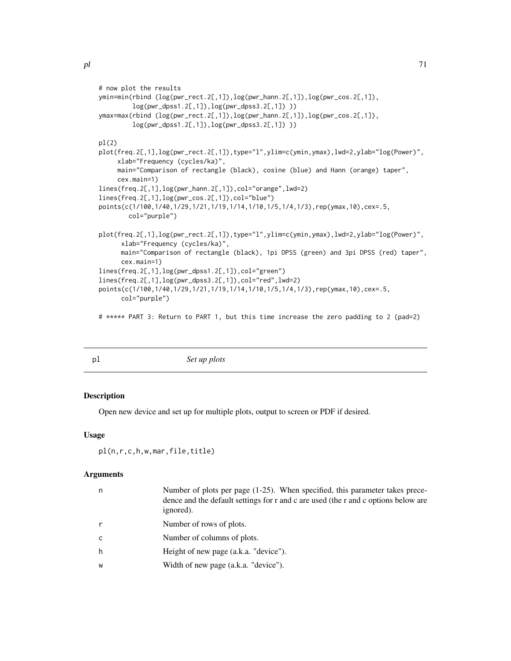```
# now plot the results
ymin=min(rbind (log(pwr_rect.2[,1]),log(pwr_hann.2[,1]),log(pwr_cos.2[,1]),
        log(pwr_dpss1.2[,1]),log(pwr_dpss3.2[,1]) ))
ymax=max(rbind (log(pwr_rect.2[,1]),log(pwr_hann.2[,1]),log(pwr_cos.2[,1]),
        log(pwr_dpss1.2[,1]),log(pwr_dpss3.2[,1]) ))
pl(2)
plot(freq.2[,1],log(pwr_rect.2[,1]),type="l",ylim=c(ymin,ymax),lwd=2,ylab="log(Power)",
     xlab="Frequency (cycles/ka)",
     main="Comparison of rectangle (black), cosine (blue) and Hann (orange) taper",
     cex.main=1)
lines(freq.2[,1],log(pwr_hann.2[,1]),col="orange",lwd=2)
lines(freq.2[,1],log(pwr_cos.2[,1]),col="blue")
points(c(1/100,1/40,1/29,1/21,1/19,1/14,1/10,1/5,1/4,1/3),rep(ymax,10),cex=.5,
       col="purple")
plot(freq.2[,1],log(pwr_rect.2[,1]),type="l",ylim=c(ymin,ymax),lwd=2,ylab="log(Power)",
      xlab="Frequency (cycles/ka)",
     main="Comparison of rectangle (black), 1pi DPSS (green) and 3pi DPSS (red) taper",
     cex.main=1)
lines(freq.2[,1],log(pwr_dpss1.2[,1]),col="green")
lines(freq.2[,1],log(pwr_dpss3.2[,1]),col="red",lwd=2)
points(c(1/100,1/40,1/29,1/21,1/19,1/14,1/10,1/5,1/4,1/3),rep(ymax,10),cex=.5,
     col="purple")
# ***** PART 3: Return to PART 1, but this time increase the zero padding to 2 (pad=2)
```

| pl | Set up plots |  |
|----|--------------|--|

Open new device and set up for multiple plots, output to screen or PDF if desired.

#### Usage

```
pl(n,r,c,h,w,mar,file,title)
```

| n            | Number of plots per page $(1-25)$ . When specified, this parameter takes prece-<br>dence and the default settings for r and c are used (the r and c options below are<br>ignored). |
|--------------|------------------------------------------------------------------------------------------------------------------------------------------------------------------------------------|
| r            | Number of rows of plots.                                                                                                                                                           |
| $\mathsf{C}$ | Number of columns of plots.                                                                                                                                                        |
| h            | Height of new page (a.k.a. "device").                                                                                                                                              |
| W            | Width of new page (a.k.a. "device").                                                                                                                                               |
|              |                                                                                                                                                                                    |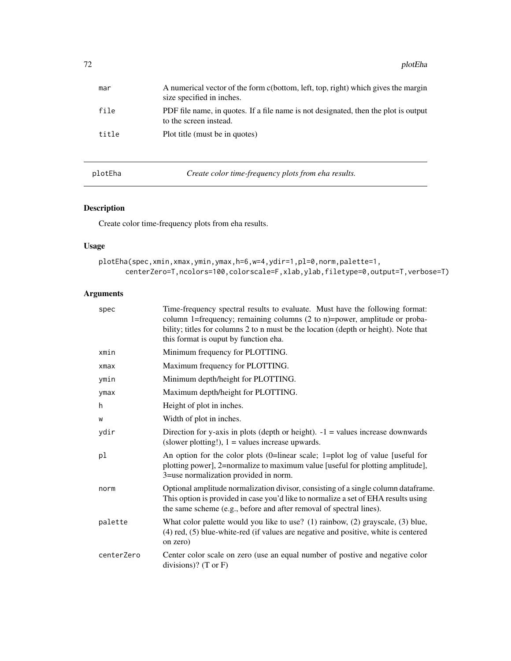| mar   | A numerical vector of the form c(bottom, left, top, right) which gives the margin<br>size specified in inches. |
|-------|----------------------------------------------------------------------------------------------------------------|
| file  | PDF file name, in quotes. If a file name is not designated, then the plot is output<br>to the screen instead.  |
| title | Plot title (must be in quotes)                                                                                 |

plotEha *Create color time-frequency plots from eha results.*

# Description

Create color time-frequency plots from eha results.

## Usage

```
plotEha(spec,xmin,xmax,ymin,ymax,h=6,w=4,ydir=1,pl=0,norm,palette=1,
      centerZero=T,ncolors=100,colorscale=F,xlab,ylab,filetype=0,output=T,verbose=T)
```

| spec       | Time-frequency spectral results to evaluate. Must have the following format:<br>column 1=frequency; remaining columns (2 to n)=power, amplitude or proba-<br>bility; titles for columns 2 to n must be the location (depth or height). Note that<br>this format is ouput by function eha. |
|------------|-------------------------------------------------------------------------------------------------------------------------------------------------------------------------------------------------------------------------------------------------------------------------------------------|
| xmin       | Minimum frequency for PLOTTING.                                                                                                                                                                                                                                                           |
| xmax       | Maximum frequency for PLOTTING.                                                                                                                                                                                                                                                           |
| ymin       | Minimum depth/height for PLOTTING.                                                                                                                                                                                                                                                        |
| ymax       | Maximum depth/height for PLOTTING.                                                                                                                                                                                                                                                        |
| h          | Height of plot in inches.                                                                                                                                                                                                                                                                 |
| W          | Width of plot in inches.                                                                                                                                                                                                                                                                  |
| ydir       | Direction for y-axis in plots (depth or height). $-1$ = values increase downwards<br>(slower plotting!), $1 =$ values increase upwards.                                                                                                                                                   |
| pl         | An option for the color plots (0=linear scale; 1=plot log of value [useful for<br>plotting power], 2=normalize to maximum value [useful for plotting amplitude],<br>3=use normalization provided in norm.                                                                                 |
| norm       | Optional amplitude normalization divisor, consisting of a single column dataframe.<br>This option is provided in case you'd like to normalize a set of EHA results using<br>the same scheme (e.g., before and after removal of spectral lines).                                           |
| palette    | What color palette would you like to use? (1) rainbow, (2) grayscale, (3) blue,<br>$(4)$ red, $(5)$ blue-white-red (if values are negative and positive, white is centered<br>on zero)                                                                                                    |
| centerZero | Center color scale on zero (use an equal number of postive and negative color<br>divisions)? (T or $F$ )                                                                                                                                                                                  |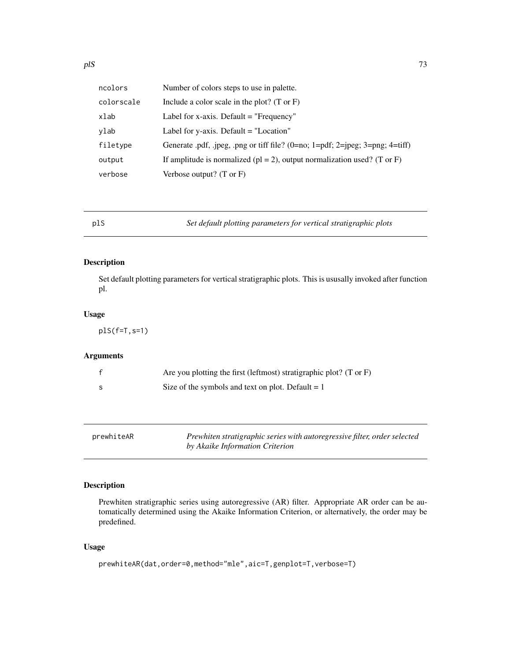| ncolors    | Number of colors steps to use in palette.                                    |
|------------|------------------------------------------------------------------------------|
| colorscale | Include a color scale in the plot? $(T \text{ or } F)$                       |
| xlab       | Label for x-axis. Default $=$ "Frequency"                                    |
| vlab       | Label for $y$ -axis. Default = "Location"                                    |
| filetype   | Generate pdf, .jpeg, .png or tiff file? $(0=nc; 1=pdf; 2=peg; 3=png; 4=tff)$ |
| output     | If amplitude is normalized ( $pl = 2$ ), output normalization used? (T or F) |
| verbose    | Verbose output? $(T \text{ or } F)$                                          |

plS *Set default plotting parameters for vertical stratigraphic plots*

## Description

Set default plotting parameters for vertical stratigraphic plots. This is ususally invoked after function pl.

## Usage

plS(f=T,s=1)

# Arguments

| Are you plotting the first (leftmost) stratigraphic plot? (T or F) |
|--------------------------------------------------------------------|
| Size of the symbols and text on plot. Default $= 1$                |

<span id="page-72-0"></span>

| prewhiteAR | Prewhiten stratigraphic series with autoregressive filter, order selected |
|------------|---------------------------------------------------------------------------|
|            | by Akaike Information Criterion                                           |

# Description

Prewhiten stratigraphic series using autoregressive (AR) filter. Appropriate AR order can be automatically determined using the Akaike Information Criterion, or alternatively, the order may be predefined.

# Usage

```
prewhiteAR(dat,order=0,method="mle",aic=T,genplot=T,verbose=T)
```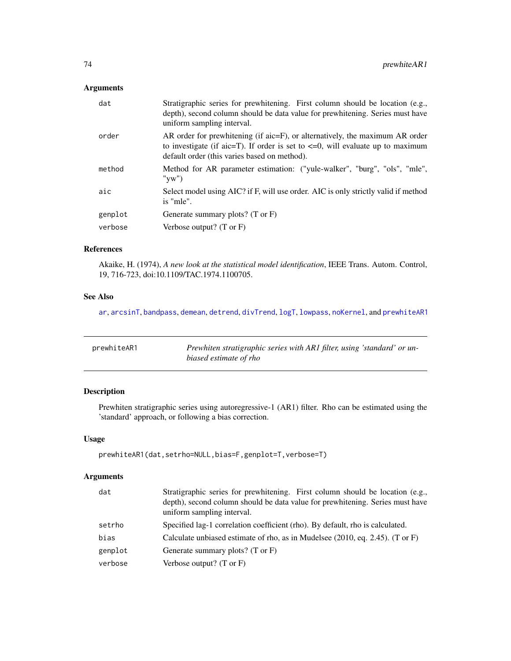# Arguments

| Stratigraphic series for prewhitening. First column should be location (e.g.,<br>depth), second column should be data value for prewhitening. Series must have<br>uniform sampling interval.                         |
|----------------------------------------------------------------------------------------------------------------------------------------------------------------------------------------------------------------------|
| AR order for prewhitening (if aic=F), or alternatively, the maximum AR order<br>to investigate (if aic=T). If order is set to $\leq$ =0, will evaluate up to maximum<br>default order (this varies based on method). |
| Method for AR parameter estimation: ("yule-walker", "burg", "ols", "mle",<br>" $vw"$                                                                                                                                 |
| Select model using AIC? if F, will use order. AIC is only strictly valid if method<br>is "mle".                                                                                                                      |
| Generate summary plots? $(T \text{ or } F)$                                                                                                                                                                          |
| Verbose output? $(T \text{ or } F)$                                                                                                                                                                                  |
|                                                                                                                                                                                                                      |

## References

Akaike, H. (1974), *A new look at the statistical model identification*, IEEE Trans. Autom. Control, 19, 716-723, doi:10.1109/TAC.1974.1100705.

# See Also

[ar](#page-0-0), [arcsinT](#page-8-0), [bandpass](#page-12-0), [demean](#page-21-0), [detrend](#page-21-1), [divTrend](#page-22-0), [logT](#page-46-0), [lowpass](#page-47-0), [noKernel](#page-65-0), and [prewhiteAR1](#page-73-0)

<span id="page-73-0"></span>

| prewhiteAR1 | Prewhiten stratigraphic series with AR1 filter, using 'standard' or un- |
|-------------|-------------------------------------------------------------------------|
|             | biased estimate of rho                                                  |

# Description

Prewhiten stratigraphic series using autoregressive-1 (AR1) filter. Rho can be estimated using the 'standard' approach, or following a bias correction.

# Usage

```
prewhiteAR1(dat,setrho=NULL,bias=F,genplot=T,verbose=T)
```

| dat     | Stratigraphic series for prewhitening. First column should be location (e.g.,<br>depth), second column should be data value for prewhitening. Series must have<br>uniform sampling interval. |
|---------|----------------------------------------------------------------------------------------------------------------------------------------------------------------------------------------------|
| setrho  | Specified lag-1 correlation coefficient (rho). By default, rho is calculated.                                                                                                                |
| bias    | Calculate unbiased estimate of rho, as in Mudelsee (2010, eq. 2.45). (T or F)                                                                                                                |
| genplot | Generate summary plots? $(T \text{ or } F)$                                                                                                                                                  |
| verbose | Verbose output? $(T \text{ or } F)$                                                                                                                                                          |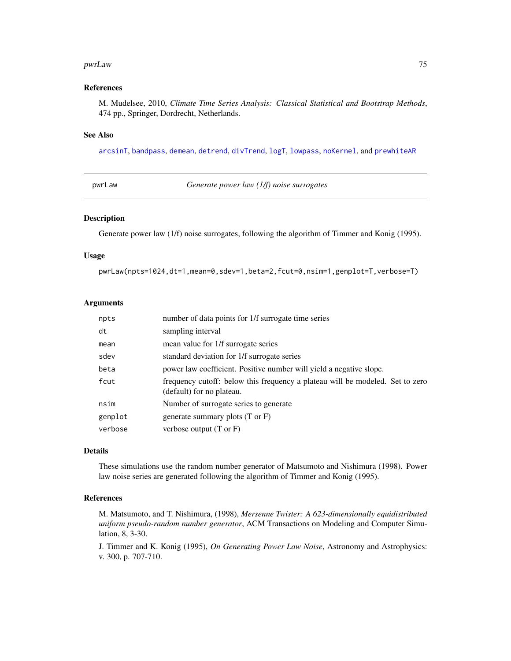#### pwrLaw 75

#### References

M. Mudelsee, 2010, *Climate Time Series Analysis: Classical Statistical and Bootstrap Methods*, 474 pp., Springer, Dordrecht, Netherlands.

#### See Also

[arcsinT](#page-8-0), [bandpass](#page-12-0), [demean](#page-21-0), [detrend](#page-21-1), [divTrend](#page-22-0), [logT](#page-46-0), [lowpass](#page-47-0), [noKernel](#page-65-0), and [prewhiteAR](#page-72-0)

pwrLaw *Generate power law (1/f) noise surrogates*

#### Description

Generate power law (1/f) noise surrogates, following the algorithm of Timmer and Konig (1995).

#### Usage

pwrLaw(npts=1024,dt=1,mean=0,sdev=1,beta=2,fcut=0,nsim=1,genplot=T,verbose=T)

## Arguments

| npts    | number of data points for 1/f surrogate time series                                                        |
|---------|------------------------------------------------------------------------------------------------------------|
| dt      | sampling interval                                                                                          |
| mean    | mean value for 1/f surrogate series                                                                        |
| sdev    | standard deviation for 1/f surrogate series                                                                |
| beta    | power law coefficient. Positive number will yield a negative slope.                                        |
| fcut    | frequency cutoff: below this frequency a plateau will be modeled. Set to zero<br>(default) for no plateau. |
| nsim    | Number of surrogate series to generate                                                                     |
| genplot | generate summary plots $(T \text{ or } F)$                                                                 |
| verbose | verbose output $(T \text{ or } F)$                                                                         |

#### Details

These simulations use the random number generator of Matsumoto and Nishimura (1998). Power law noise series are generated following the algorithm of Timmer and Konig (1995).

#### References

M. Matsumoto, and T. Nishimura, (1998), *Mersenne Twister: A 623-dimensionally equidistributed uniform pseudo-random number generator*, ACM Transactions on Modeling and Computer Simulation, 8, 3-30.

J. Timmer and K. Konig (1995), *On Generating Power Law Noise*, Astronomy and Astrophysics: v. 300, p. 707-710.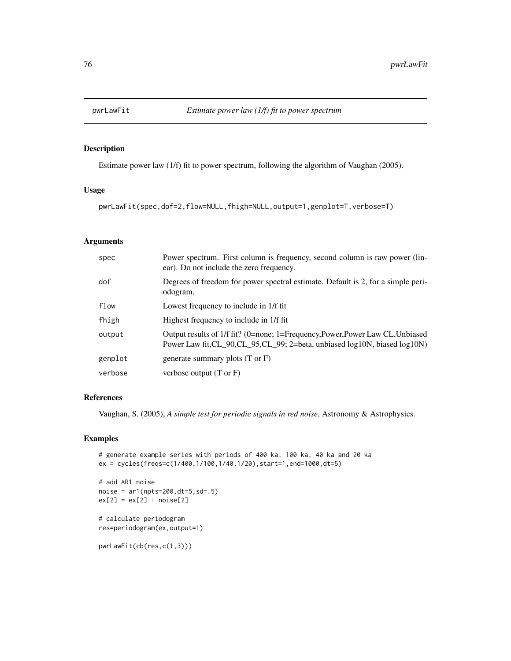Estimate power law (1/f) fit to power spectrum, following the algorithm of Vaughan (2005).

# Usage

pwrLawFit(spec,dof=2,flow=NULL,fhigh=NULL,output=1,genplot=T,verbose=T)

## Arguments

| spec    | Power spectrum. First column is frequency, second column is raw power (lin-<br>ear). Do not include the zero frequency.                                       |
|---------|---------------------------------------------------------------------------------------------------------------------------------------------------------------|
| dof     | Degrees of freedom for power spectral estimate. Default is 2, for a simple peri-<br>odogram.                                                                  |
| flow    | Lowest frequency to include in 1/f fit                                                                                                                        |
| fhigh   | Highest frequency to include in 1/f fit                                                                                                                       |
| output  | Output results of 1/f fit? (0=none; 1=Frequency, Power, Power Law CL, Unbiased<br>Power Law fit, CL_90, CL_95, CL_99; 2=beta, unbiased log10N, biased log10N) |
| genplot | generate summary plots $(T \text{ or } F)$                                                                                                                    |
| verbose | verbose output $(T \text{ or } F)$                                                                                                                            |

# References

Vaughan, S. (2005), *A simple test for periodic signals in red noise*, Astronomy & Astrophysics.

## Examples

```
# generate example series with periods of 400 ka, 100 ka, 40 ka and 20 ka
ex = cycles(freqs=c(1/400,1/100,1/40,1/20),start=1,end=1000,dt=5)
# add AR1 noise
noise = ar1(npts=200,dt=5,sd=.5)
ex[2] = ex[2] + noise[2]# calculate periodogram
res=periodogram(ex,output=1)
pwrLawFit(cb(res,c(1,3)))
```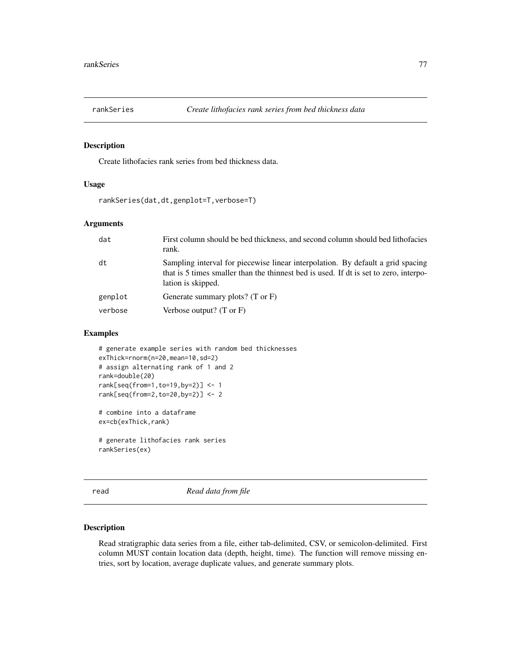Create lithofacies rank series from bed thickness data.

## Usage

```
rankSeries(dat,dt,genplot=T,verbose=T)
```
# Arguments

| dat     | First column should be bed thickness, and second column should bed lithofacies<br>rank.                                                                                                        |
|---------|------------------------------------------------------------------------------------------------------------------------------------------------------------------------------------------------|
| dt      | Sampling interval for piecewise linear interpolation. By default a grid spacing<br>that is 5 times smaller than the thinnest bed is used. If dt is set to zero, interpo-<br>lation is skipped. |
| genplot | Generate summary plots? $(T \text{ or } F)$                                                                                                                                                    |
| verbose | Verbose output? $(T \text{ or } F)$                                                                                                                                                            |

# Examples

```
# generate example series with random bed thicknesses
exThick=rnorm(n=20,mean=10,sd=2)
# assign alternating rank of 1 and 2
rank=double(20)
rank[seq(from=1,to=19,by=2)] <- 1
rank[seq(from=2,to=20,by=2)] <- 2
# combine into a dataframe
```
ex=cb(exThick,rank)

```
# generate lithofacies rank series
rankSeries(ex)
```
read *Read data from file*

# Description

Read stratigraphic data series from a file, either tab-delimited, CSV, or semicolon-delimited. First column MUST contain location data (depth, height, time). The function will remove missing entries, sort by location, average duplicate values, and generate summary plots.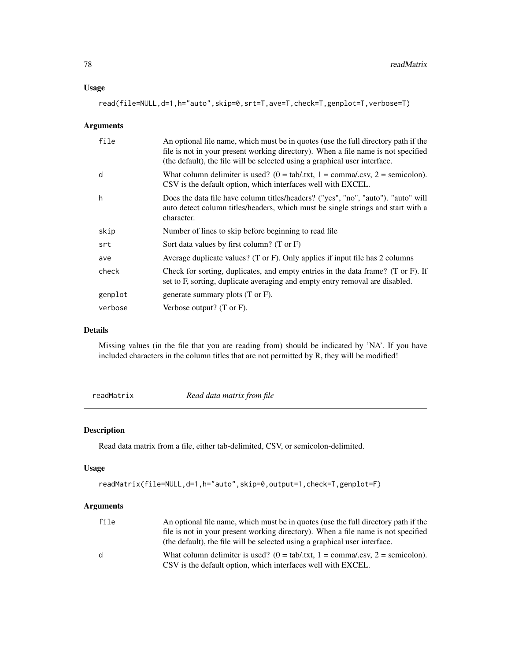## Usage

read(file=NULL,d=1,h="auto",skip=0,srt=T,ave=T,check=T,genplot=T,verbose=T)

## Arguments

| file    | An optional file name, which must be in quotes (use the full directory path if the<br>file is not in your present working directory). When a file name is not specified<br>(the default), the file will be selected using a graphical user interface. |
|---------|-------------------------------------------------------------------------------------------------------------------------------------------------------------------------------------------------------------------------------------------------------|
| d       | What column delimiter is used? ( $0 = tab/txt$ , $1 = commz/csv$ , $2 = semicolon$ ).<br>CSV is the default option, which interfaces well with EXCEL.                                                                                                 |
| h       | Does the data file have column titles/headers? ("yes", "no", "auto"). "auto" will<br>auto detect column titles/headers, which must be single strings and start with a<br>character.                                                                   |
| skip    | Number of lines to skip before beginning to read file.                                                                                                                                                                                                |
| srt     | Sort data values by first column? (T or $F$ )                                                                                                                                                                                                         |
| ave     | Average duplicate values? (T or F). Only applies if input file has 2 columns                                                                                                                                                                          |
| check   | Check for sorting, duplicates, and empty entries in the data frame? (T or F). If<br>set to F, sorting, duplicate averaging and empty entry removal are disabled.                                                                                      |
| genplot | generate summary plots (T or F).                                                                                                                                                                                                                      |
| verbose | Verbose output? $(T \text{ or } F)$ .                                                                                                                                                                                                                 |

## Details

Missing values (in the file that you are reading from) should be indicated by 'NA'. If you have included characters in the column titles that are not permitted by R, they will be modified!

readMatrix *Read data matrix from file*

# Description

Read data matrix from a file, either tab-delimited, CSV, or semicolon-delimited.

# Usage

```
readMatrix(file=NULL,d=1,h="auto",skip=0,output=1,check=T,genplot=F)
```

| file | An optional file name, which must be in quotes (use the full directory path if the    |
|------|---------------------------------------------------------------------------------------|
|      | file is not in your present working directory). When a file name is not specified     |
|      | (the default), the file will be selected using a graphical user interface.            |
| d    | What column delimiter is used? ( $0 = tab/txt$ , $1 = commz/csv$ , $2 = semicolon$ ). |
|      | CSV is the default option, which interfaces well with EXCEL.                          |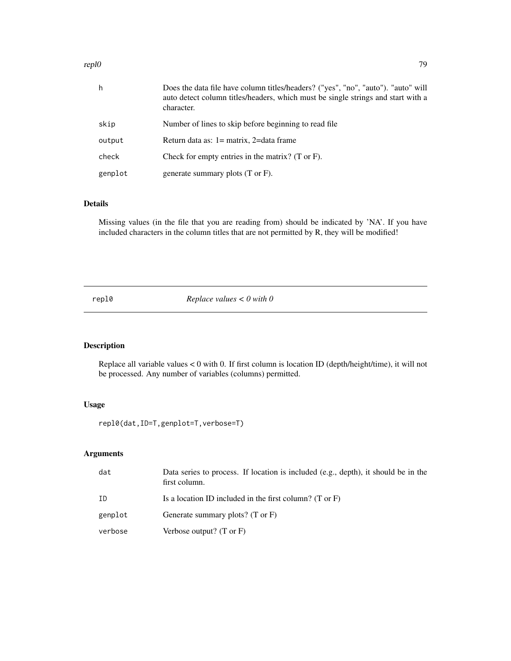#### repl0 79

| h       | Does the data file have column titles/headers? ("yes", "no", "auto"). "auto" will<br>auto detect column titles/headers, which must be single strings and start with a<br>character. |
|---------|-------------------------------------------------------------------------------------------------------------------------------------------------------------------------------------|
| skip    | Number of lines to skip before beginning to read file.                                                                                                                              |
| output  | Return data as: $1 =$ matrix, $2 =$ data frame                                                                                                                                      |
| check   | Check for empty entries in the matrix? $(T \text{ or } F)$ .                                                                                                                        |
| genplot | generate summary plots (T or F).                                                                                                                                                    |

# Details

Missing values (in the file that you are reading from) should be indicated by 'NA'. If you have included characters in the column titles that are not permitted by R, they will be modified!

repl0 *Replace values < 0 with 0*

# Description

Replace all variable values < 0 with 0. If first column is location ID (depth/height/time), it will not be processed. Any number of variables (columns) permitted.

# Usage

repl0(dat,ID=T,genplot=T,verbose=T)

| dat     | Data series to process. If location is included (e.g., depth), it should be in the<br>first column. |
|---------|-----------------------------------------------------------------------------------------------------|
| ID      | Is a location ID included in the first column? (T or $F$ )                                          |
| genplot | Generate summary plots? (T or F)                                                                    |
| verbose | Verbose output? $(T \text{ or } F)$                                                                 |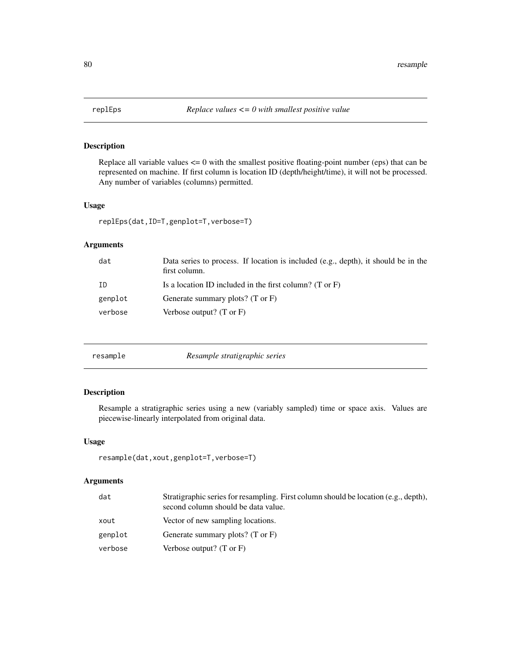Replace all variable values  $\leq 0$  with the smallest positive floating-point number (eps) that can be represented on machine. If first column is location ID (depth/height/time), it will not be processed. Any number of variables (columns) permitted.

## Usage

```
replEps(dat,ID=T,genplot=T,verbose=T)
```
# Arguments

| dat     | Data series to process. If location is included (e.g., depth), it should be in the<br>first column. |
|---------|-----------------------------------------------------------------------------------------------------|
| ID      | Is a location ID included in the first column? (T or $F$ )                                          |
| genplot | Generate summary plots? $(T \text{ or } F)$                                                         |
| verbose | Verbose output? $(T \text{ or } F)$                                                                 |
|         |                                                                                                     |

| resample |  |
|----------|--|
|          |  |

resample *Resample stratigraphic series*

# Description

Resample a stratigraphic series using a new (variably sampled) time or space axis. Values are piecewise-linearly interpolated from original data.

## Usage

```
resample(dat,xout,genplot=T,verbose=T)
```

| dat     | Stratigraphic series for resampling. First column should be location (e.g., depth),<br>second column should be data value. |
|---------|----------------------------------------------------------------------------------------------------------------------------|
| xout    | Vector of new sampling locations.                                                                                          |
| genplot | Generate summary plots? (T or F)                                                                                           |
| verbose | Verbose output? $(T \text{ or } F)$                                                                                        |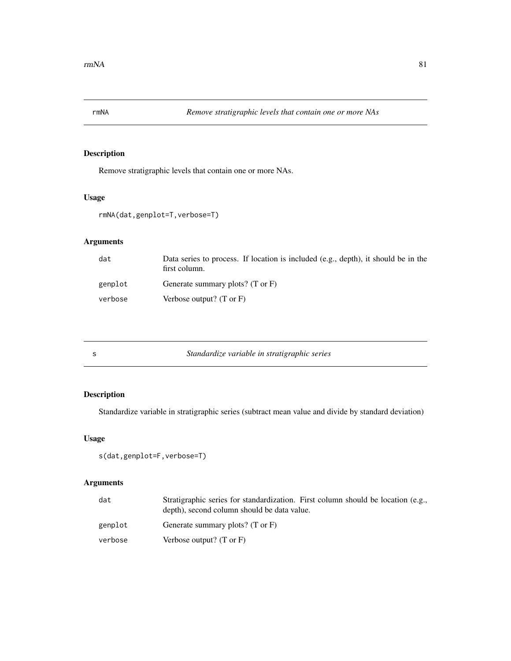Remove stratigraphic levels that contain one or more NAs.

# Usage

```
rmNA(dat,genplot=T,verbose=T)
```
# Arguments

| dat     | Data series to process. If location is included (e.g., depth), it should be in the<br>first column. |
|---------|-----------------------------------------------------------------------------------------------------|
| genplot | Generate summary plots? $(T \text{ or } F)$                                                         |
| verbose | Verbose output? $(T \text{ or } F)$                                                                 |

| Standardize variable in stratigraphic series |  |
|----------------------------------------------|--|
|----------------------------------------------|--|

# Description

Standardize variable in stratigraphic series (subtract mean value and divide by standard deviation)

# Usage

```
s(dat,genplot=F,verbose=T)
```

| dat     | Stratigraphic series for standardization. First column should be location (e.g.,<br>depth), second column should be data value. |
|---------|---------------------------------------------------------------------------------------------------------------------------------|
| genplot | Generate summary plots? $(T \text{ or } F)$                                                                                     |
| verbose | Verbose output? $(T \text{ or } F)$                                                                                             |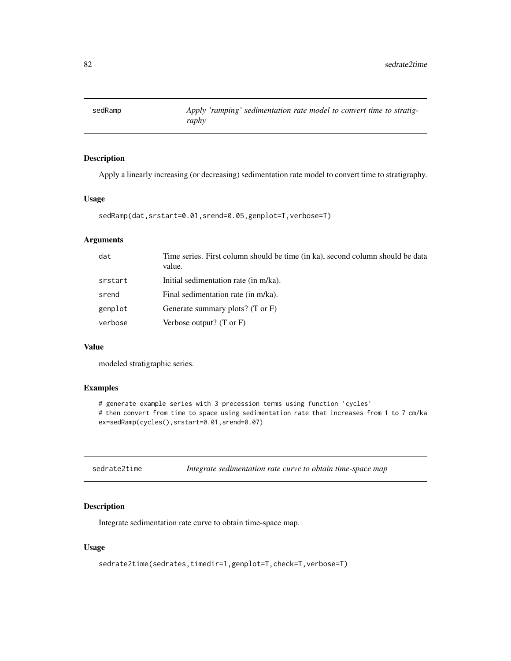Apply a linearly increasing (or decreasing) sedimentation rate model to convert time to stratigraphy.

## Usage

```
sedRamp(dat,srstart=0.01,srend=0.05,genplot=T,verbose=T)
```
# Arguments

| Initial sedimentation rate (in m/ka).<br>srstart<br>Final sedimentation rate (in m/ka).<br>srend<br>genplot<br>Generate summary plots? $(T \text{ or } F)$<br>Verbose output? $(T \text{ or } F)$<br>verbose | dat | Time series. First column should be time (in ka), second column should be data<br>value. |
|--------------------------------------------------------------------------------------------------------------------------------------------------------------------------------------------------------------|-----|------------------------------------------------------------------------------------------|
|                                                                                                                                                                                                              |     |                                                                                          |
|                                                                                                                                                                                                              |     |                                                                                          |
|                                                                                                                                                                                                              |     |                                                                                          |
|                                                                                                                                                                                                              |     |                                                                                          |

## Value

modeled stratigraphic series.

# Examples

# generate example series with 3 precession terms using function 'cycles' # then convert from time to space using sedimentation rate that increases from 1 to 7 cm/ka ex=sedRamp(cycles(),srstart=0.01,srend=0.07)

| sedrate2time |  |  |  |  | Integrate sedimentation rate curve to obtain time-space map |
|--------------|--|--|--|--|-------------------------------------------------------------|
|--------------|--|--|--|--|-------------------------------------------------------------|

## Description

Integrate sedimentation rate curve to obtain time-space map.

## Usage

sedrate2time(sedrates,timedir=1,genplot=T,check=T,verbose=T)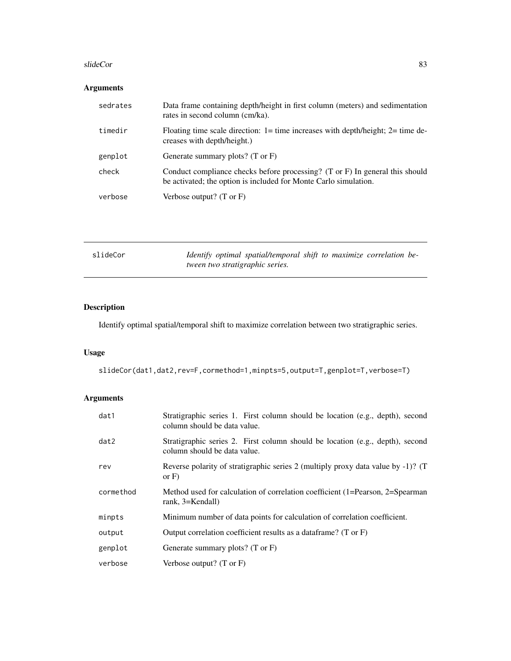#### slideCor 83

# Arguments

| sedrates | Data frame containing depth/height in first column (meters) and sedimentation<br>rates in second column (cm/ka).                                 |
|----------|--------------------------------------------------------------------------------------------------------------------------------------------------|
| timedir  | Floating time scale direction: $1 = \text{time}$ increases with depth/height; $2 = \text{time}$ de-<br>creases with depth/height.)               |
| genplot  | Generate summary plots? (T or F)                                                                                                                 |
| check    | Conduct compliance checks before processing? (T or F) In general this should<br>be activated; the option is included for Monte Carlo simulation. |
| verbose  | Verbose output? $(T \text{ or } F)$                                                                                                              |

| slideCor | Identify optimal spatial/temporal shift to maximize correlation be- |
|----------|---------------------------------------------------------------------|
|          | <i>tween two stratigraphic series.</i>                              |

# Description

Identify optimal spatial/temporal shift to maximize correlation between two stratigraphic series.

# Usage

slideCor(dat1,dat2,rev=F,cormethod=1,minpts=5,output=T,genplot=T,verbose=T)

| dat1      | Stratigraphic series 1. First column should be location (e.g., depth), second<br>column should be data value. |
|-----------|---------------------------------------------------------------------------------------------------------------|
| dat2      | Stratigraphic series 2. First column should be location (e.g., depth), second<br>column should be data value. |
| rev       | Reverse polarity of stratigraphic series 2 (multiply proxy data value by -1)? (T<br>or $F$ )                  |
| cormethod | Method used for calculation of correlation coefficient (1=Pearson, 2=Spearman<br>rank, 3=Kendall)             |
| minpts    | Minimum number of data points for calculation of correlation coefficient.                                     |
| output    | Output correlation coefficient results as a dataframe? (T or F)                                               |
| genplot   | Generate summary plots? $(T \text{ or } F)$                                                                   |
| verbose   | Verbose output? $(T \text{ or } F)$                                                                           |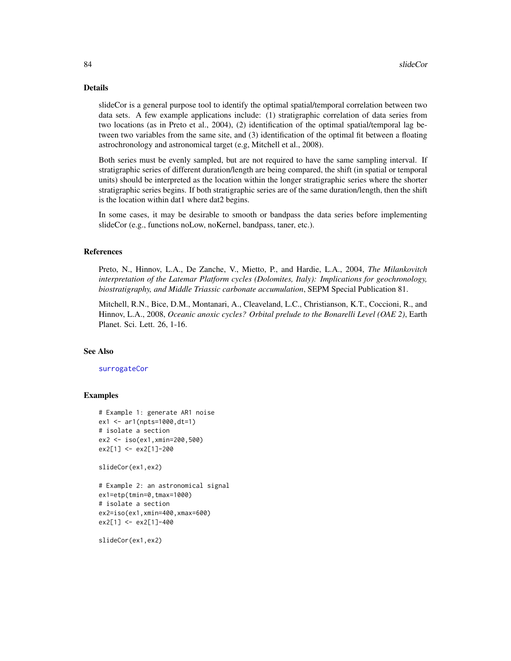#### Details

slideCor is a general purpose tool to identify the optimal spatial/temporal correlation between two data sets. A few example applications include: (1) stratigraphic correlation of data series from two locations (as in Preto et al., 2004), (2) identification of the optimal spatial/temporal lag between two variables from the same site, and (3) identification of the optimal fit between a floating astrochronology and astronomical target (e.g, Mitchell et al., 2008).

Both series must be evenly sampled, but are not required to have the same sampling interval. If stratigraphic series of different duration/length are being compared, the shift (in spatial or temporal units) should be interpreted as the location within the longer stratigraphic series where the shorter stratigraphic series begins. If both stratigraphic series are of the same duration/length, then the shift is the location within dat1 where dat2 begins.

In some cases, it may be desirable to smooth or bandpass the data series before implementing slideCor (e.g., functions noLow, noKernel, bandpass, taner, etc.).

# References

Preto, N., Hinnov, L.A., De Zanche, V., Mietto, P., and Hardie, L.A., 2004, *The Milankovitch interpretation of the Latemar Platform cycles (Dolomites, Italy): Implications for geochronology, biostratigraphy, and Middle Triassic carbonate accumulation*, SEPM Special Publication 81.

Mitchell, R.N., Bice, D.M., Montanari, A., Cleaveland, L.C., Christianson, K.T., Coccioni, R., and Hinnov, L.A., 2008, *Oceanic anoxic cycles? Orbital prelude to the Bonarelli Level (OAE 2)*, Earth Planet. Sci. Lett. 26, 1-16.

#### See Also

[surrogateCor](#page-87-0)

#### Examples

```
# Example 1: generate AR1 noise
ex1 <- ar1(npts=1000,dt=1)
# isolate a section
ex2 <- iso(ex1,xmin=200,500)
ex2[1] <- ex2[1]-200
```
slideCor(ex1,ex2)

```
# Example 2: an astronomical signal
ex1=etp(tmin=0,tmax=1000)
# isolate a section
ex2=iso(ex1,xmin=400,xmax=600)
ex2[1] <- ex2[1]-400
```
slideCor(ex1,ex2)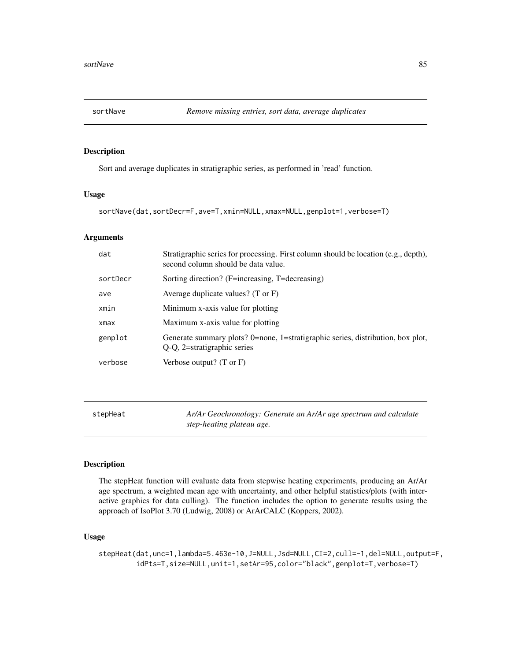Sort and average duplicates in stratigraphic series, as performed in 'read' function.

#### Usage

```
sortNave(dat,sortDecr=F,ave=T,xmin=NULL,xmax=NULL,genplot=1,verbose=T)
```
## **Arguments**

| dat      | Stratigraphic series for processing. First column should be location (e.g., depth),<br>second column should be data value. |
|----------|----------------------------------------------------------------------------------------------------------------------------|
| sortDecr | Sorting direction? (F=increasing, T=decreasing)                                                                            |
| ave      | Average duplicate values? (T or $F$ )                                                                                      |
| xmin     | Minimum x-axis value for plotting                                                                                          |
| xmax     | Maximum x-axis value for plotting                                                                                          |
| genplot  | Generate summary plots? 0=none, 1=stratigraphic series, distribution, box plot,<br>Q-Q, 2=stratigraphic series             |
| verbose  | Verbose output? $(T \text{ or } F)$                                                                                        |

| stepHeat | Ar/Ar Geochronology: Generate an Ar/Ar age spectrum and calculate |
|----------|-------------------------------------------------------------------|
|          | step-heating plateau age.                                         |

# Description

The stepHeat function will evaluate data from stepwise heating experiments, producing an Ar/Ar age spectrum, a weighted mean age with uncertainty, and other helpful statistics/plots (with interactive graphics for data culling). The function includes the option to generate results using the approach of IsoPlot 3.70 (Ludwig, 2008) or ArArCALC (Koppers, 2002).

# Usage

stepHeat(dat,unc=1,lambda=5.463e-10,J=NULL,Jsd=NULL,CI=2,cull=-1,del=NULL,output=F, idPts=T,size=NULL,unit=1,setAr=95,color="black",genplot=T,verbose=T)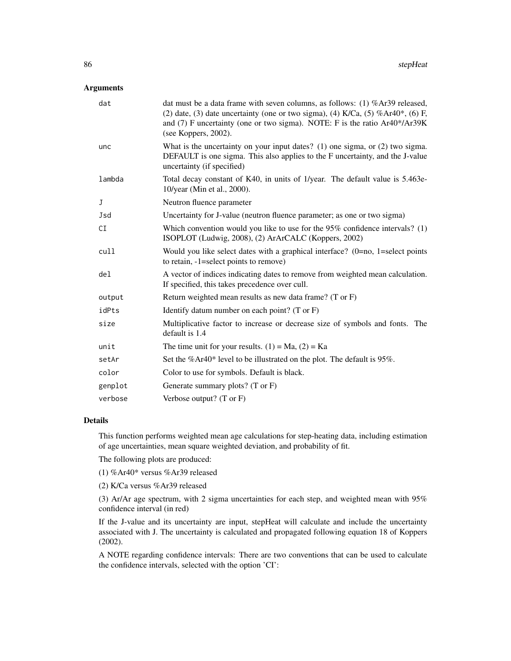# Arguments

| dat     | dat must be a data frame with seven columns, as follows: (1) % $Ar39$ released,<br>(2) date, (3) date uncertainty (one or two sigma), (4) $K/Ca$ , (5) % $Ar40^*$ , (6) F,<br>and (7) F uncertainty (one or two sigma). NOTE: F is the ratio Ar40*/Ar39K<br>(see Koppers, 2002). |
|---------|----------------------------------------------------------------------------------------------------------------------------------------------------------------------------------------------------------------------------------------------------------------------------------|
| unc     | What is the uncertainty on your input dates? (1) one sigma, or $(2)$ two sigma.<br>DEFAULT is one sigma. This also applies to the F uncertainty, and the J-value<br>uncertainty (if specified)                                                                                   |
| lambda  | Total decay constant of K40, in units of 1/year. The default value is 5.463e-<br>10/year (Min et al., 2000).                                                                                                                                                                     |
| J       | Neutron fluence parameter                                                                                                                                                                                                                                                        |
| Jsd     | Uncertainty for J-value (neutron fluence parameter; as one or two sigma)                                                                                                                                                                                                         |
| CI      | Which convention would you like to use for the $95\%$ confidence intervals? (1)<br>ISOPLOT (Ludwig, 2008), (2) ArArCALC (Koppers, 2002)                                                                                                                                          |
| cull    | Would you like select dates with a graphical interface? $(0=no, 1=select points)$<br>to retain, -1=select points to remove)                                                                                                                                                      |
| del     | A vector of indices indicating dates to remove from weighted mean calculation.<br>If specified, this takes precedence over cull.                                                                                                                                                 |
| output  | Return weighted mean results as new data frame? (T or F)                                                                                                                                                                                                                         |
| idPts   | Identify datum number on each point? $(T \text{ or } F)$                                                                                                                                                                                                                         |
| size    | Multiplicative factor to increase or decrease size of symbols and fonts. The<br>default is 1.4                                                                                                                                                                                   |
| unit    | The time unit for your results. $(1) = Ma$ , $(2) = Ka$                                                                                                                                                                                                                          |
| setAr   | Set the %Ar40* level to be illustrated on the plot. The default is $95\%$ .                                                                                                                                                                                                      |
| color   | Color to use for symbols. Default is black.                                                                                                                                                                                                                                      |
| genplot | Generate summary plots? $(T \text{ or } F)$                                                                                                                                                                                                                                      |
| verbose | Verbose output? $(T \text{ or } F)$                                                                                                                                                                                                                                              |

## Details

This function performs weighted mean age calculations for step-heating data, including estimation of age uncertainties, mean square weighted deviation, and probability of fit.

The following plots are produced:

(1) %Ar40\* versus %Ar39 released

(2) K/Ca versus %Ar39 released

(3) Ar/Ar age spectrum, with 2 sigma uncertainties for each step, and weighted mean with 95% confidence interval (in red)

If the J-value and its uncertainty are input, stepHeat will calculate and include the uncertainty associated with J. The uncertainty is calculated and propagated following equation 18 of Koppers (2002).

A NOTE regarding confidence intervals: There are two conventions that can be used to calculate the confidence intervals, selected with the option 'CI':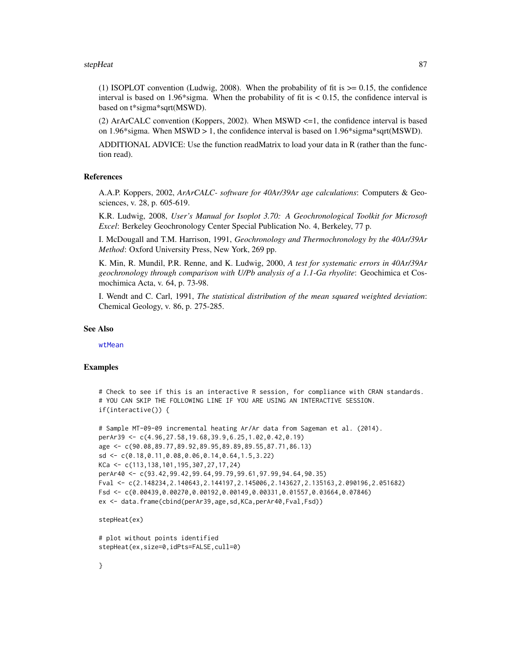#### stepHeat 87

(1) ISOPLOT convention (Ludwig, 2008). When the probability of fit is  $\geq 0.15$ , the confidence interval is based on 1.96\*sigma. When the probability of fit is  $\lt 0.15$ , the confidence interval is based on t\*sigma\*sqrt(MSWD).

(2) ArArCALC convention (Koppers, 2002). When MSWD <=1, the confidence interval is based on 1.96\*sigma. When  $MSWD > 1$ , the confidence interval is based on 1.96\*sigma\*sqrt(MSWD).

ADDITIONAL ADVICE: Use the function readMatrix to load your data in R (rather than the function read).

#### References

A.A.P. Koppers, 2002, *ArArCALC- software for 40Ar/39Ar age calculations*: Computers & Geosciences, v. 28, p. 605-619.

K.R. Ludwig, 2008, *User's Manual for Isoplot 3.70: A Geochronological Toolkit for Microsoft Excel*: Berkeley Geochronology Center Special Publication No. 4, Berkeley, 77 p.

I. McDougall and T.M. Harrison, 1991, *Geochronology and Thermochronology by the 40Ar/39Ar Method*: Oxford University Press, New York, 269 pp.

K. Min, R. Mundil, P.R. Renne, and K. Ludwig, 2000, *A test for systematic errors in 40Ar/39Ar geochronology through comparison with U/Pb analysis of a 1.1-Ga rhyolite*: Geochimica et Cosmochimica Acta, v. 64, p. 73-98.

I. Wendt and C. Carl, 1991, *The statistical distribution of the mean squared weighted deviation*: Chemical Geology, v. 86, p. 275-285.

## See Also

[wtMean](#page-126-0)

## Examples

```
# Check to see if this is an interactive R session, for compliance with CRAN standards.
# YOU CAN SKIP THE FOLLOWING LINE IF YOU ARE USING AN INTERACTIVE SESSION.
if(interactive()) {
```

```
# Sample MT-09-09 incremental heating Ar/Ar data from Sageman et al. (2014).
perAr39 <- c(4.96,27.58,19.68,39.9,6.25,1.02,0.42,0.19)
age <- c(90.08,89.77,89.92,89.95,89.89,89.55,87.71,86.13)
sd <- c(0.18,0.11,0.08,0.06,0.14,0.64,1.5,3.22)
KCa <- c(113,138,101,195,307,27,17,24)
perAr40 <- c(93.42,99.42,99.64,99.79,99.61,97.99,94.64,90.35)
Fval <- c(2.148234,2.140643,2.144197,2.145006,2.143627,2.135163,2.090196,2.051682)
Fsd <- c(0.00439,0.00270,0.00192,0.00149,0.00331,0.01557,0.03664,0.07846)
ex <- data.frame(cbind(perAr39,age,sd,KCa,perAr40,Fval,Fsd))
```
stepHeat(ex)

```
# plot without points identified
stepHeat(ex,size=0,idPts=FALSE,cull=0)
```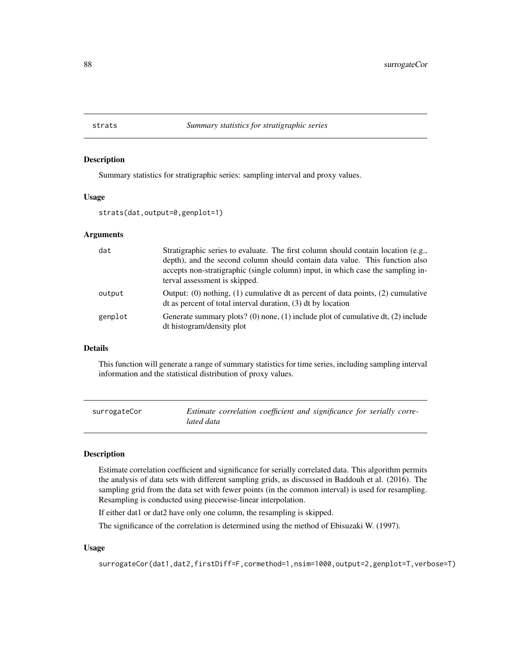Summary statistics for stratigraphic series: sampling interval and proxy values.

## Usage

```
strats(dat,output=0,genplot=1)
```
## Arguments

| dat     | Stratigraphic series to evaluate. The first column should contain location (e.g.,<br>depth), and the second column should contain data value. This function also<br>accepts non-stratigraphic (single column) input, in which case the sampling in-<br>terval assessment is skipped. |
|---------|--------------------------------------------------------------------------------------------------------------------------------------------------------------------------------------------------------------------------------------------------------------------------------------|
| output  | Output: (0) nothing, (1) cumulative dt as percent of data points, (2) cumulative<br>$\alpha$ dt as percent of total interval duration, (3) dt by location                                                                                                                            |
| genplot | Generate summary plots? (0) none, (1) include plot of cumulative dt, (2) include<br>dt histogram/density plot                                                                                                                                                                        |

# Details

This function will generate a range of summary statistics for time series, including sampling interval information and the statistical distribution of proxy values.

<span id="page-87-0"></span>

| surrogateCor |            | Estimate correlation coefficient and significance for serially corre- |  |
|--------------|------------|-----------------------------------------------------------------------|--|
|              | lated data |                                                                       |  |

## Description

Estimate correlation coefficient and significance for serially correlated data. This algorithm permits the analysis of data sets with different sampling grids, as discussed in Baddouh et al. (2016). The sampling grid from the data set with fewer points (in the common interval) is used for resampling. Resampling is conducted using piecewise-linear interpolation.

If either dat1 or dat2 have only one column, the resampling is skipped.

The significance of the correlation is determined using the method of Ebisuzaki W. (1997).

#### Usage

surrogateCor(dat1,dat2,firstDiff=F,cormethod=1,nsim=1000,output=2,genplot=T,verbose=T)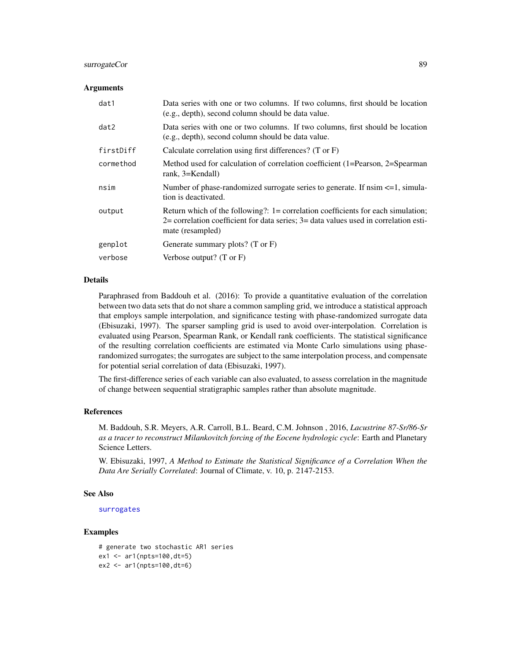## surrogateCor 89

#### **Arguments**

| dat1      | Data series with one or two columns. If two columns, first should be location<br>(e.g., depth), second column should be data value.                                                                |
|-----------|----------------------------------------------------------------------------------------------------------------------------------------------------------------------------------------------------|
| dat2      | Data series with one or two columns. If two columns, first should be location<br>(e.g., depth), second column should be data value.                                                                |
| firstDiff | Calculate correlation using first differences? (T or F)                                                                                                                                            |
| cormethod | Method used for calculation of correlation coefficient (1=Pearson, 2=Spearman<br>rank, 3=Kendall)                                                                                                  |
| nsim      | Number of phase-randomized surrogate series to generate. If $n \le -1$ , simula-<br>tion is deactivated.                                                                                           |
| output    | Return which of the following?: 1= correlation coefficients for each simulation;<br>$2$ = correlation coefficient for data series; $3$ = data values used in correlation esti-<br>mate (resampled) |
| genplot   | Generate summary plots? $(T \text{ or } F)$                                                                                                                                                        |
| verbose   | Verbose output? $(T \text{ or } F)$                                                                                                                                                                |

# Details

Paraphrased from Baddouh et al. (2016): To provide a quantitative evaluation of the correlation between two data sets that do not share a common sampling grid, we introduce a statistical approach that employs sample interpolation, and significance testing with phase-randomized surrogate data (Ebisuzaki, 1997). The sparser sampling grid is used to avoid over-interpolation. Correlation is evaluated using Pearson, Spearman Rank, or Kendall rank coefficients. The statistical significance of the resulting correlation coefficients are estimated via Monte Carlo simulations using phaserandomized surrogates; the surrogates are subject to the same interpolation process, and compensate for potential serial correlation of data (Ebisuzaki, 1997).

The first-difference series of each variable can also evaluated, to assess correlation in the magnitude of change between sequential stratigraphic samples rather than absolute magnitude.

#### References

M. Baddouh, S.R. Meyers, A.R. Carroll, B.L. Beard, C.M. Johnson , 2016, *Lacustrine 87-Sr/86-Sr as a tracer to reconstruct Milankovitch forcing of the Eocene hydrologic cycle*: Earth and Planetary Science Letters.

W. Ebisuzaki, 1997, *A Method to Estimate the Statistical Significance of a Correlation When the Data Are Serially Correlated*: Journal of Climate, v. 10, p. 2147-2153.

## See Also

```
surrogates
```
# Examples

```
# generate two stochastic AR1 series
ex1 < -ar1(npts=100, dt=5)ex2 <- ar1(npts=100,dt=6)
```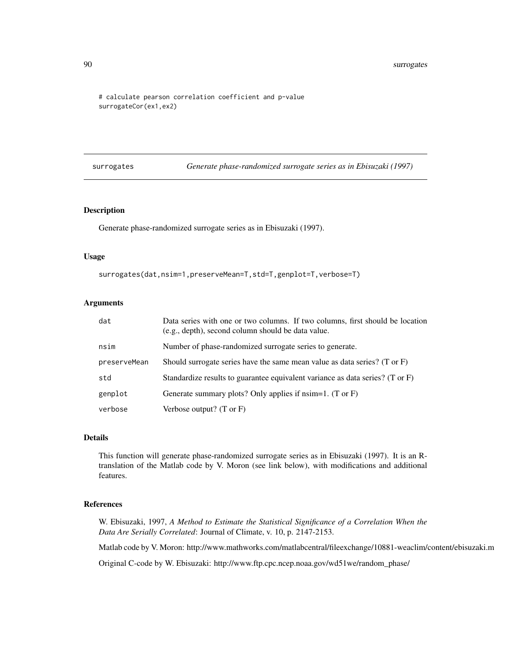```
# calculate pearson correlation coefficient and p-value
surrogateCor(ex1,ex2)
```
<span id="page-89-0"></span>surrogates *Generate phase-randomized surrogate series as in Ebisuzaki (1997)*

## Description

Generate phase-randomized surrogate series as in Ebisuzaki (1997).

## Usage

```
surrogates(dat,nsim=1,preserveMean=T,std=T,genplot=T,verbose=T)
```
# Arguments

| dat          | Data series with one or two columns. If two columns, first should be location<br>(e.g., depth), second column should be data value. |
|--------------|-------------------------------------------------------------------------------------------------------------------------------------|
| nsim         | Number of phase-randomized surrogate series to generate.                                                                            |
| preserveMean | Should surrogate series have the same mean value as data series? $(T \text{ or } F)$                                                |
| std          | Standardize results to guarantee equivalent variance as data series? (T or F)                                                       |
| genplot      | Generate summary plots? Only applies if $nsim=1$ . (T or F)                                                                         |
| verbose      | Verbose output? $(T \text{ or } F)$                                                                                                 |

## Details

This function will generate phase-randomized surrogate series as in Ebisuzaki (1997). It is an Rtranslation of the Matlab code by V. Moron (see link below), with modifications and additional features.

#### References

W. Ebisuzaki, 1997, *A Method to Estimate the Statistical Significance of a Correlation When the Data Are Serially Correlated*: Journal of Climate, v. 10, p. 2147-2153.

Matlab code by V. Moron: http://www.mathworks.com/matlabcentral/fileexchange/10881-weaclim/content/ebisuzaki.m

Original C-code by W. Ebisuzaki: http://www.ftp.cpc.ncep.noaa.gov/wd51we/random\_phase/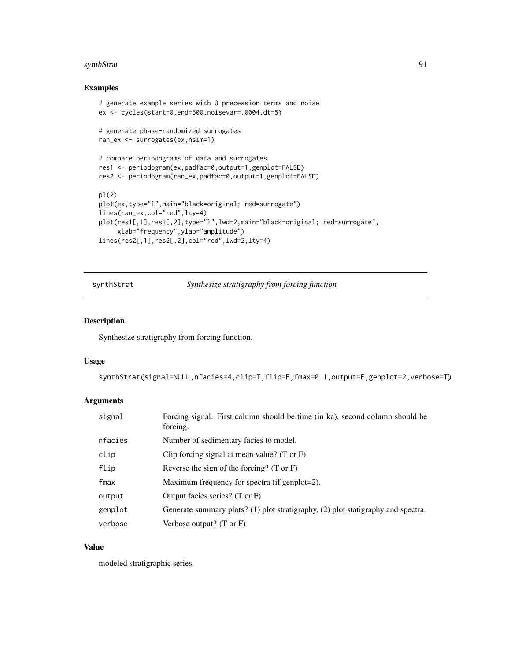#### synthStrat 91

# Examples

```
# generate example series with 3 precession terms and noise
ex <- cycles(start=0,end=500,noisevar=.0004,dt=5)
# generate phase-randomized surrogates
ran_ex <- surrogates(ex,nsim=1)
# compare periodograms of data and surrogates
res1 <- periodogram(ex,padfac=0,output=1,genplot=FALSE)
res2 <- periodogram(ran_ex,padfac=0,output=1,genplot=FALSE)
pl(2)
plot(ex,type="l",main="black=original; red=surrogate")
lines(ran_ex,col="red",lty=4)
plot(res1[,1],res1[,2],type="l",lwd=2,main="black=original; red=surrogate",
     xlab="frequency",ylab="amplitude")
lines(res2[,1],res2[,2],col="red",lwd=2,lty=4)
```
synthStrat *Synthesize stratigraphy from forcing function*

## Description

Synthesize stratigraphy from forcing function.

#### Usage

```
synthStrat(signal=NULL,nfacies=4,clip=T,flip=F,fmax=0.1,output=F,genplot=2,verbose=T)
```
#### **Arguments**

| signal  | Forcing signal. First column should be time (in ka), second column should be<br>forcing. |
|---------|------------------------------------------------------------------------------------------|
| nfacies | Number of sedimentary facies to model.                                                   |
| clip    | Clip forcing signal at mean value? (T or $F$ )                                           |
| flip    | Reverse the sign of the forcing? $(T \text{ or } F)$                                     |
| fmax    | Maximum frequency for spectra (if genplot=2).                                            |
| output  | Output facies series? $(T \text{ or } F)$                                                |
| genplot | Generate summary plots? (1) plot stratigraphy, (2) plot statigraphy and spectra.         |
| verbose | Verbose output? $(T \text{ or } F)$                                                      |

## Value

modeled stratigraphic series.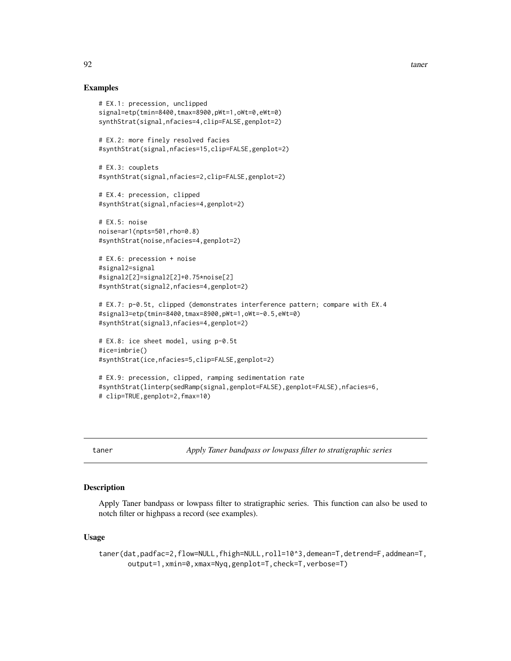## Examples

```
# EX.1: precession, unclipped
signal=etp(tmin=8400,tmax=8900,pWt=1,oWt=0,eWt=0)
synthStrat(signal,nfacies=4,clip=FALSE,genplot=2)
# EX.2: more finely resolved facies
#synthStrat(signal,nfacies=15,clip=FALSE,genplot=2)
# EX.3: couplets
#synthStrat(signal,nfacies=2,clip=FALSE,genplot=2)
# EX.4: precession, clipped
#synthStrat(signal,nfacies=4,genplot=2)
# EX.5: noise
noise=ar1(npts=501,rho=0.8)
#synthStrat(noise,nfacies=4,genplot=2)
# EX.6: precession + noise
#signal2=signal
#signal2[2]=signal2[2]+0.75*noise[2]
#synthStrat(signal2,nfacies=4,genplot=2)
# EX.7: p-0.5t, clipped (demonstrates interference pattern; compare with EX.4
#signal3=etp(tmin=8400,tmax=8900,pWt=1,oWt=-0.5,eWt=0)
#synthStrat(signal3,nfacies=4,genplot=2)
# EX.8: ice sheet model, using p-0.5t
#ice=imbrie()
#synthStrat(ice,nfacies=5,clip=FALSE,genplot=2)
# EX.9: precession, clipped, ramping sedimentation rate
#synthStrat(linterp(sedRamp(signal,genplot=FALSE),genplot=FALSE),nfacies=6,
# clip=TRUE,genplot=2,fmax=10)
```
taner *Apply Taner bandpass or lowpass filter to stratigraphic series*

## **Description**

Apply Taner bandpass or lowpass filter to stratigraphic series. This function can also be used to notch filter or highpass a record (see examples).

#### Usage

taner(dat,padfac=2,flow=NULL,fhigh=NULL,roll=10^3,demean=T,detrend=F,addmean=T, output=1,xmin=0,xmax=Nyq,genplot=T,check=T,verbose=T)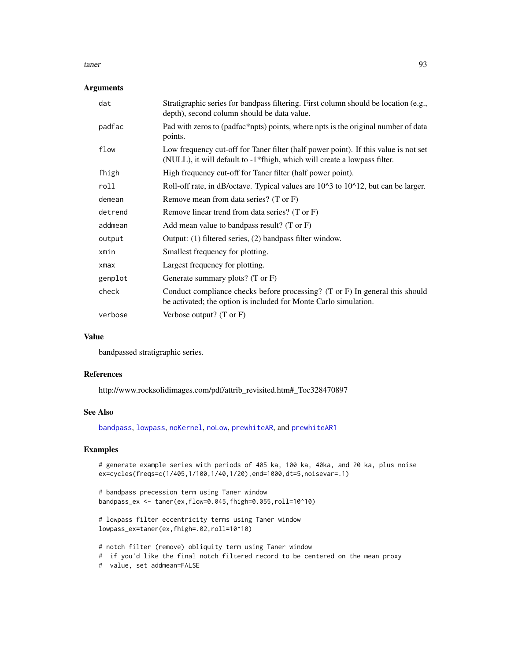#### taner 93

## Arguments

| dat        | Stratigraphic series for bandpass filtering. First column should be location (e.g.,<br>depth), second column should be data value.                              |
|------------|-----------------------------------------------------------------------------------------------------------------------------------------------------------------|
| padfac     | Pad with zeros to (padfac*npts) points, where npts is the original number of data<br>points.                                                                    |
| flow       | Low frequency cut-off for Taner filter (half power point). If this value is not set<br>(NULL), it will default to -1*fhigh, which will create a lowpass filter. |
| fhigh      | High frequency cut-off for Taner filter (half power point).                                                                                                     |
| roll       | Roll-off rate, in dB/octave. Typical values are 10^3 to 10^12, but can be larger.                                                                               |
| demean     | Remove mean from data series? (T or F)                                                                                                                          |
| detrend    | Remove linear trend from data series? (T or F)                                                                                                                  |
| addmean    | Add mean value to bandpass result? (T or $F$ )                                                                                                                  |
| output     | Output: (1) filtered series, (2) bandpass filter window.                                                                                                        |
| xmin       | Smallest frequency for plotting.                                                                                                                                |
| $x$ ma $x$ | Largest frequency for plotting.                                                                                                                                 |
| genplot    | Generate summary plots? $(T \text{ or } F)$                                                                                                                     |
| check      | Conduct compliance checks before processing? (T or F) In general this should<br>be activated; the option is included for Monte Carlo simulation.                |
| verbose    | Verbose output? $(T \text{ or } F)$                                                                                                                             |

#### Value

bandpassed stratigraphic series.

#### References

http://www.rocksolidimages.com/pdf/attrib\_revisited.htm#\_Toc328470897

## See Also

[bandpass](#page-12-0), [lowpass](#page-47-0), [noKernel](#page-65-0), [noLow](#page-66-0), [prewhiteAR](#page-72-0), and [prewhiteAR1](#page-73-0)

## Examples

# generate example series with periods of 405 ka, 100 ka, 40ka, and 20 ka, plus noise ex=cycles(freqs=c(1/405,1/100,1/40,1/20),end=1000,dt=5,noisevar=.1)

```
# bandpass precession term using Taner window
bandpass_ex <- taner(ex,flow=0.045,fhigh=0.055,roll=10^10)
```

```
# lowpass filter eccentricity terms using Taner window
lowpass_ex=taner(ex,fhigh=.02,roll=10^10)
```
# notch filter (remove) obliquity term using Taner window # if you'd like the final notch filtered record to be centered on the mean proxy # value, set addmean=FALSE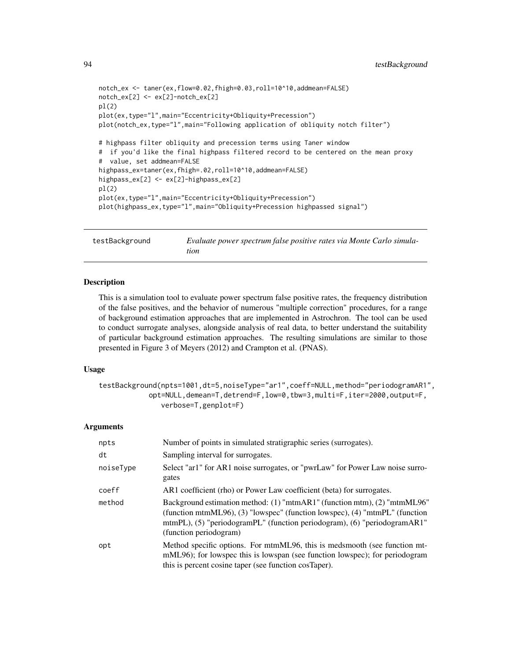```
notch_ex <- taner(ex,flow=0.02,fhigh=0.03,roll=10^10,addmean=FALSE)
notch_ex[2] <- ex[2]-notch_ex[2]
pl(2)
plot(ex,type="l",main="Eccentricity+Obliquity+Precession")
plot(notch_ex,type="l",main="Following application of obliquity notch filter")
# highpass filter obliquity and precession terms using Taner window
# if you'd like the final highpass filtered record to be centered on the mean proxy
# value, set addmean=FALSE
highpass_ex=taner(ex,fhigh=.02,roll=10^10,addmean=FALSE)
highpass_ex[2] <- ex[2]-highpass_ex[2]
pl(2)
plot(ex,type="l",main="Eccentricity+Obliquity+Precession")
plot(highpass_ex,type="l",main="Obliquity+Precession highpassed signal")
```

```
testBackground Evaluate power spectrum false positive rates via Monte Carlo simula-
                        tion
```
This is a simulation tool to evaluate power spectrum false positive rates, the frequency distribution of the false positives, and the behavior of numerous "multiple correction" procedures, for a range of background estimation approaches that are implemented in Astrochron. The tool can be used to conduct surrogate analyses, alongside analysis of real data, to better understand the suitability of particular background estimation approaches. The resulting simulations are similar to those presented in Figure 3 of Meyers (2012) and Crampton et al. (PNAS).

#### Usage

```
testBackground(npts=1001,dt=5,noiseType="ar1",coeff=NULL,method="periodogramAR1",
           opt=NULL,demean=T,detrend=F,low=0,tbw=3,multi=F,iter=2000,output=F,
              verbose=T,genplot=F)
```

| npts      | Number of points in simulated stratigraphic series (surrogates).                                                                                                                                                                                              |
|-----------|---------------------------------------------------------------------------------------------------------------------------------------------------------------------------------------------------------------------------------------------------------------|
| dt        | Sampling interval for surrogates.                                                                                                                                                                                                                             |
| noiseType | Select "ar1" for AR1 noise surrogates, or "pwrLaw" for Power Law noise surro-<br>gates                                                                                                                                                                        |
| coeff     | AR1 coefficient (rho) or Power Law coefficient (beta) for surrogates.                                                                                                                                                                                         |
| method    | Background estimation method: (1) "mtmAR1" (function mtm), (2) "mtmML96"<br>(function mtmML96), (3) "lowspec" (function lowspec), (4) "mtmPL" (function<br>mtmPL), (5) "periodogramPL" (function periodogram), (6) "periodogramAR1"<br>(function periodogram) |
| opt       | Method specific options. For mtmML96, this is medsmooth (see function mt-<br>mML96); for lowspec this is lowspan (see function lowspec); for periodogram<br>this is percent cosine taper (see function cosTaper).                                             |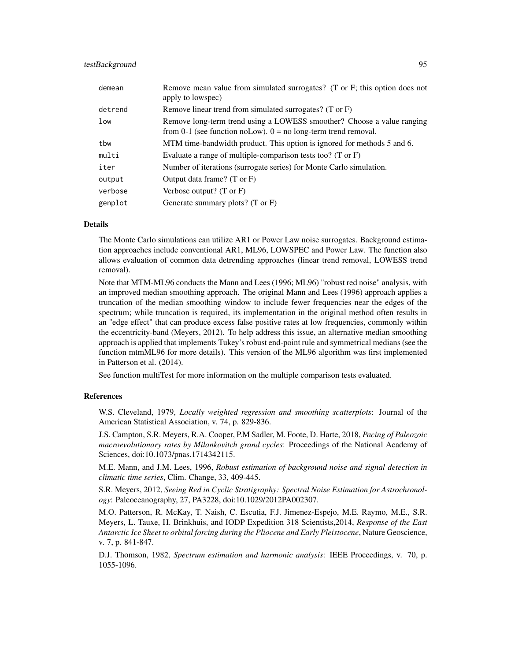## testBackground 95

| demean  | Remove mean value from simulated surrogates? (T or F; this option does not<br>apply to lowspec)                                            |
|---------|--------------------------------------------------------------------------------------------------------------------------------------------|
| detrend | Remove linear trend from simulated surrogates? (T or F)                                                                                    |
| low     | Remove long-term trend using a LOWESS smoother? Choose a value ranging<br>from 0-1 (see function noLow). $0 =$ no long-term trend removal. |
| tbw     | MTM time-bandwidth product. This option is ignored for methods 5 and 6.                                                                    |
| multi   | Evaluate a range of multiple-comparison tests too? (T or $F$ )                                                                             |
| iter    | Number of iterations (surrogate series) for Monte Carlo simulation.                                                                        |
| output  | Output data frame? $(T \text{ or } F)$                                                                                                     |
| verbose | Verbose output? $(T \text{ or } F)$                                                                                                        |
| genplot | Generate summary plots? $(T \text{ or } F)$                                                                                                |

## Details

The Monte Carlo simulations can utilize AR1 or Power Law noise surrogates. Background estimation approaches include conventional AR1, ML96, LOWSPEC and Power Law. The function also allows evaluation of common data detrending approaches (linear trend removal, LOWESS trend removal).

Note that MTM-ML96 conducts the Mann and Lees (1996; ML96) "robust red noise" analysis, with an improved median smoothing approach. The original Mann and Lees (1996) approach applies a truncation of the median smoothing window to include fewer frequencies near the edges of the spectrum; while truncation is required, its implementation in the original method often results in an "edge effect" that can produce excess false positive rates at low frequencies, commonly within the eccentricity-band (Meyers, 2012). To help address this issue, an alternative median smoothing approach is applied that implements Tukey's robust end-point rule and symmetrical medians (see the function mtmML96 for more details). This version of the ML96 algorithm was first implemented in Patterson et al. (2014).

See function multiTest for more information on the multiple comparison tests evaluated.

## References

W.S. Cleveland, 1979, *Locally weighted regression and smoothing scatterplots*: Journal of the American Statistical Association, v. 74, p. 829-836.

J.S. Campton, S.R. Meyers, R.A. Cooper, P.M Sadler, M. Foote, D. Harte, 2018, *Pacing of Paleozoic macroevolutionary rates by Milankovitch grand cycles*: Proceedings of the National Academy of Sciences, doi:10.1073/pnas.1714342115.

M.E. Mann, and J.M. Lees, 1996, *Robust estimation of background noise and signal detection in climatic time series*, Clim. Change, 33, 409-445.

S.R. Meyers, 2012, *Seeing Red in Cyclic Stratigraphy: Spectral Noise Estimation for Astrochronology*: Paleoceanography, 27, PA3228, doi:10.1029/2012PA002307.

M.O. Patterson, R. McKay, T. Naish, C. Escutia, F.J. Jimenez-Espejo, M.E. Raymo, M.E., S.R. Meyers, L. Tauxe, H. Brinkhuis, and IODP Expedition 318 Scientists,2014, *Response of the East Antarctic Ice Sheet to orbital forcing during the Pliocene and Early Pleistocene*, Nature Geoscience, v. 7, p. 841-847.

D.J. Thomson, 1982, *Spectrum estimation and harmonic analysis*: IEEE Proceedings, v. 70, p. 1055-1096.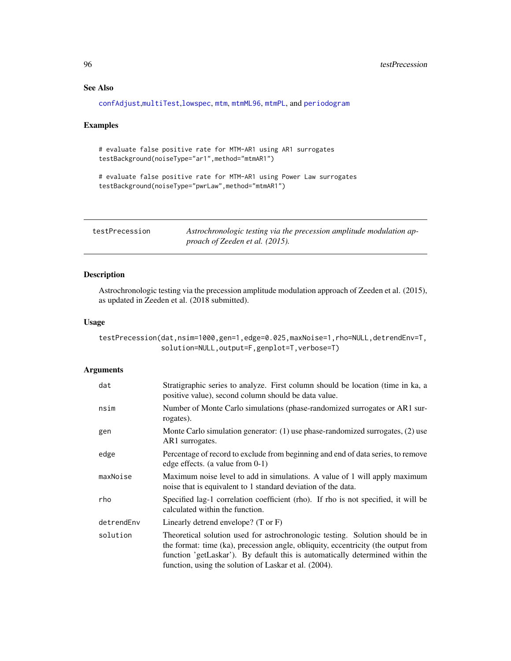# See Also

[confAdjust](#page-16-0),[multiTest](#page-59-0),[lowspec](#page-48-0), [mtm](#page-52-0), [mtmML96](#page-55-0), [mtmPL](#page-58-0), and [periodogram](#page-67-0)

#### Examples

# evaluate false positive rate for MTM-AR1 using AR1 surrogates testBackground(noiseType="ar1",method="mtmAR1")

# evaluate false positive rate for MTM-AR1 using Power Law surrogates testBackground(noiseType="pwrLaw",method="mtmAR1")

<span id="page-95-0"></span>testPrecession *Astrochronologic testing via the precession amplitude modulation approach of Zeeden et al. (2015).*

## Description

Astrochronologic testing via the precession amplitude modulation approach of Zeeden et al. (2015), as updated in Zeeden et al. (2018 submitted).

# Usage

testPrecession(dat,nsim=1000,gen=1,edge=0.025,maxNoise=1,rho=NULL,detrendEnv=T, solution=NULL,output=F,genplot=T,verbose=T)

| dat        | Stratigraphic series to analyze. First column should be location (time in ka, a<br>positive value), second column should be data value.                                                                                                                                                                      |
|------------|--------------------------------------------------------------------------------------------------------------------------------------------------------------------------------------------------------------------------------------------------------------------------------------------------------------|
| nsim       | Number of Monte Carlo simulations (phase-randomized surrogates or AR1 sur-<br>rogates).                                                                                                                                                                                                                      |
| gen        | Monte Carlo simulation generator: (1) use phase-randomized surrogates, (2) use<br>AR1 surrogates.                                                                                                                                                                                                            |
| edge       | Percentage of record to exclude from beginning and end of data series, to remove<br>edge effects. (a value from $0-1$ )                                                                                                                                                                                      |
| maxNoise   | Maximum noise level to add in simulations. A value of 1 will apply maximum<br>noise that is equivalent to 1 standard deviation of the data.                                                                                                                                                                  |
| rho        | Specified lag-1 correlation coefficient (rho). If rho is not specified, it will be<br>calculated within the function.                                                                                                                                                                                        |
| detrendEnv | Linearly detrend envelope? $(T \text{ or } F)$                                                                                                                                                                                                                                                               |
| solution   | Theoretical solution used for astrochronologic testing. Solution should be in<br>the format: time (ka), precession angle, obliquity, eccentricity (the output from<br>function 'getLaskar'). By default this is automatically determined within the<br>function, using the solution of Laskar et al. (2004). |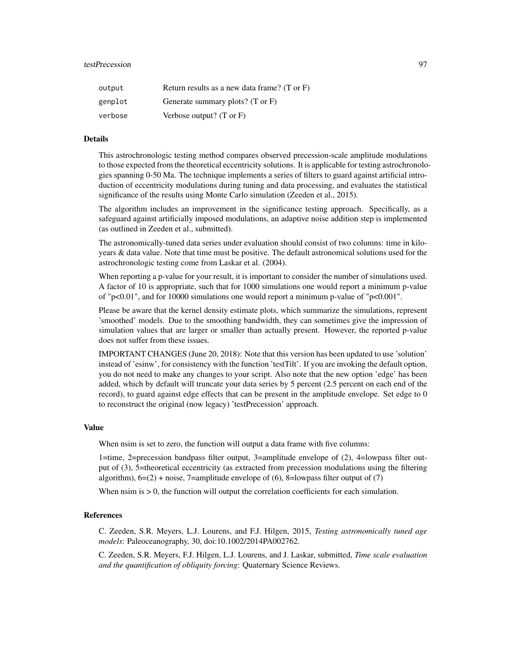## testPrecession 97

| output  | Return results as a new data frame? (T or F) |
|---------|----------------------------------------------|
| genplot | Generate summary plots? (T or F)             |
| verbose | Verbose output? $(T \text{ or } F)$          |

#### Details

This astrochronologic testing method compares observed precession-scale amplitude modulations to those expected from the theoretical eccentricity solutions. It is applicable for testing astrochronologies spanning 0-50 Ma. The technique implements a series of filters to guard against artificial introduction of eccentricity modulations during tuning and data processing, and evaluates the statistical significance of the results using Monte Carlo simulation (Zeeden et al., 2015).

The algorithm includes an improvement in the significance testing approach. Specifically, as a safeguard against artificially imposed modulations, an adaptive noise addition step is implemented (as outlined in Zeeden et al., submitted).

The astronomically-tuned data series under evaluation should consist of two columns: time in kiloyears & data value. Note that time must be positive. The default astronomical solutions used for the astrochronologic testing come from Laskar et al. (2004).

When reporting a p-value for your result, it is important to consider the number of simulations used. A factor of 10 is appropriate, such that for 1000 simulations one would report a minimum p-value of "p<0.01", and for 10000 simulations one would report a minimum p-value of "p<0.001".

Please be aware that the kernel density estimate plots, which summarize the simulations, represent 'smoothed' models. Due to the smoothing bandwidth, they can sometimes give the impression of simulation values that are larger or smaller than actually present. However, the reported p-value does not suffer from these issues.

IMPORTANT CHANGES (June 20, 2018): Note that this version has been updated to use 'solution' instead of 'esinw', for consistency with the function 'testTilt'. If you are invoking the default option, you do not need to make any changes to your script. Also note that the new option 'edge' has been added, which by default will truncate your data series by 5 percent (2.5 percent on each end of the record), to guard against edge effects that can be present in the amplitude envelope. Set edge to 0 to reconstruct the original (now legacy) 'testPrecession' approach.

## Value

When nsim is set to zero, the function will output a data frame with five columns:

1=time, 2=precession bandpass filter output, 3=amplitude envelope of (2), 4=lowpass filter output of (3), 5=theoretical eccentricity (as extracted from precession modulations using the filtering algorithm),  $6=(2) + noise$ , 7=amplitude envelope of (6), 8=lowpass filter output of (7)

When  $nsim is  $0$ , the function will output the correlation coefficients for each simulation.$ 

#### References

C. Zeeden, S.R. Meyers, L.J. Lourens, and F.J. Hilgen, 2015, *Testing astronomically tuned age models*: Paleoceanography, 30, doi:10.1002/2014PA002762.

C. Zeeden, S.R. Meyers, F.J. Hilgen, L.J. Lourens, and J. Laskar, submitted, *Time scale evaluation and the quantification of obliquity forcing*: Quaternary Science Reviews.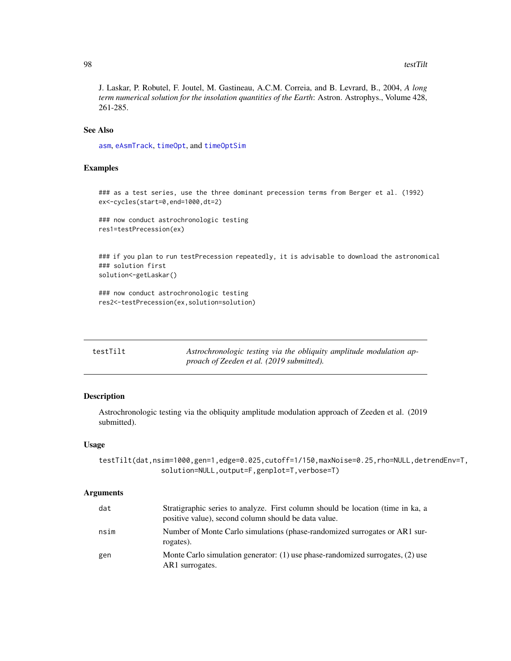J. Laskar, P. Robutel, F. Joutel, M. Gastineau, A.C.M. Correia, and B. Levrard, B., 2004, *A long term numerical solution for the insolation quantities of the Earth*: Astron. Astrophys., Volume 428, 261-285.

## See Also

[asm](#page-9-0), [eAsmTrack](#page-25-0), [timeOpt](#page-99-0), and [timeOptSim](#page-107-0)

## Examples

```
### as a test series, use the three dominant precession terms from Berger et al. (1992)
ex<-cycles(start=0,end=1000,dt=2)
```
### now conduct astrochronologic testing res1=testPrecession(ex)

### if you plan to run testPrecession repeatedly, it is advisable to download the astronomical ### solution first solution<-getLaskar()

### now conduct astrochronologic testing res2<-testPrecession(ex,solution=solution)

| testTilt | Astrochronologic testing via the obliquity amplitude modulation ap- |
|----------|---------------------------------------------------------------------|
|          | proach of Zeeden et al. (2019 submitted).                           |

#### Description

Astrochronologic testing via the obliquity amplitude modulation approach of Zeeden et al. (2019 submitted).

#### Usage

testTilt(dat,nsim=1000,gen=1,edge=0.025,cutoff=1/150,maxNoise=0.25,rho=NULL,detrendEnv=T, solution=NULL,output=F,genplot=T,verbose=T)

| dat  | Stratigraphic series to analyze. First column should be location (time in ka, a<br>positive value), second column should be data value. |
|------|-----------------------------------------------------------------------------------------------------------------------------------------|
| nsim | Number of Monte Carlo simulations (phase-randomized surrogates or AR1 sur-<br>rogates).                                                 |
| gen  | Monte Carlo simulation generator: $(1)$ use phase-randomized surrogates, $(2)$ use<br>AR1 surrogates.                                   |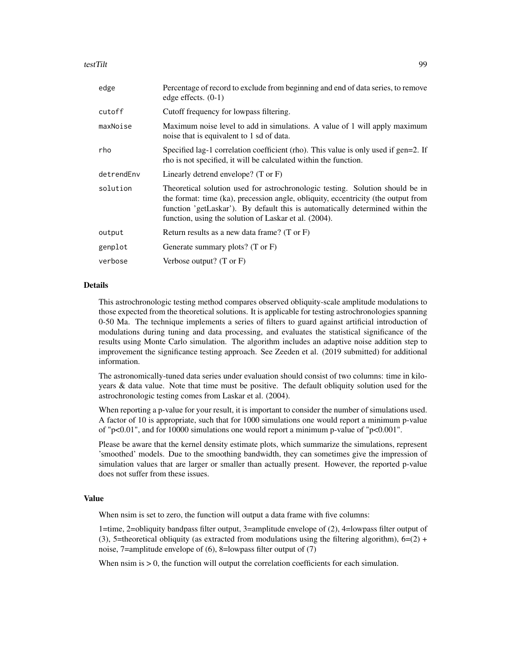#### testTilt 999

| edge       | Percentage of record to exclude from beginning and end of data series, to remove<br>edge effects. $(0-1)$                                                                                                                                                                                                    |
|------------|--------------------------------------------------------------------------------------------------------------------------------------------------------------------------------------------------------------------------------------------------------------------------------------------------------------|
| cutoff     | Cutoff frequency for lowpass filtering.                                                                                                                                                                                                                                                                      |
| maxNoise   | Maximum noise level to add in simulations. A value of 1 will apply maximum<br>noise that is equivalent to 1 sd of data.                                                                                                                                                                                      |
| rho        | Specified lag-1 correlation coefficient (rho). This value is only used if gen=2. If<br>rho is not specified, it will be calculated within the function.                                                                                                                                                      |
| detrendEnv | Linearly detrend envelope? $(T \text{ or } F)$                                                                                                                                                                                                                                                               |
| solution   | Theoretical solution used for astrochronologic testing. Solution should be in<br>the format: time (ka), precession angle, obliquity, eccentricity (the output from<br>function 'getLaskar'). By default this is automatically determined within the<br>function, using the solution of Laskar et al. (2004). |
| output     | Return results as a new data frame? $(T \text{ or } F)$                                                                                                                                                                                                                                                      |
| genplot    | Generate summary plots? (T or F)                                                                                                                                                                                                                                                                             |
| verbose    | Verbose output? $(T \text{ or } F)$                                                                                                                                                                                                                                                                          |
|            |                                                                                                                                                                                                                                                                                                              |

# Details

This astrochronologic testing method compares observed obliquity-scale amplitude modulations to those expected from the theoretical solutions. It is applicable for testing astrochronologies spanning 0-50 Ma. The technique implements a series of filters to guard against artificial introduction of modulations during tuning and data processing, and evaluates the statistical significance of the results using Monte Carlo simulation. The algorithm includes an adaptive noise addition step to improvement the significance testing approach. See Zeeden et al. (2019 submitted) for additional information.

The astronomically-tuned data series under evaluation should consist of two columns: time in kiloyears & data value. Note that time must be positive. The default obliquity solution used for the astrochronologic testing comes from Laskar et al. (2004).

When reporting a p-value for your result, it is important to consider the number of simulations used. A factor of 10 is appropriate, such that for 1000 simulations one would report a minimum p-value of "p<0.01", and for 10000 simulations one would report a minimum p-value of "p<0.001".

Please be aware that the kernel density estimate plots, which summarize the simulations, represent 'smoothed' models. Due to the smoothing bandwidth, they can sometimes give the impression of simulation values that are larger or smaller than actually present. However, the reported p-value does not suffer from these issues.

#### Value

When nsim is set to zero, the function will output a data frame with five columns:

1=time, 2=obliquity bandpass filter output, 3=amplitude envelope of (2), 4=lowpass filter output of (3), 5=theoretical obliquity (as extracted from modulations using the filtering algorithm),  $6=(2) +$ noise, 7=amplitude envelope of (6), 8=lowpass filter output of (7)

When  $nsim is  $0$ , the function will output the correlation coefficients for each simulation.$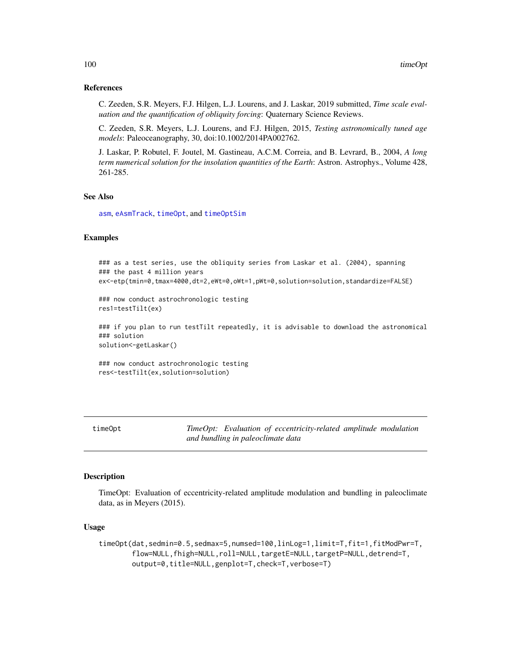#### References

C. Zeeden, S.R. Meyers, F.J. Hilgen, L.J. Lourens, and J. Laskar, 2019 submitted, *Time scale evaluation and the quantification of obliquity forcing*: Quaternary Science Reviews.

C. Zeeden, S.R. Meyers, L.J. Lourens, and F.J. Hilgen, 2015, *Testing astronomically tuned age models*: Paleoceanography, 30, doi:10.1002/2014PA002762.

J. Laskar, P. Robutel, F. Joutel, M. Gastineau, A.C.M. Correia, and B. Levrard, B., 2004, *A long term numerical solution for the insolation quantities of the Earth*: Astron. Astrophys., Volume 428, 261-285.

# See Also

[asm](#page-9-0), [eAsmTrack](#page-25-0), [timeOpt](#page-99-0), and [timeOptSim](#page-107-0)

## Examples

```
### as a test series, use the obliquity series from Laskar et al. (2004), spanning
### the past 4 million years
ex<-etp(tmin=0,tmax=4000,dt=2,eWt=0,oWt=1,pWt=0,solution=solution,standardize=FALSE)
```

```
### now conduct astrochronologic testing
res1=testTilt(ex)
```
### if you plan to run testTilt repeatedly, it is advisable to download the astronomical ### solution solution<-getLaskar()

### now conduct astrochronologic testing res<-testTilt(ex,solution=solution)

<span id="page-99-0"></span>timeOpt *TimeOpt: Evaluation of eccentricity-related amplitude modulation and bundling in paleoclimate data*

#### Description

TimeOpt: Evaluation of eccentricity-related amplitude modulation and bundling in paleoclimate data, as in Meyers (2015).

#### Usage

```
timeOpt(dat,sedmin=0.5,sedmax=5,numsed=100,linLog=1,limit=T,fit=1,fitModPwr=T,
       flow=NULL,fhigh=NULL,roll=NULL,targetE=NULL,targetP=NULL,detrend=T,
       output=0,title=NULL,genplot=T,check=T,verbose=T)
```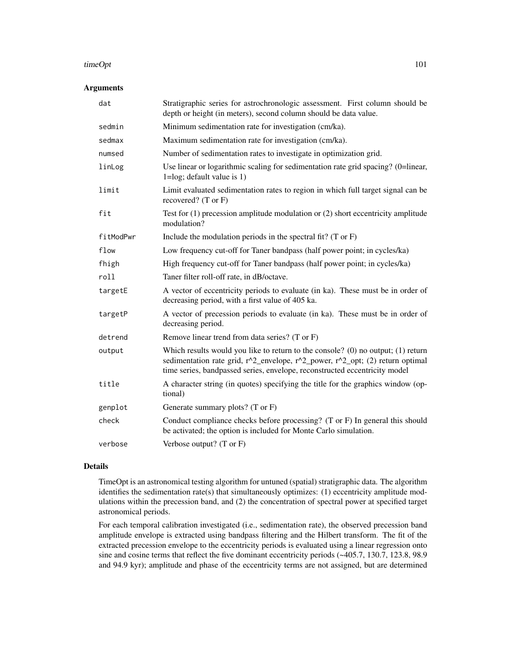#### timeOpt 101

## Arguments

| dat       | Stratigraphic series for astrochronologic assessment. First column should be<br>depth or height (in meters), second column should be data value.                                                                                                  |
|-----------|---------------------------------------------------------------------------------------------------------------------------------------------------------------------------------------------------------------------------------------------------|
| sedmin    | Minimum sedimentation rate for investigation (cm/ka).                                                                                                                                                                                             |
| sedmax    | Maximum sedimentation rate for investigation (cm/ka).                                                                                                                                                                                             |
| numsed    | Number of sedimentation rates to investigate in optimization grid.                                                                                                                                                                                |
| linLog    | Use linear or logarithmic scaling for sedimentation rate grid spacing? (0=linear,<br>$1 = log$ ; default value is 1)                                                                                                                              |
| limit     | Limit evaluated sedimentation rates to region in which full target signal can be<br>recovered? $(T \text{ or } F)$                                                                                                                                |
| fit       | Test for $(1)$ precession amplitude modulation or $(2)$ short eccentricity amplitude<br>modulation?                                                                                                                                               |
| fitModPwr | Include the modulation periods in the spectral fit? $(T \text{ or } F)$                                                                                                                                                                           |
| flow      | Low frequency cut-off for Taner bandpass (half power point; in cycles/ka)                                                                                                                                                                         |
| fhigh     | High frequency cut-off for Taner bandpass (half power point; in cycles/ka)                                                                                                                                                                        |
| roll      | Taner filter roll-off rate, in dB/octave.                                                                                                                                                                                                         |
| targetE   | A vector of eccentricity periods to evaluate (in ka). These must be in order of<br>decreasing period, with a first value of 405 ka.                                                                                                               |
| targetP   | A vector of precession periods to evaluate (in ka). These must be in order of<br>decreasing period.                                                                                                                                               |
| detrend   | Remove linear trend from data series? (T or F)                                                                                                                                                                                                    |
| output    | Which results would you like to return to the console? (0) no output; $(1)$ return<br>sedimentation rate grid, r^2_envelope, r^2_power, r^2_opt; (2) return optimal<br>time series, bandpassed series, envelope, reconstructed eccentricity model |
| title     | A character string (in quotes) specifying the title for the graphics window (op-<br>tional)                                                                                                                                                       |
| genplot   | Generate summary plots? (T or F)                                                                                                                                                                                                                  |
| check     | Conduct compliance checks before processing? (T or F) In general this should<br>be activated; the option is included for Monte Carlo simulation.                                                                                                  |
| verbose   | Verbose output? (T or F)                                                                                                                                                                                                                          |

## Details

TimeOpt is an astronomical testing algorithm for untuned (spatial) stratigraphic data. The algorithm identifies the sedimentation rate(s) that simultaneously optimizes:  $(1)$  eccentricity amplitude modulations within the precession band, and (2) the concentration of spectral power at specified target astronomical periods.

For each temporal calibration investigated (i.e., sedimentation rate), the observed precession band amplitude envelope is extracted using bandpass filtering and the Hilbert transform. The fit of the extracted precession envelope to the eccentricity periods is evaluated using a linear regression onto sine and cosine terms that reflect the five dominant eccentricity periods (~405.7, 130.7, 123.8, 98.9 and 94.9 kyr); amplitude and phase of the eccentricity terms are not assigned, but are determined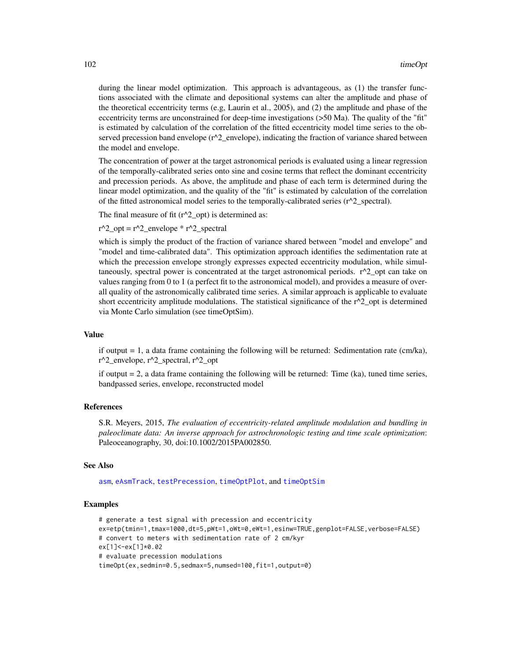during the linear model optimization. This approach is advantageous, as (1) the transfer functions associated with the climate and depositional systems can alter the amplitude and phase of the theoretical eccentricity terms (e.g, Laurin et al., 2005), and (2) the amplitude and phase of the eccentricity terms are unconstrained for deep-time investigations (>50 Ma). The quality of the "fit" is estimated by calculation of the correlation of the fitted eccentricity model time series to the observed precession band envelope  $(r^2$  envelope), indicating the fraction of variance shared between the model and envelope.

The concentration of power at the target astronomical periods is evaluated using a linear regression of the temporally-calibrated series onto sine and cosine terms that reflect the dominant eccentricity and precession periods. As above, the amplitude and phase of each term is determined during the linear model optimization, and the quality of the "fit" is estimated by calculation of the correlation of the fitted astronomical model series to the temporally-calibrated series (r^2\_spectral).

The final measure of fit  $(r^2\text{\_opt})$  is determined as:

 $r^2$ \_opt =  $r^2$ \_envelope \*  $r^2$ \_spectral

which is simply the product of the fraction of variance shared between "model and envelope" and "model and time-calibrated data". This optimization approach identifies the sedimentation rate at which the precession envelope strongly expresses expected eccentricity modulation, while simultaneously, spectral power is concentrated at the target astronomical periods.  $r^2$  opt can take on values ranging from 0 to 1 (a perfect fit to the astronomical model), and provides a measure of overall quality of the astronomically calibrated time series. A similar approach is applicable to evaluate short eccentricity amplitude modulations. The statistical significance of the  $r^2$  opt is determined via Monte Carlo simulation (see timeOptSim).

## Value

if output  $= 1$ , a data frame containing the following will be returned: Sedimentation rate (cm/ka),  $r^2$  envelope,  $r^2$  spectral,  $r^2$  opt

if output  $= 2$ , a data frame containing the following will be returned: Time (ka), tuned time series, bandpassed series, envelope, reconstructed model

# References

S.R. Meyers, 2015, *The evaluation of eccentricity-related amplitude modulation and bundling in paleoclimate data: An inverse approach for astrochronologic testing and time scale optimization*: Paleoceanography, 30, doi:10.1002/2015PA002850.

#### See Also

[asm](#page-9-0), [eAsmTrack](#page-25-0), [testPrecession](#page-95-0), [timeOptPlot](#page-105-0), and [timeOptSim](#page-107-0)

#### Examples

```
# generate a test signal with precession and eccentricity
ex=etp(tmin=1,tmax=1000,dt=5,pWt=1,oWt=0,eWt=1,esinw=TRUE,genplot=FALSE,verbose=FALSE)
# convert to meters with sedimentation rate of 2 cm/kyr
ex[1]<-ex[1]*0.02
# evaluate precession modulations
timeOpt(ex,sedmin=0.5,sedmax=5,numsed=100,fit=1,output=0)
```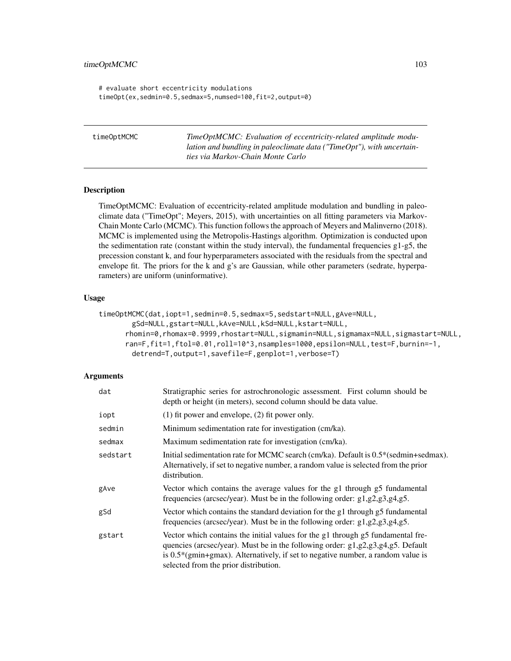# timeOptMCMC 103

```
# evaluate short eccentricity modulations
timeOpt(ex,sedmin=0.5,sedmax=5,numsed=100,fit=2,output=0)
```
timeOptMCMC *TimeOptMCMC: Evaluation of eccentricity-related amplitude modulation and bundling in paleoclimate data ("TimeOpt"), with uncertainties via Markov-Chain Monte Carlo*

#### Description

TimeOptMCMC: Evaluation of eccentricity-related amplitude modulation and bundling in paleoclimate data ("TimeOpt"; Meyers, 2015), with uncertainties on all fitting parameters via Markov-Chain Monte Carlo (MCMC). This function follows the approach of Meyers and Malinverno (2018). MCMC is implemented using the Metropolis-Hastings algorithm. Optimization is conducted upon the sedimentation rate (constant within the study interval), the fundamental frequencies  $g1-g5$ , the precession constant k, and four hyperparameters associated with the residuals from the spectral and envelope fit. The priors for the k and g's are Gaussian, while other parameters (sedrate, hyperparameters) are uniform (uninformative).

## Usage

```
timeOptMCMC(dat,iopt=1,sedmin=0.5,sedmax=5,sedstart=NULL,gAve=NULL,
       gSd=NULL,gstart=NULL,kAve=NULL,kSd=NULL,kstart=NULL,
      rhomin=0,rhomax=0.9999,rhostart=NULL,sigmamin=NULL,sigmamax=NULL,sigmastart=NULL,
      ran=F,fit=1,ftol=0.01,roll=10^3,nsamples=1000,epsilon=NULL,test=F,burnin=-1,
       detrend=T,output=1,savefile=F,genplot=1,verbose=T)
```

| dat      | Stratigraphic series for astrochronologic assessment. First column should be<br>depth or height (in meters), second column should be data value.                                                                                                                                                          |
|----------|-----------------------------------------------------------------------------------------------------------------------------------------------------------------------------------------------------------------------------------------------------------------------------------------------------------|
| iopt     | $(1)$ fit power and envelope, $(2)$ fit power only.                                                                                                                                                                                                                                                       |
| sedmin   | Minimum sedimentation rate for investigation (cm/ka).                                                                                                                                                                                                                                                     |
| sedmax   | Maximum sedimentation rate for investigation (cm/ka).                                                                                                                                                                                                                                                     |
| sedstart | Initial sedimentation rate for MCMC search (cm/ka). Default is 0.5*(sedmin+sedmax).<br>Alternatively, if set to negative number, a random value is selected from the prior<br>distribution.                                                                                                               |
| gAve     | Vector which contains the average values for the g1 through g5 fundamental<br>frequencies (arcsec/year). Must be in the following order: $g1, g2, g3, g4, g5$ .                                                                                                                                           |
| gSd      | Vector which contains the standard deviation for the g1 through g5 fundamental<br>frequencies (arcsec/year). Must be in the following order: $g1$ , $g2$ , $g3$ , $g4$ , $g5$ .                                                                                                                           |
| gstart   | Vector which contains the initial values for the g1 through g5 fundamental fre-<br>quencies (arcsec/year). Must be in the following order: $g1, g2, g3, g4, g5$ . Default<br>is $0.5^*$ (gmin+gmax). Alternatively, if set to negative number, a random value is<br>selected from the prior distribution. |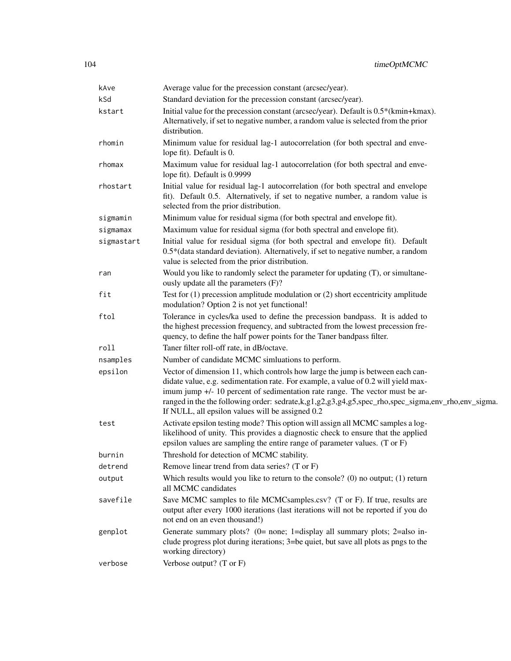| kAve       | Average value for the precession constant (arcsec/year).                                                                                                                                                                                                                                                                                                                                                                 |
|------------|--------------------------------------------------------------------------------------------------------------------------------------------------------------------------------------------------------------------------------------------------------------------------------------------------------------------------------------------------------------------------------------------------------------------------|
| kSd        | Standard deviation for the precession constant (arcsec/year).                                                                                                                                                                                                                                                                                                                                                            |
| kstart     | Initial value for the precession constant (arcsec/year). Default is 0.5*(kmin+kmax).<br>Alternatively, if set to negative number, a random value is selected from the prior<br>distribution.                                                                                                                                                                                                                             |
| rhomin     | Minimum value for residual lag-1 autocorrelation (for both spectral and enve-<br>lope fit). Default is 0.                                                                                                                                                                                                                                                                                                                |
| rhomax     | Maximum value for residual lag-1 autocorrelation (for both spectral and enve-<br>lope fit). Default is 0.9999                                                                                                                                                                                                                                                                                                            |
| rhostart   | Initial value for residual lag-1 autocorrelation (for both spectral and envelope<br>fit). Default 0.5. Alternatively, if set to negative number, a random value is<br>selected from the prior distribution.                                                                                                                                                                                                              |
| sigmamin   | Minimum value for residual sigma (for both spectral and envelope fit).                                                                                                                                                                                                                                                                                                                                                   |
| sigmamax   | Maximum value for residual sigma (for both spectral and envelope fit).                                                                                                                                                                                                                                                                                                                                                   |
| sigmastart | Initial value for residual sigma (for both spectral and envelope fit). Default<br>0.5*(data standard deviation). Alternatively, if set to negative number, a random<br>value is selected from the prior distribution.                                                                                                                                                                                                    |
| ran        | Would you like to randomly select the parameter for updating (T), or simultane-<br>ously update all the parameters (F)?                                                                                                                                                                                                                                                                                                  |
| fit        | Test for $(1)$ precession amplitude modulation or $(2)$ short eccentricity amplitude<br>modulation? Option 2 is not yet functional!                                                                                                                                                                                                                                                                                      |
| ftol       | Tolerance in cycles/ka used to define the precession bandpass. It is added to<br>the highest precession frequency, and subtracted from the lowest precession fre-<br>quency, to define the half power points for the Taner bandpass filter.                                                                                                                                                                              |
| roll       | Taner filter roll-off rate, in dB/octave.                                                                                                                                                                                                                                                                                                                                                                                |
| nsamples   | Number of candidate MCMC simluations to perform.                                                                                                                                                                                                                                                                                                                                                                         |
| epsilon    | Vector of dimension 11, which controls how large the jump is between each can-<br>didate value, e.g. sedimentation rate. For example, a value of 0.2 will yield max-<br>imum jump +/- 10 percent of sedimentation rate range. The vector must be ar-<br>ranged in the the following order: sedrate, k, g1, g2, g3, g4, g5, spec_rho, spec_sigma, env_rho, env_sigma.<br>If NULL, all epsilon values will be assigned 0.2 |
| test       | Activate epsilon testing mode? This option will assign all MCMC samples a log-<br>likelihood of unity. This provides a diagnostic check to ensure that the applied<br>epsilon values are sampling the entire range of parameter values. (T or F)                                                                                                                                                                         |
| burnin     | Threshold for detection of MCMC stability.                                                                                                                                                                                                                                                                                                                                                                               |
| detrend    | Remove linear trend from data series? (T or F)                                                                                                                                                                                                                                                                                                                                                                           |
| output     | Which results would you like to return to the console? (0) no output; $(1)$ return<br>all MCMC candidates                                                                                                                                                                                                                                                                                                                |
| savefile   | Save MCMC samples to file MCMCsamples.csv? (T or F). If true, results are<br>output after every 1000 iterations (last iterations will not be reported if you do<br>not end on an even thousand!)                                                                                                                                                                                                                         |
| genplot    | Generate summary plots? (0= none; 1=display all summary plots; 2=also in-<br>clude progress plot during iterations; 3=be quiet, but save all plots as pngs to the<br>working directory)                                                                                                                                                                                                                                  |
| verbose    | Verbose output? (T or F)                                                                                                                                                                                                                                                                                                                                                                                                 |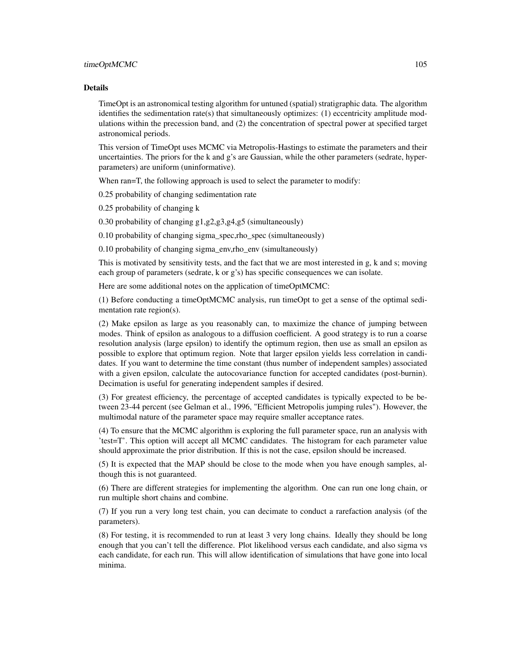#### Details

TimeOpt is an astronomical testing algorithm for untuned (spatial) stratigraphic data. The algorithm identifies the sedimentation rate(s) that simultaneously optimizes: (1) eccentricity amplitude modulations within the precession band, and (2) the concentration of spectral power at specified target astronomical periods.

This version of TimeOpt uses MCMC via Metropolis-Hastings to estimate the parameters and their uncertainties. The priors for the k and g's are Gaussian, while the other parameters (sedrate, hyperparameters) are uniform (uninformative).

When ran=T, the following approach is used to select the parameter to modify:

0.25 probability of changing sedimentation rate

0.25 probability of changing k

0.30 probability of changing g1,g2,g3,g4,g5 (simultaneously)

0.10 probability of changing sigma\_spec,rho\_spec (simultaneously)

0.10 probability of changing sigma\_env,rho\_env (simultaneously)

This is motivated by sensitivity tests, and the fact that we are most interested in g, k and s; moving each group of parameters (sedrate, k or g's) has specific consequences we can isolate.

Here are some additional notes on the application of timeOptMCMC:

(1) Before conducting a timeOptMCMC analysis, run timeOpt to get a sense of the optimal sedimentation rate region(s).

(2) Make epsilon as large as you reasonably can, to maximize the chance of jumping between modes. Think of epsilon as analogous to a diffusion coefficient. A good strategy is to run a coarse resolution analysis (large epsilon) to identify the optimum region, then use as small an epsilon as possible to explore that optimum region. Note that larger epsilon yields less correlation in candidates. If you want to determine the time constant (thus number of independent samples) associated with a given epsilon, calculate the autocovariance function for accepted candidates (post-burnin). Decimation is useful for generating independent samples if desired.

(3) For greatest efficiency, the percentage of accepted candidates is typically expected to be between 23-44 percent (see Gelman et al., 1996, "Efficient Metropolis jumping rules"). However, the multimodal nature of the parameter space may require smaller acceptance rates.

(4) To ensure that the MCMC algorithm is exploring the full parameter space, run an analysis with 'test=T'. This option will accept all MCMC candidates. The histogram for each parameter value should approximate the prior distribution. If this is not the case, epsilon should be increased.

(5) It is expected that the MAP should be close to the mode when you have enough samples, although this is not guaranteed.

(6) There are different strategies for implementing the algorithm. One can run one long chain, or run multiple short chains and combine.

(7) If you run a very long test chain, you can decimate to conduct a rarefaction analysis (of the parameters).

(8) For testing, it is recommended to run at least 3 very long chains. Ideally they should be long enough that you can't tell the difference. Plot likelihood versus each candidate, and also sigma vs each candidate, for each run. This will allow identification of simulations that have gone into local minima.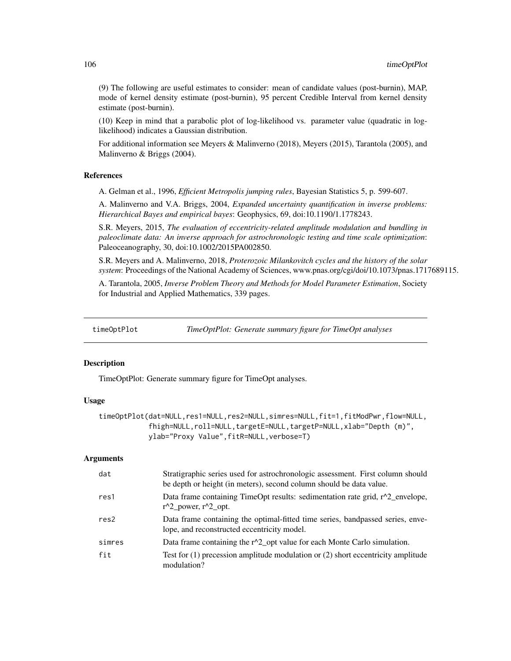(9) The following are useful estimates to consider: mean of candidate values (post-burnin), MAP, mode of kernel density estimate (post-burnin), 95 percent Credible Interval from kernel density estimate (post-burnin).

(10) Keep in mind that a parabolic plot of log-likelihood vs. parameter value (quadratic in loglikelihood) indicates a Gaussian distribution.

For additional information see Meyers & Malinverno (2018), Meyers (2015), Tarantola (2005), and Malinverno & Briggs (2004).

#### References

A. Gelman et al., 1996, *Efficient Metropolis jumping rules*, Bayesian Statistics 5, p. 599-607.

A. Malinverno and V.A. Briggs, 2004, *Expanded uncertainty quantification in inverse problems: Hierarchical Bayes and empirical bayes*: Geophysics, 69, doi:10.1190/1.1778243.

S.R. Meyers, 2015, *The evaluation of eccentricity-related amplitude modulation and bundling in paleoclimate data: An inverse approach for astrochronologic testing and time scale optimization*: Paleoceanography, 30, doi:10.1002/2015PA002850.

S.R. Meyers and A. Malinverno, 2018, *Proterozoic Milankovitch cycles and the history of the solar system*: Proceedings of the National Academy of Sciences, www.pnas.org/cgi/doi/10.1073/pnas.1717689115.

A. Tarantola, 2005, *Inverse Problem Theory and Methods for Model Parameter Estimation*, Society for Industrial and Applied Mathematics, 339 pages.

<span id="page-105-0"></span>

timeOptPlot *TimeOptPlot: Generate summary figure for TimeOpt analyses*

#### Description

TimeOptPlot: Generate summary figure for TimeOpt analyses.

#### Usage

```
timeOptPlot(dat=NULL,res1=NULL,res2=NULL,simres=NULL,fit=1,fitModPwr,flow=NULL,
           fhigh=NULL,roll=NULL,targetE=NULL,targetP=NULL,xlab="Depth (m)",
           ylab="Proxy Value",fitR=NULL,verbose=T)
```

| dat    | Stratigraphic series used for astrochronologic assessment. First column should<br>be depth or height (in meters), second column should be data value. |
|--------|-------------------------------------------------------------------------------------------------------------------------------------------------------|
| res1   | Data frame containing TimeOpt results: sedimentation rate grid, $r^2$ envelope,<br>$r^2$ power, $r^2$ opt.                                            |
| res2   | Data frame containing the optimal-fitted time series, bandpassed series, enve-<br>lope, and reconstructed eccentricity model.                         |
| simres | Data frame containing the r^2_opt value for each Monte Carlo simulation.                                                                              |
| fit    | Test for $(1)$ precession amplitude modulation or $(2)$ short eccentricity amplitude<br>modulation?                                                   |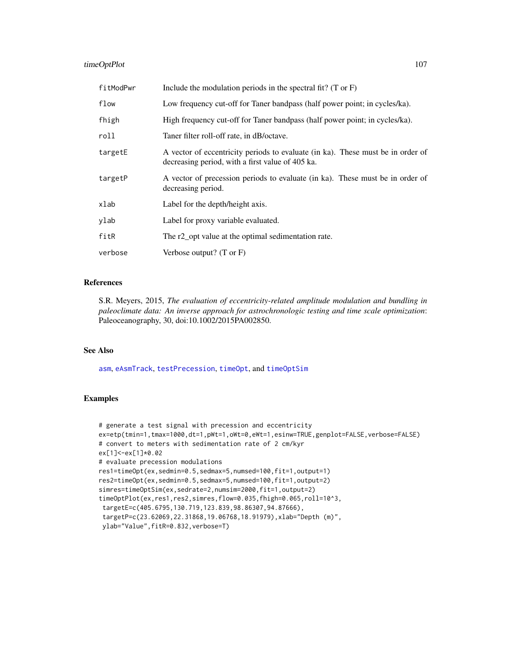# timeOptPlot 107

| fitModPwr | Include the modulation periods in the spectral fit? $(T \text{ or } F)$                                                             |
|-----------|-------------------------------------------------------------------------------------------------------------------------------------|
| flow      | Low frequency cut-off for Taner bandpass (half power point; in cycles/ka).                                                          |
| fhigh     | High frequency cut-off for Taner bandpass (half power point; in cycles/ka).                                                         |
| roll      | Taner filter roll-off rate, in dB/octave.                                                                                           |
| targetE   | A vector of eccentricity periods to evaluate (in ka). These must be in order of<br>decreasing period, with a first value of 405 ka. |
| targetP   | A vector of precession periods to evaluate (in ka). These must be in order of<br>decreasing period.                                 |
| xlab      | Label for the depth/height axis.                                                                                                    |
| vlab      | Label for proxy variable evaluated.                                                                                                 |
| fitR      | The r2_opt value at the optimal sedimentation rate.                                                                                 |
| verbose   | Verbose output? $(T \text{ or } F)$                                                                                                 |

## References

S.R. Meyers, 2015, *The evaluation of eccentricity-related amplitude modulation and bundling in paleoclimate data: An inverse approach for astrochronologic testing and time scale optimization*: Paleoceanography, 30, doi:10.1002/2015PA002850.

## See Also

[asm](#page-9-0), [eAsmTrack](#page-25-0), [testPrecession](#page-95-0), [timeOpt](#page-99-0), and [timeOptSim](#page-107-0)

## Examples

```
# generate a test signal with precession and eccentricity
ex=etp(tmin=1,tmax=1000,dt=1,pWt=1,oWt=0,eWt=1,esinw=TRUE,genplot=FALSE,verbose=FALSE)
# convert to meters with sedimentation rate of 2 cm/kyr
ex[1]<-ex[1]*0.02
# evaluate precession modulations
res1=timeOpt(ex,sedmin=0.5,sedmax=5,numsed=100,fit=1,output=1)
res2=timeOpt(ex,sedmin=0.5,sedmax=5,numsed=100,fit=1,output=2)
simres=timeOptSim(ex,sedrate=2,numsim=2000,fit=1,output=2)
timeOptPlot(ex,res1,res2,simres,flow=0.035,fhigh=0.065,roll=10^3,
targetE=c(405.6795,130.719,123.839,98.86307,94.87666),
targetP=c(23.62069,22.31868,19.06768,18.91979),xlab="Depth (m)",
ylab="Value",fitR=0.832,verbose=T)
```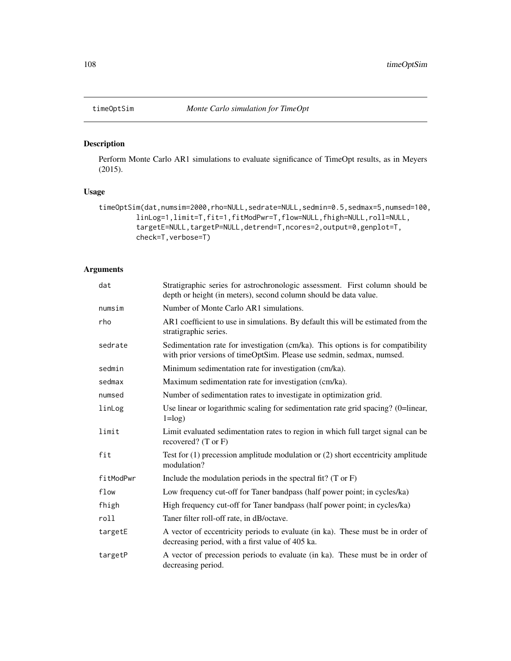<span id="page-107-0"></span>

Perform Monte Carlo AR1 simulations to evaluate significance of TimeOpt results, as in Meyers (2015).

## Usage

```
timeOptSim(dat,numsim=2000,rho=NULL,sedrate=NULL,sedmin=0.5,sedmax=5,numsed=100,
         linLog=1,limit=T,fit=1,fitModPwr=T,flow=NULL,fhigh=NULL,roll=NULL,
         targetE=NULL,targetP=NULL,detrend=T,ncores=2,output=0,genplot=T,
         check=T, verbose=T)
```

| dat       | Stratigraphic series for astrochronologic assessment. First column should be<br>depth or height (in meters), second column should be data value.         |
|-----------|----------------------------------------------------------------------------------------------------------------------------------------------------------|
| numsim    | Number of Monte Carlo AR1 simulations.                                                                                                                   |
| rho       | AR1 coefficient to use in simulations. By default this will be estimated from the<br>stratigraphic series.                                               |
| sedrate   | Sedimentation rate for investigation (cm/ka). This options is for compatibility<br>with prior versions of timeOptSim. Please use sedmin, sedmax, numsed. |
| sedmin    | Minimum sedimentation rate for investigation (cm/ka).                                                                                                    |
| sedmax    | Maximum sedimentation rate for investigation (cm/ka).                                                                                                    |
| numsed    | Number of sedimentation rates to investigate in optimization grid.                                                                                       |
| linLog    | Use linear or logarithmic scaling for sedimentation rate grid spacing? (0=linear,<br>$1 = log$ )                                                         |
| limit     | Limit evaluated sedimentation rates to region in which full target signal can be<br>recovered? $(T \text{ or } F)$                                       |
| fit       | Test for $(1)$ precession amplitude modulation or $(2)$ short eccentricity amplitude<br>modulation?                                                      |
| fitModPwr | Include the modulation periods in the spectral fit? $(T \text{ or } F)$                                                                                  |
| flow      | Low frequency cut-off for Taner bandpass (half power point; in cycles/ka)                                                                                |
| fhigh     | High frequency cut-off for Taner bandpass (half power point; in cycles/ka)                                                                               |
| roll      | Taner filter roll-off rate, in dB/octave.                                                                                                                |
| targetE   | A vector of eccentricity periods to evaluate (in ka). These must be in order of<br>decreasing period, with a first value of 405 ka.                      |
| targetP   | A vector of precession periods to evaluate (in ka). These must be in order of<br>decreasing period.                                                      |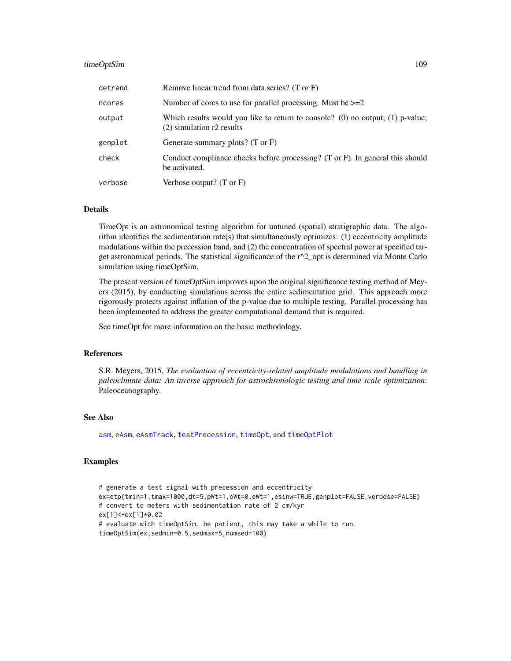#### <span id="page-108-0"></span>timeOptSim 109

| detrend | Remove linear trend from data series? (T or F)                                                                |  |
|---------|---------------------------------------------------------------------------------------------------------------|--|
| ncores  | Number of cores to use for parallel processing. Must be $>=2$                                                 |  |
| output  | Which results would you like to return to console? (0) no output; (1) p-value;<br>$(2)$ simulation r2 results |  |
| genplot | Generate summary plots? $(T \text{ or } F)$                                                                   |  |
| check   | Conduct compliance checks before processing? (T or F). In general this should<br>be activated.                |  |
| verbose | Verbose output? $(T \text{ or } F)$                                                                           |  |

#### Details

TimeOpt is an astronomical testing algorithm for untuned (spatial) stratigraphic data. The algorithm identifies the sedimentation rate(s) that simultaneously optimizes: (1) eccentricity amplitude modulations within the precession band, and (2) the concentration of spectral power at specified target astronomical periods. The statistical significance of the  $r^2$  opt is determined via Monte Carlo simulation using timeOptSim.

The present version of timeOptSim improves upon the original significance testing method of Meyers (2015), by conducting simulations across the entire sedimentation grid. This approach more rigorously protects against inflation of the p-value due to multiple testing. Parallel processing has been implemented to address the greater computational demand that is required.

See timeOpt for more information on the basic methodology.

#### References

S.R. Meyers, 2015, *The evaluation of eccentricity-related amplitude modulations and bundling in paleoclimate data: An inverse approach for astrochronologic testing and time scale optimization*: Paleoceanography.

# See Also

[asm](#page-9-0), [eAsm](#page-24-0), [eAsmTrack](#page-25-0), [testPrecession](#page-95-0), [timeOpt](#page-99-0), and [timeOptPlot](#page-105-0)

#### Examples

```
# generate a test signal with precession and eccentricity
ex=etp(tmin=1,tmax=1000,dt=5,pWt=1,oWt=0,eWt=1,esinw=TRUE,genplot=FALSE,verbose=FALSE)
# convert to meters with sedimentation rate of 2 cm/kyr
ex[1]<-ex[1]*0.02
# evaluate with timeOptSim. be patient, this may take a while to run.
timeOptSim(ex,sedmin=0.5,sedmax=5,numsed=100)
```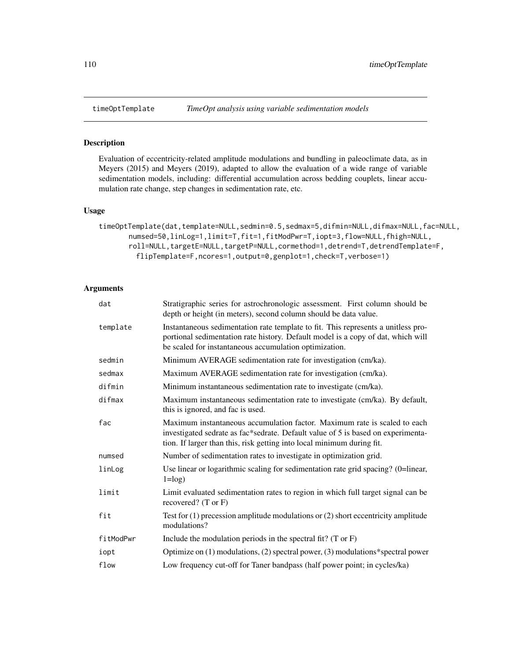<span id="page-109-1"></span><span id="page-109-0"></span>

#### Description

Evaluation of eccentricity-related amplitude modulations and bundling in paleoclimate data, as in Meyers (2015) and Meyers (2019), adapted to allow the evaluation of a wide range of variable sedimentation models, including: differential accumulation across bedding couplets, linear accumulation rate change, step changes in sedimentation rate, etc.

#### Usage

```
timeOptTemplate(dat,template=NULL,sedmin=0.5,sedmax=5,difmin=NULL,difmax=NULL,fac=NULL,
       numsed=50,linLog=1,limit=T,fit=1,fitModPwr=T,iopt=3,flow=NULL,fhigh=NULL,
       roll=NULL,targetE=NULL,targetP=NULL,cormethod=1,detrend=T,detrendTemplate=F,
         flipTemplate=F,ncores=1,output=0,genplot=1,check=T,verbose=1)
```

| dat       | Stratigraphic series for astrochronologic assessment. First column should be<br>depth or height (in meters), second column should be data value.                                                                                        |  |
|-----------|-----------------------------------------------------------------------------------------------------------------------------------------------------------------------------------------------------------------------------------------|--|
| template  | Instantaneous sedimentation rate template to fit. This represents a unitless pro-<br>portional sedimentation rate history. Default model is a copy of dat, which will<br>be scaled for instantaneous accumulation optimization.         |  |
| sedmin    | Minimum AVERAGE sedimentation rate for investigation (cm/ka).                                                                                                                                                                           |  |
| sedmax    | Maximum AVERAGE sedimentation rate for investigation (cm/ka).                                                                                                                                                                           |  |
| difmin    | Minimum instantaneous sedimentation rate to investigate (cm/ka).                                                                                                                                                                        |  |
| difmax    | Maximum instantaneous sedimentation rate to investigate (cm/ka). By default,<br>this is ignored, and fac is used.                                                                                                                       |  |
| fac       | Maximum instantaneous accumulation factor. Maximum rate is scaled to each<br>investigated sedrate as fac*sedrate. Default value of 5 is based on experimenta-<br>tion. If larger than this, risk getting into local minimum during fit. |  |
| numsed    | Number of sedimentation rates to investigate in optimization grid.                                                                                                                                                                      |  |
| linLog    | Use linear or logarithmic scaling for sedimentation rate grid spacing? (0=linear,<br>$1 = log$ )                                                                                                                                        |  |
| limit     | Limit evaluated sedimentation rates to region in which full target signal can be<br>recovered? $(T \text{ or } F)$                                                                                                                      |  |
| fit       | Test for $(1)$ precession amplitude modulations or $(2)$ short eccentricity amplitude<br>modulations?                                                                                                                                   |  |
| fitModPwr | Include the modulation periods in the spectral fit? $(T \text{ or } F)$                                                                                                                                                                 |  |
| iopt      | Optimize on (1) modulations, (2) spectral power, (3) modulations*spectral power                                                                                                                                                         |  |
| flow      | Low frequency cut-off for Taner bandpass (half power point; in cycles/ka)                                                                                                                                                               |  |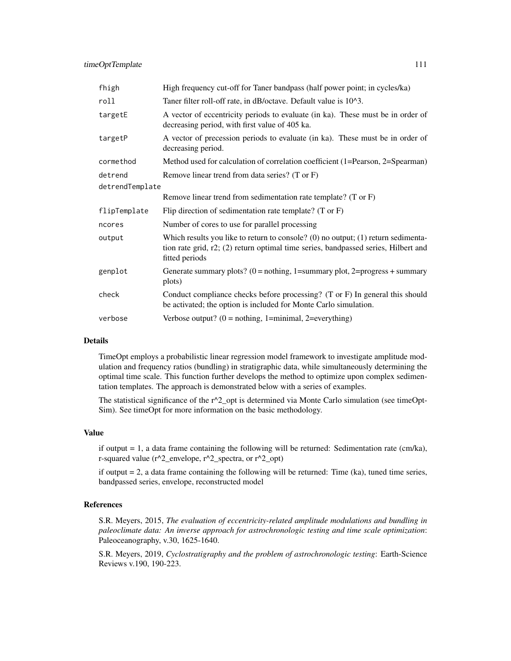| fhigh           | High frequency cut-off for Taner bandpass (half power point; in cycles/ka)                                                                                                                  |  |
|-----------------|---------------------------------------------------------------------------------------------------------------------------------------------------------------------------------------------|--|
| roll            | Taner filter roll-off rate, in dB/octave. Default value is 10^3.                                                                                                                            |  |
| targetE         | A vector of eccentricity periods to evaluate (in ka). These must be in order of<br>decreasing period, with first value of 405 ka.                                                           |  |
| targetP         | A vector of precession periods to evaluate (in ka). These must be in order of<br>decreasing period.                                                                                         |  |
| cormethod       | Method used for calculation of correlation coefficient (1=Pearson, 2=Spearman)                                                                                                              |  |
| detrend         | Remove linear trend from data series? (T or F)                                                                                                                                              |  |
| detrendTemplate |                                                                                                                                                                                             |  |
|                 | Remove linear trend from sedimentation rate template? (T or F)                                                                                                                              |  |
| flipTemplate    | Flip direction of sedimentation rate template? $(T \text{ or } F)$                                                                                                                          |  |
| ncores          | Number of cores to use for parallel processing                                                                                                                                              |  |
| output          | Which results you like to return to console? (0) no output; $(1)$ return sedimenta-<br>tion rate grid, r2; (2) return optimal time series, bandpassed series, Hilbert and<br>fitted periods |  |
| genplot         | Generate summary plots? ( $0 = \text{nothing}$ , 1=summary plot, 2=progress + summary<br>plots)                                                                                             |  |
| check           | Conduct compliance checks before processing? (T or F) In general this should<br>be activated; the option is included for Monte Carlo simulation.                                            |  |
| verbose         | Verbose output? $(0 = \text{nothing}, 1 = \text{minimal}, 2 = \text{everything})$                                                                                                           |  |

# Details

TimeOpt employs a probabilistic linear regression model framework to investigate amplitude modulation and frequency ratios (bundling) in stratigraphic data, while simultaneously determining the optimal time scale. This function further develops the method to optimize upon complex sedimentation templates. The approach is demonstrated below with a series of examples.

The statistical significance of the  $r^2$  opt is determined via Monte Carlo simulation (see timeOpt-Sim). See timeOpt for more information on the basic methodology.

#### Value

if output  $= 1$ , a data frame containing the following will be returned: Sedimentation rate (cm/ka), r-squared value (r^2\_envelope, r^2\_spectra, or r^2\_opt)

if output  $= 2$ , a data frame containing the following will be returned: Time (ka), tuned time series, bandpassed series, envelope, reconstructed model

#### References

S.R. Meyers, 2015, *The evaluation of eccentricity-related amplitude modulations and bundling in paleoclimate data: An inverse approach for astrochronologic testing and time scale optimization*: Paleoceanography, v.30, 1625-1640.

S.R. Meyers, 2019, *Cyclostratigraphy and the problem of astrochronologic testing*: Earth-Science Reviews v.190, 190-223.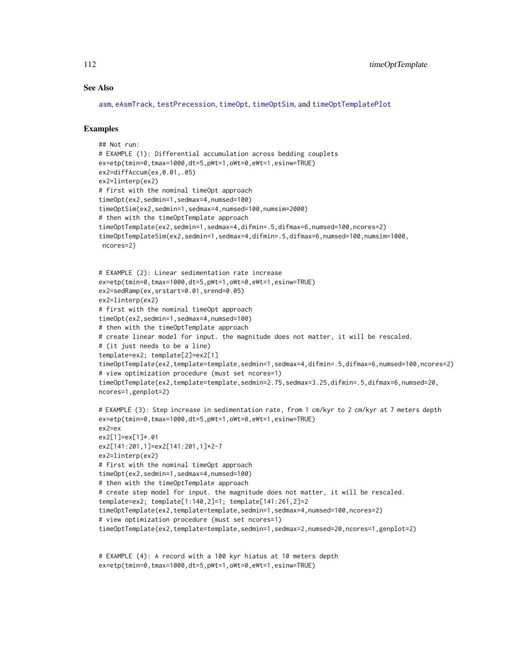#### See Also

[asm](#page-9-0), [eAsmTrack](#page-25-0), [testPrecession](#page-95-0), [timeOpt](#page-99-0), [timeOptSim](#page-107-0), and [timeOptTemplatePlot](#page-112-0)

#### Examples

```
## Not run:
# EXAMPLE (1): Differential accumulation across bedding couplets
ex=etp(tmin=0,tmax=1000,dt=5,pWt=1,oWt=0,eWt=1,esinw=TRUE)
ex2=diffAccum(ex,0.01,.05)
ex2=linterp(ex2)
# first with the nominal timeOpt approach
timeOpt(ex2,sedmin=1,sedmax=4,numsed=100)
timeOptSim(ex2,sedmin=1,sedmax=4,numsed=100,numsim=2000)
# then with the timeOptTemplate approach
timeOptTemplate(ex2,sedmin=1,sedmax=4,difmin=.5,difmax=6,numsed=100,ncores=2)
timeOptTemplateSim(ex2,sedmin=1,sedmax=4,difmin=.5,difmax=6,numsed=100,numsim=1000,
ncores=2)
# EXAMPLE (2): Linear sedimentation rate increase
ex=etp(tmin=0,tmax=1000,dt=5,pWt=1,oWt=0,eWt=1,esinw=TRUE)
ex2=sedRamp(ex,srstart=0.01,srend=0.05)
ex2=linterp(ex2)
# first with the nominal timeOpt approach
timeOpt(ex2,sedmin=1,sedmax=4,numsed=100)
# then with the timeOptTemplate approach
# create linear model for input. the magnitude does not matter, it will be rescaled.
# (it just needs to be a line)
template=ex2; template[2]=ex2[1]
timeOptTemplate(ex2,template=template,sedmin=1,sedmax=4,difmin=.5,difmax=6,numsed=100,ncores=2)
# view optimization procedure (must set ncores=1)
timeOptTemplate(ex2,template=template,sedmin=2.75,sedmax=3.25,difmin=.5,difmax=6,numsed=20,
ncores=1,genplot=2)
# EXAMPLE (3): Step increase in sedimentation rate, from 1 cm/kyr to 2 cm/kyr at 7 meters depth
ex=etp(tmin=0,tmax=1000,dt=5,pWt=1,oWt=0,eWt=1,esinw=TRUE)
ex2=ex
ex2[1]=ex[1]*.01
ex2[141:201,1]=ex2[141:201,1]*2-7
ex2=linterp(ex2)
# first with the nominal timeOpt approach
timeOpt(ex2,sedmin=1,sedmax=4,numsed=100)
# then with the timeOptTemplate approach
# create step model for input. the magnitude does not matter, it will be rescaled.
template=ex2; template[1:140,2]=1; template[141:261,2]=2
timeOptTemplate(ex2,template=template,sedmin=1,sedmax=4,numsed=100,ncores=2)
# view optimization procedure (must set ncores=1)
timeOptTemplate(ex2,template=template,sedmin=1,sedmax=2,numsed=20,ncores=1,genplot=2)
```

```
# EXAMPLE (4): A record with a 100 kyr hiatus at 10 meters depth
ex=etp(tmin=0,tmax=1000,dt=5,pWt=1,oWt=0,eWt=1,esinw=TRUE)
```
<span id="page-111-0"></span>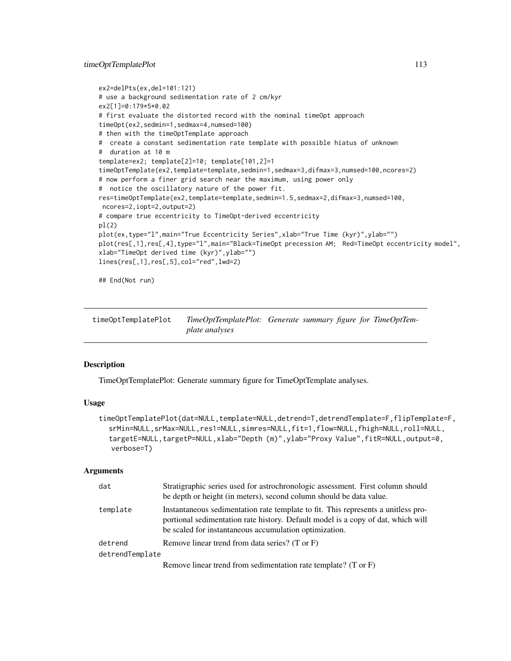#### <span id="page-112-1"></span>timeOptTemplatePlot 113

```
ex2=delPts(ex,del=101:121)
# use a background sedimentation rate of 2 cm/kyr
ex2[1]=0:179*5*0.02
# first evaluate the distorted record with the nominal timeOpt approach
timeOpt(ex2,sedmin=1,sedmax=4,numsed=100)
# then with the timeOptTemplate approach
# create a constant sedimentation rate template with possible hiatus of unknown
# duration at 10 m
template=ex2; template[2]=10; template[101,2]=1
timeOptTemplate(ex2,template=template,sedmin=1,sedmax=3,difmax=3,numsed=100,ncores=2)
# now perform a finer grid search near the maximum, using power only
# notice the oscillatory nature of the power fit.
res=timeOptTemplate(ex2,template=template,sedmin=1.5,sedmax=2,difmax=3,numsed=100,
ncores=2,iopt=2,output=2)
# compare true eccentricity to TimeOpt-derived eccentricity
pl(2)
plot(ex,type="l",main="True Eccentricity Series",xlab="True Time (kyr)",ylab="")
plot(res[,1],res[,4],type="l",main="Black=TimeOpt precession AM; Red=TimeOpt eccentricity model",
xlab="TimeOpt derived time (kyr)",ylab="")
lines(res[,1],res[,5],col="red",lwd=2)
```
## End(Not run)

<span id="page-112-0"></span>timeOptTemplatePlot *TimeOptTemplatePlot: Generate summary figure for TimeOptTemplate analyses*

#### **Description**

TimeOptTemplatePlot: Generate summary figure for TimeOptTemplate analyses.

#### Usage

```
timeOptTemplatePlot(dat=NULL,template=NULL,detrend=T,detrendTemplate=F,flipTemplate=F,
  srMin=NULL,srMax=NULL,res1=NULL,simres=NULL,fit=1,flow=NULL,fhigh=NULL,roll=NULL,
  targetE=NULL,targetP=NULL,xlab="Depth (m)",ylab="Proxy Value",fitR=NULL,output=0,
   verbose=T)
```

| dat             | Stratigraphic series used for astrochronologic assessment. First column should<br>be depth or height (in meters), second column should be data value.                                                                           |  |
|-----------------|---------------------------------------------------------------------------------------------------------------------------------------------------------------------------------------------------------------------------------|--|
| template        | Instantaneous sedimentation rate template to fit. This represents a unitless pro-<br>portional sedimentation rate history. Default model is a copy of dat, which will<br>be scaled for instantaneous accumulation optimization. |  |
| detrend         | Remove linear trend from data series? (T or F)                                                                                                                                                                                  |  |
| detrendTemplate |                                                                                                                                                                                                                                 |  |
|                 | Remove linear trend from sedimentation rate template? (T or F)                                                                                                                                                                  |  |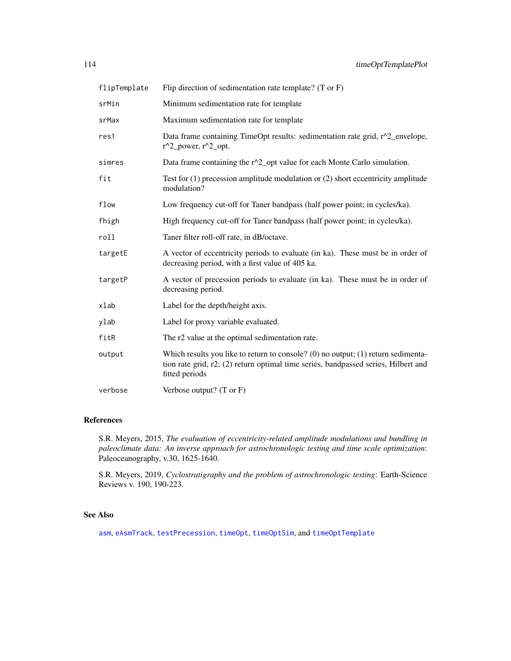<span id="page-113-0"></span>

| flipTemplate | Flip direction of sedimentation rate template? $(T \text{ or } F)$                                                                                                                          |  |  |
|--------------|---------------------------------------------------------------------------------------------------------------------------------------------------------------------------------------------|--|--|
| srMin        | Minimum sedimentation rate for template                                                                                                                                                     |  |  |
| srMax        | Maximum sedimentation rate for template                                                                                                                                                     |  |  |
| res1         | Data frame containing TimeOpt results: sedimentation rate grid, r^2_envelope,<br>$r^2$ power, $r^2$ opt.                                                                                    |  |  |
| simres       | Data frame containing the r^2_opt value for each Monte Carlo simulation.                                                                                                                    |  |  |
| fit          | Test for $(1)$ precession amplitude modulation or $(2)$ short eccentricity amplitude<br>modulation?                                                                                         |  |  |
| flow         | Low frequency cut-off for Taner bandpass (half power point; in cycles/ka).                                                                                                                  |  |  |
| fhigh        | High frequency cut-off for Taner bandpass (half power point; in cycles/ka).                                                                                                                 |  |  |
| roll         | Taner filter roll-off rate, in dB/octave.                                                                                                                                                   |  |  |
| targetE      | A vector of eccentricity periods to evaluate (in ka). These must be in order of<br>decreasing period, with a first value of 405 ka.                                                         |  |  |
| targetP      | A vector of precession periods to evaluate (in ka). These must be in order of<br>decreasing period.                                                                                         |  |  |
| xlab         | Label for the depth/height axis.                                                                                                                                                            |  |  |
| ylab         | Label for proxy variable evaluated.                                                                                                                                                         |  |  |
| fitR         | The r2 value at the optimal sedimentation rate.                                                                                                                                             |  |  |
| output       | Which results you like to return to console? (0) no output; $(1)$ return sedimenta-<br>tion rate grid, r2; (2) return optimal time series, bandpassed series, Hilbert and<br>fitted periods |  |  |
| verbose      | Verbose output? $(T \text{ or } F)$                                                                                                                                                         |  |  |

# References

S.R. Meyers, 2015, *The evaluation of eccentricity-related amplitude modulations and bundling in paleoclimate data: An inverse approach for astrochronologic testing and time scale optimization*: Paleoceanography, v.30, 1625-1640.

S.R. Meyers, 2019, *Cyclostratigraphy and the problem of astrochronologic testing*: Earth-Science Reviews v. 190, 190-223.

# See Also

[asm](#page-9-0), [eAsmTrack](#page-25-0), [testPrecession](#page-95-0), [timeOpt](#page-99-0), [timeOptSim](#page-107-0), and [timeOptTemplate](#page-109-0)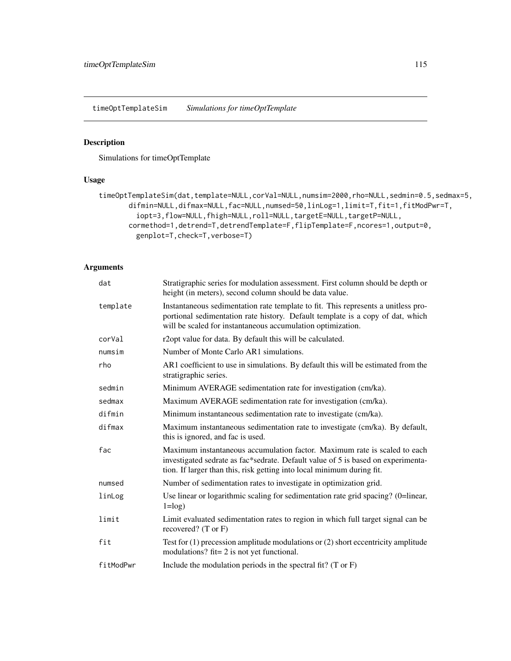<span id="page-114-0"></span>timeOptTemplateSim *Simulations for timeOptTemplate*

# Description

Simulations for timeOptTemplate

# Usage

```
timeOptTemplateSim(dat,template=NULL,corVal=NULL,numsim=2000,rho=NULL,sedmin=0.5,sedmax=5,
      difmin=NULL,difmax=NULL,fac=NULL,numsed=50,linLog=1,limit=T,fit=1,fitModPwr=T,
         iopt=3,flow=NULL,fhigh=NULL,roll=NULL,targetE=NULL,targetP=NULL,
      cormethod=1,detrend=T,detrendTemplate=F,flipTemplate=F,ncores=1,output=0,
         genplot=T,check=T,verbose=T)
```

| dat       | Stratigraphic series for modulation assessment. First column should be depth or<br>height (in meters), second column should be data value.                                                                                              |  |
|-----------|-----------------------------------------------------------------------------------------------------------------------------------------------------------------------------------------------------------------------------------------|--|
| template  | Instantaneous sedimentation rate template to fit. This represents a unitless pro-<br>portional sedimentation rate history. Default template is a copy of dat, which<br>will be scaled for instantaneous accumulation optimization.      |  |
| corVal    | r2opt value for data. By default this will be calculated.                                                                                                                                                                               |  |
| numsim    | Number of Monte Carlo AR1 simulations.                                                                                                                                                                                                  |  |
| rho       | AR1 coefficient to use in simulations. By default this will be estimated from the<br>stratigraphic series.                                                                                                                              |  |
| sedmin    | Minimum AVERAGE sedimentation rate for investigation (cm/ka).                                                                                                                                                                           |  |
| sedmax    | Maximum AVERAGE sedimentation rate for investigation (cm/ka).                                                                                                                                                                           |  |
| difmin    | Minimum instantaneous sedimentation rate to investigate (cm/ka).                                                                                                                                                                        |  |
| difmax    | Maximum instantaneous sedimentation rate to investigate (cm/ka). By default,<br>this is ignored, and fac is used.                                                                                                                       |  |
| fac       | Maximum instantaneous accumulation factor. Maximum rate is scaled to each<br>investigated sedrate as fac*sedrate. Default value of 5 is based on experimenta-<br>tion. If larger than this, risk getting into local minimum during fit. |  |
| numsed    | Number of sedimentation rates to investigate in optimization grid.                                                                                                                                                                      |  |
| linLog    | Use linear or logarithmic scaling for sedimentation rate grid spacing? (0=linear,<br>$1 = log$ )                                                                                                                                        |  |
| limit     | Limit evaluated sedimentation rates to region in which full target signal can be<br>recovered? $(T \text{ or } F)$                                                                                                                      |  |
| fit       | Test for $(1)$ precession amplitude modulations or $(2)$ short eccentricity amplitude<br>modulations? fit= 2 is not yet functional.                                                                                                     |  |
| fitModPwr | Include the modulation periods in the spectral fit? $(T \text{ or } F)$                                                                                                                                                                 |  |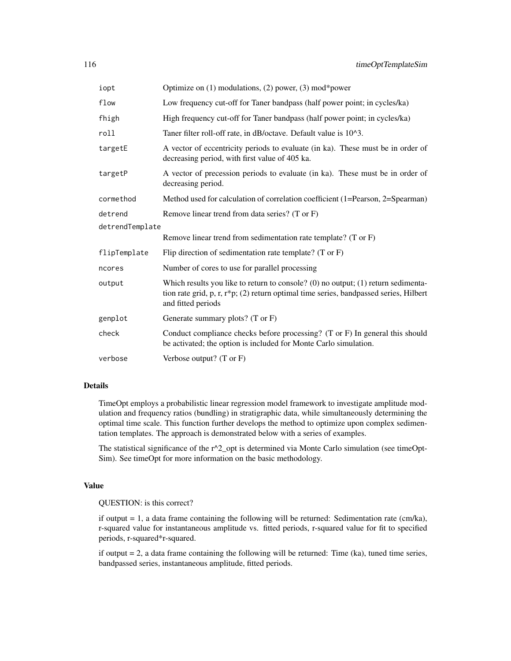| iopt            | Optimize on $(1)$ modulations, $(2)$ power, $(3)$ mod*power                                                                                                                                        |  |
|-----------------|----------------------------------------------------------------------------------------------------------------------------------------------------------------------------------------------------|--|
| flow            | Low frequency cut-off for Taner bandpass (half power point; in cycles/ka)                                                                                                                          |  |
| fhigh           | High frequency cut-off for Taner bandpass (half power point; in cycles/ka)                                                                                                                         |  |
| roll            | Taner filter roll-off rate, in dB/octave. Default value is 10^3.                                                                                                                                   |  |
| targetE         | A vector of eccentricity periods to evaluate (in ka). These must be in order of<br>decreasing period, with first value of 405 ka.                                                                  |  |
| targetP         | A vector of precession periods to evaluate (in ka). These must be in order of<br>decreasing period.                                                                                                |  |
| cormethod       | Method used for calculation of correlation coefficient (1=Pearson, 2=Spearman)                                                                                                                     |  |
| detrend         | Remove linear trend from data series? (T or F)                                                                                                                                                     |  |
| detrendTemplate |                                                                                                                                                                                                    |  |
|                 | Remove linear trend from sedimentation rate template? (T or F)                                                                                                                                     |  |
| flipTemplate    | Flip direction of sedimentation rate template? $(T \text{ or } F)$                                                                                                                                 |  |
| ncores          | Number of cores to use for parallel processing                                                                                                                                                     |  |
| output          | Which results you like to return to console? (0) no output; $(1)$ return sedimenta-<br>tion rate grid, p, r, r*p; (2) return optimal time series, bandpassed series, Hilbert<br>and fitted periods |  |
| genplot         | Generate summary plots? (T or F)                                                                                                                                                                   |  |
| check           | Conduct compliance checks before processing? $(T \text{ or } F)$ In general this should<br>be activated; the option is included for Monte Carlo simulation.                                        |  |
| verbose         | Verbose output? $(T \text{ or } F)$                                                                                                                                                                |  |

# Details

TimeOpt employs a probabilistic linear regression model framework to investigate amplitude modulation and frequency ratios (bundling) in stratigraphic data, while simultaneously determining the optimal time scale. This function further develops the method to optimize upon complex sedimentation templates. The approach is demonstrated below with a series of examples.

The statistical significance of the  $r^2$  opt is determined via Monte Carlo simulation (see timeOpt-Sim). See timeOpt for more information on the basic methodology.

#### Value

#### QUESTION: is this correct?

if output = 1, a data frame containing the following will be returned: Sedimentation rate (cm/ka), r-squared value for instantaneous amplitude vs. fitted periods, r-squared value for fit to specified periods, r-squared\*r-squared.

if output  $= 2$ , a data frame containing the following will be returned: Time (ka), tuned time series, bandpassed series, instantaneous amplitude, fitted periods.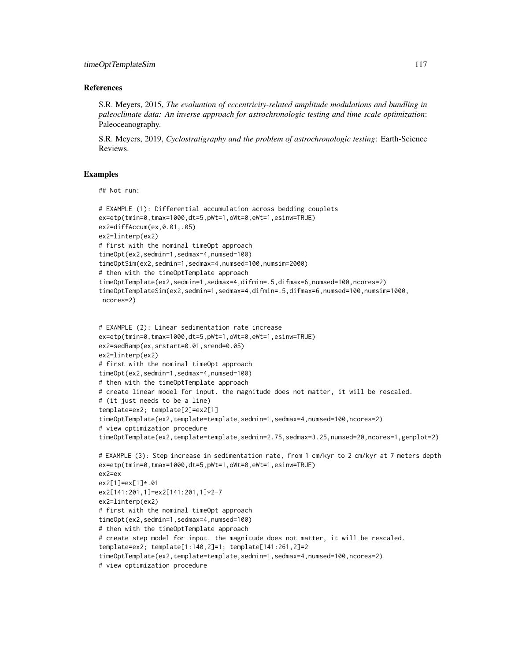#### References

S.R. Meyers, 2015, *The evaluation of eccentricity-related amplitude modulations and bundling in paleoclimate data: An inverse approach for astrochronologic testing and time scale optimization*: Paleoceanography.

S.R. Meyers, 2019, *Cyclostratigraphy and the problem of astrochronologic testing*: Earth-Science Reviews.

#### Examples

## Not run:

```
# EXAMPLE (1): Differential accumulation across bedding couplets
ex=etp(tmin=0,tmax=1000,dt=5,pWt=1,oWt=0,eWt=1,esinw=TRUE)
ex2=diffAccum(ex,0.01,.05)
ex2=linterp(ex2)
# first with the nominal timeOpt approach
timeOpt(ex2,sedmin=1,sedmax=4,numsed=100)
timeOptSim(ex2,sedmin=1,sedmax=4,numsed=100,numsim=2000)
# then with the timeOptTemplate approach
timeOptTemplate(ex2,sedmin=1,sedmax=4,difmin=.5,difmax=6,numsed=100,ncores=2)
timeOptTemplateSim(ex2,sedmin=1,sedmax=4,difmin=.5,difmax=6,numsed=100,numsim=1000,
ncores=2)
```

```
# EXAMPLE (2): Linear sedimentation rate increase
ex=etp(tmin=0,tmax=1000,dt=5,pWt=1,oWt=0,eWt=1,esinw=TRUE)
ex2=sedRamp(ex,srstart=0.01,srend=0.05)
ex2=linterp(ex2)
# first with the nominal timeOpt approach
timeOpt(ex2,sedmin=1,sedmax=4,numsed=100)
# then with the timeOptTemplate approach
# create linear model for input. the magnitude does not matter, it will be rescaled.
# (it just needs to be a line)
template=ex2; template[2]=ex2[1]
timeOptTemplate(ex2,template=template,sedmin=1,sedmax=4,numsed=100,ncores=2)
# view optimization procedure
timeOptTemplate(ex2,template=template,sedmin=2.75,sedmax=3.25,numsed=20,ncores=1,genplot=2)
# EXAMPLE (3): Step increase in sedimentation rate, from 1 cm/kyr to 2 cm/kyr at 7 meters depth
ex=etp(tmin=0,tmax=1000,dt=5,pWt=1,oWt=0,eWt=1,esinw=TRUE)
ex2=ex
ex2[1]=ex[1]*.01
ex2[141:201,1]=ex2[141:201,1]*2-7
ex2=linterp(ex2)
# first with the nominal timeOpt approach
timeOpt(ex2,sedmin=1,sedmax=4,numsed=100)
# then with the timeOptTemplate approach
# create step model for input. the magnitude does not matter, it will be rescaled.
template=ex2; template[1:140,2]=1; template[141:261,2]=2
timeOptTemplate(ex2,template=template,sedmin=1,sedmax=4,numsed=100,ncores=2)
# view optimization procedure
```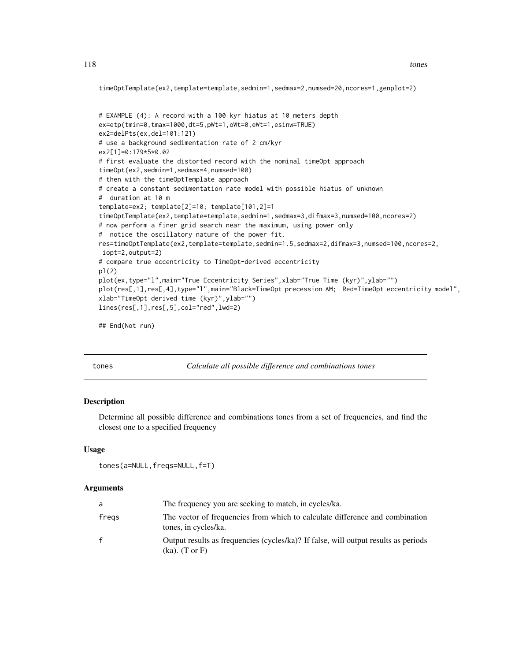```
timeOptTemplate(ex2,template=template,sedmin=1,sedmax=2,numsed=20,ncores=1,genplot=2)
```

```
# EXAMPLE (4): A record with a 100 kyr hiatus at 10 meters depth
ex=etp(tmin=0,tmax=1000,dt=5,pWt=1,oWt=0,eWt=1,esinw=TRUE)
ex2=delPts(ex,del=101:121)
# use a background sedimentation rate of 2 cm/kyr
ex2[1]=0:179*5*0.02
# first evaluate the distorted record with the nominal timeOpt approach
timeOpt(ex2,sedmin=1,sedmax=4,numsed=100)
# then with the timeOptTemplate approach
# create a constant sedimentation rate model with possible hiatus of unknown
# duration at 10 m
template=ex2; template[2]=10; template[101,2]=1
timeOptTemplate(ex2,template=template,sedmin=1,sedmax=3,difmax=3,numsed=100,ncores=2)
# now perform a finer grid search near the maximum, using power only
# notice the oscillatory nature of the power fit.
res=timeOptTemplate(ex2,template=template,sedmin=1.5,sedmax=2,difmax=3,numsed=100,ncores=2,
iopt=2,output=2)
# compare true eccentricity to TimeOpt-derived eccentricity
pl(2)
plot(ex,type="l",main="True Eccentricity Series",xlab="True Time (kyr)",ylab="")
plot(res[,1],res[,4],type="l",main="Black=TimeOpt precession AM; Red=TimeOpt eccentricity model",
xlab="TimeOpt derived time (kyr)",ylab="")
lines(res[,1],res[,5],col="red",lwd=2)
```

```
## End(Not run)
```
tones *Calculate all possible difference and combinations tones*

#### Description

Determine all possible difference and combinations tones from a set of frequencies, and find the closest one to a specified frequency

#### Usage

```
tones(a=NULL,freqs=NULL,f=T)
```

| a     | The frequency you are seeking to match, in cycles/ka.                                                               |  |
|-------|---------------------------------------------------------------------------------------------------------------------|--|
| fregs | The vector of frequencies from which to calculate difference and combination<br>tones, in cycles/ka.                |  |
| f     | Output results as frequencies (cycles/ka)? If false, will output results as periods<br>$(ka)$ . $(T \text{ or } F)$ |  |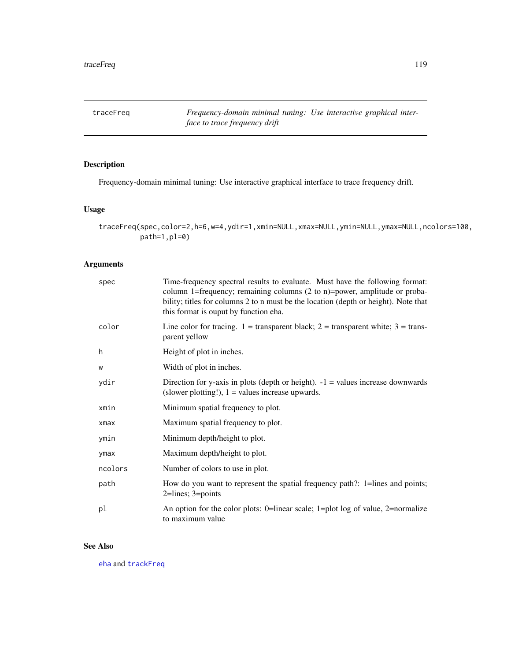<span id="page-118-1"></span><span id="page-118-0"></span>traceFreq *Frequency-domain minimal tuning: Use interactive graphical interface to trace frequency drift*

# Description

Frequency-domain minimal tuning: Use interactive graphical interface to trace frequency drift.

# Usage

```
traceFreq(spec,color=2,h=6,w=4,ydir=1,xmin=NULL,xmax=NULL,ymin=NULL,ymax=NULL,ncolors=100,
         path=1,pl=0)
```
#### Arguments

| spec    | Time-frequency spectral results to evaluate. Must have the following format:<br>column 1=frequency; remaining columns (2 to n)=power, amplitude or proba-<br>bility; titles for columns 2 to n must be the location (depth or height). Note that<br>this format is ouput by function eha. |  |
|---------|-------------------------------------------------------------------------------------------------------------------------------------------------------------------------------------------------------------------------------------------------------------------------------------------|--|
| color   | Line color for tracing. 1 = transparent black; 2 = transparent white; $3 =$ trans-<br>parent yellow                                                                                                                                                                                       |  |
| h       | Height of plot in inches.                                                                                                                                                                                                                                                                 |  |
| W       | Width of plot in inches.                                                                                                                                                                                                                                                                  |  |
| ydir    | Direction for y-axis in plots (depth or height). $-1$ = values increase downwards<br>(slower plotting!), $1 =$ values increase upwards.                                                                                                                                                   |  |
| xmin    | Minimum spatial frequency to plot.                                                                                                                                                                                                                                                        |  |
| xmax    | Maximum spatial frequency to plot.                                                                                                                                                                                                                                                        |  |
| ymin    | Minimum depth/height to plot.                                                                                                                                                                                                                                                             |  |
| ymax    | Maximum depth/height to plot.                                                                                                                                                                                                                                                             |  |
| ncolors | Number of colors to use in plot.                                                                                                                                                                                                                                                          |  |
| path    | How do you want to represent the spatial frequency path?: 1=lines and points;<br>$2 = lines$ ; $3 = points$                                                                                                                                                                               |  |
| pl      | An option for the color plots: 0=linear scale; 1=plot log of value, 2=normalize<br>to maximum value                                                                                                                                                                                       |  |

# See Also

[eha](#page-26-0) and [trackFreq](#page-120-0)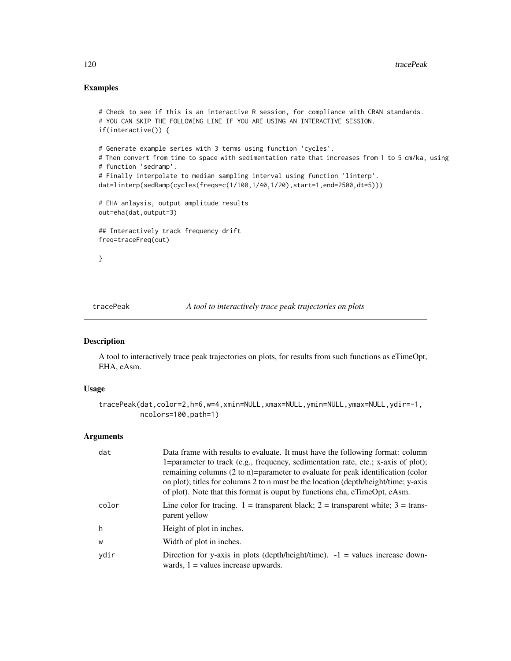# Examples

```
# Check to see if this is an interactive R session, for compliance with CRAN standards.
# YOU CAN SKIP THE FOLLOWING LINE IF YOU ARE USING AN INTERACTIVE SESSION.
if(interactive()) {
# Generate example series with 3 terms using function 'cycles'.
# Then convert from time to space with sedimentation rate that increases from 1 to 5 cm/ka, using
# function 'sedramp'.
# Finally interpolate to median sampling interval using function 'linterp'.
dat=linterp(sedRamp(cycles(freqs=c(1/100,1/40,1/20),start=1,end=2500,dt=5)))
# EHA anlaysis, output amplitude results
out=eha(dat,output=3)
## Interactively track frequency drift
freq=traceFreq(out)
}
```
tracePeak *A tool to interactively trace peak trajectories on plots*

#### Description

A tool to interactively trace peak trajectories on plots, for results from such functions as eTimeOpt, EHA, eAsm.

#### Usage

```
tracePeak(dat,color=2,h=6,w=4,xmin=NULL,xmax=NULL,ymin=NULL,ymax=NULL,ydir=-1,
         ncolors=100,path=1)
```

| dat   | Data frame with results to evaluate. It must have the following format: column<br>1=parameter to track (e.g., frequency, sedimentation rate, etc.; x-axis of plot);<br>remaining columns (2 to n)=parameter to evaluate for peak identification (color<br>on plot); titles for columns 2 to n must be the location (depth/height/time; y-axis<br>of plot). Note that this format is ouput by functions eha, eTimeOpt, eAsm. |  |
|-------|-----------------------------------------------------------------------------------------------------------------------------------------------------------------------------------------------------------------------------------------------------------------------------------------------------------------------------------------------------------------------------------------------------------------------------|--|
| color | Line color for tracing. 1 = transparent black; 2 = transparent white; $3 =$ trans-<br>parent yellow                                                                                                                                                                                                                                                                                                                         |  |
| h     | Height of plot in inches.                                                                                                                                                                                                                                                                                                                                                                                                   |  |
| W     | Width of plot in inches.                                                                                                                                                                                                                                                                                                                                                                                                    |  |
| ydir  | Direction for y-axis in plots (depth/height/time). $-1$ = values increase down-<br>wards, $1$ = values increase upwards.                                                                                                                                                                                                                                                                                                    |  |

<span id="page-119-0"></span>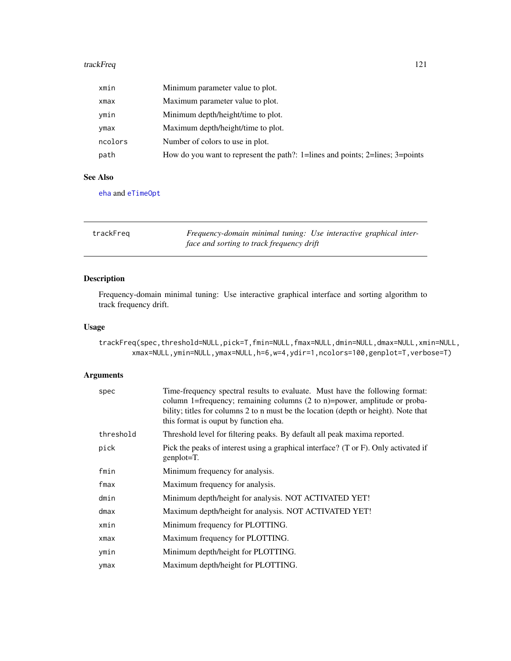#### <span id="page-120-1"></span>trackFreq 221

| xmin    | Minimum parameter value to plot.                                              |  |
|---------|-------------------------------------------------------------------------------|--|
| xmax    | Maximum parameter value to plot.                                              |  |
| ymin    | Minimum depth/height/time to plot.                                            |  |
| ymax    | Maximum depth/height/time to plot.                                            |  |
| ncolors | Number of colors to use in plot.                                              |  |
| path    | How do you want to represent the path?: 1=lines and points; 2=lines; 3=points |  |

#### See Also

[eha](#page-26-0) and [eTimeOpt](#page-28-0)

<span id="page-120-0"></span>

| trackFreg | Frequency-domain minimal tuning: Use interactive graphical inter- |  |
|-----------|-------------------------------------------------------------------|--|
|           | face and sorting to track frequency drift                         |  |

# Description

Frequency-domain minimal tuning: Use interactive graphical interface and sorting algorithm to track frequency drift.

# Usage

trackFreq(spec,threshold=NULL,pick=T,fmin=NULL,fmax=NULL,dmin=NULL,dmax=NULL,xmin=NULL, xmax=NULL,ymin=NULL,ymax=NULL,h=6,w=4,ydir=1,ncolors=100,genplot=T,verbose=T)

| spec      | Time-frequency spectral results to evaluate. Must have the following format:<br>column 1=frequency; remaining columns $(2 \text{ to } n)$ =power, amplitude or proba-<br>bility; titles for columns 2 to n must be the location (depth or height). Note that<br>this format is ouput by function eha. |
|-----------|-------------------------------------------------------------------------------------------------------------------------------------------------------------------------------------------------------------------------------------------------------------------------------------------------------|
| threshold | Threshold level for filtering peaks. By default all peak maxima reported.                                                                                                                                                                                                                             |
| pick      | Pick the peaks of interest using a graphical interface? (T or F). Only activated if<br>$genplot=T$ .                                                                                                                                                                                                  |
| fmin      | Minimum frequency for analysis.                                                                                                                                                                                                                                                                       |
| fmax      | Maximum frequency for analysis.                                                                                                                                                                                                                                                                       |
| dmin      | Minimum depth/height for analysis. NOT ACTIVATED YET!                                                                                                                                                                                                                                                 |
| $d$ max   | Maximum depth/height for analysis. NOT ACTIVATED YET!                                                                                                                                                                                                                                                 |
| xmin      | Minimum frequency for PLOTTING.                                                                                                                                                                                                                                                                       |
| xmax      | Maximum frequency for PLOTTING.                                                                                                                                                                                                                                                                       |
| ymin      | Minimum depth/height for PLOTTING.                                                                                                                                                                                                                                                                    |
| ymax      | Maximum depth/height for PLOTTING.                                                                                                                                                                                                                                                                    |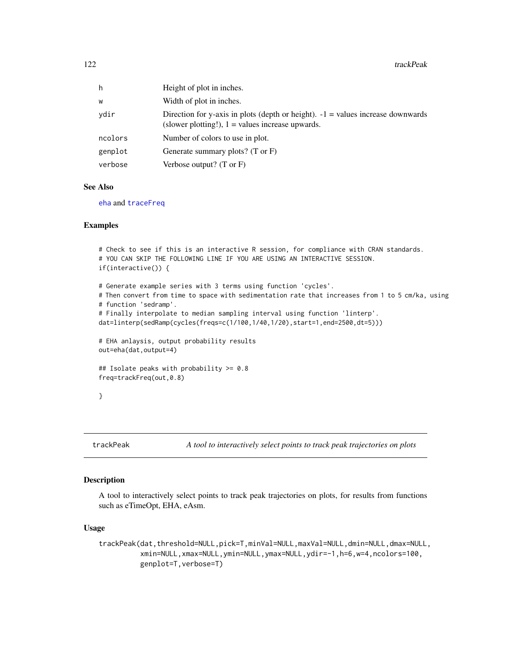<span id="page-121-0"></span>

| h       | Height of plot in inches.                                                                                                               |
|---------|-----------------------------------------------------------------------------------------------------------------------------------------|
| w       | Width of plot in inches.                                                                                                                |
| ydir    | Direction for y-axis in plots (depth or height). $-1$ = values increase downwards<br>(slower plotting!), $1 =$ values increase upwards. |
| ncolors | Number of colors to use in plot.                                                                                                        |
| genplot | Generate summary plots? $(T \text{ or } F)$                                                                                             |
| verbose | Verbose output? $(T \text{ or } F)$                                                                                                     |

#### See Also

[eha](#page-26-0) and [traceFreq](#page-118-0)

# Examples

```
# Check to see if this is an interactive R session, for compliance with CRAN standards.
# YOU CAN SKIP THE FOLLOWING LINE IF YOU ARE USING AN INTERACTIVE SESSION.
if(interactive()) {
# Generate example series with 3 terms using function 'cycles'.
# Then convert from time to space with sedimentation rate that increases from 1 to 5 cm/ka, using
# function 'sedramp'.
# Finally interpolate to median sampling interval using function 'linterp'.
dat=linterp(sedRamp(cycles(freqs=c(1/100,1/40,1/20),start=1,end=2500,dt=5)))
# EHA anlaysis, output probability results
out=eha(dat,output=4)
## Isolate peaks with probability >= 0.8
freq=trackFreq(out,0.8)
}
```
trackPeak *A tool to interactively select points to track peak trajectories on plots*

#### Description

A tool to interactively select points to track peak trajectories on plots, for results from functions such as eTimeOpt, EHA, eAsm.

#### Usage

```
trackPeak(dat,threshold=NULL,pick=T,minVal=NULL,maxVal=NULL,dmin=NULL,dmax=NULL,
          xmin=NULL,xmax=NULL,ymin=NULL,ymax=NULL,ydir=-1,h=6,w=4,ncolors=100,
          genplot=T,verbose=T)
```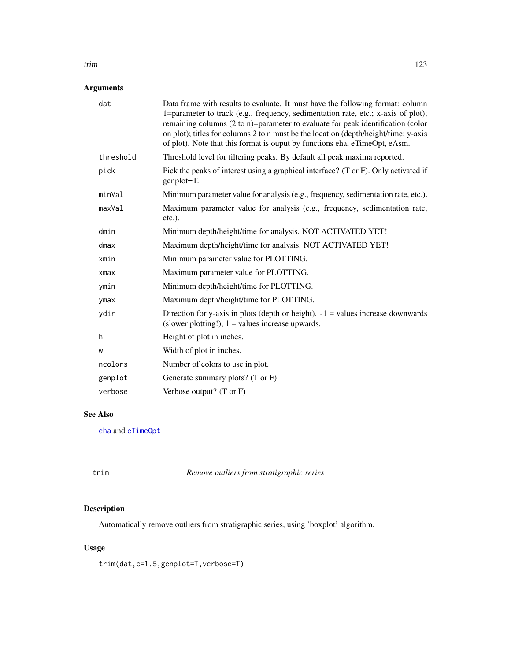#### <span id="page-122-1"></span>trim 123

# Arguments

| dat        | Data frame with results to evaluate. It must have the following format: column<br>1=parameter to track (e.g., frequency, sedimentation rate, etc.; x-axis of plot);<br>remaining columns (2 to n)=parameter to evaluate for peak identification (color<br>on plot); titles for columns 2 to n must be the location (depth/height/time; y-axis<br>of plot). Note that this format is ouput by functions eha, eTimeOpt, eAsm. |
|------------|-----------------------------------------------------------------------------------------------------------------------------------------------------------------------------------------------------------------------------------------------------------------------------------------------------------------------------------------------------------------------------------------------------------------------------|
| threshold  | Threshold level for filtering peaks. By default all peak maxima reported.                                                                                                                                                                                                                                                                                                                                                   |
| pick       | Pick the peaks of interest using a graphical interface? (T or F). Only activated if<br>genplot=T.                                                                                                                                                                                                                                                                                                                           |
| minVal     | Minimum parameter value for analysis (e.g., frequency, sedimentation rate, etc.).                                                                                                                                                                                                                                                                                                                                           |
| maxVal     | Maximum parameter value for analysis (e.g., frequency, sedimentation rate,<br>$etc.$ ).                                                                                                                                                                                                                                                                                                                                     |
| dmin       | Minimum depth/height/time for analysis. NOT ACTIVATED YET!                                                                                                                                                                                                                                                                                                                                                                  |
| dmax       | Maximum depth/height/time for analysis. NOT ACTIVATED YET!                                                                                                                                                                                                                                                                                                                                                                  |
| xmin       | Minimum parameter value for PLOTTING.                                                                                                                                                                                                                                                                                                                                                                                       |
| $x$ ma $x$ | Maximum parameter value for PLOTTING.                                                                                                                                                                                                                                                                                                                                                                                       |
| ymin       | Minimum depth/height/time for PLOTTING.                                                                                                                                                                                                                                                                                                                                                                                     |
| ymax       | Maximum depth/height/time for PLOTTING.                                                                                                                                                                                                                                                                                                                                                                                     |
| ydir       | Direction for y-axis in plots (depth or height). $-1$ = values increase downwards<br>(slower plotting!), $1 =$ values increase upwards.                                                                                                                                                                                                                                                                                     |
| h          | Height of plot in inches.                                                                                                                                                                                                                                                                                                                                                                                                   |
| W          | Width of plot in inches.                                                                                                                                                                                                                                                                                                                                                                                                    |
| ncolors    | Number of colors to use in plot.                                                                                                                                                                                                                                                                                                                                                                                            |
| genplot    | Generate summary plots? (T or F)                                                                                                                                                                                                                                                                                                                                                                                            |
| verbose    | Verbose output? $(T \text{ or } F)$                                                                                                                                                                                                                                                                                                                                                                                         |
|            |                                                                                                                                                                                                                                                                                                                                                                                                                             |

# See Also

[eha](#page-26-0) and [eTimeOpt](#page-28-0)

<span id="page-122-0"></span>

| trim | Remove outliers from stratigraphic series |
|------|-------------------------------------------|
|------|-------------------------------------------|

# Description

Automatically remove outliers from stratigraphic series, using 'boxplot' algorithm.

# Usage

trim(dat,c=1.5,genplot=T,verbose=T)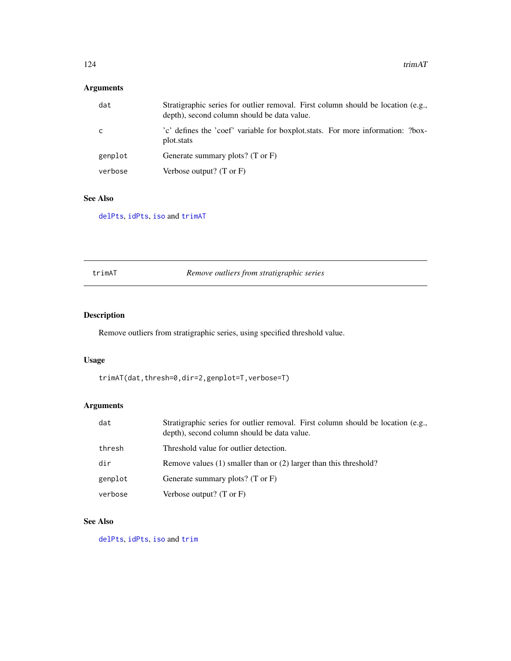# <span id="page-123-1"></span>Arguments

| dat     | Stratigraphic series for outlier removal. First column should be location (e.g.,<br>depth), second column should be data value. |
|---------|---------------------------------------------------------------------------------------------------------------------------------|
| C       | 'c' defines the 'coef' variable for boxplot stats. For more information: ?box-<br>plot.stats                                    |
| genplot | Generate summary plots? (T or F)                                                                                                |
| verbose | Verbose output? $(T \text{ or } F)$                                                                                             |

# See Also

[delPts](#page-20-0), [idPts](#page-39-0), [iso](#page-44-0) and [trimAT](#page-123-0)

# <span id="page-123-0"></span>trimAT *Remove outliers from stratigraphic series*

# Description

Remove outliers from stratigraphic series, using specified threshold value.

# Usage

```
trimAT(dat,thresh=0,dir=2,genplot=T,verbose=T)
```
# Arguments

| dat     | Stratigraphic series for outlier removal. First column should be location (e.g.,<br>depth), second column should be data value. |
|---------|---------------------------------------------------------------------------------------------------------------------------------|
| thresh  | Threshold value for outlier detection.                                                                                          |
| dir     | Remove values $(1)$ smaller than or $(2)$ larger than this threshold?                                                           |
| genplot | Generate summary plots? (T or F)                                                                                                |
| verbose | Verbose output? $(T \text{ or } F)$                                                                                             |

# See Also

[delPts](#page-20-0), [idPts](#page-39-0), [iso](#page-44-0) and [trim](#page-122-0)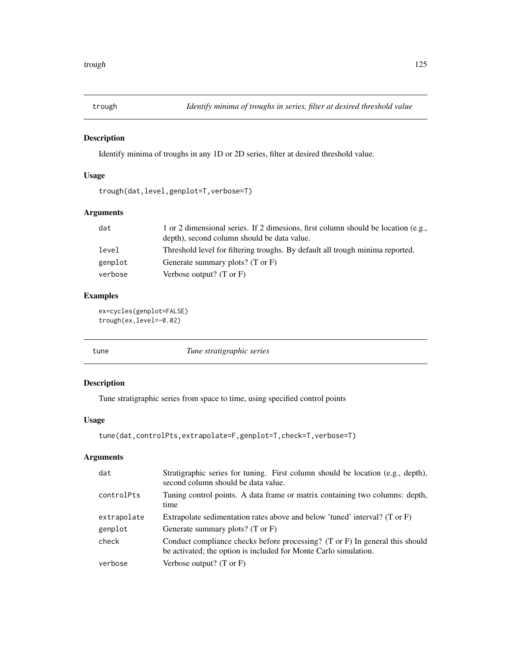<span id="page-124-0"></span>

# Description

Identify minima of troughs in any 1D or 2D series, filter at desired threshold value.

# Usage

```
trough(dat,level,genplot=T,verbose=T)
```
# Arguments

| dat     | 1 or 2 dimensional series. If 2 dimesions, first column should be location (e.g.,<br>depth), second column should be data value. |
|---------|----------------------------------------------------------------------------------------------------------------------------------|
| level   | Threshold level for filtering troughs. By default all trough minima reported.                                                    |
| genplot | Generate summary plots? (T or F)                                                                                                 |
| verbose | Verbose output? $(T \text{ or } F)$                                                                                              |

# Examples

```
ex=cycles(genplot=FALSE)
trough(ex,level=-0.02)
```
tune *Tune stratigraphic series*

#### Description

Tune stratigraphic series from space to time, using specified control points

# Usage

```
tune(dat,controlPts,extrapolate=F,genplot=T,check=T,verbose=T)
```

| dat         | Stratigraphic series for tuning. First column should be location (e.g., depth),<br>second column should be data value.                           |
|-------------|--------------------------------------------------------------------------------------------------------------------------------------------------|
| controlPts  | Tuning control points. A data frame or matrix containing two columns: depth,<br>time                                                             |
| extrapolate | Extrapolate sedimentation rates above and below 'tuned' interval? (T or F)                                                                       |
| genplot     | Generate summary plots? $(T \text{ or } F)$                                                                                                      |
| check       | Conduct compliance checks before processing? (T or F) In general this should<br>be activated; the option is included for Monte Carlo simulation. |
| verbose     | Verbose output? $(T \text{ or } F)$                                                                                                              |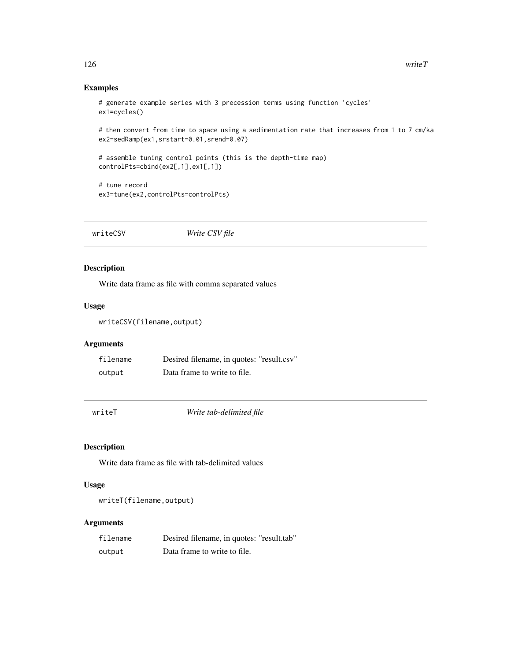# Examples

```
# generate example series with 3 precession terms using function 'cycles'
ex1=cycles()
```
# then convert from time to space using a sedimentation rate that increases from 1 to 7 cm/ka ex2=sedRamp(ex1,srstart=0.01,srend=0.07)

```
# assemble tuning control points (this is the depth-time map)
controlPts=cbind(ex2[,1],ex1[,1])
```

```
# tune record
ex3=tune(ex2,controlPts=controlPts)
```
writeCSV *Write CSV file*

# Description

Write data frame as file with comma separated values

#### Usage

writeCSV(filename,output)

# Arguments

| filename | Desired filename, in quotes: "result.csv" |
|----------|-------------------------------------------|
| output   | Data frame to write to file.              |

writeT *Write tab-delimited file*

# Description

Write data frame as file with tab-delimited values

#### Usage

writeT(filename,output)

| filename | Desired filename, in quotes: "result.tab" |
|----------|-------------------------------------------|
| output   | Data frame to write to file.              |

<span id="page-125-0"></span>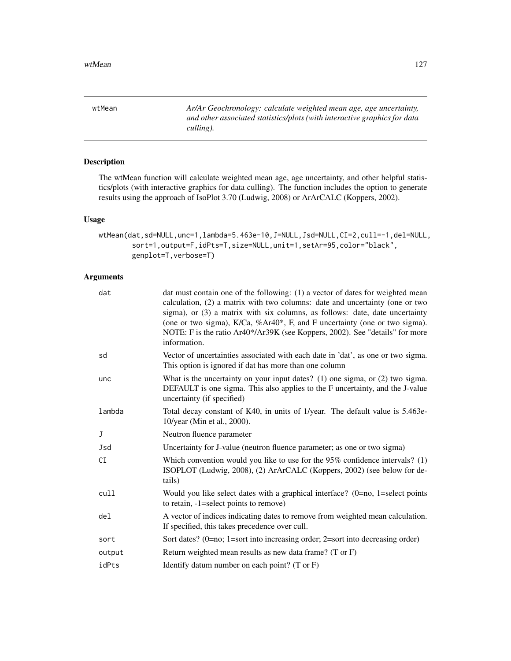<span id="page-126-0"></span>wtMean *Ar/Ar Geochronology: calculate weighted mean age, age uncertainty, and other associated statistics/plots (with interactive graphics for data culling).*

# Description

The wtMean function will calculate weighted mean age, age uncertainty, and other helpful statistics/plots (with interactive graphics for data culling). The function includes the option to generate results using the approach of IsoPlot 3.70 (Ludwig, 2008) or ArArCALC (Koppers, 2002).

#### Usage

```
wtMean(dat,sd=NULL,unc=1,lambda=5.463e-10,J=NULL,Jsd=NULL,CI=2,cull=-1,del=NULL,
        sort=1,output=F,idPts=T,size=NULL,unit=1,setAr=95,color="black",
        genplot=T,verbose=T)
```

| dat             | dat must contain one of the following: (1) a vector of dates for weighted mean<br>calculation, (2) a matrix with two columns: date and uncertainty (one or two<br>sigma), or (3) a matrix with six columns, as follows: date, date uncertainty<br>(one or two sigma), K/Ca, %Ar40*, F, and F uncertainty (one or two sigma).<br>NOTE: F is the ratio Ar40*/Ar39K (see Koppers, 2002). See "details" for more<br>information. |
|-----------------|------------------------------------------------------------------------------------------------------------------------------------------------------------------------------------------------------------------------------------------------------------------------------------------------------------------------------------------------------------------------------------------------------------------------------|
| sd              | Vector of uncertainties associated with each date in 'dat', as one or two sigma.<br>This option is ignored if dat has more than one column                                                                                                                                                                                                                                                                                   |
| unc             | What is the uncertainty on your input dates? (1) one sigma, or $(2)$ two sigma.<br>DEFAULT is one sigma. This also applies to the F uncertainty, and the J-value<br>uncertainty (if specified)                                                                                                                                                                                                                               |
| lambda          | Total decay constant of K40, in units of 1/year. The default value is 5.463e-<br>10/year (Min et al., 2000).                                                                                                                                                                                                                                                                                                                 |
| J               | Neutron fluence parameter                                                                                                                                                                                                                                                                                                                                                                                                    |
| Jsd             | Uncertainty for J-value (neutron fluence parameter; as one or two sigma)                                                                                                                                                                                                                                                                                                                                                     |
| CI              | Which convention would you like to use for the $95\%$ confidence intervals? (1)<br>ISOPLOT (Ludwig, 2008), (2) ArArCALC (Koppers, 2002) (see below for de-<br>tails)                                                                                                                                                                                                                                                         |
| cull            | Would you like select dates with a graphical interface? $(0=no, 1=select points)$<br>to retain, -1=select points to remove)                                                                                                                                                                                                                                                                                                  |
| de <sub>l</sub> | A vector of indices indicating dates to remove from weighted mean calculation.<br>If specified, this takes precedence over cull.                                                                                                                                                                                                                                                                                             |
| sort            | Sort dates? $(0=no; 1=sort$ into increasing order; $2=sort$ into decreasing order)                                                                                                                                                                                                                                                                                                                                           |
| output          | Return weighted mean results as new data frame? (T or F)                                                                                                                                                                                                                                                                                                                                                                     |
| idPts           | Identify datum number on each point? $(T \text{ or } F)$                                                                                                                                                                                                                                                                                                                                                                     |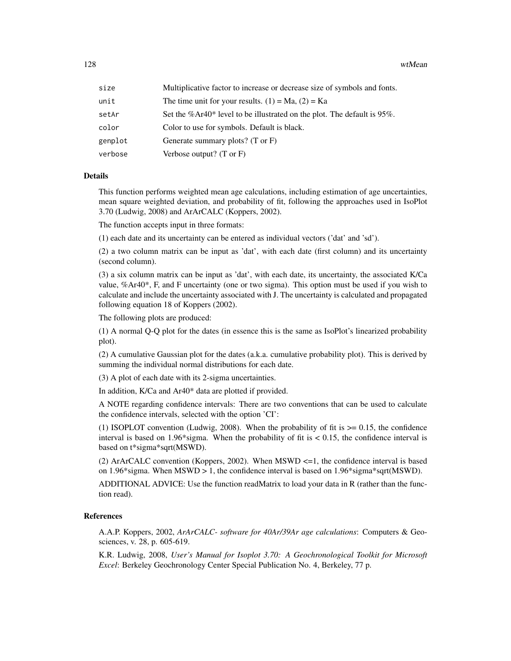128 wtMean

| size    | Multiplicative factor to increase or decrease size of symbols and fonts.  |
|---------|---------------------------------------------------------------------------|
| unit    | The time unit for your results. $(1) = Ma$ , $(2) = Ka$                   |
| setAr   | Set the $%Ar40*$ level to be illustrated on the plot. The default is 95%. |
| color   | Color to use for symbols. Default is black.                               |
| genplot | Generate summary plots? (T or F)                                          |
| verbose | Verbose output? $(T \text{ or } F)$                                       |

#### Details

This function performs weighted mean age calculations, including estimation of age uncertainties, mean square weighted deviation, and probability of fit, following the approaches used in IsoPlot 3.70 (Ludwig, 2008) and ArArCALC (Koppers, 2002).

The function accepts input in three formats:

(1) each date and its uncertainty can be entered as individual vectors ('dat' and 'sd').

(2) a two column matrix can be input as 'dat', with each date (first column) and its uncertainty (second column).

(3) a six column matrix can be input as 'dat', with each date, its uncertainty, the associated K/Ca value, %Ar40\*, F, and F uncertainty (one or two sigma). This option must be used if you wish to calculate and include the uncertainty associated with J. The uncertainty is calculated and propagated following equation 18 of Koppers (2002).

The following plots are produced:

(1) A normal Q-Q plot for the dates (in essence this is the same as IsoPlot's linearized probability plot).

(2) A cumulative Gaussian plot for the dates (a.k.a. cumulative probability plot). This is derived by summing the individual normal distributions for each date.

(3) A plot of each date with its 2-sigma uncertainties.

In addition, K/Ca and Ar40\* data are plotted if provided.

A NOTE regarding confidence intervals: There are two conventions that can be used to calculate the confidence intervals, selected with the option 'CI':

(1) ISOPLOT convention (Ludwig, 2008). When the probability of fit is  $\geq 0.15$ , the confidence interval is based on 1.96\*sigma. When the probability of fit is  $\lt$  0.15, the confidence interval is based on t\*sigma\*sqrt(MSWD).

(2) ArArCALC convention (Koppers, 2002). When  $MSWD \leq=1$ , the confidence interval is based on 1.96\*sigma. When MSWD > 1, the confidence interval is based on 1.96\*sigma\*sqrt(MSWD).

ADDITIONAL ADVICE: Use the function readMatrix to load your data in R (rather than the function read).

#### References

A.A.P. Koppers, 2002, *ArArCALC- software for 40Ar/39Ar age calculations*: Computers & Geosciences, v. 28, p. 605-619.

K.R. Ludwig, 2008, *User's Manual for Isoplot 3.70: A Geochronological Toolkit for Microsoft Excel*: Berkeley Geochronology Center Special Publication No. 4, Berkeley, 77 p.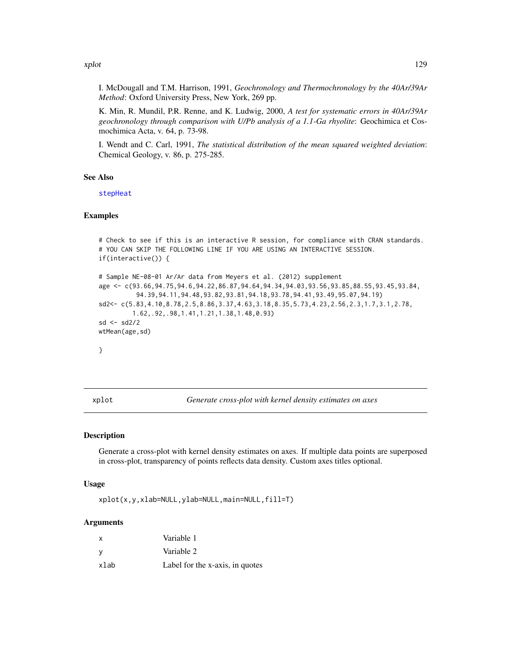<span id="page-128-0"></span>xplot the state of the state of the state of the state of the state of the state of the state of the state of the state of the state of the state of the state of the state of the state of the state of the state of the stat

I. McDougall and T.M. Harrison, 1991, *Geochronology and Thermochronology by the 40Ar/39Ar Method*: Oxford University Press, New York, 269 pp.

K. Min, R. Mundil, P.R. Renne, and K. Ludwig, 2000, *A test for systematic errors in 40Ar/39Ar geochronology through comparison with U/Pb analysis of a 1.1-Ga rhyolite*: Geochimica et Cosmochimica Acta, v. 64, p. 73-98.

I. Wendt and C. Carl, 1991, *The statistical distribution of the mean squared weighted deviation*: Chemical Geology, v. 86, p. 275-285.

#### See Also

[stepHeat](#page-84-0)

#### Examples

```
# Check to see if this is an interactive R session, for compliance with CRAN standards.
# YOU CAN SKIP THE FOLLOWING LINE IF YOU ARE USING AN INTERACTIVE SESSION.
if(interactive()) {
# Sample NE-08-01 Ar/Ar data from Meyers et al. (2012) supplement
age <- c(93.66,94.75,94.6,94.22,86.87,94.64,94.34,94.03,93.56,93.85,88.55,93.45,93.84,
          94.39,94.11,94.48,93.82,93.81,94.18,93.78,94.41,93.49,95.07,94.19)
sd2<- c(5.83,4.10,8.78,2.5,8.86,3.37,4.63,3.18,8.35,5.73,4.23,2.56,2.3,1.7,3.1,2.78,
         1.62,.92,.98,1.41,1.21,1.38,1.48,0.93)
sd <- sd2/2
wtMean(age,sd)
}
```
xplot *Generate cross-plot with kernel density estimates on axes*

#### Description

Generate a cross-plot with kernel density estimates on axes. If multiple data points are superposed in cross-plot, transparency of points reflects data density. Custom axes titles optional.

#### Usage

xplot(x,y,xlab=NULL,ylab=NULL,main=NULL,fill=T)

| X    | Variable 1                      |
|------|---------------------------------|
| - V  | Variable 2                      |
| xlab | Label for the x-axis, in quotes |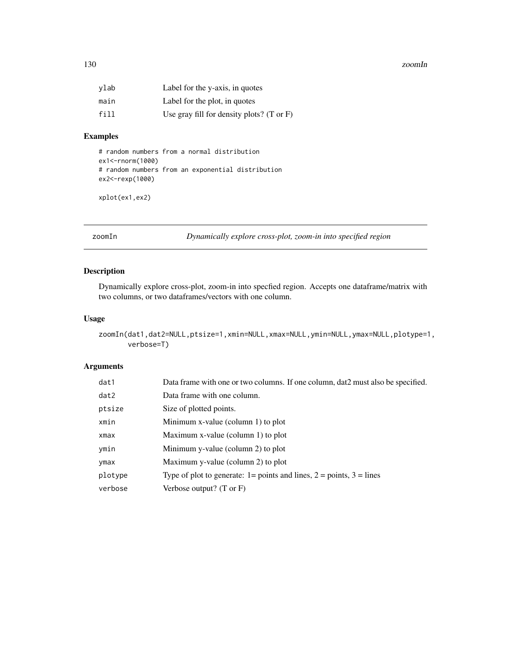#### <span id="page-129-0"></span>130 zoomIn

| vlab | Label for the y-axis, in quotes                      |
|------|------------------------------------------------------|
| main | Label for the plot, in quotes                        |
| fill | Use gray fill for density plots? $(T \text{ or } F)$ |

#### Examples

```
# random numbers from a normal distribution
ex1<-rnorm(1000)
# random numbers from an exponential distribution
ex2<-rexp(1000)
```
xplot(ex1,ex2)

zoomIn *Dynamically explore cross-plot, zoom-in into specified region*

# Description

Dynamically explore cross-plot, zoom-in into specfied region. Accepts one dataframe/matrix with two columns, or two dataframes/vectors with one column.

#### Usage

```
zoomIn(dat1,dat2=NULL,ptsize=1,xmin=NULL,xmax=NULL,ymin=NULL,ymax=NULL,plotype=1,
      verbose=T)
```

| dat1    | Data frame with one or two columns. If one column, dat2 must also be specified.                   |
|---------|---------------------------------------------------------------------------------------------------|
| dat2    | Data frame with one column.                                                                       |
| ptsize  | Size of plotted points.                                                                           |
| xmin    | Minimum x-value (column 1) to plot                                                                |
| xmax    | Maximum x-value (column 1) to plot                                                                |
| ymin    | Minimum y-value (column 2) to plot                                                                |
| ymax    | Maximum y-value (column 2) to plot                                                                |
| plotype | Type of plot to generate: $1 = \text{points}$ and lines, $2 = \text{points}$ , $3 = \text{lines}$ |
| verbose | Verbose output? $(T \text{ or } F)$                                                               |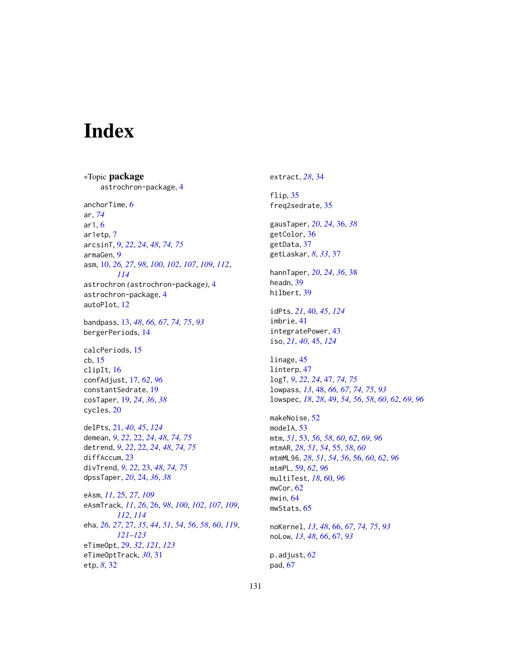# Index

∗Topic package astrochron-package, [4](#page-3-0) anchorTime, [6](#page-5-0) ar, *[74](#page-73-0)* ar1, [6](#page-5-0) ar1etp, [7](#page-6-0) arcsinT, [9,](#page-8-0) *[22](#page-21-0)*, *[24](#page-23-0)*, *[48](#page-47-0)*, *[74,](#page-73-0) [75](#page-74-0)* armaGen, [9](#page-8-0) asm, [10,](#page-9-1) *[26,](#page-25-1) [27](#page-26-1)*, *[98](#page-97-0)*, *[100](#page-99-1)*, *[102](#page-101-0)*, *[107](#page-106-0)*, *[109](#page-108-0)*, *[112](#page-111-0)*, *[114](#page-113-0)* astrochron *(*astrochron-package*)*, [4](#page-3-0) astrochron-package, [4](#page-3-0) autoPlot, [12](#page-11-0) bandpass, [13,](#page-12-0) *[48](#page-47-0)*, *[66,](#page-65-0) [67](#page-66-0)*, *[74,](#page-73-0) [75](#page-74-0)*, *[93](#page-92-0)* bergerPeriods, [14](#page-13-0) calcPeriods, [15](#page-14-0) cb, [15](#page-14-0) clipIt, [16](#page-15-0) confAdjust, [17,](#page-16-0) *[62](#page-61-0)*, *[96](#page-95-1)* constantSedrate, [19](#page-18-0) cosTaper, [19,](#page-18-0) *[24](#page-23-0)*, *[36](#page-35-0)*, *[38](#page-37-0)* cycles, [20](#page-19-0) delPts, [21,](#page-20-1) *[40](#page-39-1)*, *[45](#page-44-1)*, *[124](#page-123-1)* demean, *[9](#page-8-0)*, *[22](#page-21-0)*, [22,](#page-21-0) *[24](#page-23-0)*, *[48](#page-47-0)*, *[74,](#page-73-0) [75](#page-74-0)* detrend, *[9](#page-8-0)*, *[22](#page-21-0)*, [22,](#page-21-0) *[24](#page-23-0)*, *[48](#page-47-0)*, *[74,](#page-73-0) [75](#page-74-0)* diffAccum, [23](#page-22-0) divTrend, *[9](#page-8-0)*, *[22](#page-21-0)*, [23,](#page-22-0) *[48](#page-47-0)*, *[74,](#page-73-0) [75](#page-74-0)* dpssTaper, *[20](#page-19-0)*, [24,](#page-23-0) *[36](#page-35-0)*, *[38](#page-37-0)* eAsm, *[11](#page-10-0)*, [25,](#page-24-1) *[27](#page-26-1)*, *[109](#page-108-0)* eAsmTrack, *[11](#page-10-0)*, *[26](#page-25-1)*, [26,](#page-25-1) *[98](#page-97-0)*, *[100](#page-99-1)*, *[102](#page-101-0)*, *[107](#page-106-0)*, *[109](#page-108-0)*, *[112](#page-111-0)*, *[114](#page-113-0)* eha, *[26,](#page-25-1) [27](#page-26-1)*, [27,](#page-26-1) *[35](#page-34-0)*, *[44](#page-43-0)*, *[51](#page-50-0)*, *[54](#page-53-0)*, *[56](#page-55-0)*, *[58](#page-57-0)*, *[60](#page-59-0)*, *[119](#page-118-1)*, *[121](#page-120-1)[–123](#page-122-1)* eTimeOpt, [29,](#page-28-1) *[32](#page-31-0)*, *[121](#page-120-1)*, *[123](#page-122-1)* eTimeOptTrack, *[30](#page-29-0)*, [31](#page-30-0) etp, *[8](#page-7-0)*, [32](#page-31-0)

extract, *[28](#page-27-0)*, [34](#page-33-0) flip, [35](#page-34-0) freq2sedrate, [35](#page-34-0) gausTaper, *[20](#page-19-0)*, *[24](#page-23-0)*, [36,](#page-35-0) *[38](#page-37-0)* getColor, [36](#page-35-0) getData, [37](#page-36-0) getLaskar, *[8](#page-7-0)*, *[33](#page-32-0)*, [37](#page-36-0) hannTaper, *[20](#page-19-0)*, *[24](#page-23-0)*, *[36](#page-35-0)*, [38](#page-37-0) headn, [39](#page-38-0) hilbert, [39](#page-38-0) idPts, *[21](#page-20-1)*, [40,](#page-39-1) *[45](#page-44-1)*, *[124](#page-123-1)* imbrie, [41](#page-40-0) integratePower, [43](#page-42-0) iso, *[21](#page-20-1)*, *[40](#page-39-1)*, [45,](#page-44-1) *[124](#page-123-1)* linage, [45](#page-44-1) linterp, [47](#page-46-0) logT, *[9](#page-8-0)*, *[22](#page-21-0)*, *[24](#page-23-0)*, [47,](#page-46-0) *[74,](#page-73-0) [75](#page-74-0)* lowpass, *[13](#page-12-0)*, [48,](#page-47-0) *[66,](#page-65-0) [67](#page-66-0)*, *[74,](#page-73-0) [75](#page-74-0)*, *[93](#page-92-0)* lowspec, *[18](#page-17-0)*, *[28](#page-27-0)*, [49,](#page-48-0) *[54](#page-53-0)*, *[56](#page-55-0)*, *[58](#page-57-0)*, *[60](#page-59-0)*, *[62](#page-61-0)*, *[69](#page-68-0)*, *[96](#page-95-1)* makeNoise, [52](#page-51-0) modelA, [53](#page-52-0) mtm, *[51](#page-50-0)*, [53,](#page-52-0) *[56](#page-55-0)*, *[58](#page-57-0)*, *[60](#page-59-0)*, *[62](#page-61-0)*, *[69](#page-68-0)*, *[96](#page-95-1)* mtmAR, *[28](#page-27-0)*, *[51](#page-50-0)*, *[54](#page-53-0)*, [55,](#page-54-0) *[58](#page-57-0)*, *[60](#page-59-0)* mtmML96, *[28](#page-27-0)*, *[51](#page-50-0)*, *[54](#page-53-0)*, *[56](#page-55-0)*, [56,](#page-55-0) *[60](#page-59-0)*, *[62](#page-61-0)*, *[96](#page-95-1)* mtmPL, [59,](#page-58-0) *[62](#page-61-0)*, *[96](#page-95-1)* multiTest, *[18](#page-17-0)*, [60,](#page-59-0) *[96](#page-95-1)* mwCor, [62](#page-61-0) mwin, [64](#page-63-0) mwStats, [65](#page-64-0) noKernel, *[13](#page-12-0)*, *[48](#page-47-0)*, [66,](#page-65-0) *[67](#page-66-0)*, *[74,](#page-73-0) [75](#page-74-0)*, *[93](#page-92-0)* noLow, *[13](#page-12-0)*, *[48](#page-47-0)*, *[66](#page-65-0)*, [67,](#page-66-0) *[93](#page-92-0)* p.adjust, *[62](#page-61-0)* pad, [67](#page-66-0)